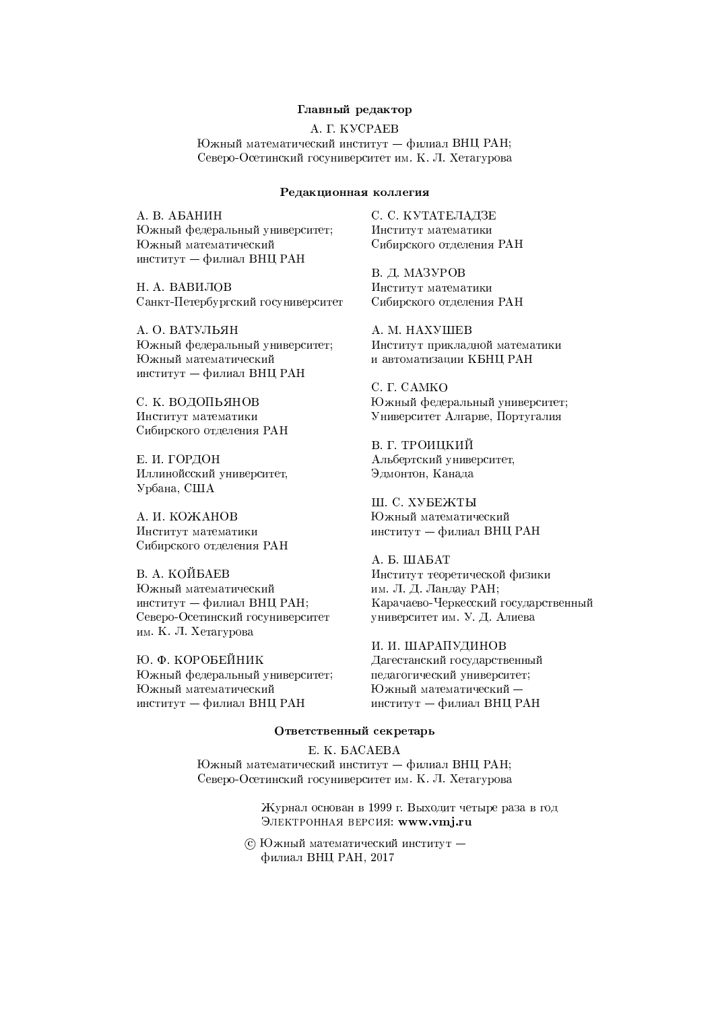#### Главный редактор

A. T. KVCPAEB

Южный математический институт – филиал ВНЦ РАН; Северо-Осетинский госуниверситет им. К. Л. Хетагурова

#### Редакционная коллегия

А. В. АБАНИН Южный федеральный университет; Южный математический институт — филиал ВНЦ РАН

Н. А. ВАВИЛОВ Санкт-Петербургский госуниверситет

А. О. ВАТУЛЬЯН Южный федеральный университет; Южный математический институт - филиал ВНЦ РАН

С. К. ВОДОПЬЯНОВ Институт математики Сибирского отделения РАН

Е. И. ГОРДОН Иллинойсский университет, Урбана, США

А. И. КОЖАНОВ Институт математики Сибирского отделения РАН

В. А. КОЙБАЕВ Южный математический институт — филиал ВНЦ РАН; Северо-Осетинский госуниверситет им. К. Л. Хетагурова

Ю. Ф. КОРОБЕЙНИК Южный федеральный университет; Южный математический институт - филиал ВНЦ РАН

С. С. КУТАТЕЛАДЗЕ Институт математики Сибирского отделения РАН

В. Л. МАЗУРОВ Институт математики Сибирского отделения РАН

A. M. HAXVIIIEB Институт прикладной математики и автоматизации КБНЦ РАН

C. T. CAMKO Южный федеральный университет; Университет Алгарве, Португалия

В. Г. ТРОИЦКИЙ Альбертский университет, Эдмонтон, Канада

III. C. XVBEЖTЫ Южный математический институт - филиал ВНЦ РАН

A. B. IIIABAT Институт теоретической физики им. Л. Д. Ландау РАН; Карачаево-Черкесский государственный университет им. У. Д. Алиева

И. И. ШАРАПУДИНОВ Дагестанский государственный педагогический университет; Южный математический институт — филиал ВНЦ РАН

#### Ответственный секретарь

E. K. BACAEBA Южный математический институт — филиал ВНЦ РАН; Северо-Осетинский госуниверситет им. К. Л. Хетагурова

> Журнал основан в 1999 г. Выходит четыре раза в год ЭЛЕКТРОННАЯ ВЕРСИЯ: www.vmj.ru

© Южный математический институт филиал ВНЦ РАН, 2017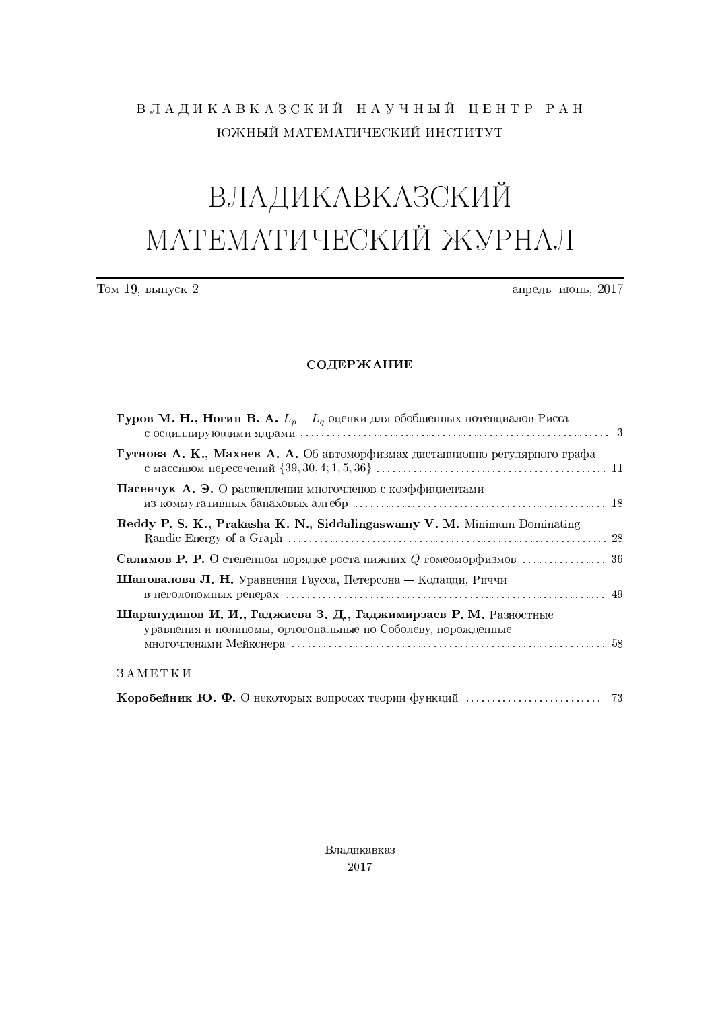## ВЛАДИКАВКАЗСКИЙ НАУЧНЫЙ ЦЕНТР РАН ЮЖНЫЙ МАТЕМАТИЧЕСКИЙ ИНСТИТУТ

# **ВЛАДИКАВКАЗСКИЙ** МАТЕМАТИЧЕСКИЙ ЖУРНАЛ

| Том<br>выпуск<br>19. I | ∙ль−июнь.<br>апрель | 201 |
|------------------------|---------------------|-----|
|                        |                     |     |

#### СОДЕРЖАНИЕ

| <b>Гуров М. Н., Ногин В. А.</b> $L_p - L_q$ -оценки для обобщенных потенциалов Рисса                                             |  |
|----------------------------------------------------------------------------------------------------------------------------------|--|
| Гутнова А. К., Махнев А. А. Об автоморфизмах дистанционно регулярного графа                                                      |  |
| Пасенчук А. Э. О расщеплении многочленов с коэффициентами                                                                        |  |
| Reddy P. S. K., Prakasha K. N., Siddalingaswamy V. M. Minimum Dominating                                                         |  |
|                                                                                                                                  |  |
| Шаповалова Л. Н. Уравнения Гаусса, Петерсона — Кодацци, Риччи                                                                    |  |
| Шарапудинов И. И., Гаджиева З. Д., Гаджимирзаев Р. М. Разностные<br>уравнения и полиномы, ортогональные по Соболеву, порожденные |  |
| 3 A METKH                                                                                                                        |  |
| <b>Коробейник Ю. Ф.</b> О некоторых вопросах теории функций $\ldots \ldots \ldots \ldots \ldots \ldots$ 73                       |  |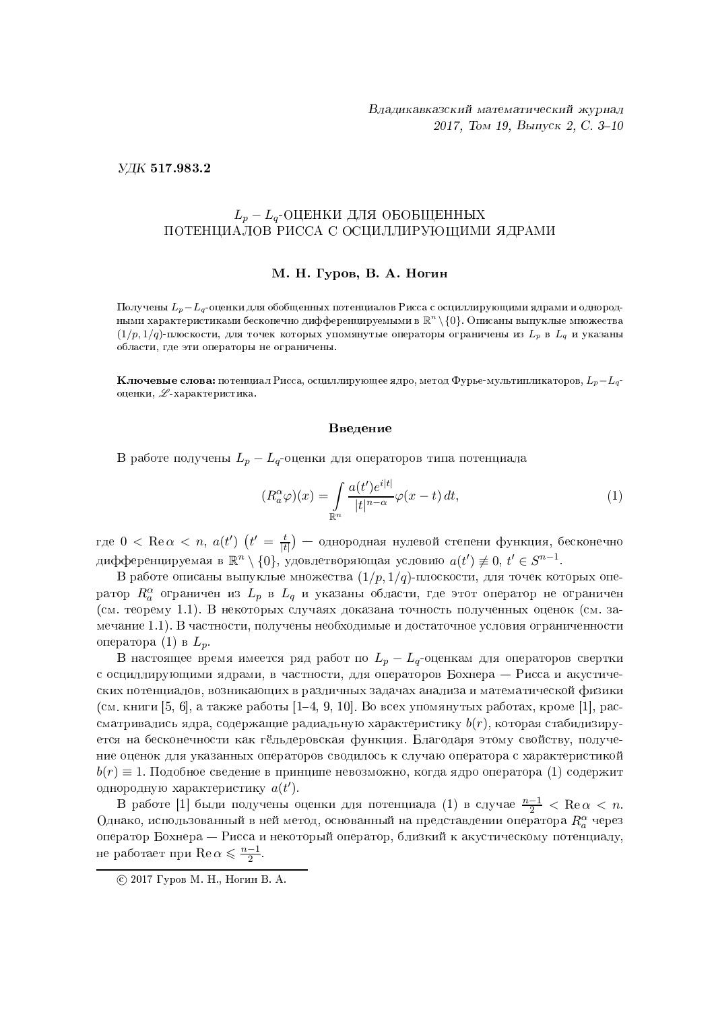УДК 517.983.2

#### $L_p - L_q$ -ОЦЕНКИ ДЛЯ ОБОБЩЕННЫХ ПОТЕНЦИАЛОВ РИССА С ОСЦИЛЛИРУЮЩИМИ ЯДРАМИ

#### М. Н. Гуров, В. А. Ногин

Получены  $L_p - L_q$ -оценки для обобщенных потенциалов Рисса с осциллирующими ядрами и однородными характеристиками бесконечно дифференцируемыми в  $\mathbb{R}^n\setminus\{0\}$ . Описаны выпуклые множества  $(1/p, 1/q)$ -плоскости, для точек которых упомянутые операторы ограничены из  $L_p$  в  $L_q$  и указаны области, где эти операторы не ограничены.

**Ключевые слова:** потенциал Рисса, осциллирующее ядро, метод Фурье-мультипликаторов,  $L_p - L_q$ оценки,  $\mathscr L$ -характеристика.

#### Введение

В работе получены  $L_p - L_q$ -оценки для операторов типа потенциала

$$
(R_a^{\alpha}\varphi)(x) = \int_{\mathbb{R}^n} \frac{a(t')e^{i|t|}}{|t|^{n-\alpha}} \varphi(x-t) dt,
$$
\n(1)

где  $0 < \text{Re }\alpha < n$ ,  $a(t')$   $(t' = \frac{t}{|t|})$  — однородная нулевой степени функция, бесконечно дифференцируемая в  $\mathbb{R}^n \setminus \{0\}$ , удовлетворяющая условию  $a(t') \neq 0$ ,  $t' \in S^{n-1}$ .

В работе описаны выпуклые множества  $(1/p, 1/q)$ -плоскости, для точек которых оператор  $R_a^{\alpha}$  ограничен из  $L_p$  в  $L_q$  и указаны области, где этот оператор не ограничен (см. теорему 1.1). В некоторых случаях доказана точность полученных оценок (см. замечание 1.1). В частности, получены необходимые и достаточное условия ограниченности оператора (1) в  $L_p$ .

В настоящее время имеется ряд работ по  $L_p - L_q$ -оценкам для операторов свертки с осциллирующими ядрами, в частности, для операторов Бохнера - Рисса и акустических потенциалов, возникающих в различных задачах анализа и математической физики (см. книги [5, 6], а также работы [1–4, 9, 10]. Во всех упомянутых работах, кроме [1], рассматривались ядра, содержащие радиальную характеристику  $b(r)$ , которая стабилизируется на бесконечности как гёльдеровская функция. Благодаря этому свойству, получение оценок для указанных операторов сводилось к случаю оператора с характеристикой  $b(r) \equiv 1$ . Подобное сведение в принципе невозможно, когда ядро оператора (1) содержит однородную характеристику  $a(t')$ .

В работе [1] были получены оценки для потенциала (1) в случае  $\frac{n-1}{2} < \text{Re}\,\alpha < n$ . Однако, использованный в ней метод, основанный на представлении оператора  $R_a^{\alpha}$  через оператор Бохнера — Рисса и некоторый оператор, близкий к акустическому потенциалу, не работает при  $\text{Re}\,\alpha \leqslant \frac{n-1}{2}$ .

<sup>© 2017</sup> Гуров М. Н., Ногин В. А.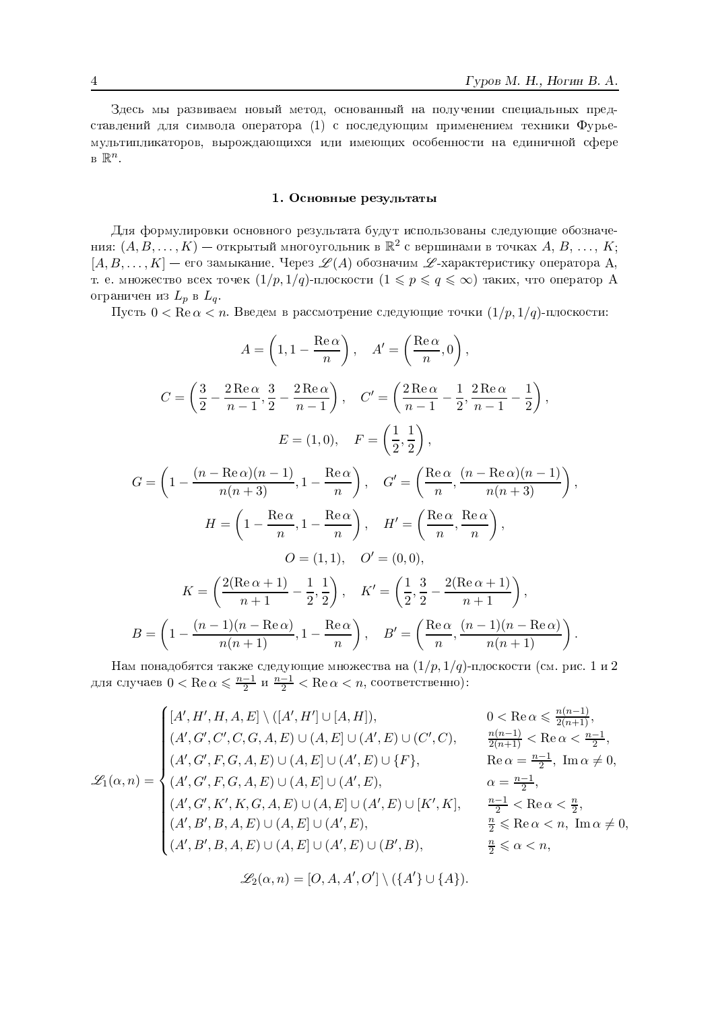Здесь мы развиваем новый метод, основанный на получении специальных представлений для символа оператора (1) с последующим применением техники Фурьемультипликаторов, вырождающихся или имеющих особенности на единичной сфере  $B \mathbb{R}^n$ .

#### 1. Основные результаты

Для формулировки основного результата будут использованы следующие обозначения:  $(A, B, \ldots, K)$  — открытый многоугольник в  $\mathbb{R}^2$  с вершинами в точках  $A, B, \ldots, K$ ;  $[A, B, \ldots, K]$  — его замыкание. Через  $\mathscr{L}(A)$  обозначим  $\mathscr{L}$ -характеристику оператора А, т. е. множество всех точек  $(1/p, 1/q)$ -плоскости  $(1 \leqslant p \leqslant q \leqslant \infty)$  таких, что оператор А ограничен из  $L_p$  в  $L_q$ .

Пусть  $0 < \text{Re } \alpha < n$ . Введем в рассмотрение следующие точки  $(1/p, 1/q)$ -плоскости:

$$
A = \left(1, 1 - \frac{\text{Re}\,\alpha}{n}\right), \quad A' = \left(\frac{\text{Re}\,\alpha}{n}, 0\right),
$$

$$
C = \left(\frac{3}{2} - \frac{2\,\text{Re}\,\alpha}{n-1}, \frac{3}{2} - \frac{2\,\text{Re}\,\alpha}{n-1}\right), \quad C' = \left(\frac{2\,\text{Re}\,\alpha}{n-1} - \frac{1}{2}, \frac{2\,\text{Re}\,\alpha}{n-1} - \frac{1}{2}\right),
$$

$$
E = (1, 0), \quad F = \left(\frac{1}{2}, \frac{1}{2}\right),
$$

$$
G = \left(1 - \frac{(n - \text{Re}\,\alpha)(n - 1)}{n(n + 3)}, 1 - \frac{\text{Re}\,\alpha}{n}\right), \quad G' = \left(\frac{\text{Re}\,\alpha}{n}, \frac{(n - \text{Re}\,\alpha)(n - 1)}{n(n + 3)}\right),
$$

$$
H = \left(1 - \frac{\text{Re}\,\alpha}{n}, 1 - \frac{\text{Re}\,\alpha}{n}\right), \quad H' = \left(\frac{\text{Re}\,\alpha}{n}, \frac{\text{Re}\,\alpha}{n}\right),
$$

$$
O = (1, 1), \quad O' = (0, 0),
$$

$$
K = \left(\frac{2(\text{Re}\,\alpha + 1)}{n + 1} - \frac{1}{2}, \frac{1}{2}\right), \quad K' = \left(\frac{1}{2}, \frac{3}{2} - \frac{2(\text{Re}\,\alpha + 1)}{n + 1}\right),
$$

$$
B = \left(1 - \frac{(n - 1)(n - \text{Re}\,\alpha)}{n(n + 1)}, 1 - \frac{\text{Re}\,\alpha}{n}\right), \quad B' = \left(\frac{\text{Re}\,\alpha}{n}, \frac{(n - 1)(n - \text{Re}\,\alpha)}{n(n + 1)}\right).
$$

Нам понадобятся также следующие множества на  $(1/p, 1/q)$ -плоскости (см. рис. 1 и 2 для случаев  $0 < \text{Re }\alpha \leqslant \frac{n-1}{2}$  и  $\frac{n-1}{2} < \text{Re }\alpha < n$ , соответственно):

$$
\mathcal{L}_{1}(\alpha, n) = \begin{cases}\n[A', H', H, A, E] \setminus ([A', H'] \cup [A, H]), & 0 < \text{Re } \alpha \leq \frac{n(n-1)}{2(n+1)}, \\
(A', G', C', C, G, A, E) \cup (A, E] \cup (A', E) \cup (C', C), & \frac{n(n-1)}{2(n+1)} < \text{Re } \alpha < \frac{n-1}{2}, \\
(A', G', F, G, A, E) \cup (A, E] \cup (A', E) \cup \{F\}, & \text{Re } \alpha = \frac{n-1}{2}, \text{ Im } \alpha \neq 0, \\
(A', G', F, G, A, E) \cup (A, E] \cup (A', E), & \alpha = \frac{n-1}{2}, \\
(A', G', K', K, G, A, E) \cup (A, E] \cup (A', E) \cup [K', K], & \frac{n-1}{2} < \text{Re } \alpha < \frac{n}{2}, \\
(A', B', B, A, E) \cup (A, E] \cup (A', E), & \frac{n}{2} \leq \text{Re } \alpha < n, \text{ Im } \alpha \neq 0 \\
(A', B', B, A, E) \cup (A, E] \cup (A', E) \cup (B', B), & \frac{n}{2} \leq \alpha < n,\n\end{cases}
$$

$$
\mathscr{L}_2(\alpha, n) = [O, A, A', O'] \setminus (\{A'\} \cup \{A\}).
$$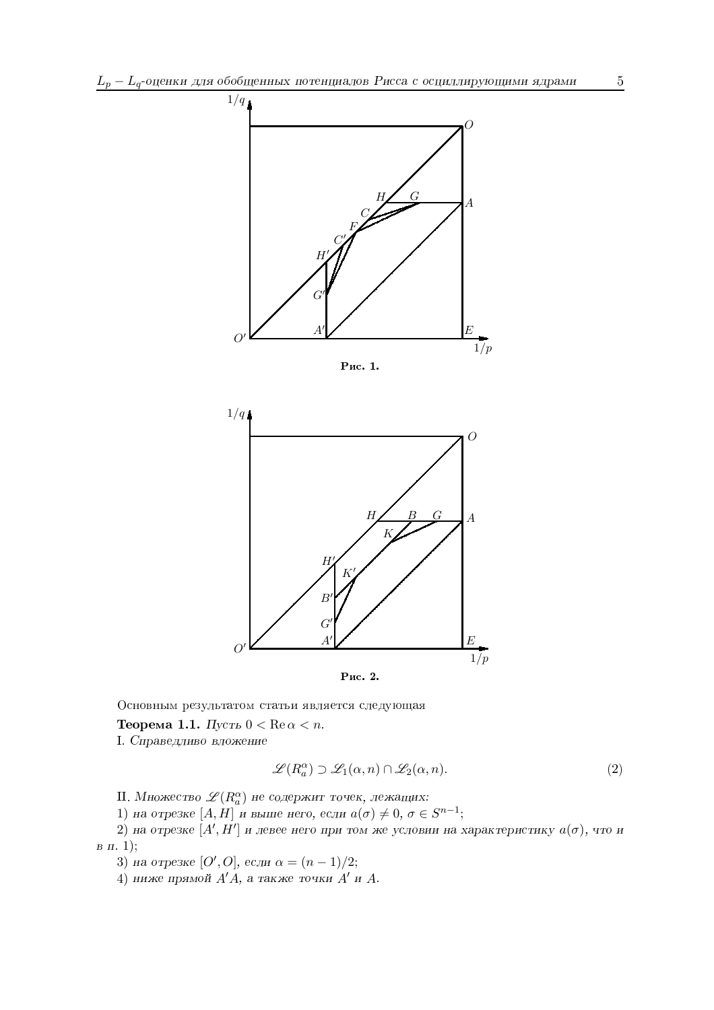

Рис. 1.



Основным результатом статьи является следующая

**Теорема 1.1.** Пусть  $0 < \text{Re } \alpha < n$ .

I. Справедливо вложение

$$
\mathcal{L}(R_a^{\alpha}) \supset \mathcal{L}_1(\alpha, n) \cap \mathcal{L}_2(\alpha, n). \tag{2}
$$

II. Множество  $\mathscr{L}(R^{\alpha}_{a})$  не содержит точек, лежащих:

1) на отрезке [A, H] и выше него, если  $a(\sigma) \neq 0, \sigma \in S^{n-1}$ ;

2) на отрезке  $[A', H']$  и левее него при том же условии на характеристику  $a(\sigma)$ , что и  $B \pi$ . 1);

3) на отрезке [O', O], если  $\alpha = (n-1)/2$ ;

4) ниже прямой  $A'A$ , а также точки  $A'$  и  $A$ .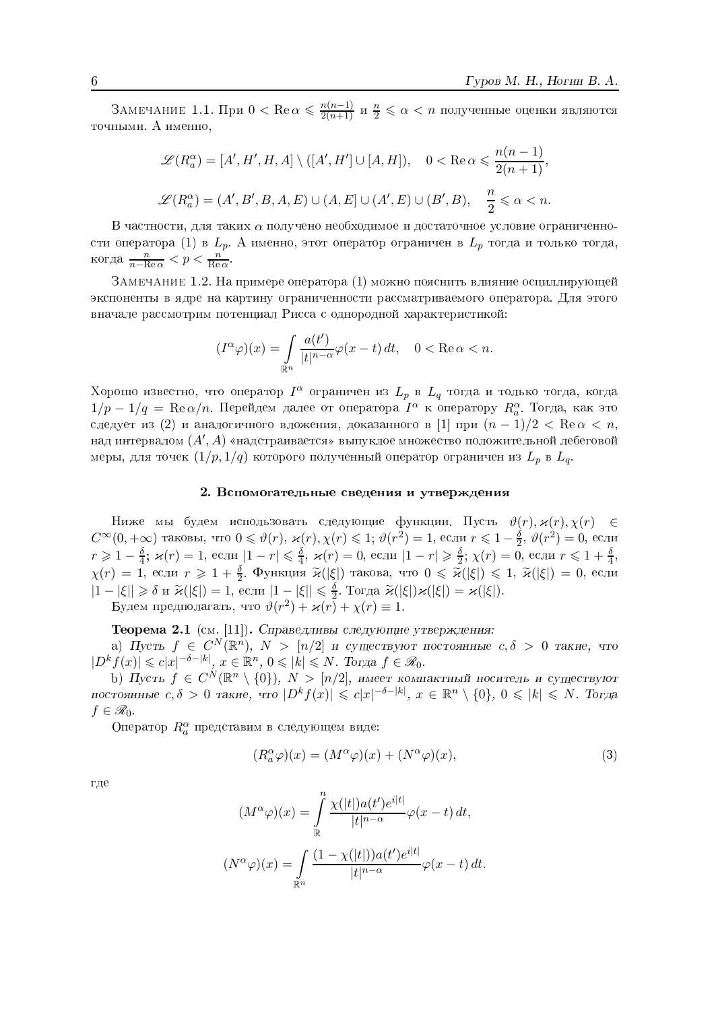ЗАМЕЧАНИЕ 1.1. При  $0 < \text{Re }\alpha \leqslant \frac{n(n-1)}{2(n+1)}$  и  $\frac{n}{2} \leqslant \alpha < n$  полученные оценки являются точными. А именно,

$$
\mathcal{L}(R_a^{\alpha}) = [A', H', H, A] \setminus ([A', H'] \cup [A, H]), \quad 0 < \text{Re}\,\alpha \leqslant \frac{n(n-1)}{2(n+1)},
$$
\n
$$
\mathcal{L}(R_a^{\alpha}) = (A', B', B, A, E) \cup (A, E] \cup (A', E) \cup (B', B), \quad \frac{n}{2} \leqslant \alpha < n.
$$

В частности, для таких  $\alpha$  получено необходимое и достаточное условие ограниченности оператора (1) в  $L_p$ . А именно, этот оператор ограничен в  $L_p$  тогда и только тогда, когда  $\frac{n}{n-\text{Re}\alpha} < p < \frac{n}{\text{Re}\alpha}$ .

ЗАМЕЧАНИЕ 1.2. На примере оператора (1) можно пояснить влияние осциллирующей экспоненты в ядре на картину ограниченности рассматриваемого оператора. Для этого вначале рассмотрим потенциал Рисса с однородной характеристикой:

$$
(I^{\alpha}\varphi)(x) = \int_{\mathbb{R}^n} \frac{a(t')}{|t|^{n-\alpha}} \varphi(x-t) dt, \quad 0 < \text{Re}\,\alpha < n.
$$

Хорошо известно, что оператор  $I^{\alpha}$  ограничен из  $L_p$  в  $L_q$  тогда и только тогда, когда  $1/p-1/q = \text{Re }\alpha/n$ . Перейдем далее от оператора  $I^{\alpha}$  к оператору  $R_{\alpha}^{\alpha}$ . Тогда, как это следует из (2) и аналогичного вложения, доказанного в [1] при  $(n-1)/2 < \text{Re } \alpha < n$ , над интервалом  $(A', A)$  «надстраивается» выпуклое множество положительной лебеговой меры, для точек $(1/p,1/q)$ которого полученный оператор ограничен из ${\cal L}_p$  в  ${\cal L}_q.$ 

#### 2. Вспомогательные сведения и утверждения

Ниже мы будем использовать следующие функции. Пусть  $\vartheta(r), \varkappa(r), \chi(r) \in$  $C^{\infty}(0, +\infty)$  таковы, что  $0 \le \vartheta(r)$ ,  $\varkappa(r) \le 1$ ;  $\vartheta(r^2) = 1$ , если  $r \le 1 - \frac{\delta}{2}$ ,  $\vartheta(r^2) = 0$ , если  $r \ge 1 - \frac{\delta}{4}$ ;  $\varkappa(r) = 1$ , если  $|1 - r| \le \frac{\delta}{4}$ ,  $\varkappa(r) = 0$ , если  $|1 - r| \ge \frac{\delta}{2}$ ;  $\chi(r) = 0$ , если  $r \le 1 + \frac{\$  $|1-|\xi|| \geq \delta$  и  $\widetilde{\varkappa}(|\xi|) = 1$ , если  $|1-|\xi|| \leq \frac{\delta}{2}$ . Тогда  $\widetilde{\varkappa}(|\xi|) \varkappa(|\xi|) = \varkappa(|\xi|)$ . Будем предполагать, что  $\vartheta(r^2) + \varkappa(r) + \chi(r) \equiv 1$ .

Теорема 2.1 (см. [11]). Справедливы следующие утверждения:

а) Пусть  $f \in C^N(\mathbb{R}^n)$ ,  $N > [n/2]$  и существуют постоянные  $c, \delta > 0$  такие, что  $|D^k f(x)| \leq c|x|^{-\delta - |k|}$ ,  $x \in \mathbb{R}^n$ ,  $0 \leq |k| \leq N$ . Тогда  $f \in \mathcal{R}_0$ .

b) Пусть  $f \in C^N(\mathbb{R}^n \setminus \{0\})$ ,  $N > [n/2]$ , имеет компактный носитель и существуют постоянные  $c, \delta > 0$  такие, что  $|D^k f(x)| \leq c|x|^{-\delta - |k|}$ ,  $x \in \mathbb{R}^n \setminus \{0\}$ ,  $0 \leq |k| \leq N$ . Тогда  $f \in \mathscr{R}_0$ .

Оператор  $R_a^{\alpha}$  представим в следующем виде:

$$
(R_a^{\alpha}\varphi)(x) = (M^{\alpha}\varphi)(x) + (N^{\alpha}\varphi)(x),\tag{3}
$$

где

$$
(M^{\alpha}\varphi)(x) = \int_{\mathbb{R}}^{n} \frac{\chi(|t|)a(t')e^{i|t|}}{|t|^{n-\alpha}}\varphi(x-t) dt,
$$

$$
(N^{\alpha}\varphi)(x) = \int_{\mathbb{R}^{n}} \frac{(1-\chi(|t|))a(t')e^{i|t|}}{|t|^{n-\alpha}}\varphi(x-t) dt.
$$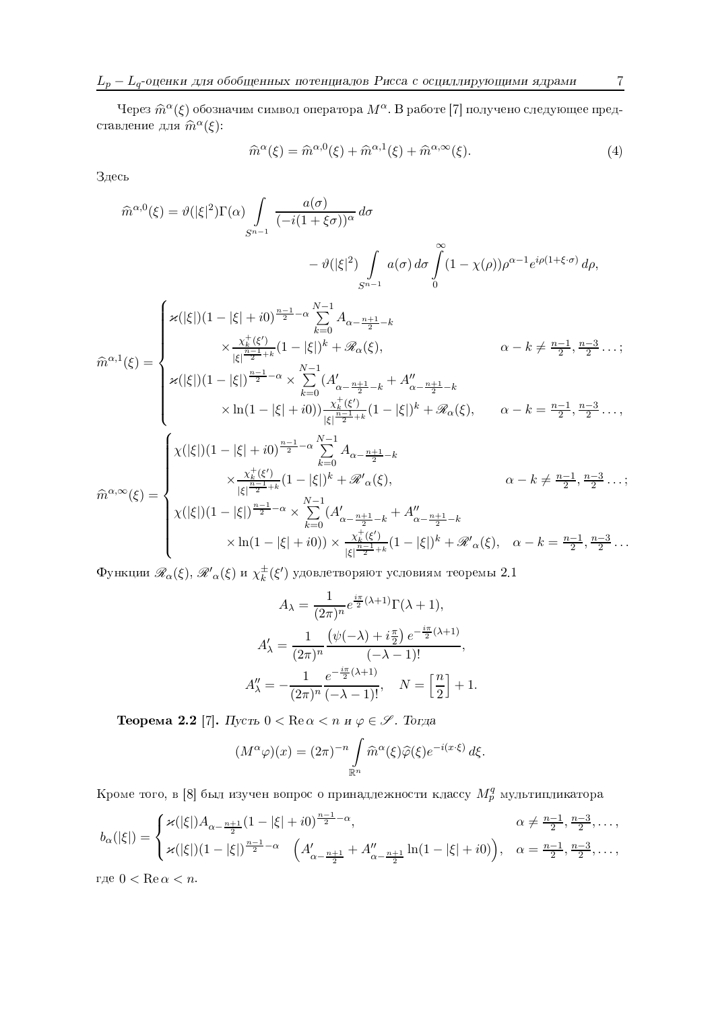Через  $\widehat{m}^{\alpha}(\xi)$  обозначим символ оператора  $M^{\alpha}$ . В работе [7] получено следующее представление для  $\widehat{m}^\alpha(\xi)$ :

$$
\widehat{m}^{\alpha}(\xi) = \widehat{m}^{\alpha,0}(\xi) + \widehat{m}^{\alpha,1}(\xi) + \widehat{m}^{\alpha,\infty}(\xi). \tag{4}
$$

Здесь

$$
\hat{m}^{\alpha,0}(\xi) = \vartheta(|\xi|^2) \Gamma(\alpha) \int_{S^{n-1}} \frac{a(\sigma)}{(-i(1+\xi\sigma))^{\alpha}} d\sigma
$$

$$
- \vartheta(|\xi|^2) \int_{S^{n-1}} a(\sigma) d\sigma \int_{0}^{\infty} (1 - \chi(\rho)) \rho^{\alpha-1} e^{i\rho(1+\xi\cdot\sigma)} d\rho,
$$

$$
\chi(|\xi|)(1 - |\xi| + i0)^{\frac{n-1}{2} - \alpha} \sum_{k=0}^{N-1} A_{\alpha - \frac{n+1}{2} - k}
$$

$$
\chi \frac{\chi_k^+( \xi')}{|\xi|^{\frac{n-1}{2} + k}} (1 - |\xi|)^k + \mathcal{R}_{\alpha}(\xi), \qquad \alpha - k \neq \frac{n-1}{2}, \frac{n-3}{2} \dots;
$$

$$
\chi(|\xi|)(1 - |\xi|)^{\frac{n-1}{2} - \alpha} \times \sum_{k=0}^{N-1} (A'_{\alpha - \frac{n+1}{2} - k} + A''_{\alpha - \frac{n+1}{2} - k}
$$

$$
\times \ln(1 - |\xi| + i0) \frac{\chi_k^+( \xi')}{|\xi|^{\frac{n-1}{2} + k}} (1 - |\xi|)^k + \mathcal{R}_{\alpha}(\xi), \qquad \alpha - k = \frac{n-1}{2}, \frac{n-3}{2} \dots,
$$

$$
\chi(|\xi|)(1 - |\xi| + i0)^{\frac{n-1}{2} - \alpha} \sum_{k=0}^{N-1} A_{\alpha - \frac{n+1}{2} - k}
$$

$$
\hat{m}^{\alpha, \infty}(\xi) = \begin{cases} \chi(|\xi|)(1 - |\xi| + i0)^{\frac{n-1}{2} - \alpha} \sum_{k=0}^{N-1} A_{\alpha - \frac{n+1}{2} - k} \\ \chi \frac{\chi_k^+(\xi')}{|\xi|^{\frac{n-1}{2} + k}} (1 - |\xi|)^k + \mathcal{R}_{\alpha}(\xi), \qquad \alpha - k \neq \frac{n-1}{2}, \frac{n-3}{2} \dots; \end{cases}
$$

$$
\chi(|\xi|)(1-|\xi|)^{\frac{n-1}{2}-\alpha} \times \sum_{k=0}^{N-1} (A'_{\alpha-\frac{n+1}{2}-k} + A''_{\alpha-\frac{n+1}{2}-k} + A''_{\alpha-\frac{n+1}{2}-k})
$$
  
 
$$
\times \ln(1-|\xi|+i0)) \times \frac{\chi_k^{\downarrow}(\xi')}{|\xi|^{\frac{n-1}{2}+k}} (1-|\xi|)^k + \mathcal{R}'_{\alpha}(\xi), \quad \alpha-k = \frac{n-1}{2}, \frac{n-3}{2}...
$$

 $\Phi$ ункции  $\mathscr{R}_\alpha(\xi),$   $\mathscr{R'}_\alpha(\xi)$  и  $\chi_k^\pm(\xi')$  удовлетворяют условиям теоремы 2.1

$$
A_{\lambda} = \frac{1}{(2\pi)^n} e^{\frac{i\pi}{2}(\lambda+1)} \Gamma(\lambda+1),
$$

$$
A'_{\lambda} = \frac{1}{(2\pi)^n} \frac{(\psi(-\lambda) + i\frac{\pi}{2}) e^{-\frac{i\pi}{2}(\lambda+1)}}{(-\lambda-1)!},
$$

$$
A''_{\lambda} = -\frac{1}{(2\pi)^n} \frac{e^{-\frac{i\pi}{2}(\lambda+1)}}{(-\lambda-1)!}, \quad N = \left[\frac{n}{2}\right] + 1.
$$

 $\bf{Teopema}$  2.2 [7]. Пусть  $0 < \text{Re}\,\alpha < n$  и  $\varphi \in \mathscr{S}$ . Тогда

$$
(M^{\alpha}\varphi)(x) = (2\pi)^{-n} \int_{\mathbb{R}^n} \widehat{m}^{\alpha}(\xi)\widehat{\varphi}(\xi)e^{-i(x\cdot\xi)} d\xi.
$$

Кроме того, в [8] был изучен вопрос о принадлежности классу  $M_p^q$  мультипликатора

$$
b_{\alpha}(|\xi|) = \begin{cases} \varkappa(|\xi|) A_{\alpha - \frac{n+1}{2}} (1 - |\xi| + i0)^{\frac{n-1}{2} - \alpha}, & \alpha \neq \frac{n-1}{2}, \frac{n-3}{2}, \dots, \\ \varkappa(|\xi|) (1 - |\xi|)^{\frac{n-1}{2} - \alpha} & \left( A'_{\alpha - \frac{n+1}{2}} + A''_{\alpha - \frac{n+1}{2}} \ln(1 - |\xi| + i0) \right), & \alpha = \frac{n-1}{2}, \frac{n-3}{2}, \dots, \end{cases}
$$

где  $0 < \operatorname{Re} \alpha < n$ .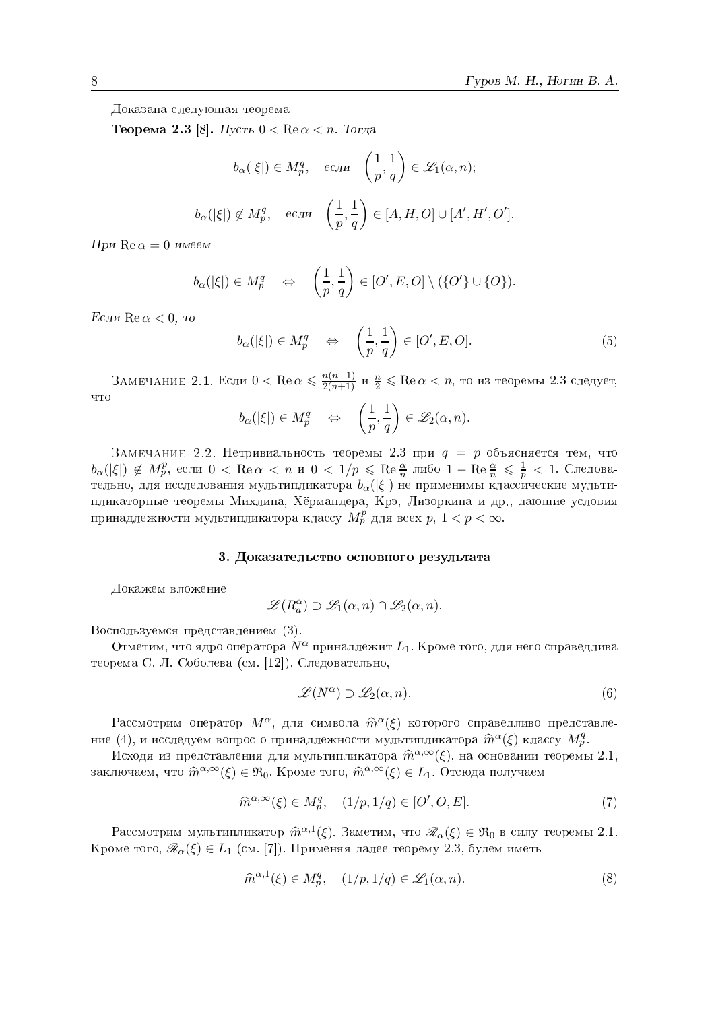Доказана следующая теорема

 ${\bf Teopema}$  2.3  $[8]$ . Пусть  $0<{\rm Re}\,\alpha < n$ . Тогда

$$
b_{\alpha}(|\xi|) \in M_p^q, \quad e\text{cm} \quad \left(\frac{1}{p}, \frac{1}{q}\right) \in \mathcal{L}_1(\alpha, n);
$$

$$
b_{\alpha}(|\xi|) \notin M_p^q, \quad e\text{cm} \quad \left(\frac{1}{p}, \frac{1}{q}\right) \in [A, H, O] \cup [A', H', O'].
$$

При  $\mathrm{Re}\,\alpha=0\,$  имеем

$$
b_{\alpha}(|\xi|) \in M_p^q \quad \Leftrightarrow \quad \left(\frac{1}{p}, \frac{1}{q}\right) \in [O', E, O] \setminus (\{O'\} \cup \{O\}).
$$

 $E$ сли  $\mathrm{Re}\,\alpha < 0, \;$ то

$$
b_{\alpha}(|\xi|) \in M_p^q \quad \Leftrightarrow \quad \left(\frac{1}{p}, \frac{1}{q}\right) \in [O', E, O]. \tag{5}
$$

ЗАМЕЧАНИЕ 2.1. Если  $0<{\rm Re}\,\alpha\leqslant\frac{n(n-1)}{2(n+1)}$  и  $\frac{n}{2}\leqslant {\rm Re}\,\alpha< n,$  то из теоремы 2.3 следует,

$$
b_{\alpha}(|\xi|) \in M_p^q \quad \Leftrightarrow \quad \left(\frac{1}{p},\frac{1}{q}\right) \in \mathscr{L}_2(\alpha,n).
$$

ЗАМЕЧАНИЕ 2.2. Нетривиальность теоремы 2.3 при  $q\ =\ p$  объясняется тем, что  $b_\alpha(|\xi|)\not\in M_p^p,$  если  $0<{\rm Re}\,\alpha< n$  и  $0< 1/p\leqslant {\rm Re}\,\frac{\alpha}{n}$  либо  $1-{\rm Re}\,\frac{\alpha}{n}\leqslant\frac{1}{p}< 1.$  Следовательно, для исследования мультипликатора  $b_\alpha(|\xi|)$  не применимы классические мульти- $\Gamma$ urbafoniita moodolit $M$ iuuniig, Väniouttodo,  $V$ ng, Hinopiiing, ir yn potouilo hotopii $\sigma$ принадлежности мультипликатора классу $\overline{M_p^p}$ для всех  $p, \, 1 < p < \infty.$ 

#### 3. Доказательство основного результата

Докажем вложение

$$
\mathscr{L}(R_a^{\alpha}) \supset \mathscr{L}_1(\alpha, n) \cap \mathscr{L}_2(\alpha, n).
$$

Воспользуемся представлением (3).

Отметим, что ядро оператора  $N^{\alpha}$  принадлежит  $L_1$ . Кроме того, для него справедлива теорема С. Л. Соболева (см. 1121). Слеловательно.

$$
\mathscr{L}(N^{\alpha}) \supset \mathscr{L}_2(\alpha, n). \tag{6}
$$

Рассмотрим оператор  $M^{\alpha}$ , для символа  $\widehat{m}^{\alpha}(\xi)$  которого справедливо представление  $(4)$ , и исследуем вопрос о принадлежности мультипликатора  $\widehat{m}^{\alpha}(\xi)$  классу  $M_p^q$ .

Исходя из представления для мультипликатора  $\widehat{m}^{\alpha,\infty}(\xi)$ , на основании теоремы 2.1, заключаем, что  $\widehat{m}^{\alpha,\infty}(\xi)\in \mathfrak{R}_0$ . Кроме того,  $\widehat{m}^{\alpha,\infty}(\xi)\in L_1.$  Отсюда получаем

$$
\widehat{m}^{\alpha,\infty}(\xi) \in M_p^q, \quad (1/p, 1/q) \in [O', O, E]. \tag{7}
$$

Рассмотрим мультипликатор  $\widehat{m}^{\alpha,1}(\xi)$ . Заметим, что  $\mathscr{R}_{\alpha}(\xi) \in \mathfrak{R}_0$  в силу теоремы 2.1. Кроме того,  $\mathscr{R}_\alpha(\xi) \in L_1$  (см. [7]). Применяя далее теорему 2.3, будем иметь

$$
\widehat{m}^{\alpha,1}(\xi) \in M_p^q, \quad (1/p, 1/q) \in \mathcal{L}_1(\alpha, n). \tag{8}
$$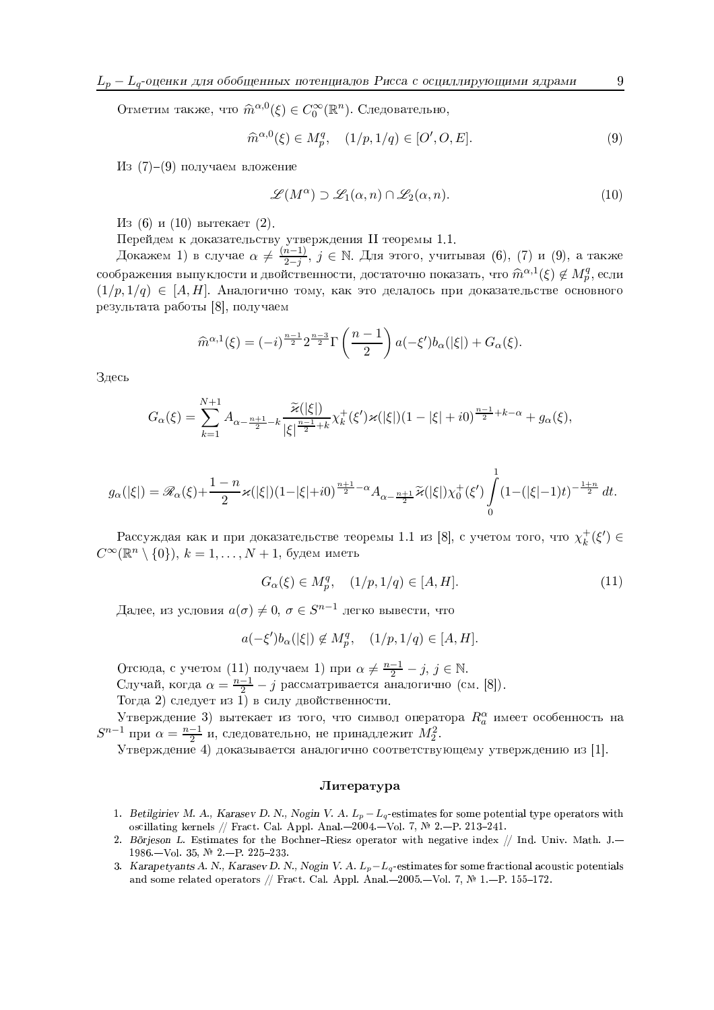Отметим также, что  $\widehat{m}^{\alpha,0}(\xi) \in C_0^{\infty}(\mathbb{R}^n)$ . Следовательно,

$$
\widehat{m}^{\alpha,0}(\xi) \in M_p^q, \quad (1/p, 1/q) \in [O', O, E]. \tag{9}
$$

Из (7)—(9) получаем вложение

$$
\mathcal{L}(M^{\alpha}) \supset \mathcal{L}_1(\alpha, n) \cap \mathcal{L}_2(\alpha, n). \tag{10}
$$

 $H$ з (6) и (10) вытекает (2). —

 $\prod_{Q \in \Omega}$   $W$  if  $Q$  is a proposition of  $Q$  in  $Q$  is  $Q$  in  $Q$  in  $Q$  in  $H$  and  $Q$  if  $\Pi$  is a proposition of  $1$  if  $1$ 

Докажем 1) в случае  $\alpha\neq\frac{(n-1)}{2-j}$  $\frac{n-1)}{2-j},\ j\in\mathbb{N}$ . Для этого, учитывая (6), (7) и (9), а также соображения выпуклости и двойственности, достаточно показать, что  $\widehat{m}^{\alpha,1}(\xi) \not\in M_p^q,$ если $(1, 1, 1)$  $(1/p, 1/q) \in [A, H]$ . Аналогично тому, как это делалось при доказательстве основного результата работы [8], получаем

$$
\widehat{m}^{\alpha,1}(\xi) = (-i)^{\frac{n-1}{2}} 2^{\frac{n-3}{2}} \Gamma\left(\frac{n-1}{2}\right) a(-\xi')b_{\alpha}(|\xi|) + G_{\alpha}(\xi).
$$

Здесь

$$
G_{\alpha}(\xi) = \sum_{k=1}^{N+1} A_{\alpha - \frac{n+1}{2} - k} \frac{\widetilde{\varkappa}(|\xi|)}{|\xi|^{\frac{n-1}{2} + k}} \chi_k^+(\xi') \varkappa(|\xi|) (1 - |\xi| + i0)^{\frac{n-1}{2} + k - \alpha} + g_{\alpha}(\xi),
$$

$$
g_{\alpha}(|\xi|) = \mathscr{R}_{\alpha}(\xi) + \frac{1-n}{2}\varkappa(|\xi|)(1-|\xi|+i0)^{\frac{n+1}{2}-\alpha}A_{\alpha-\frac{n+1}{2}}\widetilde{\varkappa}(|\xi|)\chi^{+}_{0}(\xi')\int_{0}^{1}(1-(|\xi|-1)t)^{-\frac{1+n}{2}}\,dt.
$$

Рассуждая как и при доказательстве теоремы 1.1 из [8], с учетом того, что  $\chi_{k}^{+}(\xi')$  $\kappa^+(\xi') \in$  $C^\infty(\mathbb{R}^n\setminus\{0\}),\,k=1,\ldots,N+1,$  будем иметь

$$
G_{\alpha}(\xi) \in M_p^q, \quad (1/p, 1/q) \in [A, H]. \tag{11}
$$

Далее, из условия  $a(\sigma)\neq 0,\,\sigma\in S^{n-1}$  легко вывести, что

$$
a(-\xi')b_\alpha(|\xi|)\not\in M_p^q,\quad (1/p,1/q)\in [A,H].
$$

<sup>M</sup> Отсюда, с учетом (11) получаем 1) при  $\alpha \neq \frac{n-1}{2} - j$ ,  $j \in \mathbb{N}$ .<br>Случай, когда  $\alpha = \frac{n-1}{2} - j$  рассматривается аналогично (см. [8]). KJ¯«k] \®)Xcb`|«aWY`¨Èf ¸ N®S X[fRbaW¼«aSYJ/±aX¨MSY`[iTiaJMX¨Mf <sup>µ</sup>

Утверждение 3) вытекает из того, что символ оператора  $R_a^\alpha$  имеет особенность на  $S^{n-1}$  при  $\alpha = \frac{n-1}{2}$  и, следовательно, не принадлежит  $M_2^2$ .  $\rm V$  pony tours  $\rm A)$  rovent inequal eueropriums acopeagenviously veneavy tours in  $\rm [1]$ 

#### $J$ <sub>*M*Teparypa</sub>

- 1. Betilgiriev M. A., Karasev D. N., Nogin V. A.  $L_p-L_q$ -estimates for some potential type operators with oscillating kernels // Fract. Cal. Appl. Anal. $-2004$ . $-$ Vol. 7, № 2. $-$ P. 213–241.
- 2. Borjeson L. Estimates for the Bochner-Kiesz operator with negative index // Ind. Univ. Math. J.— 1986. $-{\rm Vol.}$  35, № 2. $-{\rm P.}$  225–233.
- 3. Karapetyants A. N., Karasev D. N., Nogin V. A.  $L_p L_q$ -estimates for some fractional acoustic potentials and some related operators // Fract. Cal. Appl. Anal. $-2005$ . $-$ Vol. 7,  $\mathbb{N}^2$  1. $-$ P. 155–172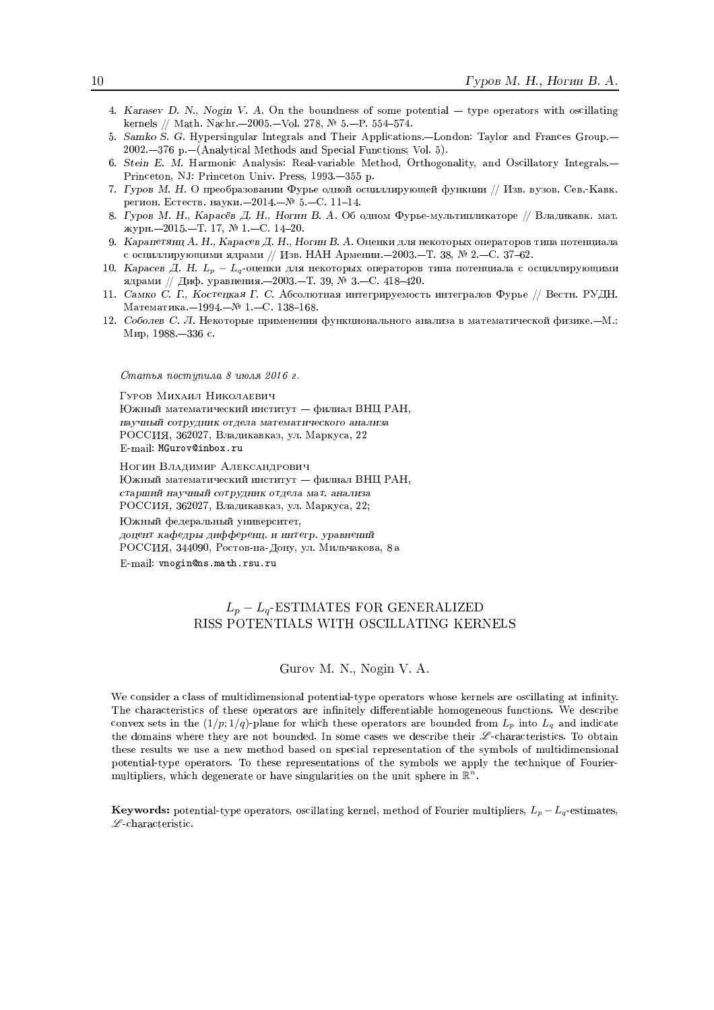- 4. Karasev D. N., Nogin V. A. On the boundness of some potential  $-$  type operators with oscillating kernels // Math. Nachr.-2005.-Vol. 278,  $\mathbb{N}$  5.-P. 554-574.
- 5. Samko S. G. Hypersingular Integrals and Their Applications.-London: Taylor and Frances Group.-2002.-376 p.-(Analytical Methods and Special Functions; Vol. 5).
- 6. Stein E. M. Harmonic Analysis: Real-variable Method, Orthogonality, and Oscillatory Integrals.-Princeton, NJ: Princeton Univ. Press, 1993.-355 p.
- 7. Гуров М. Н. О преобразовании Фурье одной осциллирующей функции // Изв. вузов. Сев.-Кавк. регион. Естеств. науки.<br>-2014.<br>-№ 5.-С. 11-14.
- 8. Гуров М. Н., Карасёв Д. Н., Ногин В. А. Об одном Фурье-мультипликаторе // Владикавк. мат. журн.-2015.-Т. 17, № 1.-С. 14-20.
- 9. Карапетянц А. Н., Карасев Д. Н., Ногин В. А. Оценки для некоторых операторов типа потенциала с осциллирующими ядрами // Изв. НАН Армении. - 2003. - Т. 38, № 2. - С. 37-62.
- 10. Карасев Д. Н.  $L_p L_q$ -оценки для некоторых операторов типа потенциала с осциллирующими ядрами // Диф. уравнения. - 2003. - Т. 39, № 3. - С. 418-420.
- 11. Самко С. Г., Костецкая Г. С. Абсолютная интегрируемость интегралов Фурье // Вестн. РУДН. Математика. - 1994. - № 1. - С. 138-168.
- 12. Соболев С. Л. Некоторые применения функционального анализа в математической физике.-М.: Мир, 1988. - 336 с.

Статья поступила 8 июля 2016 г.

Гуров Михаил Николаевич Южный математический институт - филиал ВНЦ РАН, научный сотрудник отдела математического анализа РОССИЯ, 362027, Владикавказ, ул. Маркуса, 22  $\operatorname{E-mail:}\operatorname{\tt MGurovQinbox.ru}$ 

Ногин Владимир Александрович Южный математический институт - филиал ВНЦ РАН, старший научный сотрудник отдела мат. анализа РОССИЯ, 362027, Владикавказ, ул. Маркуса, 22; Южный федеральный университет, доцент кафедры дифференц. и интегр. уравнений РОССИЯ, 344090, Ростов-на-Дону, ул. Мильчакова, 8 а

E-mail: vnogin@ns.math.rsu.ru

#### $L_p - L_q$ -ESTIMATES FOR GENERALIZED RISS POTENTIALS WITH OSCILLATING KERNELS

Gurov M. N., Nogin V. A.

We consider a class of multidimensional potential-type operators whose kernels are oscillating at infinity. The characteristics of these operators are infinitely differentiable homogeneous functions. We describe convex sets in the  $(1/p; 1/q)$ -plane for which these operators are bounded from  $L_p$  into  $L_q$  and indicate the domains where they are not bounded. In some cases we describe their  $\mathscr{L}$ -characteristics. To obtain these results we use a new method based on special representation of the symbols of multidimensional potential-type operators. To these representations of the symbols we apply the technique of Fouriermultipliers, which degenerate or have singularities on the unit sphere in  $\mathbb{R}^n$ .

**Keywords:** potential-type operators, oscillating kernel, method of Fourier multipliers,  $L_p - L_q$ -estimates,  $\mathscr L$ -characteristic.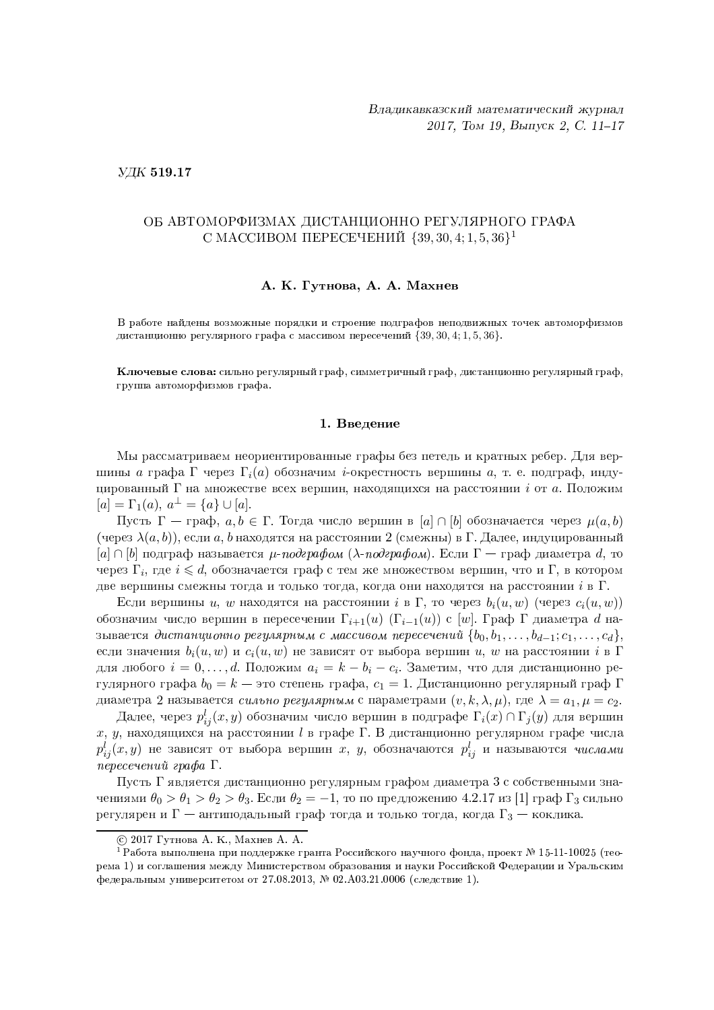УДК 519.17

#### ОБ АВТОМОРФИЗМАХ ЛИСТАНЦИОННО РЕГУЛЯРНОГО ГРАФА С МАССИВОМ ПЕРЕСЕЧЕНИЙ  $\{39, 30, 4, 1, 5, 36\}$ <sup>1</sup>

#### А. К. Гутнова, А. А. Махнев

В работе найдены возможные порядки и строение подграфов неподвижных точек автоморфизмов дистанционно регулярного графа с массивом пересечений  $\{39, 30, 4, 1, 5, 36\}$ .

Ключевые слова: сильно регулярный граф, симметричный граф, дистанционно регулярный граф, группа автоморфизмов графа.

#### 1. Ввеление

Мы рассматриваем неориентированные графы без петель и кратных ребер. Для вершины а графа Г через  $\Gamma_i(a)$  обозначим *i*-окрестность вершины a, т. е. подграф, индуцированный  $\Gamma$  на множестве всех вершин, находящихся на расстоянии *i* от *a*. Положим  $[a] = \Gamma_1(a), a^{\perp} = \{a\} \cup [a].$ 

Пусть  $\Gamma$  — граф,  $a, b \in \Gamma$ . Тогда число вершин в [a]  $\cap$  [b] обозначается через  $\mu(a, b)$ (через  $\lambda(a,b)$ ), если a, b находятся на расстоянии 2 (смежны) в Г. Далее, индуцированный  $[a] \cap [b]$  подграф называется  $\mu$ -подграфом ( $\lambda$ -подграфом). Если Г — граф диаметра d, то через  $\Gamma_i$ , где  $i \leq d$ , обозначается граф с тем же множеством вершин, что и  $\Gamma$ , в котором две вершины смежны тогда и только тогда, когда они находятся на расстоянии  $i$  в  $\Gamma$ .

Если вершины u, w находятся на расстоянии i в  $\Gamma$ , то через  $b_i(u, w)$  (через  $c_i(u, w)$ ) обозначим число вершин в пересечении  $\Gamma_{i+1}(u)$  ( $\Gamma_{i-1}(u)$ ) с [w]. Граф Г диаметра d называется дистанционно регулярным с массивом пересечений  $\{b_0, b_1, \ldots, b_{d-1}; c_1, \ldots, c_d\},\$ если значения  $b_i(u, w)$  и  $c_i(u, w)$  не зависят от выбора вершин u, w на расстоянии i в  $\Gamma$ для любого  $i = 0, ..., d$ . Положим  $a_i = k - b_i - c_i$ . Заметим, что для дистанционно регулярного графа  $b_0 = k$  — это степень графа,  $c_1 = 1$ . Дистанционно регулярный граф Г диаметра 2 называется *сильно регулярным* с параметрами  $(v, k, \lambda, \mu)$ , где  $\lambda = a_1, \mu = c_2$ .

Далее, через  $p_{ii}^l(x, y)$  обозначим число вершин в подграфе  $\Gamma_i(x) \cap \Gamma_j(y)$  для вершин  $x, y$ , находящихся на расстоянии  $l$  в графе Г. В дистанционно регулярном графе числа  $p_{ij}^l(x,y)$  не зависят от выбора вершин  $x, y$ , обозначаются  $p_{ij}^l$  и называются *числами* пересечений графа Г.

Пусть Г является дистанционно регулярным графом диаметра 3 с собственными значениями  $\theta_0 > \theta_1 > \theta_2 > \theta_3$ . Если  $\theta_2 = -1$ , то по предложению 4.2.17 из [1] граф  $\Gamma_3$  сильно регулярен и  $\Gamma$  — антиподальный граф тогда и только тогда, когда  $\Gamma_3$  — коклика.

<sup>© 2017</sup> Гутнова А. К., Махнев А. А.

<sup>&</sup>lt;sup>1</sup> Работа выполнена при поддержке гранта Российского научного фонда, проект № 15-11-10025 (теорема 1) и соглашения между Министерством образования и науки Российской Федерации и Уральским федеральным университетом от 27.08.2013, № 02.А03.21.0006 (следствие 1).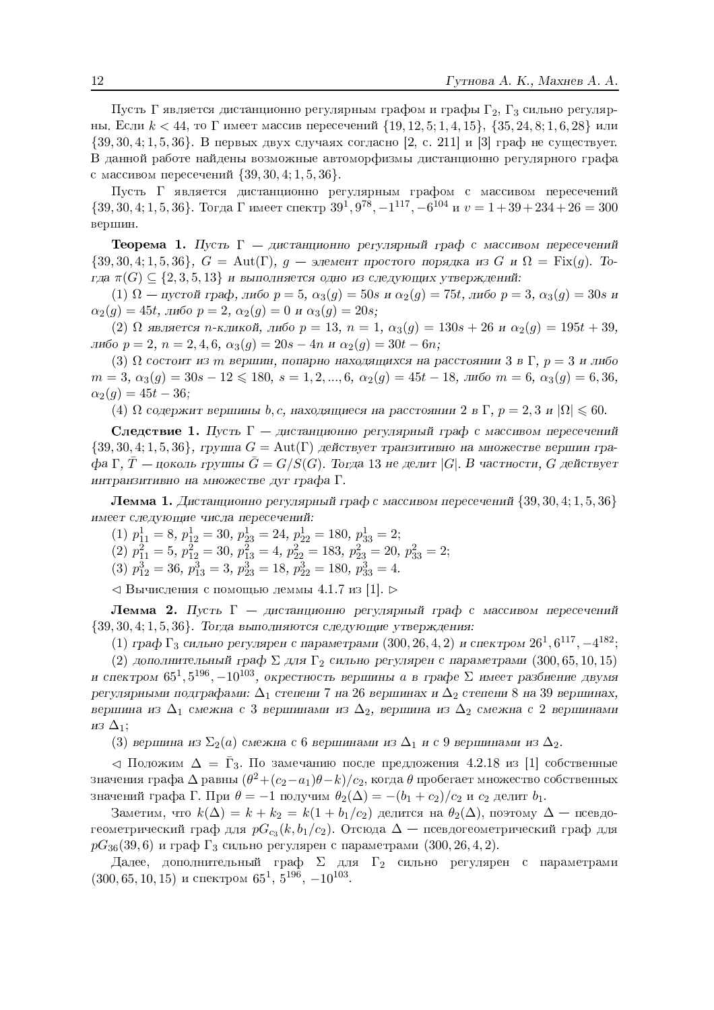Пусть Г является дистанционно регулярным графом и графы  $\Gamma_2$ ,  $\Gamma_3$  сильно регулярны. Если  $k < 44$ , то  $\Gamma$  имеет массив пересечений  $\{19, 12, 5; 1, 4, 15\}$ ,  $\{35, 24, 8; 1, 6, 28\}$  или  $\{39, 30, 4, 1, 5, 36\}$ . В первых двух случаях согласно [2, с. 211] и [3] граф не существует. В данной работе найдены возможные автоморфизмы дистанционно регулярного графа с массивом пересечений  $\{39, 30, 4, 1, 5, 36\}$ .

Пусть Г является дистанционно регулярным графом с массивом пересечений  $\{39, 30, 4; 1, 5, 36\}$ . Тогда  $\Gamma$  имеет спектр  $39^1, 9^{78}, -1^{117}, -6^{104}$  и  $v = 1 + 39 + 234 + 26 = 300$ вершин.

**Теорема 1.** Пусть  $\Gamma$  — дистанционно регулярный граф с массивом пересечений  $\{39, 30, 4, 1, 5, 36\}, G = \text{Aut}(\Gamma), q - \text{S}$ лемент простого порядка из  $G$  и  $\Omega = \text{Fix}(q)$ . Тогда  $\pi(G) \subseteq \{2,3,5,13\}$  и выполняется одно из следующих утверждений:

(1)  $\Omega$  — пустой граф, либо  $p = 5$ ,  $\alpha_3(g) = 50s$  и  $\alpha_2(g) = 75t$ , либо  $p = 3$ ,  $\alpha_3(g) = 30s$  и  $\alpha_2(q) = 45t$ , либо  $p = 2$ ,  $\alpha_2(q) = 0$  и  $\alpha_3(q) = 20s$ ;

(2)  $\Omega$  является п-кликой, либо  $p = 13$ ,  $n = 1$ ,  $\alpha_3(g) = 130s + 26$  и  $\alpha_2(g) = 195t + 39$ , либо  $p = 2$ ,  $n = 2, 4, 6$ ,  $\alpha_3(g) = 20s - 4n$  и  $\alpha_2(g) = 30t - 6n$ ;

(3)  $\Omega$  состоит из m вершин, попарно находящихся на расстоянии 3 в Г,  $p = 3$  и либо  $m = 3, \ \alpha_3(g) = 30s - 12 \le 180, \ s = 1, 2, ..., 6, \ \alpha_2(g) = 45t - 18, \ \text{and so } m = 6, \ \alpha_3(g) = 6, 36,$  $\alpha_2(q) = 45t - 36;$ 

 $(4)$  Ω содержит вершины b, c, находящиеся на расстоянии 2 в Г,  $p = 2, 3$  и  $|\Omega| \leq 60$ .

Следствие 1. Пусть  $\Gamma$  - дистанционно регулярный граф с массивом пересечений  $\{39, 30, 4, 1, 5, 36\}$ , группа  $G = \text{Aut}(\Gamma)$  действует транзитивно на множестве вершин гра- $\phi$ а Г,  $\overline{T}$  — цоколь группы  $\overline{G} = G/S(G)$ . Тогда 13 не делит |G|. В частности, G действует интранзитивно на множестве дуг графа Г.

**Лемма 1.** Дистанционно регулярный граф с массивом пересечений  $\{39, 30, 4, 1, 5, 36\}$ имеет следующие числа пересечений:

(1)  $p_{11}^1 = 8$ ,  $p_{12}^1 = 30$ ,  $p_{23}^1 = 24$ ,  $p_{22}^1 = 180$ ,  $p_{33}^1 = 2$ ;

$$
(2) p_{11}^2 = 5, p_{12}^2 = 30, p_{13}^2 = 4, p_{22}^2 = 183, p_{23}^2 = 20, p_{33}^2 = 2;
$$

(3)  $p_{12}^3 = 36$ ,  $p_{13}^3 = 3$ ,  $p_{23}^3 = 18$ ,  $p_{22}^3 = 180$ ,  $p_{33}^3 = 4$ .

 $\leq$  Вычисления с помощью леммы 4.1.7 из [1].  $\triangleright$ 

**Лемма 2.** Пусть  $\Gamma$  – дистанционно регулярный граф с массивом пересечений  $\{39, 30, 4, 1, 5, 36\}$ . Тогда выполняются следующие утверждения:

(1) граф  $\Gamma_3$  сильно регулярен с параметрами (300, 26, 4, 2) и спектром  $26^1, 6^{117}, -4^{182}$ ;

(2) дополнительный граф  $\Sigma$  для  $\Gamma_2$  сильно регулярен с параметрами (300, 65, 10, 15) и спектром  $65^1, 5^{196}, -10^{103}$ , окрестность вершины а в графе  $\Sigma$  имеет разбиение двумя регулярными подграфами:  $\Delta_1$  степени 7 на 26 вершинах и  $\Delta_2$  степени 8 на 39 вершинах, вершина из  $\Delta_1$  смежна с 3 вершинами из  $\Delta_2$ , вершина из  $\Delta_2$  смежна с 2 вершинами  $_{H3}$   $\Delta_1$ ;

(3) вершина из  $\Sigma_2(a)$  смежна с 6 вершинами из  $\Delta_1$  и с 9 вершинами из  $\Delta_2$ .

 $\triangleleft$  Положим  $\triangle = \bar{\Gamma}_3$ . По замечанию после предложения 4.2.18 из [1] собственные значения графа  $\Delta$  равны  $(\theta^2 + (c_2 - a_1)\theta - k)/c_2$ , когда  $\theta$  пробегает множество собственных значений графа Г. При  $\theta = -1$  получим  $\theta_2(\Delta) = -(b_1 + c_2)/c_2$  и  $c_2$  делит  $b_1$ .

Заметим, что  $k(\Delta) = k + k_2 = k(1 + b_1/c_2)$  делится на  $\theta_2(\Delta)$ , поэтому  $\Delta$  — псевдогеометрический граф для  $pG_{c_3}(k, b_1/c_2)$ . Отсюда  $\Delta$  — псевдогеометрический граф для  $pG_{36}(39,6)$  и граф  $\Gamma_3$  сильно регулярен с параметрами (300, 26, 4, 2).

Далее, дополнительный граф  $\Sigma$  для  $\Gamma_2$  сильно регулярен с параметрами  $(300, 65, 10, 15)$  и спектром  $65^1, 5^{196}, -10^{103}$ .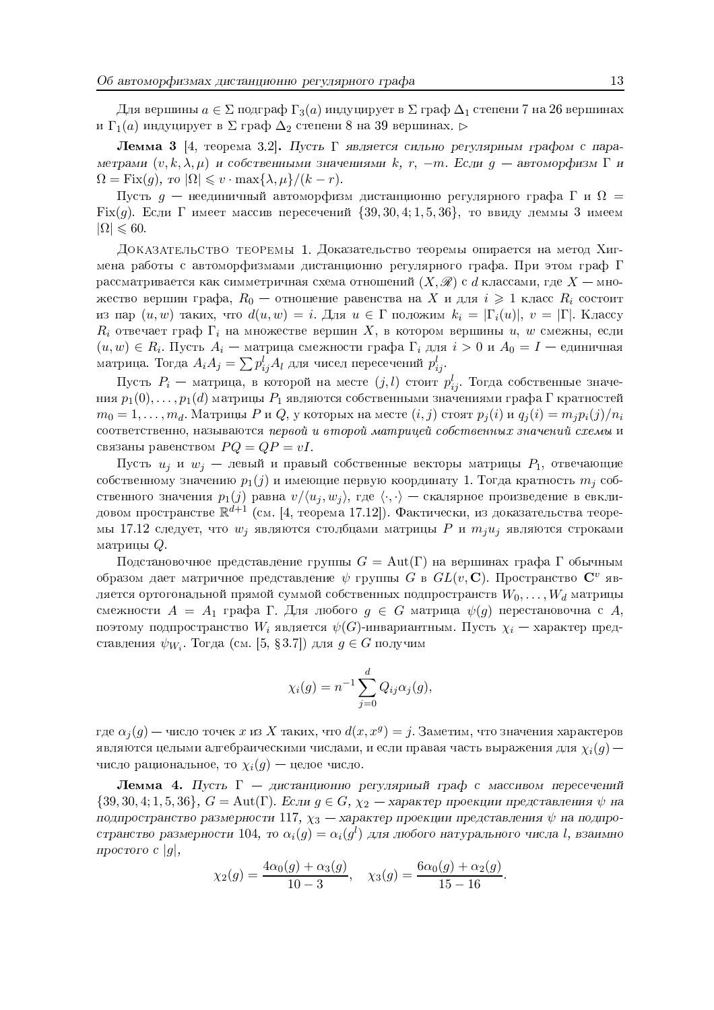Для вершины  $a \in \Sigma$  подграф  $\Gamma_3(a)$  индуцирует в  $\Sigma$  граф  $\Delta_1$  степени 7 на 26 вершинах и  $\Gamma_1(a)$  индуцирует в  $\Sigma$  граф  $\Delta_2$  степени 8 на 39 вершинах.  $\triangleright$ 

**Лемма 3** [4, теорема 3.2]. Пусть Г является сильно регулярным графом с параметрами  $(v, k, \lambda, \mu)$  и собственными значениями k, r, -m. Если  $g$  - автоморфизм  $\Gamma$  и  $\Omega = \text{Fix}(q), \text{ to } |\Omega| \leq v \cdot \max\{\lambda, \mu\}/(k-r).$ 

Пусть  $g$  — неединичный автоморфизм дистанционно регулярного графа Г и  $\Omega =$ Fix(g). Если  $\Gamma$  имеет массив пересечений  $\{39, 30, 4, 1, 5, 36\}$ , то ввиду леммы 3 имеем  $|\Omega| \leqslant 60.$ 

ДОКАЗАТЕЛЬСТВО ТЕОРЕМЫ 1. Доказательство теоремы опирается на метод Хигмена работы с автоморфизмами дистанционно регулярного графа. При этом граф  $\Gamma$ рассматривается как симметричная схема отношений  $(X, \mathscr{R})$  с d классами, где  $X$  — множество вершин графа,  $R_0$  — отношение равенства на X и для  $i \geq 1$  класс  $R_i$  состоит из пар  $(u, w)$  таких, что  $d(u, w) = i$ . Для  $u \in \Gamma$  положим  $k_i = |\Gamma_i(u)|$ ,  $v = |\Gamma|$ . Классу  $R_i$  отвечает граф  $\Gamma_i$  на множестве вершин X, в котором вершины  $u, w$  смежны, если  $(u, w) \in R_i$ . Пусть  $A_i$  — матрица смежности графа  $\Gamma_i$  для  $i > 0$  и  $A_0 = I$  — единичная матрица. Тогда  $A_iA_j = \sum p_{ij}^l A_l$  для чисел пересечений  $p_{ij}^l$ .

Пусть  $P_i$  — матрица, в которой на месте  $(j, l)$  стоит  $p_{ij}^l$ . Тогда собственные значения  $p_1(0), \ldots, p_1(d)$  матрицы  $P_1$  являются собственными значениями графа Г кратностей  $m_0 = 1, \ldots, m_d$ . Матрицы P и Q, у которых на месте  $(i, j)$  стоят  $p_i(i)$  и  $q_i(i) = m_i p_i(j)/n_i$ соответственно, называются первой и второй матрицей собственных значений схемы и связаны равенством  $PQ = QP = vI$ .

Пусть  $u_j$  и  $w_j$  — левый и правый собственные векторы матрицы  $P_1$ , отвечающие собственному значению  $p_1(j)$  и имеющие первую координату 1. Тогда кратность  $m_i$  собственного значения  $p_1(j)$  равна  $v/(u_j, w_j)$ , где  $\langle \cdot, \cdot \rangle$  — скалярное произведение в евклидовом пространстве  $\mathbb{R}^{d+1}$  (см. [4, теорема 17.12]). Фактически, из доказательства теоремы 17.12 следует, что  $w_i$  являются столбцами матрицы  $P$  и  $m_iu_j$  являются строками матрицы  $Q$ .

Подстановочное представление группы  $G = \text{Aut}(\Gamma)$  на вершинах графа Г обычным образом дает матричное представление  $\psi$  группы G в  $GL(v, \mathbb{C})$ . Пространство  $\mathbb{C}^v$  является ортогональной прямой суммой собственных подпространств  $W_0,\ldots,W_d$  матрицы смежности  $A = A_1$  графа Г. Для любого  $g \in G$  матрица  $\psi(g)$  перестановочна с A, поэтому подпространство  $W_i$  является  $\psi(G)$ -инвариантным. Пусть  $\chi_i$  — характер представления  $\psi_{W_i}$ . Тогда (см. [5, §3.7]) для  $g \in G$  получим

$$
\chi_i(g) = n^{-1} \sum_{j=0}^d Q_{ij} \alpha_j(g),
$$

где  $\alpha_i(g)$  — число точек x из X таких, что  $d(x, x^g) = j$ . Заметим, что значения характеров являются целыми алгебраическими числами, и если правая часть выражения для  $\chi_i(g)$  число рациональное, то  $\chi_i(g)$  — целое число.

**Лемма 4.** Пусть  $\Gamma$  - дистанционно регулярный граф с массивом пересечений  $\{39,30,4;1,5,36\},\ G=\mathrm{Aut}(\Gamma).$ Если $g\in G,\ \chi_2$  — характер проекции представления  $\psi$ на подпространство размерности 117,  $\chi_3$  — характер проекции представления  $\psi$  на подпространство размерности 104, то  $\alpha_i(q) = \alpha_i(q^l)$  для любого натурального числа l, взаимно простого с  $|q|$ ,

$$
\chi_2(g) = \frac{4\alpha_0(g) + \alpha_3(g)}{10 - 3}
$$
,  $\chi_3(g) = \frac{6\alpha_0(g) + \alpha_2(g)}{15 - 16}$ .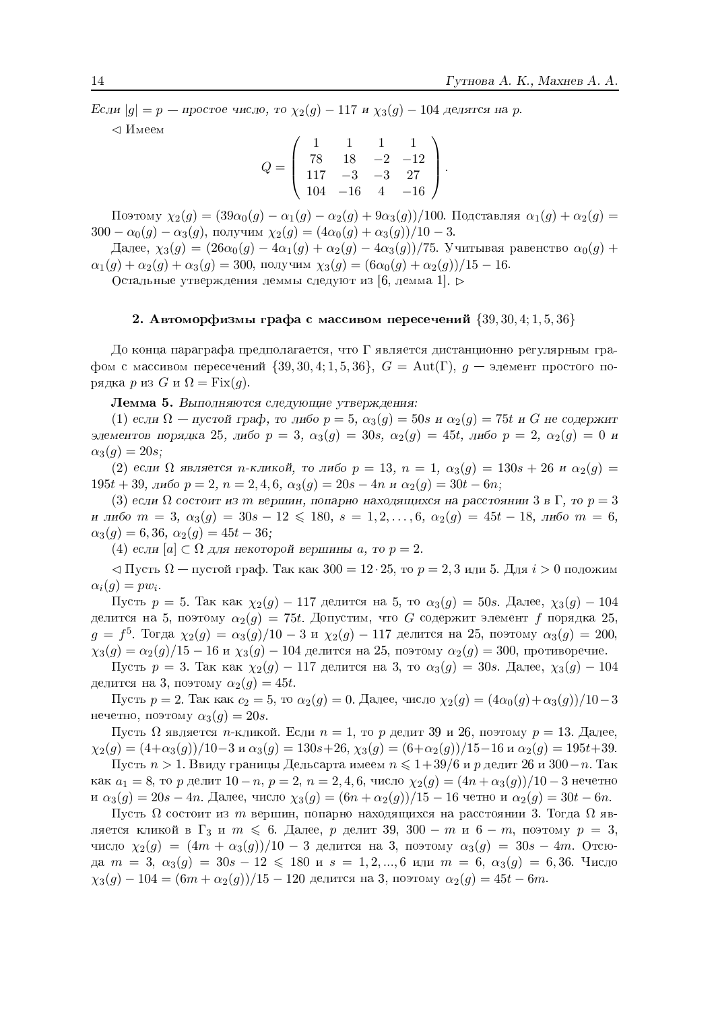Если  $|g| = p$  — простое число, то  $\chi_2(g)$  – 117 и  $\chi_3(g)$  – 104 делятся на р.

 $\triangleleft$  *M*<sub>meeM</sub>

$$
Q = \left(\begin{array}{rrrr} 1 & 1 & 1 & 1 \\ 78 & 18 & -2 & -12 \\ 117 & -3 & -3 & 27 \\ 104 & -16 & 4 & -16 \end{array}\right)
$$

Поэтому  $\chi_2(g) = (39\alpha_0(g) - \alpha_1(g) - \alpha_2(g) + 9\alpha_3(g))/100$ . Подставляя  $\alpha_1(g) + \alpha_2(g) =$  $300 - \alpha_0(g) - \alpha_3(g)$ , получим  $\chi_2(g) = (4\alpha_0(g) + \alpha_3(g))/10 - 3$ .

Далее,  $\chi_3(g) = (26\alpha_0(g) - 4\alpha_1(g) + \alpha_2(g) - 4\alpha_3(g))/75$ . Учитывая равенство  $\alpha_0(g)$  +  $\alpha_1(g) + \alpha_2(g) + \alpha_3(g) = 300$ , получим  $\chi_3(g) = (6\alpha_0(g) + \alpha_2(g))/15 - 16$ .

Остальные утверждения леммы следуют из [6, лемма 1]. ⊳

#### 2. Автоморфизмы графа с массивом пересечений  $\{39, 30, 4, 1, 5, 36\}$

До конца параграфа предполагается, что  $\Gamma$  является дистанционно регулярным графом с массивом пересечений  $\{39, 30, 4, 1, 5, 36\}, G = \text{Aut}(\Gamma), g$  — элемент простого порядка р из  $G$  и  $\Omega = \text{Fix}(q)$ .

#### Лемма 5. Выполняются следующие утверждения:

(1) если  $\Omega$  — пустой граф, то либо  $p = 5$ ,  $\alpha_3(q) = 50s$  и  $\alpha_2(q) = 75t$  и G не содержит элементов порядка 25, либо  $p = 3$ ,  $\alpha_3(g) = 30s$ ,  $\alpha_2(g) = 45t$ , либо  $p = 2$ ,  $\alpha_2(g) = 0$  и  $\alpha_3(g) = 20s;$ 

(2) если  $\Omega$  является n-кликой, то либо  $p = 13$ ,  $n = 1$ ,  $\alpha_3(q) = 130s + 26$  и  $\alpha_2(q) =$  $195t + 39$ , либо  $p = 2$ ,  $n = 2, 4, 6$ ,  $\alpha_3(g) = 20s - 4n$  и  $\alpha_2(g) = 30t - 6n$ ;

(3) если  $\Omega$  состоит из m вершин, попарно находящихся на расстоянии 3 в Г, то  $p=3$ и либо  $m = 3$ ,  $\alpha_3(g) = 30s - 12 \le 180$ ,  $s = 1, 2, ..., 6$ ,  $\alpha_2(g) = 45t - 18$ , либо  $m = 6$ ,  $\alpha_3(g) = 6,36, \alpha_2(g) = 45t - 36;$ 

(4) если [а] ⊂ Ω для некоторой вершины а, то  $p = 2$ .

 $\triangleleft$  Пусть  $\Omega$  — пустой граф. Так как 300 = 12 · 25, то  $p = 2, 3$  или 5. Для  $i > 0$  положим  $\alpha_i(g) = pw_i.$ 

Пусть  $p = 5$ . Так как  $\chi_2(g) - 117$  делится на 5, то  $\alpha_3(g) = 50s$ . Далее,  $\chi_3(g) - 104$ делится на 5, поэтому  $\alpha_2(g) = 75t$ . Допустим, что G содержит элемент f порядка 25,  $g = f^5$ . Тогда  $\chi_2(g) = \alpha_3(g)/10 - 3$  и  $\chi_2(g) - 117$  делится на 25, поэтому  $\alpha_3(g) = 200$ ,  $\chi_3(g) = \alpha_2(g)/15 - 16$  и  $\chi_3(g) - 104$  делится на 25, поэтому  $\alpha_2(g) = 300$ , противоречие.

Пусть  $p = 3$ . Так как  $\chi_2(g) - 117$  делится на 3, то  $\alpha_3(g) = 30s$ . Далее,  $\chi_3(g) - 104$ делится на 3, поэтому  $\alpha_2(g) = 45t$ .

Пусть  $p = 2$ . Так как  $c_2 = 5$ , то  $\alpha_2(g) = 0$ . Далее, число  $\chi_2(g) = (4\alpha_0(g) + \alpha_3(g))/10 - 3$ нечетно, поэтому  $\alpha_3(q) = 20s$ .

Пусть  $\Omega$  является *п*-кликой. Если  $n = 1$ , то *р* делит 39 и 26, поэтому  $p = 13$ . Далее,  $\chi_2(g) = (4+\alpha_3(g))/10-3$  и  $\alpha_3(g) = 130s+26$ ,  $\chi_3(g) = (6+\alpha_2(g))/15-16$  и  $\alpha_2(g) = 195t+39$ .

Пусть  $n > 1$ . Ввиду границы Дельсарта имеем  $n \leqslant 1+39/6$  и р делит 26 и 300-п. Так как  $a_1 = 8$ , то р делит  $10 - n$ ,  $p = 2$ ,  $n = 2, 4, 6$ , число  $\chi_2(g) = (4n + \alpha_3(g))/10 - 3$  нечетно и  $\alpha_3(q) = 20s - 4n$ . Далее, число  $\chi_3(q) = (6n + \alpha_2(q))/15 - 16$  четно и  $\alpha_2(q) = 30t - 6n$ .

Пусть  $\Omega$  состоит из *m* вершин, попарно находящихся на расстоянии 3. Тогда  $\Omega$  является кликой в  $\Gamma_3$  и  $m \leq 6$ . Далее, р делит 39, 300 – m и 6 – m, поэтому  $p = 3$ , число  $\chi_2(g) = (4m + \alpha_3(g))/10 - 3$  делится на 3, поэтому  $\alpha_3(g) = 30s - 4m$ . Отсюда  $m = 3$ ,  $\alpha_3(g) = 30s - 12 \le 180$  и  $s = 1, 2, ..., 6$  или  $m = 6$ ,  $\alpha_3(g) = 6, 36$ . Число  $\chi_3(g) - 104 = (6m + \alpha_2(g))/15 - 120$  делится на 3, поэтому  $\alpha_2(g) = 45t - 6m$ .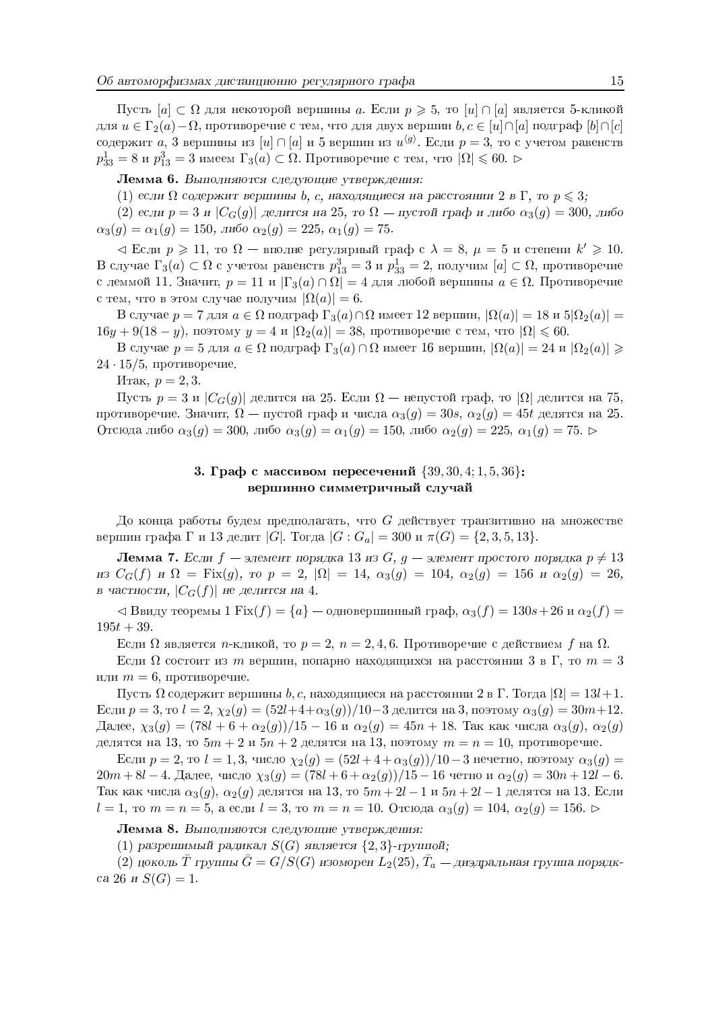Пусть  $[a] \subset \Omega$  для некоторой вершины a. Если  $p \geqslant 5$ , то  $[u] \cap [a]$  является 5-кликой для  $u \in \Gamma_2(a) - \Omega$ , противоречие с тем, что для двух вершин  $b, c \in [u] \cap [a]$  подграф  $[b] \cap [c]$ содержит *a*, 3 вершины из [*u*]  $\cap$  [*a*] и 5 вершин из  $u^{g}$ . Если  $p = 3$ , то с учетом равенств  $p_{33}^1 = 8$  и  $p_{13}^3 = 3$  имеем  $\Gamma_3(a) \subset \Omega$ . Противоречие с тем, что  $|\Omega| \leqslant 60$ .

Лемма 6. Выполняются следующие утверждения:

(1) если  $\Omega$  содержит вершины b, c, находящиеся на расстоянии 2 в Г, то  $p \leqslant 3$ ;

(2) если  $p = 3$  и  $|C_G(g)|$  делится на 25, то  $\Omega$  — пустой граф и либо  $\alpha_3(g) = 300$ , либо  $\alpha_3(g) = \alpha_1(g) = 150$ , либо  $\alpha_2(g) = 225$ ,  $\alpha_1(g) = 75$ .

 $\alpha$  Если  $p \geq 11$ , то  $\Omega$  — вполне регулярный граф с  $\lambda = 8$ ,  $\mu = 5$  и степени  $k' \geq 10$ . В случае  $\Gamma_3(a) \subset \Omega$  с учетом равенств  $p_{13}^3 = 3$  и  $p_{33}^1 = 2$ , получим  $[a] \subset \Omega$ , противоречие с леммой 11. Значит,  $p = 11$  и  $|\Gamma_3(a) \cap \Omega| = 4$  для любой вершины  $a \in \Omega$ . Противоречие с тем, что в этом случае получим  $|\Omega(a)| = 6$ .

B случае  $p = 7$ для  $a \in \Omega$  подграф  $\Gamma_3(a) \cap \Omega$  имеет 12 вершин,  $|\Omega(a)| = 18$  и  $5|\Omega_2(a)| =$  $16y + 9(18 - y)$ , поэтому  $y = 4$  и  $\Omega_2(a) = 38$ , противоречие с тем, что  $|\Omega| \leq 60$ .

В случае  $p = 5$  для  $a \in \Omega$  подграф Г<sub>3</sub>(a) ∩  $\Omega$  имеет 16 вершин,  $|\Omega(a)| = 24$  и  $|\Omega_2(a)| \ge$  $24 \cdot 15/5$ , противоречие.

Итак,  $p = 2, 3$ .

Пусть  $p = 3$  и  $|C_G(g)|$  делится на 25. Если  $\Omega$  — непустой граф, то  $|\Omega|$  делится на 75, противоречие. Значит,  $\Omega$  — пустой граф и числа  $\alpha_3(q) = 30s$ ,  $\alpha_2(q) = 45t$  делятся на 25. Отсюда либо  $\alpha_3(g) = 300$ , либо  $\alpha_3(g) = \alpha_1(g) = 150$ , либо  $\alpha_2(g) = 225$ ,  $\alpha_1(g) = 75$ .

#### 3. Граф с массивом пересечений  $\{39, 30, 4, 1, 5, 36\}$ : вершинно симметричный случай

До конца работы будем предполагать, что  $G$  действует транзитивно на множестве вершин графа Г и 13 делит | G|. Тогда  $|G : G_a| = 300$  и  $\pi(G) = \{2, 3, 5, 13\}.$ 

**Лемма 7.** Если  $f$  – элемент порядка 13 из  $G$ ,  $g$  – элемент простого порядка  $p \neq 13$  $\mu_3 C_G(f)$   $\mu \Omega = \text{Fix}(g)$ ,  $\tau_0 p = 2$ ,  $|\Omega| = 14$ ,  $\alpha_3(g) = 104$ ,  $\alpha_2(g) = 156$   $\mu \alpha_2(g) = 26$ , в частности,  $|C_G(f)|$  не делится на 4.

 $\Delta$  Ввиду теоремы 1 Fix $(f) = \{a\}$  — одновершинный граф,  $\alpha_3(f) = 130s + 26$  и  $\alpha_2(f) =$  $195t + 39$ 

Если  $\Omega$  является *n*-кликой, то  $p = 2$ ,  $n = 2, 4, 6$ . Противоречие с действием f на  $\Omega$ .

Если  $\Omega$  состоит из *m* вершин, попарно находящихся на расстоянии 3 в Г, то  $m=3$ или  $m = 6$ , противоречие.

Пусть  $\Omega$  содержит вершины b, c, находящиеся на расстоянии 2 в Г. Тогда  $|\Omega| = 13l + 1$ . Если  $p = 3$ , то  $l = 2$ ,  $\chi_2(g) = (52l + 4 + \alpha_3(g))/10 - 3$  делится на 3, поэтому  $\alpha_3(g) = 30m + 12$ . Далее,  $\chi_3(g) = (78l + 6 + \alpha_2(g))/15 - 16$  и  $\alpha_2(g) = 45n + 18$ . Так как числа  $\alpha_3(g)$ ,  $\alpha_2(g)$ делятся на 13, то  $5m + 2$  и  $5n + 2$  делятся на 13, поэтому  $m = n = 10$ , противоречие.

Если  $p = 2$ , то  $l = 1, 3$ , число  $\chi_2(g) = (52l + 4 + \alpha_3(g))/10 - 3$  нечетно, поэтому  $\alpha_3(g) =$  $20m + 8l - 4$ . Далее, число  $\chi_3(g) = (78l + 6 + \alpha_2(g))/15 - 16$  четно и  $\alpha_2(g) = 30n + 12l - 6$ . Так как числа  $\alpha_3(g)$ ,  $\alpha_2(g)$  делятся на 13, то  $5m + 2l - 1$  и  $5n + 2l - 1$  делятся на 13. Если  $l = 1$ , то  $m = n = 5$ , а если  $l = 3$ , то  $m = n = 10$ . Отсюда  $\alpha_3(q) = 104$ ,  $\alpha_2(q) = 156$ .

Лемма 8. Выполняются следующие утверждения:

(1) разрешимый радикал  $S(G)$  является  $\{2,3\}$ -группой;

(2) цоколь  $\overline{T}$  группы  $\overline{G} = G/S(G)$  изоморен  $L_2(25)$ ,  $\overline{T}_a$  — диэдральная группа порядкca 26 *u*  $S(G) = 1$ .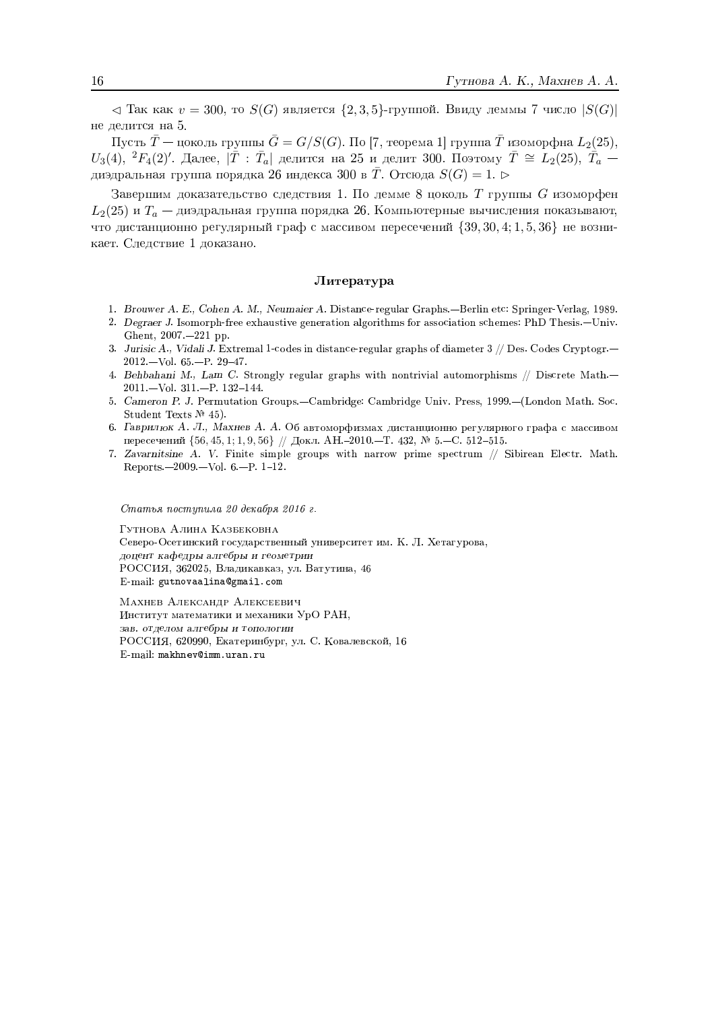$\prec$  Так как  $v = 300$ , то  $S(G)$  является  $\{2,3,5\}$ -группой. Ввиду леммы 7 число  $|S(G)|$ не делится на 5.

Пусть  $\overline{T}$  — цоколь группы  $\overline{G} = G/S(G)$ . По [7, теорема 1] группа  $\overline{T}$  изоморфна  $L_2(25)$ ,  $U_3(4)$ ,  ${}^2F_4(2)'$ . Далее,  $|\bar{T} : \bar{T}_a|$  делится на 25 и делит 300. Поэтому  $\bar{T} \cong L_2(25)$ ,  $\bar{T}_a$  диэдральная группа порядка 26 индекса 300 в  $\overline{T}$ . Отсюда  $S(G) = 1$ .  $\triangleright$ 

Завершим доказательство следствия 1. По лемме 8 цоколь  $T$  группы  $G$  изоморфен  $L_2(25)$  и  $T_a$  — диэдральная группа порядка 26. Компьютерные вычисления показывают, что дистанционно регулярный граф с массивом пересечений  $\{39, 30, 4; 1, 5, 36\}$  не возникает. Следствие 1 доказано.

#### Литература

- 1. Brouwer A. E., Cohen A. M., Neumaier A. Distance-regular Graphs.—Berlin etc: Springer-Verlag, 1989.
- 2. Degraer J. Isomorph-free exhaustive generation algorithms for association schemes: PhD Thesis.—Univ. Ghent, 2007. - 221 pp.
- 3. Jurisic A., Vidali J. Extremal 1-codes in distance-regular graphs of diameter  $3$  // Des. Codes Cryptogr.—  $2012 - Vol. 65 - P. 29 - 47.$
- 4. Behbahani M., Lam C. Strongly regular graphs with nontrivial automorphisms // Discrete Math.- $2011 - Vol. 311 - P. 132 - 144.$
- 5. Cameron P. J. Permutation Groups.--Cambridge: Cambridge Univ. Press, 1999.--(London Math. Soc. Student Texts No 45).
- 6. Гаврилюк А. Л., Махнев А. А. Об автоморфизмах дистанционно регулярного графа с массивом пересечений {56, 45, 1; 1, 9, 56} // Докл. АН.-2010.-Т. 432, № 5.-С. 512-515.
- 7. Zavarnitsine A. V. Finite simple groups with narrow prime spectrum // Sibirean Electr. Math. Reports. $-2009. - Vol. 6. - P. 1-12.$

Статья поступила 20 декабря 2016 г.

ГУТНОВА АЛИНА КАЗБЕКОВНА Северо-Осетинский государственный университет им. К. Л. Хетагурова, доцент кафедры алгебры и геометрии РОССИЯ, 362025, Владикавказ, ул. Ватутина, 46 E-mail: gutnovaalina@gmail.com

МАХНЕВ АЛЕКСАНДР АЛЕКСЕЕВИЧ Институт математики и механики УрО РАН, зав. отделом алгебры и топологии РОССИЯ, 620990, Екатеринбург, ул. С. Ковалевской, 16 E-mail: makhnev@imm.uran.ru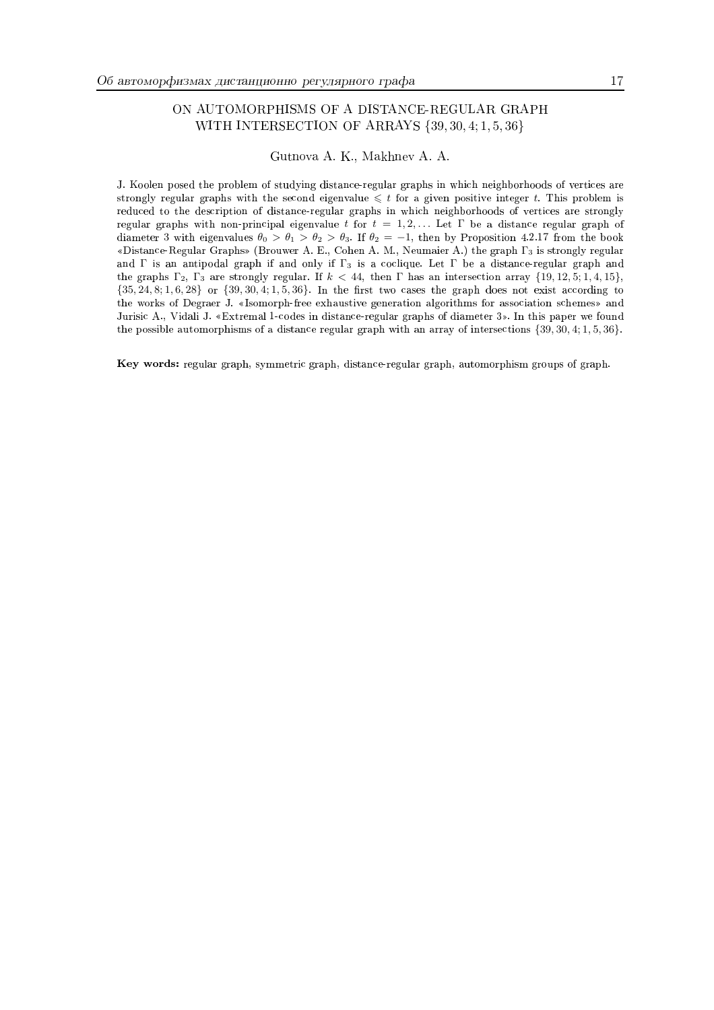#### ON AUTOMORPHISMS OF A DISTANCE-REGULAR GRAPH WITH INTERSECTION OF ARRAYS {39, 30, 4; 1, 5, 36}

Gutnova A. K., Makhnev A. A.

J. Koolen posed the problem of studying distance-regular graphs in which neighborhoods of vertices are strongly regular graphs with the second eigenvalue  $\leq t$  for a given positive integer t. This problem is reduced to the description of distance-regular graphs in which neighborhoods of vertices are strongly regular graphs with non-principal eigenvalue t for  $t = 1, 2, ...$  Let  $\Gamma$  be a distance regular graph of diameter 3 with eigenvalues  $\theta_0 > \theta_1 > \theta_2 > \theta_3$ . If  $\theta_2 = -1$ , then by Proposition 4.2.17 from the book «Distance-Regular Graphs» (Brouwer A. E., Cohen A. M., Neumaier A.) the graph  $\Gamma_3$  is strongly regular and  $\Gamma$  is an antipodal graph if and only if  $\Gamma_3$  is a coclique. Let  $\Gamma$  be a distance-regular graph and the graphs  $\Gamma_2$ ,  $\Gamma_3$  are strongly regular. If  $k < 44$ , then  $\Gamma$  has an intersection array  $\{19, 12, 5; 1, 4, 15\}$ ,  $\{35, 24, 8; 1, 6, 28\}$  or  $\{39, 30, 4; 1, 5, 36\}$ . In the first two cases the graph does not exist according to the works of Degraer J. «Isomorph-free exhaustive generation algorithms for association schemes» and Jurisic A., Vidali J. «Extremal 1-codes in distance-regular graphs of diameter 3». In this paper we found the possible automorphisms of a distance regular graph with an array of intersections  $\{39, 30, 4, 1, 5, 36\}$ .

Key words: regular graph, symmetric graph, distance-regular graph, automorphism groups of graph.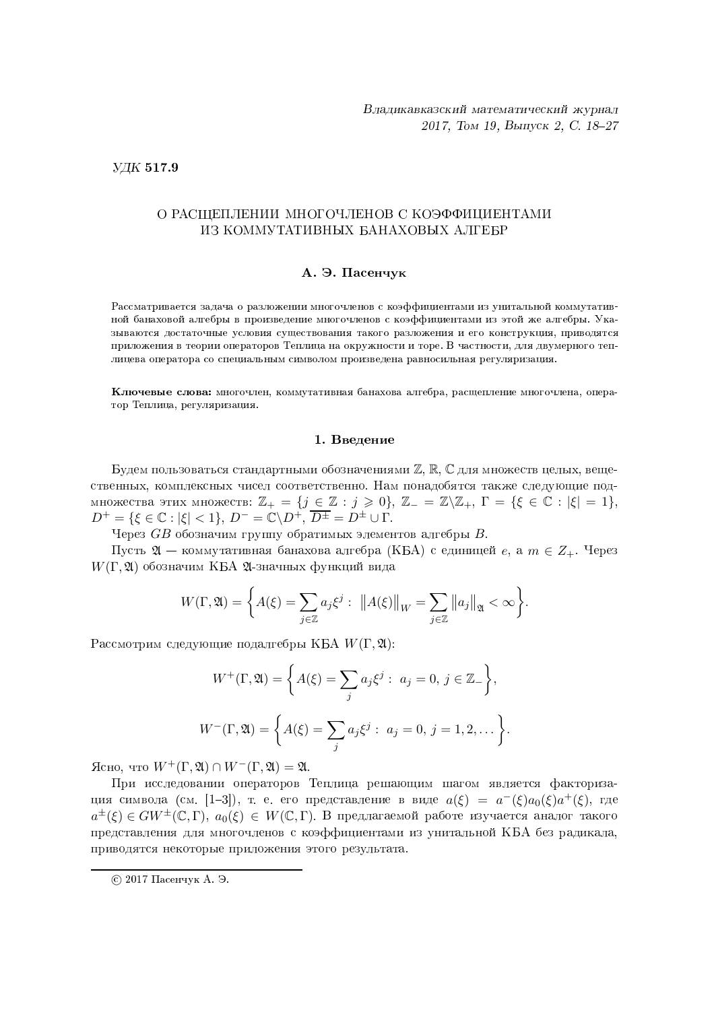#### $Y\!\!\!\perp K$  517.9

#### **Manager and State Advisory Advisory Advisory Advisory Advisory Advisory Advisory Advisory Advisory Advisory Adv** РАСЩЕПЛЕНИИ МНОГОЧЛЕНОВ С КОЭФФИЦИЕНТАМИ ИЗ КОММУТАТИВНЫХ БАНАХОВЫХ АЛГЕБР

#### A. Э. Пасенчук

Рассматривается задача о разложении многочленов с коэффициентами из унитальной коммутативной банаховой алгебры в произведение многочленов с коэффициентами из этой же алгебры. Указываются достаточные условия существования такого разложения и его конструкция, приводятся приложения в теории операторов Теплица на окружности и торе. В частности, для двумерного теплицева оператора со специальным символом произведена равносильная регуляризация.

Ключевые слова: многочлен, коммутативная банахова алгебра, расщепление многочлена, оператор Теплица, регуляризация.

#### 1. Ввеление

and the contract of the contract of the contract of the contract of the contract of the contract of the contract of the contract of the contract of the contract of the contract of the contract of the contract of the contra удем пользоваться стандартными обозначениями  $\mathbb{Z}, \mathbb{R}, \mathbb{C}$  для множеств целых, вещественных, комплексных чисел соответственно. Нам понадобятся также следующие подмножества этих множеств:  $\mathbb{Z}_+ = \{j \in \mathbb{Z} : j \geqslant 0\}, \, \mathbb{Z}_- = \mathbb{Z}\setminus\mathbb{Z}_+, \, \Gamma = \{\xi \in \mathbb{C} : |\xi| = 1\},\,$  $D^{+} = \{\xi \in \mathbb{C} : |\xi| < 1\}, D^{-} = \mathbb{C}\backslash D^{+}, \overline{D}$ 

Через  $GB$  обозначим группу обратимых элементов алгебры  $B$ .

Пусть  $\mathfrak{A}-$  коммутативная банахова алгебра (КБА) с единицей  $e,$  а  $m\in Z_+.$  Через  $W(\Gamma, \mathfrak{A})$  обозначим КБА  $\mathfrak{A}$ -значных функций вида

$$
W(\Gamma, \mathfrak{A}) = \left\{ A(\xi) = \sum_{j \in \mathbb{Z}} a_j \xi^j : ||A(\xi)||_W = \sum_{j \in \mathbb{Z}} ||a_j||_{\mathfrak{A}} < \infty \right\}.
$$

Рассмотрим следующие подалгебры КБА  $W(\Gamma, \mathfrak{A})$ :

$$
W^{+}(\Gamma, \mathfrak{A}) = \left\{ A(\xi) = \sum_{j} a_{j} \xi^{j} : a_{j} = 0, j \in \mathbb{Z}_{-} \right\},
$$
  

$$
W^{-}(\Gamma, \mathfrak{A}) = \left\{ A(\xi) = \sum_{j} a_{j} \xi^{j} : a_{j} = 0, j = 1, 2, \dots \right\}.
$$

 $G_{\text{CHO}}$ , что  $W^+(\Gamma, \mathfrak{A}) \cap W^-(\Gamma, \mathfrak{A}) = \mathfrak{A}$ .<br>
При исследовании операторов Теплица решающим шагом является факторизация символа (см. [1–3]), т. е. его представление в виде  $a(\xi) ~=~ a^-(\xi)a_0(\xi)a^+(\xi),$  где  $a^\pm(\xi)\in GW^\pm(\mathbb{C},\Gamma),\; a_0(\xi)\,\in\, W(\mathbb{C},\Gamma).$  В предлагаемой работе изучается аналог такого представления для многочленов с коэффициентами из унитальной КБА без радикала,  $\Pi$ nida $\Pi$ gha $\sigma$  Halzamanija  $\Pi$ nif $\Xi$ avaliha amada naqviti mama

<sup>© 2017</sup> Пасенчук А. Э.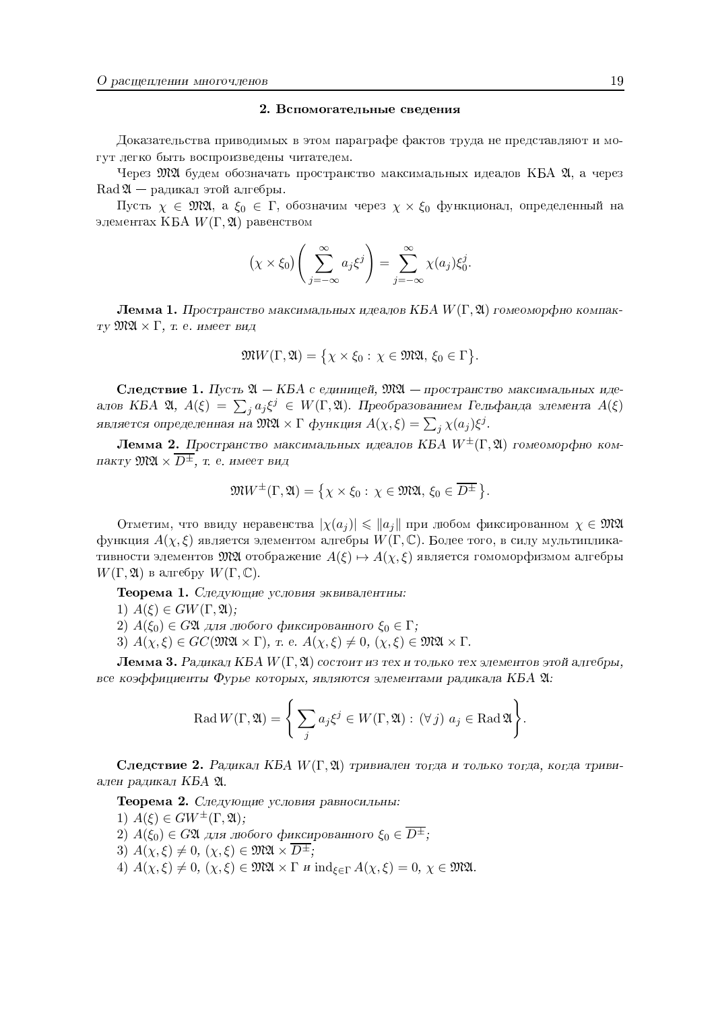#### 2. Вспомогательные сведения

Доказательства приводимых в этом параграфе фактов труда не представляют и могут легко быть воспроизведены читателем.

Через  $\mathfrak{M} \mathfrak{A}$  будем обозначать пространство максимальных идеалов КБА  $\mathfrak{A}$ , а через  $\operatorname{Rad} \mathfrak{A}$  — радикал этой алгебры.

Пусть  $\chi \in \mathfrak{M}\mathfrak{A}$ , а  $\xi_0 \in \Gamma$ , обозначим через  $\chi \times \xi_0$  функционал, определенный на элементах КБА  $W(\Gamma, \mathfrak{A})$  равенством

$$
(\chi \times \xi_0) \left( \sum_{j=-\infty}^{\infty} a_j \xi^j \right) = \sum_{j=-\infty}^{\infty} \chi(a_j) \xi_0^j.
$$

**Лемма 1.** Пространство максимальных идеалов КБА  $W(\Gamma, \mathfrak{A})$  гомеоморфно компакту  $\mathfrak{M}\mathfrak{A}\times\Gamma$ , т. е. имеет вид

$$
\mathfrak{M}W(\Gamma,\mathfrak{A})=\{\chi\times\xi_0:\chi\in\mathfrak{M}\mathfrak{A},\,\xi_0\in\Gamma\}.
$$

Следствие 1. Пусть  $\mathfrak{A} - KBA$  с единицей,  $\mathfrak{M}\mathfrak{A} -$  пространство максимальных идеалов КБА 20,  $A(\xi) = \sum_j a_j \xi^j \in W(\Gamma, \mathfrak{A})$ . Преобразованием Гельфанда элемента  $A(\xi)$ является определенная на  $\mathfrak{M} \mathfrak{A} \times \Gamma$  функция  $A(\chi, \xi) = \sum_j \chi(a_j) \xi^j$ .

**Лемма 2.** Пространство максимальных идеалов КБА  $W^{\pm}(\Gamma, \mathfrak{A})$  гомеоморфно компакту  $\mathfrak{M}\mathfrak{A}\times\overline{D^{\pm}}$ , т. е. имеет вид

$$
\mathfrak{M}W^{\pm}(\Gamma,\mathfrak{A})=\left\{\chi\times\xi_0:\,\chi\in\mathfrak{M}\mathfrak{A},\,\xi_0\in\overline{D^{\pm}}\,\right\}.
$$

Отметим, что ввиду неравенства  $|\chi(a_i)| \leqslant ||a_i||$  при любом фиксированном  $\chi \in \mathfrak{M} \mathfrak{A}$ функция  $A(\chi,\xi)$  является элементом алгебры  $W(\Gamma,\mathbb{C})$ . Более того, в силу мультипликативности элементов  $\mathfrak{M}\mathfrak{A}$  отображение  $A(\xi) \mapsto A(\chi,\xi)$  является гомоморфизмом алгебры  $W(\Gamma, \mathfrak{A})$  в алгебру  $W(\Gamma, \mathbb{C})$ .

Теорема 1. Следующие условия эквивалентны:

1)  $A(\xi) \in GW(\Gamma, \mathfrak{A});$ 

2)  $A(\xi_0) \in G\mathfrak{A}$  для любого фиксированного  $\xi_0 \in \Gamma$ ;

3)  $A(\chi,\xi) \in GC(\mathfrak{M}\mathfrak{A} \times \Gamma)$ , r. e.  $A(\chi,\xi) \neq 0$ ,  $(\chi,\xi) \in \mathfrak{M}\mathfrak{A} \times \Gamma$ .

**Лемма 3.** Радикал КБА  $W(\Gamma, \mathfrak{A})$  состоит из тех и только тех элементов этой алгебры, все коэффициенты Фурье которых, являются элементами радикала КБА 21:

$$
\operatorname{Rad} W(\Gamma, \mathfrak{A}) = \left\{ \sum_{j} a_j \xi^j \in W(\Gamma, \mathfrak{A}) : (\forall j) \ a_j \in \operatorname{Rad} \mathfrak{A} \right\}.
$$

Следствие 2. Радикал КБА  $W(\Gamma, \mathfrak{A})$  тривиален тогда и только тогда, когда тривиален радикал КБА 21.

Теорема 2. Следующие условия равносильны:

1)  $A(\xi) \in GW^{\pm}(\Gamma, \mathfrak{A});$ 

2)  $A(\xi_0) \in G\mathfrak{A}$  для любого фиксированного  $\xi_0 \in \overline{D^{\pm}}$ ;

3)  $A(\chi,\xi) \neq 0$ ,  $(\chi,\xi) \in \mathfrak{MM} \times \overline{D^{\pm}}$ ;

4)  $A(\chi,\xi) \neq 0$ ,  $(\chi,\xi) \in \mathfrak{MM} \times \Gamma$  *u* ind<sub> $\xi \in \Gamma$ </sub>  $A(\chi,\xi) = 0$ ,  $\chi \in \mathfrak{MM}$ .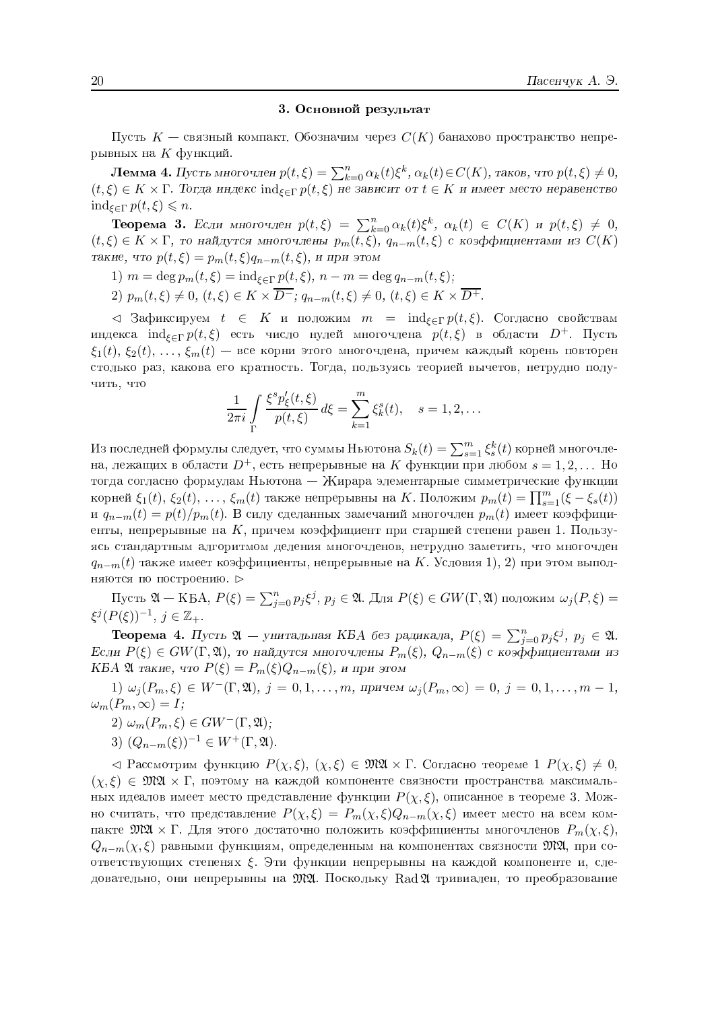#### 3. Основной результат

Пусть  $K$  — связный компакт. Обозначим через  $C(K)$  банахово пространство непрерывных на  $K$  функций.

**Лемма 4.** Пусть многочлен  $p(t,\xi) = \sum_{k=0}^{n} \alpha_k(t) \xi^k$ ,  $\alpha_k(t) \in C(K)$ , таков, что  $p(t,\xi) \neq 0$ ,  $(t,\xi) \in K \times \Gamma$ . Тогда индекс ind<sub> $\xi \in \Gamma$ </sub>  $p(t,\xi)$  не зависит от  $t \in K$  и имеет место неравенство  $\text{ind}_{\xi \in \Gamma} p(t,\xi) \leq n$ .

**Теорема 3.** Если многочлен  $p(t,\xi) = \sum_{k=0}^{n} \alpha_k(t) \xi^k$ ,  $\alpha_k(t) \in C(K)$  и  $p(t,\xi) \neq 0$ ,  $(t,\xi) \in K \times \Gamma$ , то найдутся многочлены  $p_m(t,\xi)$ ,  $q_{n-m}(t,\xi)$  с коэффициентами из  $C(K)$ такие, что  $p(t,\xi) = p_m(t,\xi)q_{n-m}(t,\xi)$ , и при этом

- 1)  $m = \deg p_m(t, \xi) = \text{ind}_{\xi \in \Gamma} p(t, \xi), n m = \deg q_{n-m}(t, \xi);$
- 2)  $p_m(t,\xi) \neq 0$ ,  $(t,\xi) \in K \times \overline{D^-}$ ;  $q_{n-m}(t,\xi) \neq 0$ ,  $(t,\xi) \in K \times \overline{D^+}$ .

 $\lhd$  Зафиксируем  $t \in K$  и положим  $m = \text{ind}_{\xi \in \Gamma} p(t, \xi)$ . Согласно свойствам индекса  $\text{ind}_{\xi \in \Gamma} p(t,\xi)$  есть число нулей многочлена  $p(t,\xi)$  в области  $D^+$ . Пусть  $\xi_1(t), \xi_2(t), \ldots, \xi_m(t)$  — все корни этого многочлена, причем каждый корень повторен столько раз, какова его кратность. Тогда, пользуясь теорией вычетов, нетрудно получить, что

$$
\frac{1}{2\pi i} \int_{\Gamma} \frac{\xi^s p_{\xi}'(t,\xi)}{p(t,\xi)} d\xi = \sum_{k=1}^m \xi_k^s(t), \quad s = 1, 2, ...
$$

Из последней формулы следует, что суммы Ньютона  $S_k(t) = \sum_{s=1}^m \xi_s^k(t)$  корней многочлена, лежащих в области  $D^+$ , есть непрерывные на K функции при любом  $s = 1, 2, ...$  Но тогда согласно формулам Ньютона - Жирара элементарные симметрические функции корней  $\xi_1(t)$ ,  $\xi_2(t)$ , ...,  $\xi_m(t)$  также непрерывны на K. Положим  $p_m(t) = \prod_{s=1}^m (\xi - \xi_s(t))$ и  $q_{n-m}(t) = p(t)/p_m(t)$ . В силу сделанных замечаний многочлен  $p_m(t)$  имеет коэффициенты, непрерывные на  $K$ , причем коэффициент при старшей степени равен 1. Пользуясь стандартным алгоритмом деления многочленов, нетрудно заметить, что многочлен  $q_{n-m}(t)$  также имеет коэффициенты, непрерывные на K. Условия 1), 2) при этом выполняются по построению. ⊳

Пусть  $\mathfrak{A}$  — КБА,  $P(\xi) = \sum_{j=0}^{n} p_j \xi^j$ ,  $p_j \in \mathfrak{A}$ . Для  $P(\xi) \in GW(\Gamma, \mathfrak{A})$  положим  $\omega_j(P, \xi) =$  $\xi^{j}(P(\xi))^{-1}, j \in \mathbb{Z}_{+}.$ 

**Теорема 4.** Пусть  $\mathfrak{A}$  — унитальная КБА без радикала,  $P(\xi) = \sum_{j=0}^{n} p_j \xi^j$ ,  $p_j \in \mathfrak{A}$ . Если  $P(\xi)$  ∈  $GW(\Gamma, \mathfrak{A})$ , то найдутся многочлены  $P_m(\xi)$ ,  $Q_{n-m}(\xi)$  с коэффициентами из KБA 24 такие, что  $P(\xi) = P_m(\xi)Q_{n-m}(\xi)$ , и при этом

1)  $\omega_j(P_m, \xi) \in W^-(\Gamma, \mathfrak{A}), j = 0, 1, ..., m$ , причем  $\omega_j(P_m, \infty) = 0, j = 0, 1, ..., m-1$ ,  $\omega_m(P_m,\infty)=I;$ 

- 2)  $\omega_m(P_m, \xi) \in GW^-(\Gamma, \mathfrak{A});$
- 3)  $(Q_{n-m}(\xi))^{-1} \in W^+(\Gamma, \mathfrak{A})$ .

 $\vartriangleleft$  Рассмотрим функцию  $P(\chi,\xi), (\chi,\xi) \in \mathfrak{M} \mathfrak{A} \times \Gamma$ . Согласно теореме 1  $P(\chi,\xi) \neq 0$ ,  $(\chi, \xi) \in \mathfrak{M} \mathfrak{A} \times \Gamma$ , поэтому на каждой компоненте связности пространства максимальных идеалов имеет место представление функции  $P(\chi, \xi)$ , описанное в теореме 3. Можно считать, что представление  $P(\chi,\xi) = P_m(\chi,\xi)Q_{n-m}(\chi,\xi)$  имеет место на всем компакте  $\mathfrak{M} \mathfrak{A} \times \Gamma$ . Для этого достаточно положить коэффициенты многочленов  $P_m(\chi,\xi),$  $Q_{n-m}(\chi,\xi)$  равными функциям, определенным на компонентах связности  $\mathfrak{M}\mathfrak{A}$ , при соответствующих степенях  $\xi$ . Эти функции непрерывны на каждой компоненте и, следовательно, они непрерывны на  $\mathfrak{M} \mathfrak{A}$ . Поскольку Rad  $\mathfrak{A}$  тривиален, то преобразование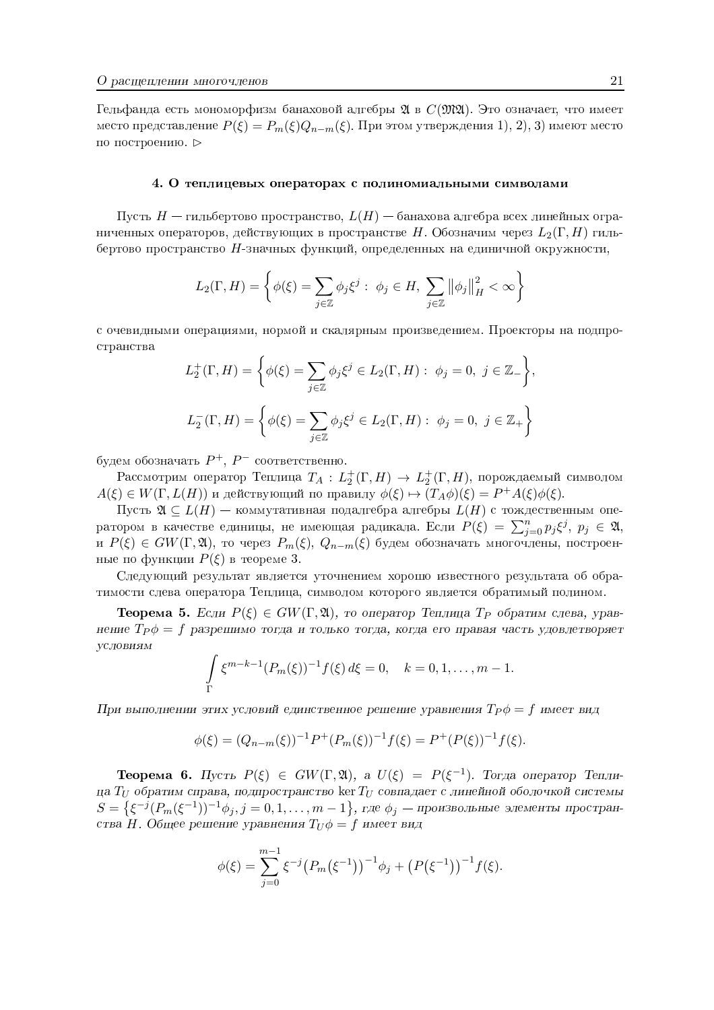Гельфанда есть мономорфизм банаховой алгебры 24 в  $C(\mathfrak{M}\mathfrak{A})$ . Это означает, что имеет место представление  $P(\xi) = P_m(\xi) Q_{n-m}(\xi)$ . При этом утверждения 1, 2, 3) имеют место по построению. ⊳

#### 4. О теплицевых операторах с полиномиальными символами

Пусть  $H$  — гильбертово пространство,  $L(H)$  — банахова алгебра всех линейных ограниченных операторов, действующих в пространстве H. Обозначим через  $L_2(\Gamma, H)$  гильбертово пространство Н-значных функций, определенных на единичной окружности,

$$
L_2(\Gamma, H) = \left\{ \phi(\xi) = \sum_{j \in \mathbb{Z}} \phi_j \xi^j : \phi_j \in H, \sum_{j \in \mathbb{Z}} ||\phi_j||_H^2 < \infty \right\}
$$

с очевидными операциями, нормой и скалярным произведением. Проекторы на подпространства

$$
L_2^+(\Gamma, H) = \left\{ \phi(\xi) = \sum_{j \in \mathbb{Z}} \phi_j \xi^j \in L_2(\Gamma, H) : \phi_j = 0, \ j \in \mathbb{Z}_- \right\},
$$
  

$$
L_2^-(\Gamma, H) = \left\{ \phi(\xi) = \sum_{j \in \mathbb{Z}} \phi_j \xi^j \in L_2(\Gamma, H) : \phi_j = 0, \ j \in \mathbb{Z}_+ \right\}
$$

будем обозначать  $P^+$ ,  $P^-$  соответственно.

Рассмотрим оператор Теплица  $T_A: L_2^+(\Gamma, H) \to L_2^+(\Gamma, H)$ , порождаемый символом  $A(\xi) \in W(\Gamma, L(H))$  и действующий по правилу  $\phi(\xi) \mapsto (T_A \phi)(\xi) = P^+ A(\xi) \phi(\xi)$ .

Пусть  $\mathfrak{A} \subseteq L(H)$  — коммутативная подалгебра алгебры  $L(H)$  с тождественным оператором в качестве единицы, не имеющая радикала. Если  $P(\xi) = \sum_{j=0}^{n} p_j \xi^j$ ,  $p_j \in \mathfrak{A}$ , и  $P(\xi) \in GW(\Gamma, \mathfrak{A})$ , то через  $P_m(\xi)$ ,  $Q_{n-m}(\xi)$  будем обозначать многочлены, построенные по функции  $P(\xi)$  в теореме 3.

Следующий результат является уточнением хорошо известного результата об обратимости слева оператора Теплица, символом которого является обратимый полином.

**Теорема 5.** Если  $P(\xi) \in GW(\Gamma, \mathfrak{A})$ , то оператор Теплица Т<sub>р</sub> обратим слева, уравнение  $T_P \phi = f$  разрешимо тогда и только тогда, когда его правая часть удовлетворяет **УСЛОВИЯМ** 

$$
\int_{\Gamma} \xi^{m-k-1} (P_m(\xi))^{-1} f(\xi) d\xi = 0, \quad k = 0, 1, ..., m-1.
$$

При выполнении этих условий единственное решение уравнения  $T_P \phi = f$  имеет вид

$$
\phi(\xi) = (Q_{n-m}(\xi))^{-1} P^+(P_m(\xi))^{-1} f(\xi) = P^+(P(\xi))^{-1} f(\xi).
$$

**Теорема 6.** Пусть  $P(\xi) \in GW(\Gamma, \mathfrak{A})$ , а  $U(\xi) = P(\xi^{-1})$ . Тогда оператор Теплица  $T_U$  обратим справа, подпространство ker  $T_U$  совпадает с линейной оболочкой системы  $S = \{ \xi^{-j}(P_m(\xi^{-1}))^{-1}\phi_j, j = 0, 1, ..., m-1 \},$  где  $\phi_j$  — произвольные элементы пространства Н. Общее решение уравнения  $T_U \phi = f$  имеет вид

$$
\phi(\xi) = \sum_{j=0}^{m-1} \xi^{-j} (P_m(\xi^{-1}))^{-1} \phi_j + (P(\xi^{-1}))^{-1} f(\xi).
$$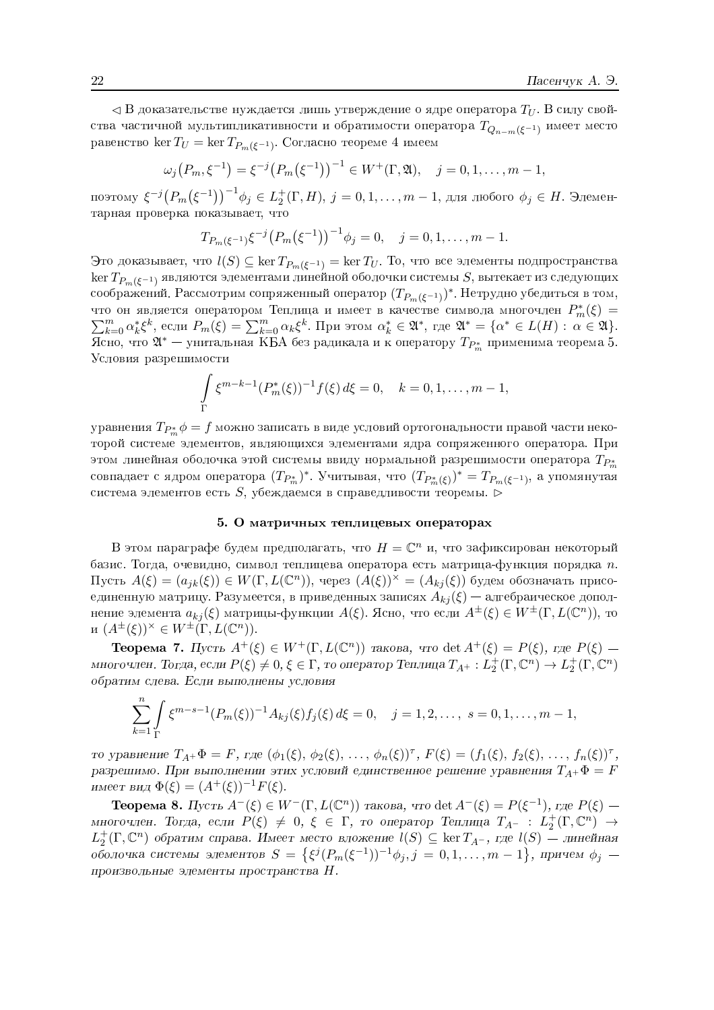$\triangleleft$  В доказательстве нуждается лишь утверждение о ядре оператора  $T_U$ . В силу свойства частичной мультипликативности и обратимости оператора  $T_{Q_{n-m}(\xi^{-1})}$  имеет место равенство кег $T_U = \ker T_{P_m(\xi^{-1})}$ . Согласно теореме 4 имеем

$$
\omega_j(P_m, \xi^{-1}) = \xi^{-j}(P_m(\xi^{-1}))^{-1} \in W^+(\Gamma, \mathfrak{A}), \quad j = 0, 1, \dots, m-1,
$$

поэтому  $\xi^{-j}(P_m(\xi^{-1}))^{-1}\phi_j \in L_2^+(\Gamma,H)$ ,  $j = 0,1,\ldots,m-1$ , для любого  $\phi_j \in H$ . Элементарная проверка показывает, что

$$
T_{P_m(\xi^{-1})}\xi^{-j}\big(P_m(\xi^{-1})\big)^{-1}\phi_j=0, \quad j=0,1,\ldots,m-1.
$$

Это доказывает, что  $l(S) \subseteq \ker T_{P_m(\xi^{-1})} = \ker T_U$ . То, что все элементы подпространства  $\ker T_{P_m(\xi^{-1})}$  являются элементами линейной оболочки системы S, вытекает из следующих соображений. Рассмотрим сопряженный оператор  $(T_{P_m(\xi^{-1})})^*$ . Нетрудно убедиться в том, что он является оператором Теплица и имеет в качестве символа многочлен  $P_m^*(\xi) =$  $\sum_{k=0}^{m} \alpha_k^* \xi^k$ , если  $P_m(\xi) = \sum_{k=0}^{m} \alpha_k \xi^k$ . При этом  $\alpha_k^* \in \mathfrak{A}^*$ , где  $\mathfrak{A}^* = {\alpha^* \in L(H) : \alpha \in \mathfrak{A}}$ . Ясно, что  $\mathfrak{A}^*$  — унитальная KBA без радикала и к оператору  $T_{P^*_{m}}$  применима теорема 5. Условия разрешимости

$$
\int_{\Gamma} \xi^{m-k-1} (P_m^*(\xi))^{-1} f(\xi) d\xi = 0, \quad k = 0, 1, ..., m-1
$$

уравнения  $T_{P_{\infty}^{*}}\phi = f$  можно записать в виде условий ортогональности правой части некоторой системе элементов, являющихся элементами ядра сопряженного оператора. При этом линейная оболочка этой системы ввиду нормальной разрешимости оператора  $T_{P_{\infty}}$ совпадает с ядром оператора  $(T_{P_m^*})^*$ . Учитывая, что  $(T_{P_m^*(\xi)})^*=T_{P_m(\xi^{-1})},$ а упомянутая система элементов есть  $S$ , убеждаемся в справедливости теоремы.  $\triangleright$ 

#### 5. О матричных теплицевых операторах

В этом параграфе будем предполагать, что  $H = \mathbb{C}^n$  и, что зафиксирован некоторый базис. Тогда, очевидно, символ теплицева оператора есть матрица-функция порядка  $n$ . Пусть  $A(\xi) = (a_{ik}(\xi)) \in W(\Gamma, L(\mathbb{C}^n))$ , через  $(A(\xi))^{\times} = (A_{ki}(\xi))$  будем обозначать присоединенную матрицу. Разумеется, в приведенных записях  $A_{ki}(\xi)$  — алгебраическое дополнение элемента  $a_{kj}(\xi)$  матрицы-функции  $A(\xi)$ . Ясно, что если  $A^{\pm}(\xi) \in W^{\pm}(\Gamma, L(\mathbb{C}^n))$ , то  $H(A^{\pm}(\xi))^{x} \in W^{\pm}(\Gamma, L(\mathbb{C}^n)).$ 

**Теорема 7.** Пусть  $A^+(\xi) \in W^+(\Gamma, L(\mathbb{C}^n))$  такова, что det  $A^+(\xi) = P(\xi)$ , где  $P(\xi)$  многочлен. Тогда, если  $P(\xi) \neq 0, \xi \in \Gamma$ , то оператор Теплица  $T_{A^+}: L_2^+(\Gamma, \mathbb{C}^n) \to L_2^+(\Gamma, \mathbb{C}^n)$ обратим слева. Если выполнены условия

$$
\sum_{k=1}^{n} \int_{\Gamma} \xi^{m-s-1} (P_m(\xi))^{-1} A_{kj}(\xi) f_j(\xi) d\xi = 0, \quad j = 1, 2, ..., \ s = 0, 1, ..., m-1,
$$

то уравнение  $T_{A^+}\Phi = F$ , где  $(\phi_1(\xi), \phi_2(\xi), \ldots, \phi_n(\xi))^{\tau}$ ,  $F(\xi) = (f_1(\xi), f_2(\xi), \ldots, f_n(\xi))^{\tau}$ , разрешимо. При выполнении этих условий единственное решение уравнения  $T_{A+}\Phi = F$ имеет вид  $\Phi(\xi) = (A^+(\xi))^{-1} F(\xi)$ .

**Теорема 8.** Пусть  $A^{-}(\xi) \in W^{-}(\Gamma, L(\mathbb{C}^n))$  такова, что det  $A^{-}(\xi) = P(\xi^{-1})$ , где  $P(\xi)$  многочлен. Тогда, если  $P(\xi) \neq 0, \xi \in \Gamma$ , то оператор Теплица  $T_{A-} : L_2^+(\Gamma, \mathbb{C}^n) \to$  $L_2^+(\Gamma, \mathbb{C}^n)$  обратим справа. Имеет место вложение  $l(S) \subseteq \ker T_{A^-}$ , где  $l(S)$  — линейная оболочка системы элементов  $S = \{ \xi^j(P_m(\xi^{-1}))^{-1} \phi_j, j = 0, 1, ..., m-1 \}$ , причем  $\phi_j$  произвольные элементы пространства  $H$ .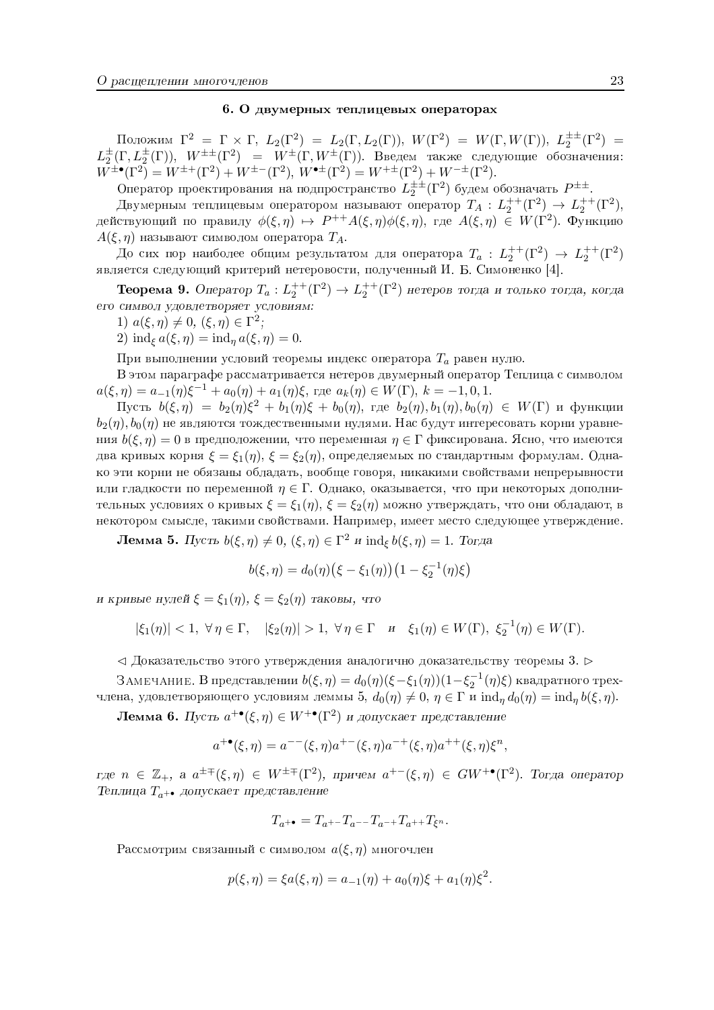#### 6. О двумерных теплицевых операторах

Положим  $\Gamma^2 = \Gamma \times \Gamma$ ,  $L_2(\Gamma^2) = L_2(\Gamma, L_2(\Gamma))$ ,  $W(\Gamma^2) = W(\Gamma, W(\Gamma))$ ,  $L_2^{\pm \pm}(\Gamma^2) = L_2^{\pm}(\Gamma, L_2^{\pm}(\Gamma))$ ,  $W^{\pm \pm}(\Gamma^2) = W^{\pm}(\Gamma, W^{\pm}(\Gamma))$ . Введем также следующие обозначения:<br>  $W^{\pm \bullet}(\Gamma^2) = W^{\pm +}(\Gamma^2) + W^{\pm -}(\Gamma^2)$ ,  $W^{\$ 

Оператор проектирования на подпространство  $L_2^{\pm \pm}(\Gamma^2)$  будем обозначать  $P^{\pm \pm}$ .<br>Двумерным теплицевым оператором называют оператор  $T_A : L_2^{++}(\Gamma^2) \rightarrow L_2^{++}(\Gamma^2)$ , действующий по правилу  $\phi(\xi,\eta) \mapsto P^{++}A(\xi,\eta)\phi(\xi,\eta)$ , где  $A(\xi,\eta) \in W(\Gamma^2)$ . Функцию  $A(\xi, \eta)$  называют символом оператора  $T_A$ .

До сих пор наиболее общим результатом для оператора  $T_a: L_2^{++}(\Gamma^2) \rightarrow L_2^{++}(\Gamma^2)$ является следующий критерий нетеровости, полученный И. Б. Симоненко [4].

**Теорема 9.** Оператор  $T_a: L_2^{++}(\Gamma^2) \to L_2^{++}(\Gamma^2)$  нетеров тогда и только тогда, когда его символ удовлетворяет условиям:

1)  $a(\xi, \eta) \neq 0$ ,  $(\xi, \eta) \in \Gamma^2$ ;

2)  $\text{ind}_{\xi} a(\xi, \eta) = \text{ind}_{\eta} a(\xi, \eta) = 0.$ 

При выполнении условий теоремы индекс оператора  $T_a$  равен нулю.

В этом параграфе рассматривается нетеров двумерный оператор Теплица с символом  $a(\xi,\eta) = a_{-1}(\eta)\xi^{-1} + a_0(\eta) + a_1(\eta)\xi$ , rge  $a_k(\eta) \in W(\Gamma)$ ,  $k = -1,0,1$ .

 $\Pi$ усть  $b(\xi, \eta) = b_2(\eta)\xi^2 + b_1(\eta)\xi + b_0(\eta)$ , где  $b_2(\eta), b_1(\eta), b_0(\eta) \in W(\Gamma)$  и функции  $b_2(\eta)$ ,  $b_0(\eta)$  не являются тождественными нулями. Нас будут интересовать корни уравнения  $b(\xi, \eta) = 0$  в предположении, что переменная  $\eta \in \Gamma$  фиксирована. Ясно, что имеются два кривых корня  $\xi = \xi_1(\eta)$ ,  $\xi = \xi_2(\eta)$ , определяемых по стандартным формулам. Однако эти корни не обязаны обладать, вообще говоря, никакими свойствами непрерывности или гладкости по переменной  $\eta \in \Gamma$ . Однако, оказывается, что при некоторых дополнительных условиях о кривых  $\xi = \xi_1(\eta)$ ,  $\xi = \xi_2(\eta)$  можно утверждать, что они обладают, в некотором смысле, такими свойствами. Например, имеет место следующее утверждение.

**Лемма 5.** Пусть  $b(\xi, \eta) \neq 0$ ,  $(\xi, \eta) \in \Gamma^2$  и  $\text{ind}_{\xi} b(\xi, \eta) = 1$ . Тогда

$$
b(\xi, \eta) = d_0(\eta) (\xi - \xi_1(\eta)) (1 - \xi_2^{-1}(\eta)\xi)
$$

и кривые нулей  $\xi = \xi_1(\eta)$ ,  $\xi = \xi_2(\eta)$  таковы, что

$$
|\xi_1(\eta)| < 1, \ \forall \eta \in \Gamma, \quad |\xi_2(\eta)| > 1, \ \forall \eta \in \Gamma \quad \text{if} \quad \xi_1(\eta) \in W(\Gamma), \ \xi_2^{-1}(\eta) \in W(\Gamma).
$$

 $\triangleleft$  Доказательство этого утверждения аналогично доказательству теоремы 3.

ЗАМЕЧАНИЕ. В представлении  $b(\xi, \eta) = d_0(\eta)(\xi - \xi_1(\eta))(1 - \xi_2^{-1}(\eta)\xi)$  квадратного трехчлена, удовлетворяющего условиям леммы 5,  $d_0(\eta) \neq 0$ ,  $\eta \in \Gamma$  и  $\text{ind}_{\eta} d_0(\eta) = \text{ind}_{\eta} b(\xi, \eta)$ .

**Лемма 6.** Пусть  $a^{+\bullet}(\xi, \eta) \in W^{+\bullet}(\Gamma^2)$  и допускает представление

$$
a^{+\bullet}(\xi,\eta) = a^{--}(\xi,\eta)a^{+-}(\xi,\eta)a^{-+}(\xi,\eta)a^{++}(\xi,\eta)\xi^n,
$$

где  $n \in \mathbb{Z}_+$ , а  $a^{\pm \mp}(\xi, \eta) \in W^{\pm \mp}(\Gamma^2)$ , причем  $a^{+-}(\xi, \eta) \in GW^{+\bullet}(\Gamma^2)$ . Тогда оператор Теплица  $T_{a^{++}}$  допускает представление

$$
T_{a^{+\bullet}}=T_{a^{+-}}T_{a^{--}}T_{a^{-+}}T_{a^{++}}T_{\xi^n}
$$

Рассмотрим связанный с символом  $a(\xi, \eta)$  многочлен

$$
p(\xi, \eta) = \xi a(\xi, \eta) = a_{-1}(\eta) + a_0(\eta)\xi + a_1(\eta)\xi^2.
$$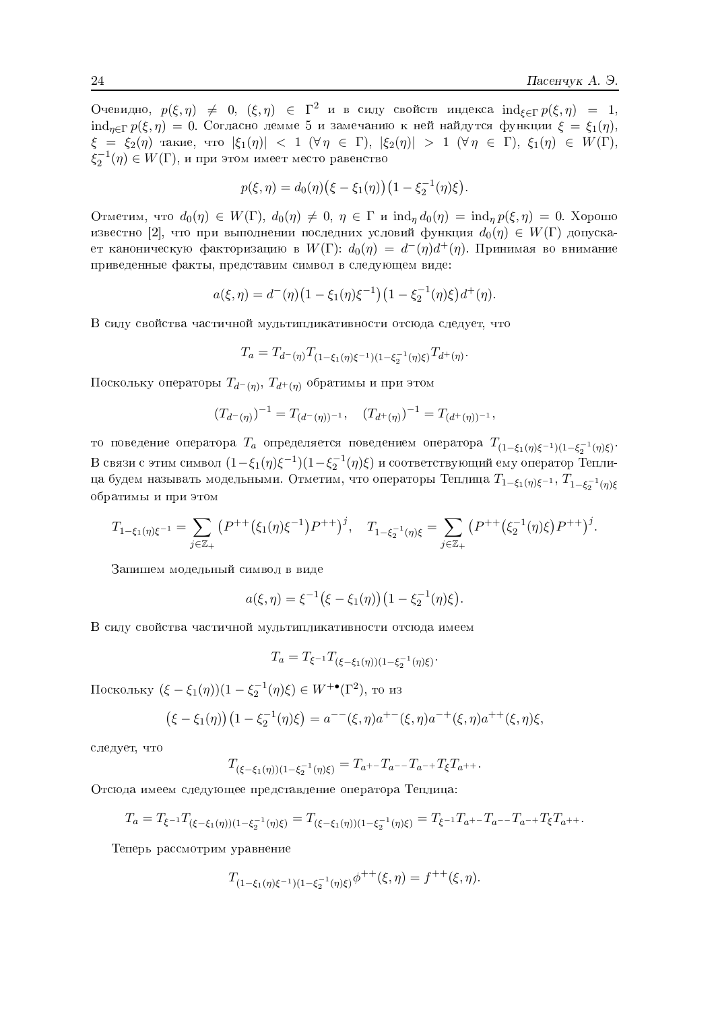Очевидно,  $p(\xi, \eta) \neq 0$ ,  $(\xi, \eta) \in \Gamma^2$  и в силу свойств индекса  $\operatorname{ind}_{\xi \in \Gamma} p(\xi, \eta) = 1$ ,  $\text{ind}_{n\in\Gamma} p(\xi,\eta) = 0$ . Согласно лемме 5 и замечанию к ней найдутся функции  $\xi = \xi_1(\eta)$ ,  $\xi = \xi_2(\eta)$  такие, что  $|\xi_1(\eta)| < 1$  ( $\forall \eta \in \Gamma$ ),  $|\xi_2(\eta)| > 1$  ( $\forall \eta \in \Gamma$ ),  $\xi_1(\eta) \in W(\Gamma)$ ,  $\xi_2^{-1}(\eta) \in W(\Gamma)$ , и при этом имеет место равенство

$$
p(\xi, \eta) = d_0(\eta) (\xi - \xi_1(\eta)) (1 - \xi_2^{-1}(\eta)\xi).
$$

Отметим, что  $d_0(\eta) \in W(\Gamma)$ ,  $d_0(\eta) \neq 0$ ,  $\eta \in \Gamma$  и  $\text{ind}_n d_0(\eta) = \text{ind}_n p(\xi, \eta) = 0$ . Хорошо известно [2], что при выполнении последних условий функция  $d_0(\eta) \in W(\Gamma)$  допускает каноническую факторизацию в  $W(\Gamma)$ :  $d_0(\eta) = d^-(\eta)d^+(\eta)$ . Принимая во внимание приведенные факты, представим символ в следующем виде:

$$
a(\xi, \eta) = d^-(\eta) \left(1 - \xi_1(\eta) \xi^{-1}\right) \left(1 - \xi_2^{-1}(\eta) \xi\right) d^+(\eta).
$$

В силу свойства частичной мультипликативности отсюда следует, что

$$
T_a = T_{d^-(\eta)} T_{(1-\xi_1(\eta)\xi^{-1})(1-\xi_2^{-1}(\eta)\xi)} T_{d^+(\eta)}.
$$

Поскольку операторы  $T_{d^-(\eta)}, T_{d^+(\eta)}$  обратимы и при этом

$$
(T_{d^-(\eta)})^{-1} = T_{(d^-(\eta))^{-1}}, \quad (T_{d^+(\eta)})^{-1} = T_{(d^+(\eta))^{-1}}.
$$

то поведение оператора  $T_a$  определяется поведением оператора  $T_{(1-\xi_1(\eta)\xi^{-1})(1-\xi_2^{-1}(\eta)\xi)}$ . В связи с этим символ  $(1-\xi_1(\eta)\xi^{-1})(1-\xi_2^{-1}(\eta)\xi)$  и соответствующий ему оператор Теплица будем называть модельными. Отметим, что операторы Теплица  $T_{1-\xi_1(\eta)\xi^{-1}}$ ,  $T_{1-\xi_2^{-1}(\eta)\xi}$ обратимы и при этом

$$
T_{1-\xi_1(\eta)\xi^{-1}} = \sum_{j\in\mathbb{Z}_+} \left( P^{++}(\xi_1(\eta)\xi^{-1}) P^{++} \right)^j, \quad T_{1-\xi_2^{-1}(\eta)\xi} = \sum_{j\in\mathbb{Z}_+} \left( P^{++}(\xi_2^{-1}(\eta)\xi) P^{++} \right)^j.
$$

Запишем модельный символ в виде

$$
a(\xi, \eta) = \xi^{-1} (\xi - \xi_1(\eta)) (1 - \xi_2^{-1}(\eta)\xi).
$$

В силу свойства частичной мультипликативности отсюда имеем

$$
T_a = T_{\xi^{-1}} T_{(\xi - \xi_1(\eta))(1 - \xi_2^{-1}(\eta)\xi)}.
$$

Поскольку  $(\xi - \xi_1(\eta))(1 - \xi_2^{-1}(\eta)\xi) \in W^{+\bullet}(\Gamma^2)$ , то из

$$
(\xi - \xi_1(\eta)) (1 - \xi_2^{-1}(\eta)\xi) = a^{-1}(\xi, \eta)a^{+1}(\xi, \eta)a^{-1}(\xi, \eta)a^{+1}(\xi, \eta)\xi,
$$

следует, что

$$
T_{(\xi-\xi_1(\eta))(1-\xi_2^{-1}(\eta)\xi)} = T_{a^{+}} - T_{a^{--}}T_{a^{-+}}T_{\xi}T_{a^{++}}.
$$

Отсюда имеем следующее представление оператора Теплица:

$$
T_a = T_{\xi^{-1}} T_{(\xi - \xi_1(\eta))(1 - \xi_2^{-1}(\eta)\xi)} = T_{(\xi - \xi_1(\eta))(1 - \xi_2^{-1}(\eta)\xi)} = T_{\xi^{-1}} T_{a^{+}} T_{a^{+}} T_{a^{+}} T_{a^{+}} T_{\xi} T_{a^{+}}.
$$

Теперь рассмотрим уравнение

$$
T_{(1-\xi_1(\eta)\xi^{-1})(1-\xi_2^{-1}(\eta)\xi)}\phi^{++}(\xi,\eta) = f^{++}(\xi,\eta).
$$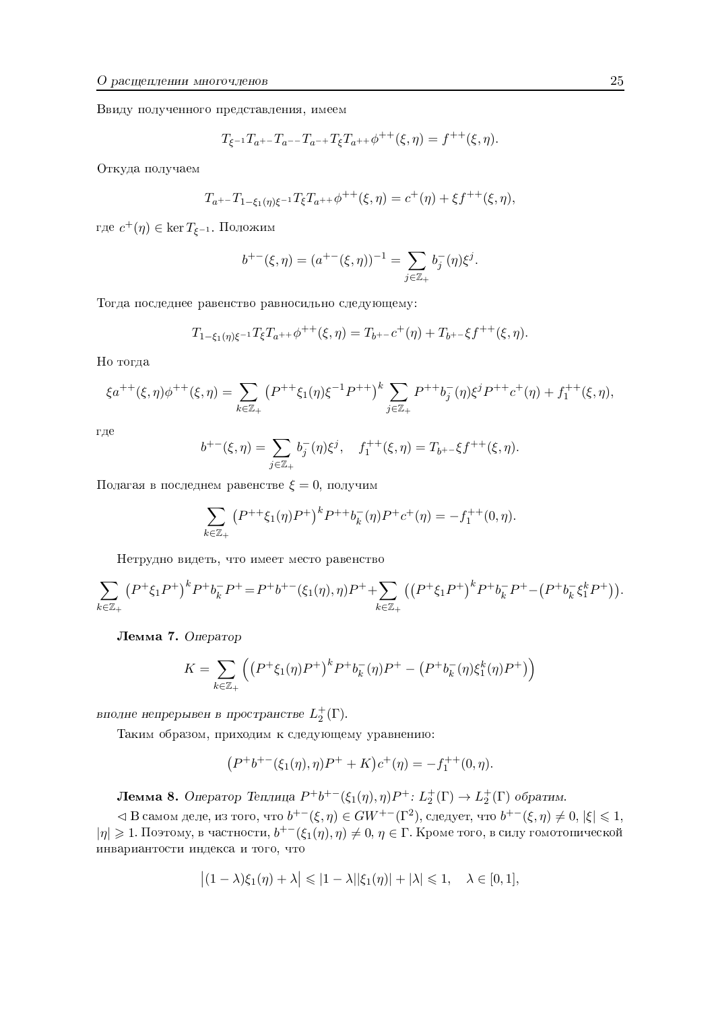Ввиду полученного представления, имеем

$$
T_{\xi^{-1}}T_{a^{+}} - T_{a^{--}}T_{a^{-+}}T_{\xi}T_{a^{++}}\phi^{++}(\xi,\eta) = f^{++}(\xi,\eta).
$$

<sup>M</sup> Откуда получаем

$$
T_{a^{+}} - T_{1-\xi_1(\eta)\xi^{-1}} T_{\xi} T_{a^{+}} \phi^{++}(\xi, \eta) = c^+(\eta) + \xi f^{++}(\xi, \eta),
$$

где  $c^+(\eta) \in \ker T_{\xi^{-1}}$ . Положим

$$
b^{+-}(\xi, \eta) = (a^{+-}(\xi, \eta))^{-1} = \sum_{j \in \mathbb{Z}_+} b_j^-(\eta) \xi^j.
$$

Тогда последнее равенство равносильно следующему:

$$
T_{1-\xi_1(\eta)\xi^{-1}}T_{\xi}T_{a^{++}}\phi^{++}(\xi,\eta) = T_{b^{+-}}c^+(\eta) + T_{b^{+-}}\xi f^{++}(\xi,\eta).
$$

Но тогда

$$
\xi a^{++}(\xi,\eta)\phi^{++}(\xi,\eta) = \sum_{k \in \mathbb{Z}_+} \left( P^{++}\xi_1(\eta)\xi^{-1}P^{++} \right)^k \sum_{j \in \mathbb{Z}_+} P^{++}b_j^-(\eta)\xi^j P^{++}c^+(\eta) + f_1^{++}(\xi,\eta),
$$

где

$$
b^{+-}(\xi,\eta) = \sum_{j\in\mathbb{Z}_+} b_j^-(\eta)\xi^j, \quad f_1^{++}(\xi,\eta) = T_{b^{+-}}\xi f^{++}(\xi,\eta).
$$

Полагая в последнем равенстве  $\xi = 0,$  получим

$$
\sum_{k \in \mathbb{Z}_+} \left( P^{++} \xi_1(\eta) P^+ \right)^k P^{++} b_k^-(\eta) P^+ c^+(\eta) = -f_1^{++}(0, \eta).
$$

Нетрудно видеть, что имеет место равенство

$$
\sum_{k \in \mathbb{Z}_+} (P^+\xi_1 P^+)^k P^+ b_k^- P^+ = P^+ b^{+-}(\xi_1(\eta), \eta) P^+ + \sum_{k \in \mathbb{Z}_+} \left( (P^+\xi_1 P^+)^k P^+ b_k^- P^+ - (P^+ b_k^- \xi_1^k P^+)\right).
$$

Лемма 7. Оператор

$$
K = \sum_{k \in \mathbb{Z}_+} \left( \left( P^+ \xi_1(\eta) P^+ \right)^k P^+ b_k^-(\eta) P^+ - \left( P^+ b_k^-(\eta) \xi_1^k(\eta) P^+ \right) \right)
$$

вполне непрерывен в пространстве  $L_2^+(\Gamma)$ .

Таким образом, приходим к следующему уравнению:

$$
(P^+b^{+-}(\xi_1(\eta),\eta)P^+ + K)c^+(\eta) = -f_1^{++}(0,\eta).
$$

**Лемма 8.** Оператор Теплица  $P^+b^{+-}(\xi_1(\eta), \eta)P^+ : L_2^+(\Gamma) \to L_2^+(\Gamma)$  обратим.

⊲ В самом деле, из того, что  $b^{+-}(\xi, \eta) \in GW^{+-}(\Gamma^2)$ , следует, что  $b^{+-}(\xi, \eta) \neq 0$ ,  $|\xi| \leq 1$ ,  $|\eta|\geqslant 1$ . Поэтому, в частности,  $b^{+-}(\xi_1(\eta),\eta)\neq 0,\eta\in \Gamma$ . Кроме того, в силу гомотопической инвариантости индекса и того, что

$$
\big|(1-\lambda)\xi_1(\eta)+\lambda\big|\leqslant |1-\lambda||\xi_1(\eta)|+|\lambda|\leqslant 1,\quad \lambda\in[0,1],
$$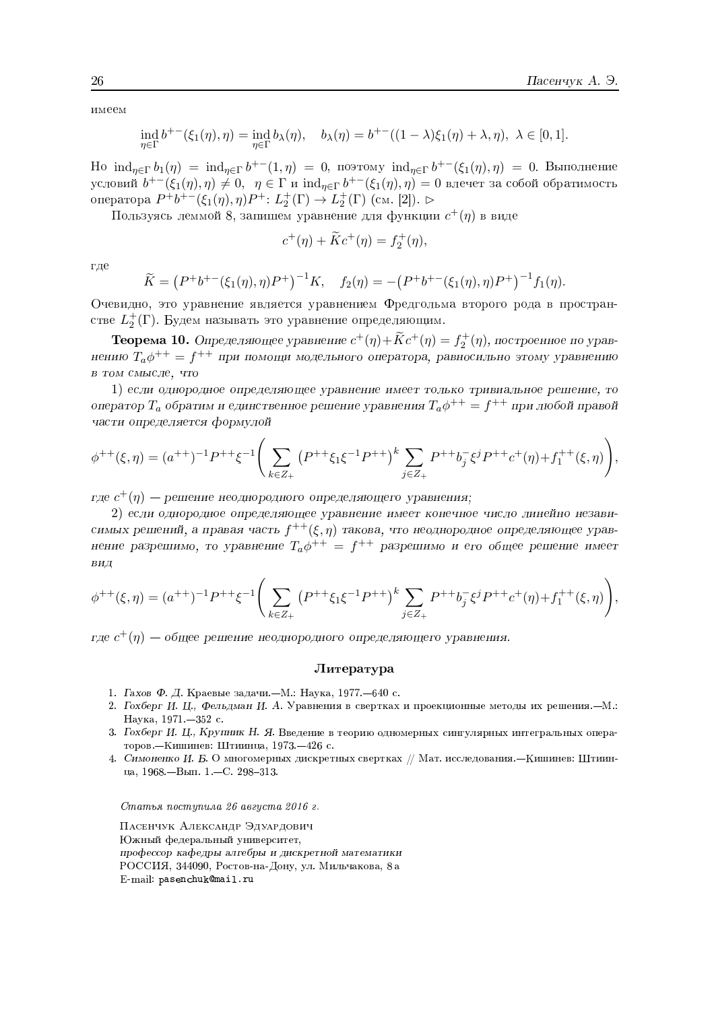имеем

$$
\operatorname{ind}_{\eta \in \Gamma} b^{+-}(\xi_1(\eta), \eta) = \operatorname{ind}_{\eta \in \Gamma} b_{\lambda}(\eta), \quad b_{\lambda}(\eta) = b^{+-}((1-\lambda)\xi_1(\eta) + \lambda, \eta), \ \lambda \in [0,1].
$$

Ho  $\text{ind}_{\eta \in \Gamma} b_1(\eta) = \text{ind}_{\eta \in \Gamma} b^{+-}(1, \eta) = 0$ , поэтому  $\text{ind}_{\eta \in \Gamma} b^{+-}(\xi_1(\eta), \eta) = 0$ . Выполнение условий  $b^{+-}(\xi_1(\eta),\eta) \neq 0$ ,  $\eta \in \Gamma$  и  $\text{ind}_{\eta \in \Gamma} b^{+-}(\xi_1(\eta),\eta) = 0$  влечет за собой обратимость оператора  $P^+b^{+-}(\xi_1(\eta),\eta)P^+$ :  $L_2^+(\Gamma)$  →  $L_2^+(\Gamma)$  (см. [2]). ⊳

Пользуясь леммой 8, запишем уравнение для функции  $c^+(\eta)$  в виде

$$
c^{+}(\eta) + Kc^{+}(\eta) = f_{2}^{+}(\eta),
$$

где

$$
\widetilde{K} = (P^+b^{+-}(\xi_1(\eta), \eta)P^+)^{-1}K, \quad f_2(\eta) = -(P^+b^{+-}(\xi_1(\eta), \eta)P^+)^{-1}f_1(\eta)
$$

Очевидно, это уравнение является уравнением Фредгольма второго рода в пространстве  $L_2^+(\Gamma)$ . Будем называть это уравнение определяющим.

**Теорема 10.** Определяющее уравнение  $c^+(\eta) + \widetilde{K}c^+(\eta) = f_2^+(\eta)$ , построенное по уравнению  $T_a\phi^{++} = f^{++}$  при помощи модельного оператора, равносильно этому уравнению в том смысле, что

1) если однородное определяющее уравнение имеет только тривиальное решение, то оператор  $T_a$  обратим и единственное решение уравнения  $T_a\phi^{++} = f^{++}$  при любой правой части определяется формулой

$$
\phi^{++}(\xi,\eta) = (a^{++})^{-1}P^{++}\xi^{-1}\Bigg(\sum_{k\in Z_+} (P^{++}\xi_1\xi^{-1}P^{++})^k \sum_{j\in Z_+} P^{++}b_j^-\xi^j P^{++}c^+(\eta) + f_1^{++}(\xi,\eta)\Bigg),
$$

где  $c^{+}(\eta)$  — решение неоднородного определяющего уравнения;

2) если однородное определяющее уравнение имеет конечное число линейно независимых решений, а правая часть  $f^{++}(\xi, \eta)$  такова, что неоднородное определяющее уравнение разрешимо, то уравнение  $T_a\phi^{++} = f^{++}$  разрешимо и его общее решение имеет ВИД

$$
\phi^{++}(\xi,\eta) = (a^{++})^{-1}P^{++}\xi^{-1}\Bigg(\sum_{k\in Z_+} (P^{++}\xi_1\xi^{-1}P^{++})^k \sum_{j\in Z_+} P^{++}b_j^-\xi^j P^{++}c^+(\eta) + f_1^{++}(\xi,\eta)\Bigg),
$$

гле  $c^+(n)$  — общее решение неолнородного определяющего уравнения.

#### Литература

- 1. Гахов Ф. Д. Краевые задачи. М.: Наука, 1977. 640 с.
- 2. Гохберг И. Ц., Фельдман И. А. Уравнения в свертках и проекционные методы их решения. -М.: Наука, 1971. - 352 с.
- 3. Гохберг И. Ц., Крупник Н. Я. Введение в теорию одномерных сингулярных интегральных операторов. - Кишинев: Штиинца, 1973. - 426 с.
- 4. Симоненко И. Б. О многомерных дискретных свертках // Мат. исследования. Кишинев: Штиинца, 1968. - Вып. 1. - С. 298-313.

Статья поступила 26 августа 2016 г.

ПАСЕНЧУК АЛЕКСАНДР ЭДУАРДОВИЧ Южный федеральный университет, профессор кафедры алгебры и дискретной математики РОССИЯ, 344090, Ростов-на-Дону, ул. Мильчакова, 8 а E-mail: pasenchuk@mail.ru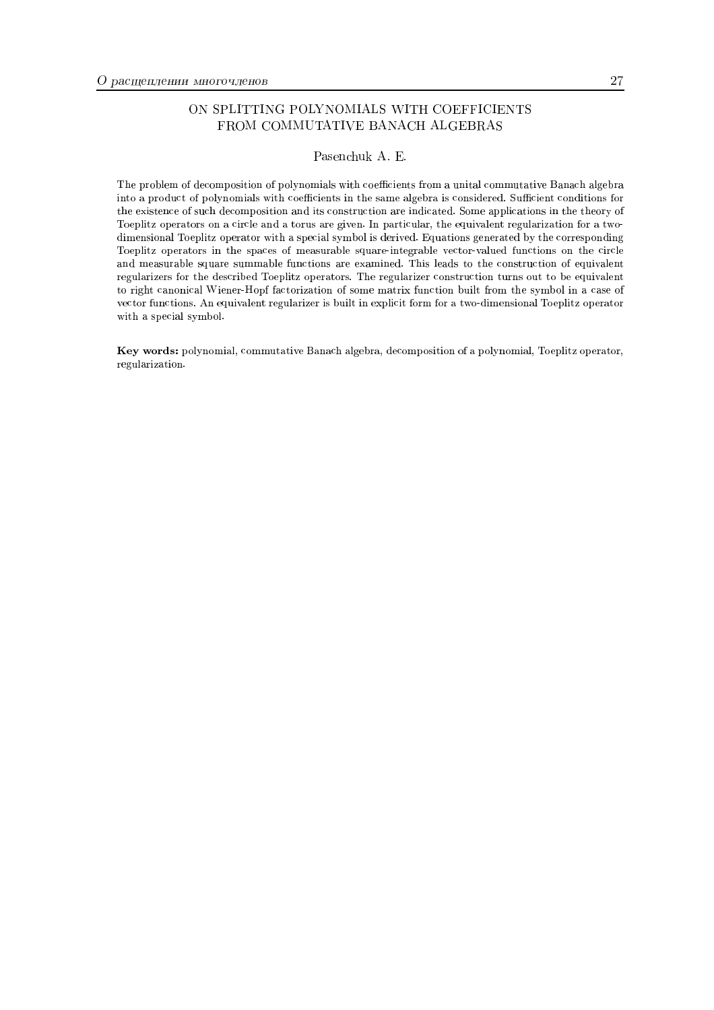#### ON SPLITTING POLYNOMIALS WITH COEFFICIENTS FROM COMMUTATIVE BANACH ALGEBRAS

#### Pasenchuk A. E.

The problem of decomposition of polynomials with coefficients from a unital commutative Banach algebra into a product of polynomials with coefficients in the same algebra is considered. Sufficient conditions for the existence of such decomposition and its construction are indicated. Some applications in the theory of Toeplitz operators on a circle and a torus are given. In particular, the equivalent regularization for a twodimensional Toeplitz operator with a special symbol is derived. Equations generated by the corresponding Toeplitz operators in the spaces of measurable square-integrable vector-valued functions on the circle and measurable square summable functions are examined. This leads to the construction of equivalent regularizers for the described Toeplitz operators. The regularizer construction turns out to be equivalent to right canonical Wiener-Hoof factorization of some matrix function built from the symbol in a case of vector functions. An equivalent regularizer is built in explicit form for a two-dimensional Toeplitz operator with a special symbol.

Key words: polynomial, commutative Banach algebra, decomposition of a polynomial, Toeplitz operator, regularization.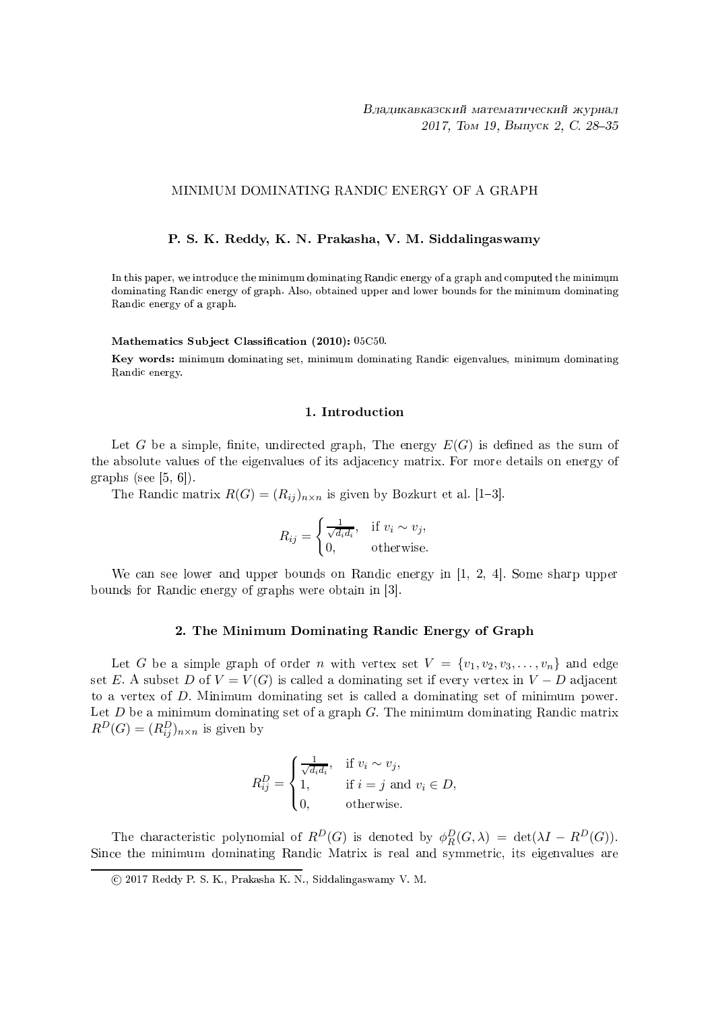#### MINIMUM DOMINATING RANDIC ENERGY OF A GRAPH

#### P. S. K. Reddy, K. N. Prakasha, V. M. Siddalingaswamy

In this paper, we introduce the minimum dominating Randic energy of a graph and computed the minimum dominating Randic energy of graph. Also, obtained upper and lower bounds for the minimum dominating Randic energy of a graph.

#### Mathematics Subject Classification (2010): 05C50.

Key words: minimum dominating set, minimum dominating Randic eigenvalues, minimum dominating Randic energy.

#### 1. Introduction

Let G be a simple, finite, undirected graph, The energy  $E(G)$  is defined as the sum of the absolute values of the eigenvalues of its adjacency matrix. For more details on energy of graphs (see [5, 6]).

The Randic matrix  $R(G) = (R_{ij})_{n \times n}$  is given by Bozkurt et al. [1-3].

$$
R_{ij} = \begin{cases} \frac{1}{\sqrt{d_i d_i}}, & \text{if } v_i \sim v_j, \\ 0, & \text{otherwise.} \end{cases}
$$

We can see lower and upper bounds on Randic energy in  $[1, 2, 4]$ . Some sharp upper bounds for Randic energy of graphs were obtain in [3].

#### 2. The Minimum Dominating Randic Energy of Graph

Let G be a simple graph of order n with vertex set  $V = \{v_1, v_2, v_3, \ldots, v_n\}$  and edge set E. A subset D of  $V = V(G)$  is called a dominating set if every vertex in  $V - D$  adjacent to a vertex of  $D$ . Minimum dominating set is called a dominating set of minimum power. Let  $D$  be a minimum dominating set of a graph  $G$ . The minimum dominating Randic matrix  $R^D(G) = (R^D_{ij})_{n \times n}$  is given by

$$
R_{ij}^D = \begin{cases} \frac{1}{\sqrt{d_i d_i}}, & \text{if } v_i \sim v_j, \\ 1, & \text{if } i = j \text{ and } v_i \in D, \\ 0, & \text{otherwise.} \end{cases}
$$

The characteristic polynomial of  $R^D(G)$  is denoted by  $\phi_R^D(G,\lambda) = \det(\lambda I - R^D(G)).$ Since the minimum dominating Randic Matrix is real and symmetric, its eigenvalues are

<sup>(</sup>c) 2017 Reddy P. S. K., Prakasha K. N., Siddalingaswamy V. M.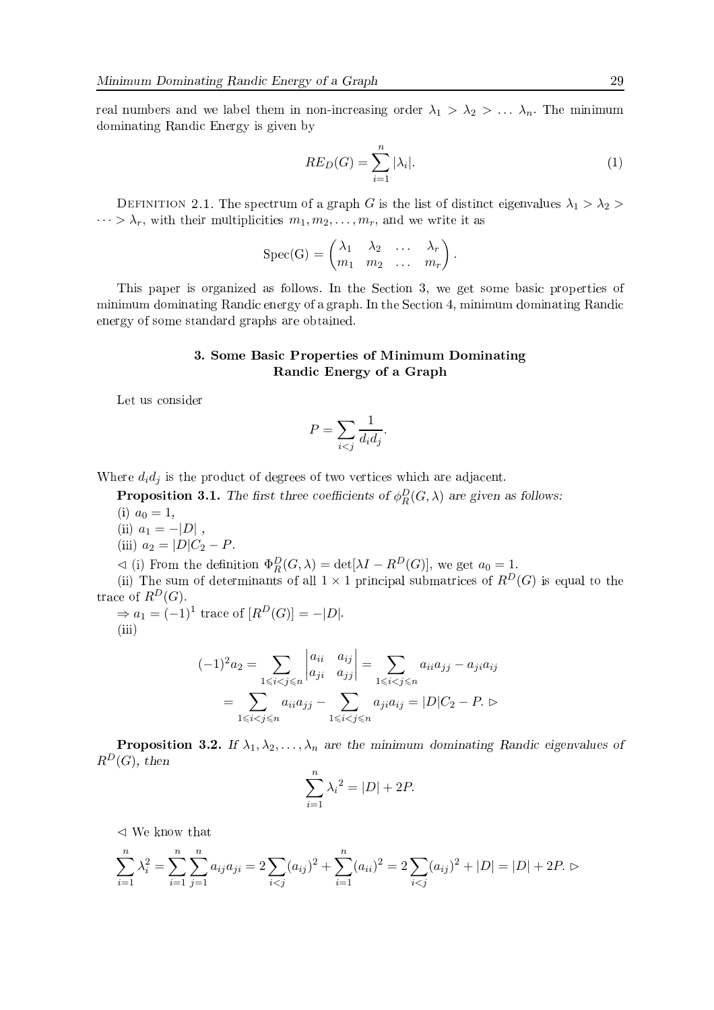real numbers and we label them in non-increasing order  $\lambda_1 > \lambda_2 > ... \lambda_n$ . The minimum dominating Randic Energy is given by

$$
RE_D(G) = \sum_{i=1}^{n} |\lambda_i|.
$$
 (1)

DEFINITION 2.1. The spectrum of a graph G is the list of distinct eigenvalues  $\lambda_1 > \lambda_2$  $\cdots > \lambda_r$ , with their multiplicities  $m_1, m_2, \ldots, m_r$ , and we write it as

$$
Spec(G) = \begin{pmatrix} \lambda_1 & \lambda_2 & \dots & \lambda_r \\ m_1 & m_2 & \dots & m_r \end{pmatrix}.
$$

This paper is organized as follows. In the Section 3, we get some basic properties of minimum dominating Randic energy of a graph. In the Section 4, minimum dominating Randic energy of some standard graphs are obtained.

#### 3. Some Basic Properties of Minimum Dominating Randic Energy of a Graph

Let us consider

$$
P = \sum_{i < j} \frac{1}{d_i d_j}.
$$

Where  $d_i d_j$  is the product of degrees of two vertices which are adjacent.

**Proposition 3.1.** The first three coefficients of  $\phi_R^D(G,\lambda)$  are given as follows: (i)  $a_0 = 1$ ,

- (ii)  $a_1 = -|D|$ ,
- (iii)  $a_2 = |D|C_2 P$ .

 $\lhd$  (i) From the definition  $\Phi_R^D(G,\lambda) = \det[\lambda I - R^D(G)],$  we get  $a_0 = 1$ .

(ii) The sum of determinants of all  $1 \times 1$  principal submatrices of  $R^D(G)$  is equal to the trace of  $R^D(G)$ .

 $\Rightarrow a_1 = (-1)^1$  trace of  $[R^D(G)] = -|D|$ .  $(iii)$ 

$$
(-1)^{2} a_{2} = \sum_{1 \leq i < j \leq n} \begin{vmatrix} a_{ii} & a_{ij} \\ a_{ji} & a_{jj} \end{vmatrix} = \sum_{1 \leq i < j \leq n} a_{ii} a_{jj} - a_{ji} a_{ij}
$$
\n
$$
= \sum_{1 \leq i < j \leq n} a_{ii} a_{jj} - \sum_{1 \leq i < j \leq n} a_{ji} a_{ij} = |D| C_{2} - P. \triangleright
$$

**Proposition 3.2.** If  $\lambda_1, \lambda_2, ..., \lambda_n$  are the minimum dominating Randic eigenvalues of  $R^D(G)$ , then

$$
\sum_{i=1}^{n} \lambda_i^2 = |D| + 2P.
$$

 $\triangleleft$  We know that

$$
\sum_{i=1}^{n} \lambda_i^2 = \sum_{i=1}^{n} \sum_{j=1}^{n} a_{ij} a_{ji} = 2 \sum_{i < j} (a_{ij})^2 + \sum_{i=1}^{n} (a_{ii})^2 = 2 \sum_{i < j} (a_{ij})^2 + |D| = |D| + 2P. \, \triangleright
$$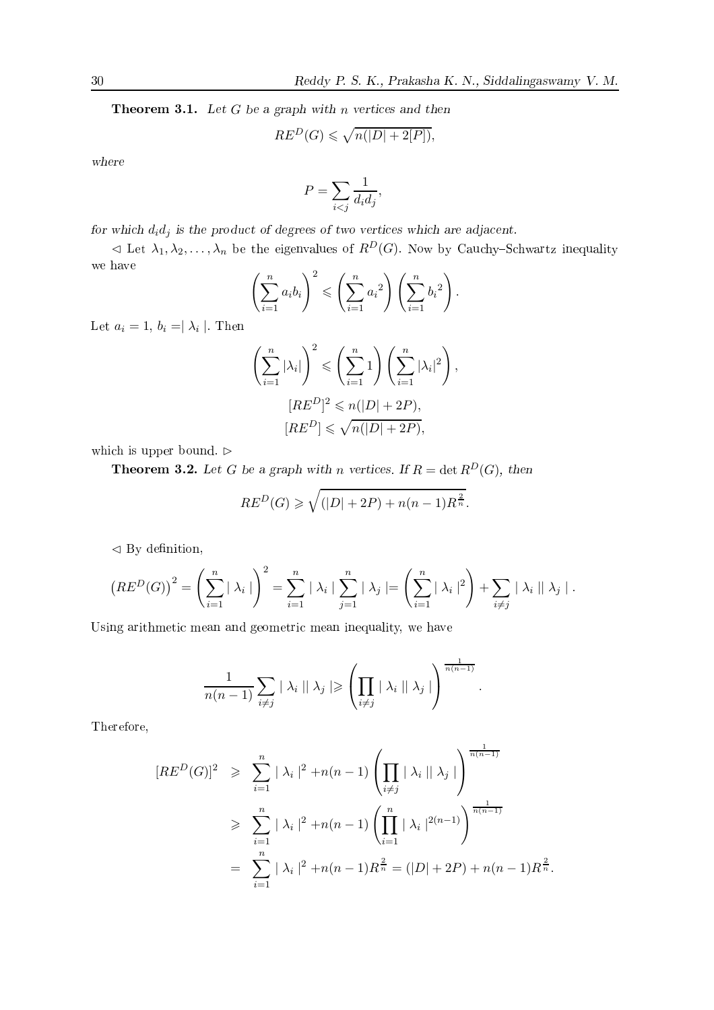**Theorem 3.1.** Let  $G$  be a graph with  $n$  vertices and then

$$
RE^D(G) \leqslant \sqrt{n(|D| + 2[P])},
$$

where

$$
P = \sum_{i < j} \frac{1}{d_i d_j},
$$

for which  $d_i d_j$  is the product of degrees of two vertices which are adjacent.

 $\lhd$  Let  $\lambda_1, \lambda_2, \ldots, \lambda_n$  be the eigenvalues of  $R^D(G)$ . Now by Cauchy-Schwartz inequality we have

$$
\left(\sum_{i=1}^n a_i b_i\right)^2 \leqslant \left(\sum_{i=1}^n a_i^2\right) \left(\sum_{i=1}^n b_i^2\right).
$$

Let  $a_i = 1, b_i = |\lambda_i|$ . Then

$$
\left(\sum_{i=1}^{n} |\lambda_i|\right)^2 \leqslant \left(\sum_{i=1}^{n} 1\right) \left(\sum_{i=1}^{n} |\lambda_i|^2\right),
$$

$$
[RE^D]^2 \leqslant n(|D| + 2P),
$$

$$
[RE^D] \leqslant \sqrt{n(|D| + 2P)},
$$

which is upper bound.  $\triangleright$ 

**Theorem 3.2.** Let G be a graph with n vertices. If  $R = \det R^D(G)$ , then

$$
RE^D(G) \ge \sqrt{(|D| + 2P) + n(n-1)R^{\frac{2}{n}}}.
$$

 $\lhd$  By definition,

$$
(RE^{D}(G))^{2} = \left(\sum_{i=1}^{n} |\lambda_{i}| \right)^{2} = \sum_{i=1}^{n} |\lambda_{i}| \sum_{j=1}^{n} |\lambda_{j}| = \left(\sum_{i=1}^{n} |\lambda_{i}|^{2} \right) + \sum_{i \neq j} |\lambda_{i}| |\lambda_{j}|.
$$

Using arithmetic mean and geometric mean inequality, we have

$$
\frac{1}{n(n-1)}\sum_{i\neq j} |\lambda_i| |\lambda_j| \geq \left(\prod_{i\neq j} |\lambda_i| |\lambda_j|\right)^{\frac{1}{n(n-1)}}.
$$

Therefore,

$$
[RE^{D}(G)]^{2} \geqslant \sum_{i=1}^{n} |\lambda_{i}|^{2} + n(n-1) \left( \prod_{i \neq j} |\lambda_{i}| |\lambda_{j}| \right)^{\frac{1}{n(n-1)}}
$$
  

$$
\geqslant \sum_{i=1}^{n} |\lambda_{i}|^{2} + n(n-1) \left( \prod_{i=1}^{n} |\lambda_{i}|^{2(n-1)} \right)^{\frac{1}{n(n-1)}}
$$
  

$$
= \sum_{i=1}^{n} |\lambda_{i}|^{2} + n(n-1) R^{\frac{2}{n}} = (|D| + 2P) + n(n-1) R^{\frac{2}{n}}
$$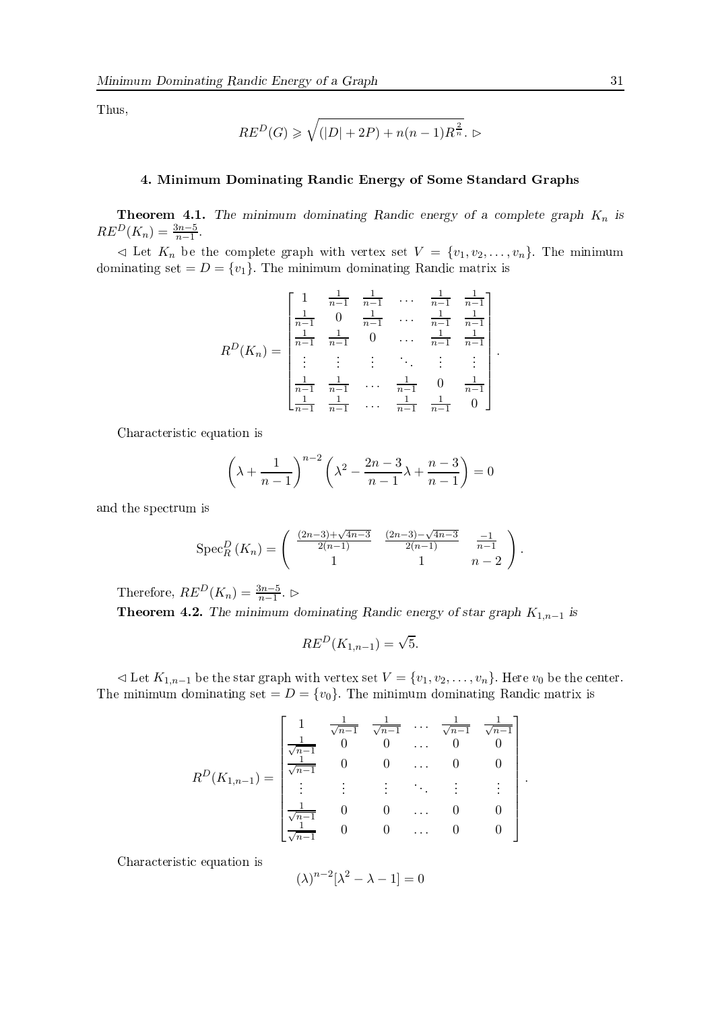Thus,

$$
RE^D(G) \geqslant \sqrt{(|D| + 2P) + n(n-1)R^{\frac{2}{n}}}. \, \triangleright
$$

#### 4. Minimum Dominating Randic Energy of Some Standard Graphs

**Theorem 4.1.** The minimum dominating Randic energy of a complete graph  $K_n$  is  $RE^{D}(K_n) = \frac{3n-5}{n-1}.$ 

 $\lhd$  Let  $K_n$  be the complete graph with vertex set  $V = \{v_1, v_2, \ldots, v_n\}$ . The minimum dominating set =  $D = \{v_1\}$ . The minimum dominating Randic matrix is

$$
R^{D}(K_{n}) = \begin{bmatrix} 1 & \frac{1}{n-1} & \frac{1}{n-1} & \cdots & \frac{1}{n-1} & \frac{1}{n-1} \\ \frac{1}{n-1} & 0 & \frac{1}{n-1} & \cdots & \frac{1}{n-1} & \frac{1}{n-1} \\ \frac{1}{n-1} & \frac{1}{n-1} & 0 & \cdots & \frac{1}{n-1} & \frac{1}{n-1} \\ \vdots & \vdots & \ddots & \vdots & \vdots & \vdots \\ \frac{1}{n-1} & \frac{1}{n-1} & \cdots & \frac{1}{n-1} & 0 & \frac{1}{n-1} \\ \frac{1}{n-1} & \frac{1}{n-1} & \cdots & \frac{1}{n-1} & \frac{1}{n-1} & 0 \end{bmatrix}.
$$

Characteristic equation is

$$
\left(\lambda + \frac{1}{n-1}\right)^{n-2} \left(\lambda^2 - \frac{2n-3}{n-1}\lambda + \frac{n-3}{n-1}\right) = 0
$$

and the spectrum is

$$
Spec_R^D(K_n) = \begin{pmatrix} \frac{(2n-3)+\sqrt{4n-3}}{2(n-1)} & \frac{(2n-3)-\sqrt{4n-3}}{2(n-1)} & \frac{-1}{n-1} \\ 1 & 1 & n-2 \end{pmatrix}.
$$

Therefore,  $RE^{D}(K_n) = \frac{3n-5}{n-1}$ .

**Theorem 4.2.** The minimum dominating Randic energy of star graph  $K_{1,n-1}$  is

$$
RE^D(K_{1,n-1}) = \sqrt{5}.
$$

 $\lhd$  Let  $K_{1,n-1}$  be the star graph with vertex set  $V = \{v_1, v_2, \ldots, v_n\}$ . Here  $v_0$  be the center. The minimum dominating set =  $D = \{v_0\}$ . The minimum dominating Randic matrix is

$$
R^{D}(K_{1,n-1}) = \begin{bmatrix} 1 & \frac{1}{\sqrt{n-1}} & \frac{1}{\sqrt{n-1}} & \cdots & \frac{1}{\sqrt{n-1}} & \frac{1}{\sqrt{n-1}} \\ \frac{1}{\sqrt{n-1}} & 0 & 0 & \cdots & 0 & 0 \\ \vdots & \vdots & \vdots & \ddots & \vdots & \vdots \\ \frac{1}{\sqrt{n-1}} & 0 & 0 & \cdots & 0 & 0 \\ \frac{1}{\sqrt{n-1}} & 0 & 0 & \cdots & 0 & 0 \\ \frac{1}{\sqrt{n-1}} & 0 & 0 & \cdots & 0 & 0 \end{bmatrix}
$$

Characteristic equation is

$$
(\lambda)^{n-2}[\lambda^2-\lambda-1]=0
$$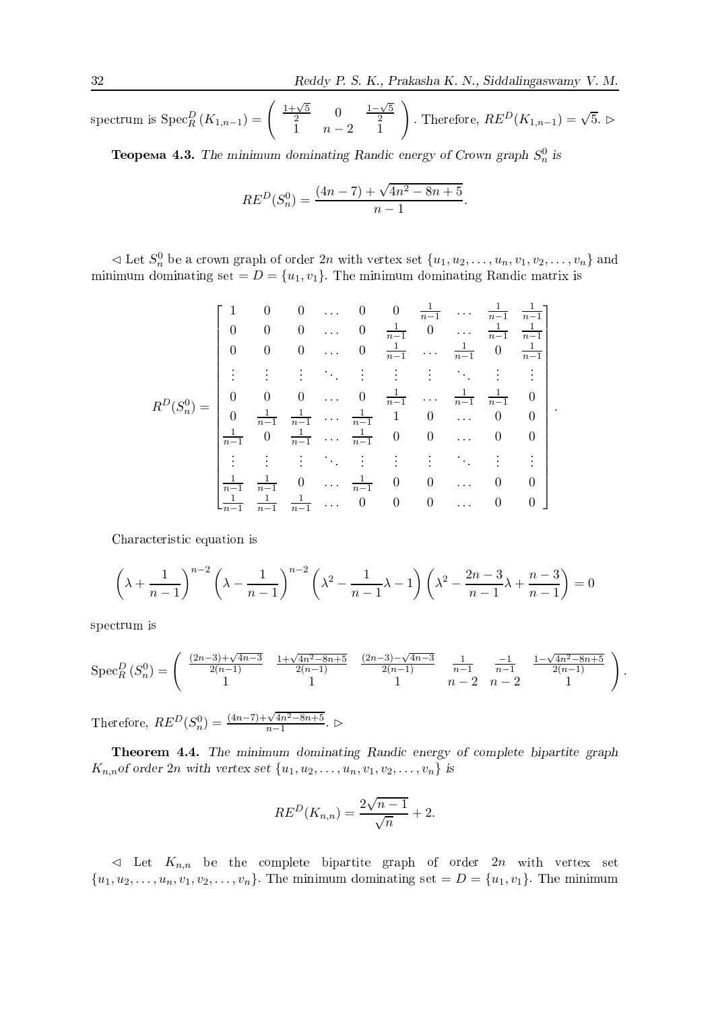spectrum is  $\operatorname{Spec}^D_R (K_{1,n-1}) = \begin{pmatrix} \frac{1+\sqrt{5}}{2} & 0 & \frac{1-\sqrt{5}}{2} \\ 1 & n-2 & 1 \end{pmatrix}$ . Therefore,  $RE^D(K_{1,n-1}) = \sqrt{5}$ .

**Теорема 4.3.** The minimum dominating Randic energy of Crown graph  $S_n^0$  is

$$
RE^D(S_n^0) = \frac{(4n-7) + \sqrt{4n^2 - 8n + 5}}{n-1}.
$$

 $\lhd$  Let  $S_n^0$  be a crown graph of order  $2n$  with vertex set  $\{u_1, u_2, \ldots, u_n, v_1, v_2, \ldots, v_n\}$  and minimum dominating set  $= D = \{u_1, v_1\}$ . The minimum dominating Randic matrix is

$$
R^{D}(S_{n}^{0}) = \begin{bmatrix} 1 & 0 & 0 & \cdots & 0 & 0 & \frac{1}{n-1} & \cdots & \frac{1}{n-1} & \frac{1}{n-1} \\ 0 & 0 & 0 & \cdots & 0 & \frac{1}{n-1} & 0 & \cdots & \frac{1}{n-1} & \frac{1}{n-1} \\ 0 & 0 & 0 & \cdots & 0 & \frac{1}{n-1} & \cdots & \frac{1}{n-1} & 0 & \frac{1}{n-1} \\ \vdots & \vdots & \vdots & \vdots & \vdots & \vdots & \vdots & \vdots & \vdots & \vdots \\ 0 & 0 & 0 & \cdots & 0 & \frac{1}{n-1} & \cdots & \frac{1}{n-1} & \frac{1}{n-1} & 0 \\ 0 & \frac{1}{n-1} & \frac{1}{n-1} & \cdots & \frac{1}{n-1} & 1 & 0 & \cdots & 0 & 0 \\ \vdots & \vdots & \vdots & \vdots & \vdots & \vdots & \vdots & \vdots & \vdots & \vdots \\ \frac{1}{n-1} & \frac{1}{n-1} & 0 & \cdots & \frac{1}{n-1} & 0 & 0 & \cdots & 0 & 0 \\ \frac{1}{n-1} & \frac{1}{n-1} & 0 & \cdots & \frac{1}{n-1} & 0 & 0 & \cdots & 0 & 0 \\ \frac{1}{n-1} & \frac{1}{n-1} & \frac{1}{n-1} & \cdots & 0 & 0 & 0 & \cdots & 0 & 0 \end{bmatrix}
$$

Characteristic equation is

$$
\left(\lambda + \frac{1}{n-1}\right)^{n-2} \left(\lambda - \frac{1}{n-1}\right)^{n-2} \left(\lambda^2 - \frac{1}{n-1}\lambda - 1\right) \left(\lambda^2 - \frac{2n-3}{n-1}\lambda + \frac{n-3}{n-1}\right) = 0
$$

spectrum is

$$
Spec_R^D(S_n^0) = \begin{pmatrix} \frac{(2n-3)+\sqrt{4n-3}}{2(n-1)} & \frac{1+\sqrt{4n^2-8n+5}}{2(n-1)} & \frac{(2n-3)-\sqrt{4n-3}}{2(n-1)} & \frac{1}{n-1} & \frac{-1}{n-1} & \frac{1-\sqrt{4n^2-8n+5}}{2(n-1)} \\ 1 & 1 & 1 & n-2 & n-2 & 1 \end{pmatrix}.
$$

Therefore,  $RE^D(S_n^0) = \frac{(4n-1) + \sqrt{4n^2}}{n-1}$  $\frac{\circ n + \circ}{\circ}$ .  $\triangleright$ 

Theorem 4.4. The minimum dominating Randic energy of complete bipartite graph  $K_{n,n}$  of order 2n with vertex set  $\{u_1, u_2, \ldots, u_n, v_1, v_2, \ldots, v_n\}$  is

$$
RE^D(K_{n,n}) = \frac{2\sqrt{n-1}}{\sqrt{n}} + 2.
$$

 $\lhd$  Let  $K_{n,n}$  be the complete bipartite graph of order 2n with vertex set  $\{u_1, u_2, \ldots, u_n, v_1, v_2, \ldots, v_n\}$ . The minimum dominating set  $D = \{u_1, v_1\}$ . The minimum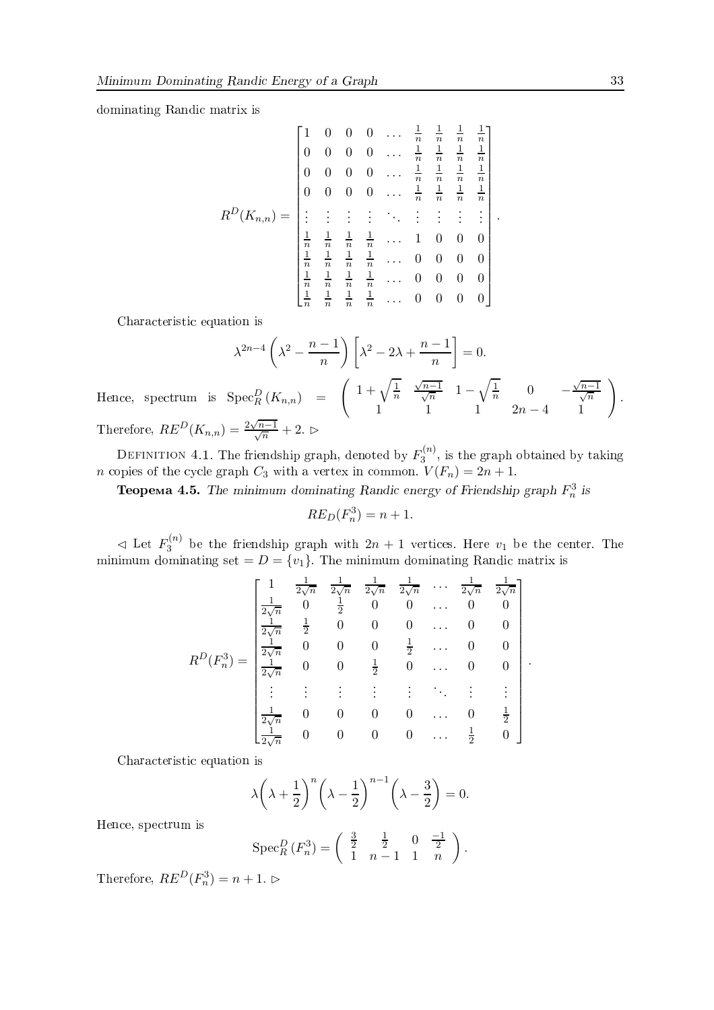dominating Randic matrix is

$$
R^{D}(K_{n,n}) = \begin{pmatrix} 1 & 0 & 0 & 0 & \dots & \frac{1}{n} & \frac{1}{n} & \frac{1}{n} & \frac{1}{n} & \frac{1}{n} \\ 0 & 0 & 0 & 0 & \dots & \frac{1}{n} & \frac{1}{n} & \frac{1}{n} & \frac{1}{n} \\ 0 & 0 & 0 & 0 & \dots & \frac{1}{n} & \frac{1}{n} & \frac{1}{n} & \frac{1}{n} \\ \vdots & \vdots & \vdots & \vdots & \ddots & \vdots & \vdots & \vdots \\ \frac{1}{n} & \frac{1}{n} & \frac{1}{n} & \frac{1}{n} & \dots & 1 & 0 & 0 & 0 \\ \frac{1}{n} & \frac{1}{n} & \frac{1}{n} & \frac{1}{n} & \dots & 0 & 0 & 0 & 0 \\ \frac{1}{n} & \frac{1}{n} & \frac{1}{n} & \frac{1}{n} & \dots & 0 & 0 & 0 & 0 \\ \frac{1}{n} & \frac{1}{n} & \frac{1}{n} & \frac{1}{n} & \dots & 0 & 0 & 0 & 0 \\ \frac{1}{n} & \frac{1}{n} & \frac{1}{n} & \frac{1}{n} & \dots & 0 & 0 & 0 & 0 \end{pmatrix}
$$

Characteristic equation is

$$
\lambda^{2n-4} \left( \lambda^2 - \frac{n-1}{n} \right) \left[ \lambda^2 - 2\lambda + \frac{n-1}{n} \right] = 0.
$$

Hence, spectrum is  $\operatorname{Spec}^D_R(K_{n,n}) = \begin{pmatrix} 1 + \sqrt{\frac{1}{n}} & \frac{\sqrt{n-1}}{\sqrt{n}} & 1 - \sqrt{\frac{1}{n}} & 0 & -\frac{\sqrt{n-1}}{\sqrt{n}} \\ 1 & 1 & 1 & 2n-4 & 1 \end{pmatrix}$ . Therefore,  $RE^{D}(K_{n,n}) = \frac{2\sqrt{n-1}}{\sqrt{n}} + 2.$   $\triangleright$ 

DEFINITION 4.1. The friendship graph, denoted by  $F_3^{(n)}$ , is the graph obtained by taking *n* copies of the cycle graph  $C_3$  with a vertex in common.  $V(F_n) = 2n + 1$ .

**Теорема 4.5.** The minimum dominating Randic energy of Friendship graph  $F_n^3$  is

$$
RE_D(F_n^3) = n + 1
$$

 $\lhd$  Let  $F_3^{(n)}$  be the friendship graph with  $2n + 1$  vertices. Here  $v_1$  be the center. The minimum dominating set  $= D = \{v_1\}$ . The minimum dominating Randic matrix is

$$
R^{D}(F_{n}^{3}) = \begin{bmatrix} 1 & \frac{1}{2\sqrt{n}} & \frac{1}{2\sqrt{n}} & \frac{1}{2\sqrt{n}} & \frac{1}{2\sqrt{n}} & \cdots & \frac{1}{2\sqrt{n}} & \frac{1}{2\sqrt{n}} \\ \frac{1}{2\sqrt{n}} & 0 & \frac{1}{2} & 0 & 0 & \cdots & 0 & 0 \\ \frac{1}{2\sqrt{n}} & \frac{1}{2} & 0 & 0 & 0 & \cdots & 0 & 0 \\ \frac{1}{2\sqrt{n}} & 0 & 0 & 0 & \frac{1}{2} & \cdots & 0 & 0 \\ \frac{1}{2\sqrt{n}} & 0 & 0 & \frac{1}{2} & 0 & \cdots & 0 & 0 \\ \vdots & \vdots & \vdots & \vdots & \vdots & \vdots & \vdots & \vdots \\ \frac{1}{2\sqrt{n}} & 0 & 0 & 0 & 0 & \cdots & 0 & \frac{1}{2} \\ \frac{1}{2\sqrt{n}} & 0 & 0 & 0 & 0 & \cdots & \frac{1}{2} & 0 \end{bmatrix}.
$$

Characteristic equation is

$$
\lambda \left(\lambda + \frac{1}{2}\right)^n \left(\lambda - \frac{1}{2}\right)^{n-1} \left(\lambda - \frac{3}{2}\right) = 0
$$

Hence, spectrum is

$$
Spec_R^D(F_n^3) = \begin{pmatrix} \frac{3}{2} & \frac{1}{2} & 0 & \frac{-1}{2} \\ 1 & n-1 & 1 & n \end{pmatrix}.
$$

Therefore,  $RE^D(F_n^3) = n + 1$ .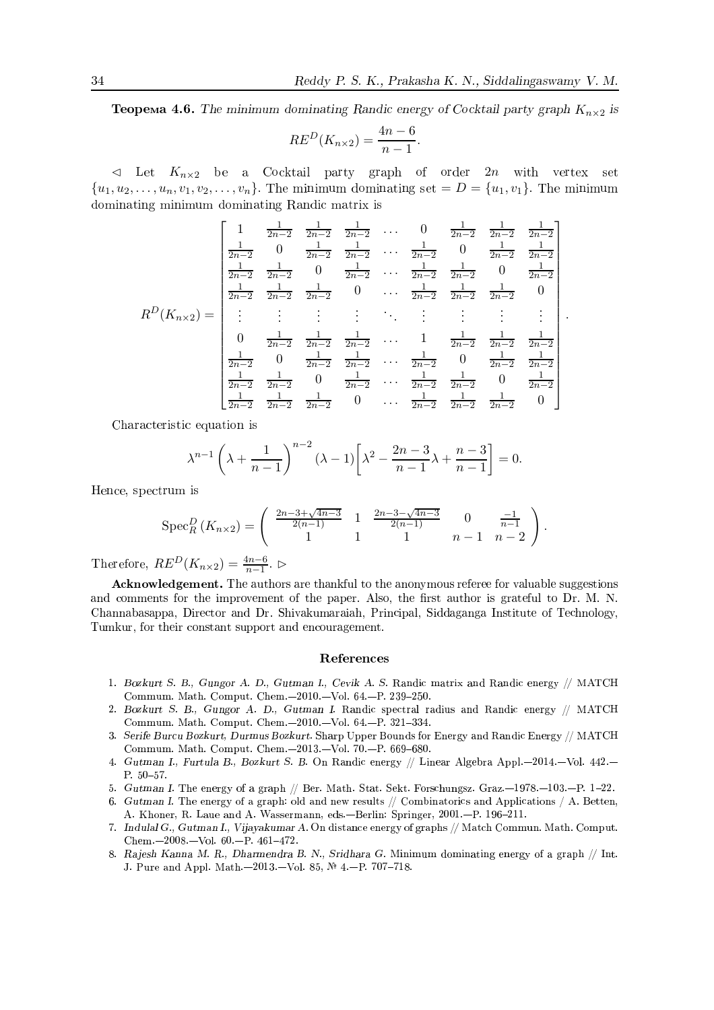**Teopema 4.6.** The minimum dominating Randic energy of Cocktail party graph  $K_{n\times 2}$  is

$$
RE^D(K_{n\times 2}) = \frac{4n-6}{n-1}.
$$

 $\triangleleft$  Let  $K_{n\times2}$  be a Cocktail party graph of order 2n with vertex set  $\{u_1, u_2, \ldots, u_n, v_1, v_2, \ldots, v_n\}$ . The minimum dominating set  $D = \{u_1, v_1\}$ . The minimum dominating minimum dominating Randic matrix is

$$
R^{D}(K_{n\times 2}) = \begin{vmatrix} 1 & \frac{1}{2n-2} & \frac{1}{2n-2} & \frac{1}{2n-2} & \cdots & 0 & \frac{1}{2n-2} & \frac{1}{2n-2} & \frac{1}{2n-2} \\ \frac{1}{2n-2} & 0 & \frac{1}{2n-2} & \frac{1}{2n-2} & \cdots & \frac{1}{2n-2} & 0 & \frac{1}{2n-2} & \frac{1}{2n-2} \\ \frac{1}{2n-2} & \frac{1}{2n-2} & 0 & \frac{1}{2n-2} & \cdots & \frac{1}{2n-2} & \frac{1}{2n-2} & 0 & \frac{1}{2n-2} \\ \frac{1}{2n-2} & \frac{1}{2n-2} & \frac{1}{2n-2} & 0 & \cdots & \frac{1}{2n-2} & \frac{1}{2n-2} & \frac{1}{2n-2} & 0 \\ \vdots & \vdots & \vdots & \vdots & \vdots & \vdots & \vdots & \vdots \\ 0 & \frac{1}{2n-2} & \frac{1}{2n-2} & \frac{1}{2n-2} & \cdots & 1 & \frac{1}{2n-2} & \frac{1}{2n-2} & \frac{1}{2n-2} \\ \frac{1}{2n-2} & 0 & \frac{1}{2n-2} & \frac{1}{2n-2} & \cdots & \frac{1}{2n-2} & 0 & \frac{1}{2n-2} & \frac{1}{2n-2} \\ \frac{1}{2n-2} & \frac{1}{2n-2} & 0 & \frac{1}{2n-2} & \cdots & \frac{1}{2n-2} & \frac{1}{2n-2} & 0 & \frac{1}{2n-2} \\ \frac{1}{2n-2} & \frac{1}{2n-2} & \frac{1}{2n-2} & 0 & \cdots & \frac{1}{2n-2} & \frac{1}{2n-2} & \frac{1}{2n-2} & 0 \end{vmatrix}
$$

Characteristic equation is

$$
\lambda^{n-1}\left(\lambda + \frac{1}{n-1}\right)^{n-2}(\lambda - 1)\left[\lambda^2 - \frac{2n-3}{n-1}\lambda + \frac{n-3}{n-1}\right] = 0.
$$

Hence, spectrum is

$$
Spec_R^D(K_{n\times 2}) = \begin{pmatrix} \frac{2n-3+\sqrt{4n-3}}{2(n-1)} & 1 & \frac{2n-3-\sqrt{4n-3}}{2(n-1)} & 0 & \frac{-1}{n-1} \\ 1 & 1 & 1 & n-1 & n-2 \end{pmatrix}
$$

Therefore,  $RE^{D}(K_{n\times2})=\frac{4n-6}{n-1}$ .

Acknowledgement. The authors are thankful to the anonymous referee for valuable suggestions and comments for the improvement of the paper. Also, the first author is grateful to Dr. M. N. Channabasappa, Director and Dr. Shivakumaraiah, Principal, Siddaganga Institute of Technology, Tumkur, for their constant support and encouragement.

#### References

- 1. Bozkurt S. B., Gungor A. D., Gutman I., Cevik A. S. Randic matrix and Randic energy // MATCH Commum. Math. Comput. Chem.-2010.-Vol. 64.-P. 239-250.
- 2. Bozkurt S. B., Gungor A. D., Gutman I. Randic spectral radius and Randic energy // MATCH Commum. Math. Comput. Chem.-2010.-Vol. 64.-P. 321-334.
- 3. Serife Burcu Bozkurt, Durmus Bozkurt. Sharp Upper Bounds for Energy and Randic Energy // MATCH Commum. Math. Comput. Chem.-2013.-Vol. 70.-P. 669-680.
- 4. Gutman I., Furtula B., Bozkurt S. B. On Randic energy // Linear Algebra Appl. -2014. Vol. 442. - $P. 50 - 57.$
- 5. Gutman I. The energy of a graph // Ber. Math. Stat. Sekt. Forschungsz. Graz.-1978.-103.-P. 1-22.
- 6. Gutman I. The energy of a graph: old and new results // Combinatorics and Applications / A. Betten. A. Khoner, R. Laue and A. Wassermann, eds.-Berlin: Springer, 2001.-P. 196-211.
- 7. Indulal G., Gutman I., Vijayakumar A. On distance energy of graphs // Match Commun. Math. Comput. Chem. $-2008 - Vol. 60 - P. 461 - 472$ .
- 8. Rajesh Kanna M. R., Dharmendra B. N., Sridhara G. Minimum dominating energy of a graph // Int. J. Pure and Appl. Math.-2013.-Vol. 85, № 4.-P. 707-718.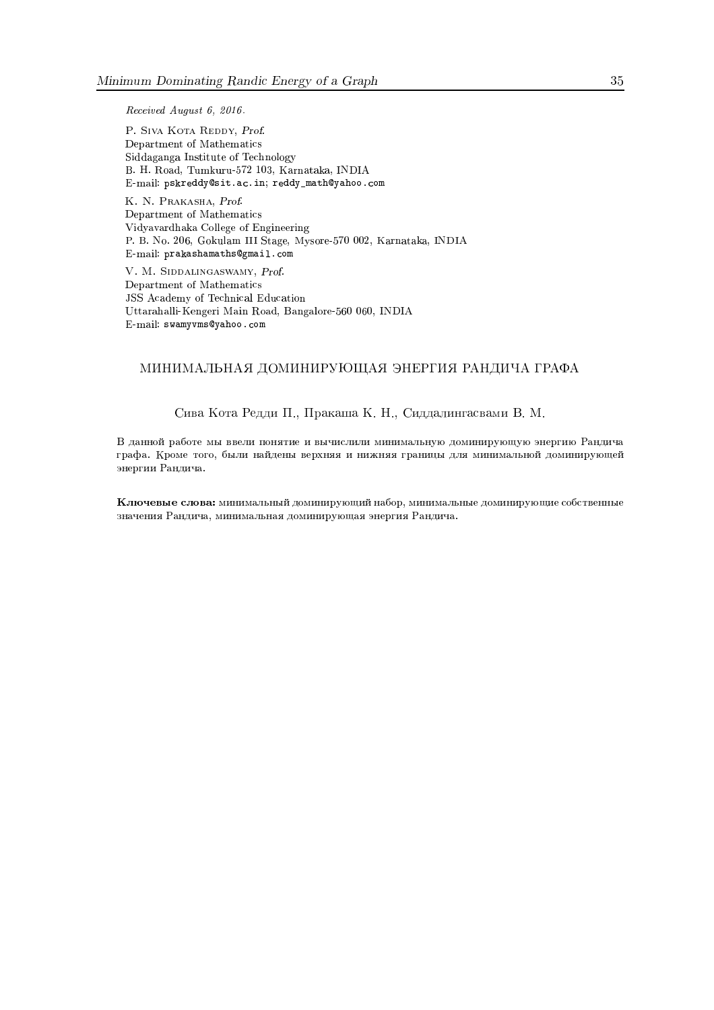Received August 6, 2016.

P. SIVA KOTA REDDY, Prof. Department of Mathematics Siddaganga Institute of Technology B. H. Road, Tumkuru-572 103, Karnataka, INDIA E-mail: pskreddy@sit.ac.in; reddy\_math@yahoo.com

K. N. PRAKASHA, Prof. Department of Mathematics Vidyavardhaka College of Engineering P. B. No. 206, Gokulam III Stage, Mysore-570 002, Karnataka, INDIA  $E$ -mail:  $prakashamaths \mathbb{Q}$ gmail.com

V. M. SIDDALINGASWAMY, Prof. Department of Mathematics JSS Academy of Technical Education Uttarahalli-Kengeri Main Road, Bangalore-560 060, INDIA E-mail: swamyvms@yahoo.com

### МИНИМАЛЬНАЯ ДОМИНИРУЮЩАЯ ЭНЕРГИЯ РАНДИЧА ГРАФА

Сива Кота Редди П., Пракаша К. Н., Сиддалингасвами В. М.

В данной работе мы ввели понятие и вычислили минимальную доминирующую энергию Рандича графа. Кроме того, были найдены верхняя и нижняя границы для минимальной доминирующей энергии Рандича.

Ключевые слова: минимальный доминирующий набор, минимальные доминирующие собственные значения Рандича, минимальная доминирующая энергия Рандича.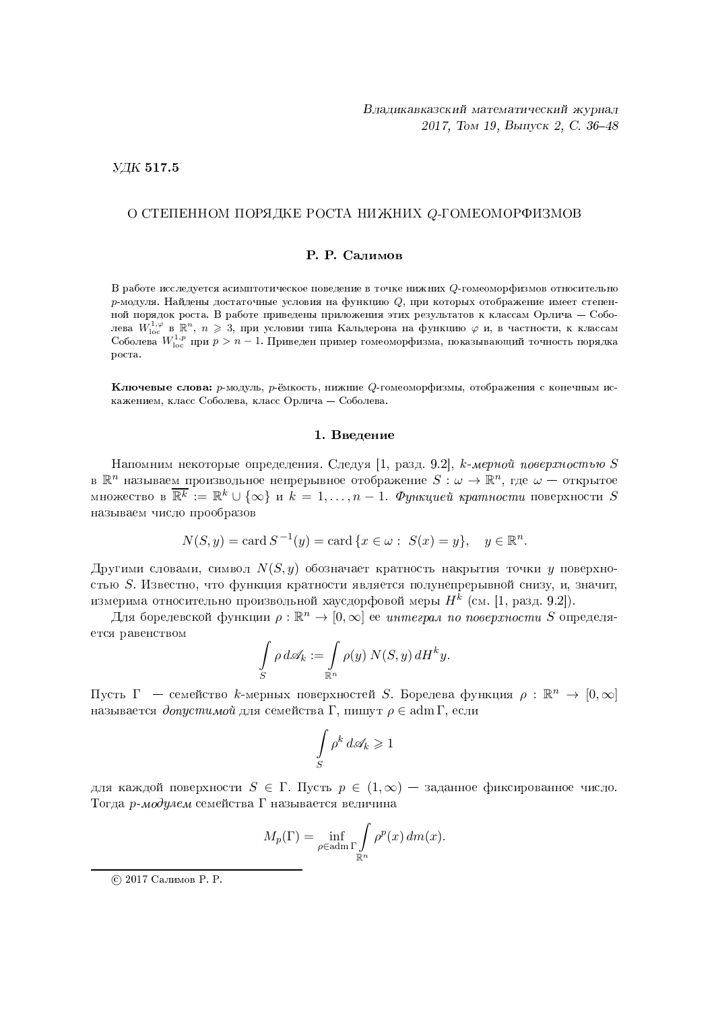#### $Y\!\!\!\perp K$  517.5

#### О СТЕПЕННОМ ПОРЯДКЕ Р BOt оста нижних  $Q$ -гомеоморфизмов  $\rm P\Phi\rm H3MOB$

#### Р. Р. Салимов

В работе исследуется асимптотическое поведение в точке нижних Q-гомеоморфизмов относительно  $p$ -модуля. Найдены достаточные условия на функцию  $Q,$  при которых отображение имеет степенной порядок роста. В работе приведены приложения этих результатов к классам Орлича — Соболева  $W^{1,\varphi}_{\rm loc}$  в<sub>.</sub> $\mathbb{R}^n,\;n\geqslant 3$ , при условии типа Кальдерона на функцию  $\varphi$  и, в частности, к классам Соболева  $W^{1,p}_{\rm loc}$  при  $p>n-1$ . Приведен пример гомеоморфизма, показывающий точность порядка DOCTA.

Ключевые слова: р-модуль, р-ёмкость, нижние Q-гомеоморфизмы, отображения с конечным искажением, класс Соболева, класс Орлича — Соболева.

#### 1. Введение

Напомним некоторые определения. Следуя [1, разд. 9.2],  $k$ -*мерной поверхностью S* в  $\mathbb{R}^n$  называе<u>м п</u>роизвольное непрерывное отображение  $S:\omega\to \mathbb{R}^n,$  где  $\omega$  — открытое множество в  $\overline{\mathbb{R}^k} := \mathbb{R}^k \cup \{\infty\}$  и  $k=1,\ldots,n-1$ .  $\varPhi$ ункцией кратности поверхности  $S$ называем число прообразов

$$
N(S, y) = \text{card } S^{-1}(y) = \text{card } \{x \in \omega : S(x) = y\}, \quad y \in \mathbb{R}^n.
$$

Другими словами, символ  $N(S, y)$  обозначает кратность накрытия точки  $y$  поверхностью  $S$ . Известно, что функция кратности является полунепрерывной снизу, и, значит, измерима относительно произвольной хаусдорфовой меры  $H^k$  (см. [1, разд. 9.2]).

Для борелевской функции  $\rho:\mathbb{R}^n\to[0,\infty]$  ее *интеграл по поверхности S* определяется равенством

$$
\int_{S} \rho \, d\mathscr{A}_k := \int_{\mathbb{R}^n} \rho(y) N(S, y) \, dH^k y.
$$

Пусть  $\Gamma$  — семейство  $k$ -мерных поверхностей  $S$ . Борелева функция  $\rho : \mathbb{R}^n \to [0,\infty]$ называется *допустимой* для семейства  $\Gamma,$  пишут  $\rho \in \operatorname{adm} \Gamma,$  если

$$
\int_{S} \rho^k \, d\mathcal{A}_k \ge 1
$$

для каждой поверхности  $S \in \Gamma$ . Пусть  $p \in (1,\infty)$  – заданное фиксированное число. Тогда  $p$ -модулем семейства Г называется величина

$$
M_p(\Gamma) = \inf_{\rho \in \text{adm}\,\Gamma} \int_{\mathbb{R}^n} \rho^p(x) \, dm(x).
$$

<sup>© 2017</sup> Салимов Р. Р.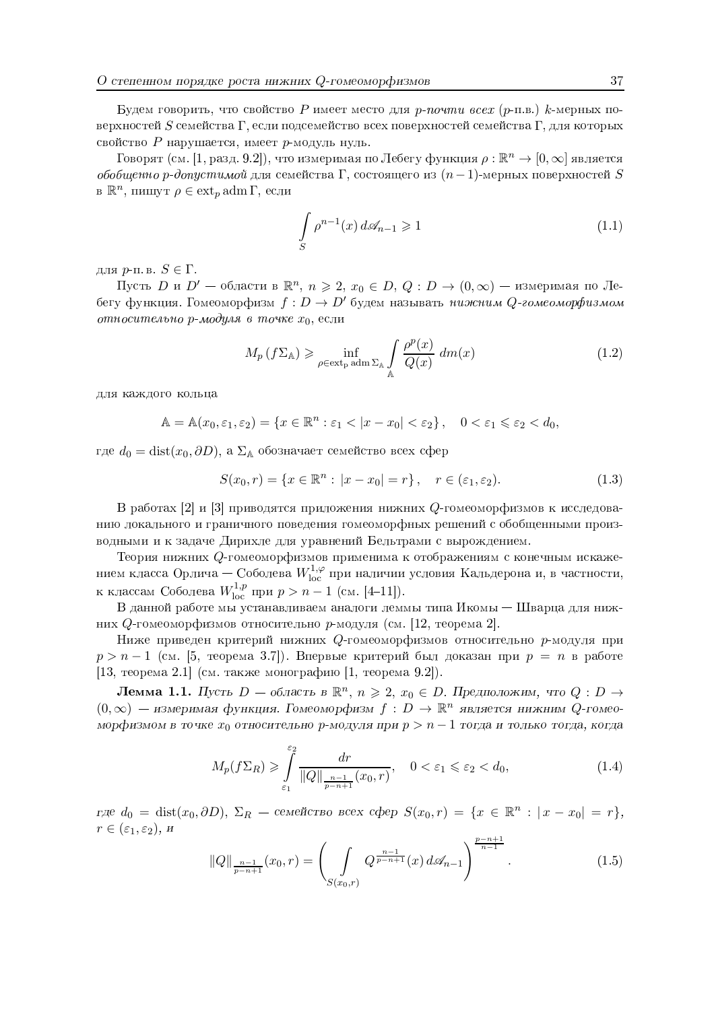Будем говорить, что свойство P имеет место для p-noчmu всех (р-п.в.) k-мерных поверхностей  $S$  семейства  $\Gamma$ , если подсемейство всех поверхностей семейства  $\Gamma$ , для которых свойство  $P$  нарушается, имеет  $p$ -модуль нуль.

Говорят (см. [1, разд. 9.2]), что измеримая по Лебегу функция  $\rho : \mathbb{R}^n \to [0, \infty]$  является обобщенно р-допустимой для семейства  $\Gamma$ , состоящего из  $(n-1)$ -мерных поверхностей S в  $\mathbb{R}^n$ , пишут  $\rho \in \text{ext}_p$  adm  $\Gamma$ , если

$$
\int_{S} \rho^{n-1}(x) d\mathcal{A}_{n-1} \geq 1
$$
\n(1.1)

для  $p$ -п. в.  $S \in \Gamma$ .

Пусть D и D' - области в  $\mathbb{R}^n$ ,  $n \geq 2$ ,  $x_0 \in D$ ,  $Q: D \to (0, \infty)$  - измеримая по Лебегу функция. Гомеоморфизм  $f: D \to D'$  будем называть нижним Q-гомеоморфизмом относительно р-модуля в точке  $x_0$ , если

$$
M_p(f\Sigma_A) \geqslant \inf_{\rho \in \text{ext}_p \text{ adm }\Sigma_A} \int_{\mathbb{A}} \frac{\rho^p(x)}{Q(x)} \, dm(x) \tag{1.2}
$$

для каждого кольца

$$
\mathbb{A} = \mathbb{A}(x_0, \varepsilon_1, \varepsilon_2) = \{ x \in \mathbb{R}^n : \varepsilon_1 < |x - x_0| < \varepsilon_2 \}, \quad 0 < \varepsilon_1 \leqslant \varepsilon_2 < d_0
$$

где  $d_0 = \text{dist}(x_0, \partial D)$ , а  $\Sigma_A$  обозначает семейство всех сфер

$$
S(x_0, r) = \{x \in \mathbb{R}^n : |x - x_0| = r\}, \quad r \in (\varepsilon_1, \varepsilon_2). \tag{1.3}
$$

В работах [2] и [3] приводятся приложения нижних Q-гомеоморфизмов к исследованию локального и граничного поведения гомеоморфных решений с обобщенными производными и к задаче Дирихле для уравнений Бельтрами с вырождением.

Теория нижних Q-гомеоморфизмов применима к отображениям с конечным искажением класса Орлича — Соболева  $W^{1,\varphi}_{\text{loc}}$  при наличии условия Кальдерона и, в частности, к классам Соболева  $W^{1,p}_{loc}$  при  $p > n-1$  (см. [4-11]).

В данной работе мы устанавливаем аналоги леммы типа Икомы - Шварца для нижних  $Q$ -гомеоморфизмов относительно р-модуля (см. [12, теорема 2].

Ниже приведен критерий нижних Q-гомеоморфизмов относительно р-модуля при  $p > n - 1$  (см. [5, теорема 3.7]). Впервые критерий был доказан при  $p = n$  в работе [13, теорема 2.1] (см. также монографию [1, теорема 9.2]).

**Лемма 1.1.** Пусть  $D -$ область в  $\mathbb{R}^n$ ,  $n \geq 2$ ,  $x_0 \in D$ . Предположим, что  $Q : D \to$  $(0,\infty)$  — измеримая функция. Гомеоморфизм  $f: D \to \mathbb{R}^n$  является нижним Q-гомеоморфизмом в точке  $x_0$  относительно р-модуля при  $p > n - 1$  тогда и только тогда, когда

$$
M_p(f\Sigma_R) \ge \int_{\varepsilon_1}^{\varepsilon_2} \frac{dr}{\|Q\|_{\frac{n-1}{p-n+1}}(x_0, r)}, \quad 0 < \varepsilon_1 \le \varepsilon_2 < d_0,\tag{1.4}
$$

где  $d_0 = \text{dist}(x_0, \partial D)$ ,  $\Sigma_R$  — семейство всех сфер  $S(x_0, r) = \{x \in \mathbb{R}^n : |x - x_0| = r\},\$  $r \in (\varepsilon_1, \varepsilon_2), u$ 

$$
||Q||_{\frac{n-1}{p-n+1}}(x_0,r) = \left(\int\limits_{S(x_0,r)} Q^{\frac{n-1}{p-n+1}}(x) d\mathcal{A}_{n-1}\right)^{\frac{p-n+1}{n-1}}.
$$
 (1.5)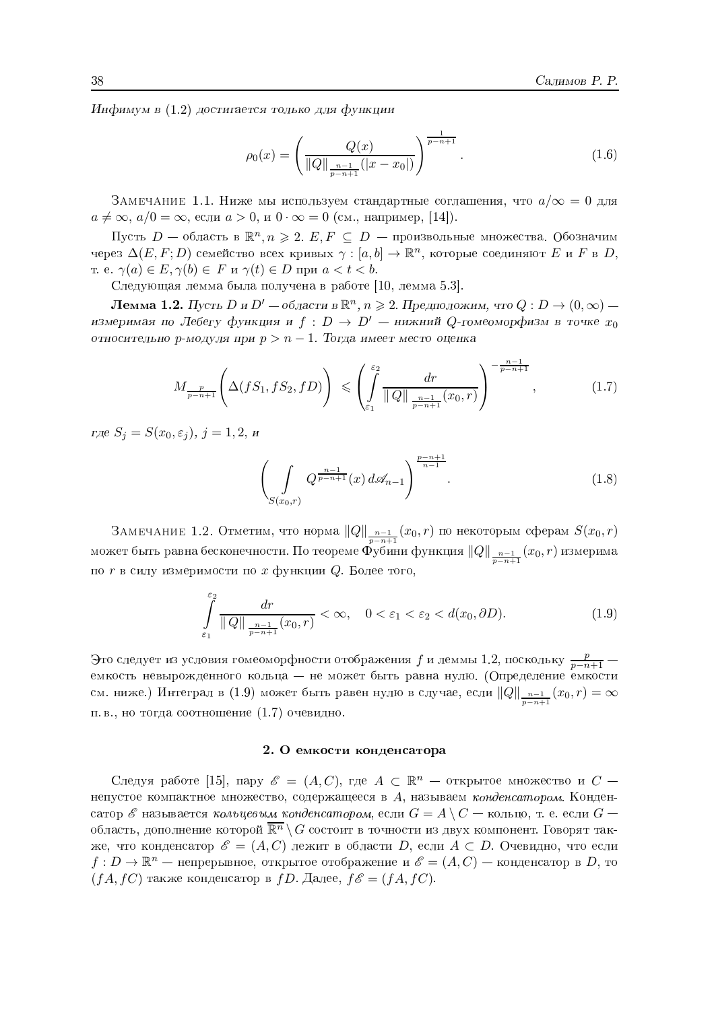Инфимум в (1.2) достигается только для функции

$$
\rho_0(x) = \left(\frac{Q(x)}{\|Q\|_{\frac{n-1}{p-n+1}}(|x-x_0|)}\right)^{\frac{1}{p-n+1}}.\tag{1.6}
$$

ЗАМЕЧАНИЕ 1.1. Ниже мы используем стандартные соглашения, что  $a/\infty = 0$  для  $a \neq \infty$ ,  $a/0 = \infty$ , если  $a > 0$ , и  $0 \cdot \infty = 0$  (см., например, [14]).

Пусть  $D$  — область в  $\mathbb{R}^n, n \geqslant 2$ .  $E, F \subseteq D$  — произвольные множества. Обозначим через  $\Delta(E, F; D)$  семейство всех кривых  $\gamma : [a, b] \to \mathbb{R}^n$ , которые соединяют E и F в D, T. e.  $\gamma(a) \in E$ ,  $\gamma(b) \in F$   $\alpha \gamma(t) \in D$  при  $a < t < b$ .

Следующая лемма была получена в работе [10, лемма 5.3].

**Лемма 1.2.** Пусть D и D' – области в  $\mathbb{R}^n$ ,  $n \ge 2$ . Предположим, что  $Q: D \to (0, \infty)$  – измеримая по Лебегу функция и  $f: D \to D'$  – нижний Q-гомеоморфизм в точке  $x_0$ относительно р-модуля при  $p > n - 1$ . Тогда имеет место оценка

$$
M_{\frac{p}{p-n+1}}\left(\Delta(fS_1, fS_2, fD)\right) \leqslant \left(\int_{\varepsilon_1}^{\varepsilon_2} \frac{dr}{\|Q\|_{\frac{n-1}{p-n+1}}(x_0, r)}\right)^{-\frac{n-1}{p-n+1}},\tag{1.7}
$$

где  $S_i = S(x_0, \varepsilon_i), j = 1, 2, n$ 

$$
\left(\int\limits_{S(x_0,r)} Q^{\frac{n-1}{p-n+1}}(x) \, d\mathcal{A}_{n-1}\right)^{\frac{p-n+1}{n-1}}.\tag{1.8}
$$

ЗАМЕЧАНИЕ 1.2. Отметим, что норма  $||Q||_{\frac{n-1}{p-n+1}}(x_0,r)$  по некоторым сферам  $S(x_0,r)$  может быть равна бесконечности. По теореме Фубини функция  $||Q||_{\frac{n-1}{p-n+1}}(x_0,r)$  измерима по  $r$  в силу измеримости по  $x$  функции  $Q$ . Более того,

$$
\int_{\varepsilon_1}^{\varepsilon_2} \frac{dr}{\|Q\|_{\frac{n-1}{p-n+1}}(x_0, r)} < \infty, \quad 0 < \varepsilon_1 < \varepsilon_2 < d(x_0, \partial D). \tag{1.9}
$$

Это следует из условия гомеоморфности отображения  $f$  и леммы 1.2, поскольку  $\frac{p}{n-n+1}$ емкость невырожденного кольца — не может быть равна нулю. (Определение емкости см. ниже.) Интеграл в (1.9) может быть равен нулю в случае, если  $||Q||_{\frac{n-1}{n-n+1}}(x_0,r)=\infty$ п. в., но тогда соотношение (1.7) очевидно.

## 2. О емкости конденсатора

Следуя работе [15], пару  $\mathscr{E} = (A, C)$ , где  $A \subset \mathbb{R}^n$  — открытое множество и  $C$  непустое компактное множество, содержащееся в  $A$ , называем конденсатором. Конденсатор  $\mathscr E$  называется кольцевым конденсатором, если  $G = A \setminus C$  — кольцо, т. е. если  $G$  область, дополнение которой  $\overline{\mathbb{R}^n} \setminus G$  состоит в точности из двух компонент. Говорят также, что конденсатор  $\mathscr{E} = (A, C)$  лежит в области D, если  $A \subset D$ . Очевидно, что если  $f: D \to \mathbb{R}^n$  — непрерывное, открытое отображение и  $\mathscr{E} = (A, C)$  — конденсатор в D, то  $(fA, fC)$  также конденсатор в  $fD$ . Далее,  $f\mathscr{E} = (fA, fC)$ .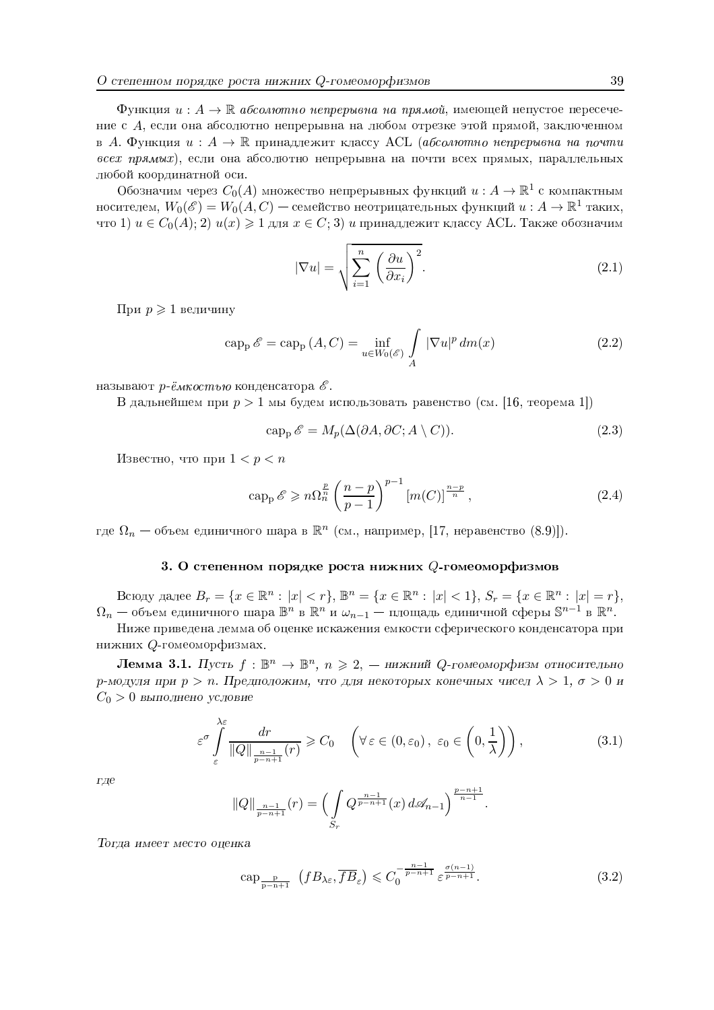Функция  $u: A \to \mathbb{R}$  абсолютно непрерывна на прямой, имеющей непустое пересечение с A, если она абсолютно непрерывна на любом отрезке этой прямой, заключенном в А. Функция  $u: A \to \mathbb{R}$  принадлежит классу ACL (абсолютно непрерывна на почти всех прямых), если она абсолютно непрерывна на почти всех прямых, параллельных любой координатной оси.

Обозначим через  $C_0(A)$  множество непрерывных функций  $u: A \to \mathbb{R}^1$  с компактным носителем,  $W_0(\mathscr{E}) = W_0(A,C)$  — семейство неотрицательных функций  $u : A \to \mathbb{R}^1$  таких, что 1)  $u \in C_0(A)$ ; 2)  $u(x) \ge 1$  для  $x \in C$ ; 3) и принадлежит классу ACL. Также обозначим

$$
|\nabla u| = \sqrt{\sum_{i=1}^{n} \left(\frac{\partial u}{\partial x_i}\right)^2}.
$$
\n(2.1)

При  $p \geqslant 1$  величину

$$
\operatorname{cap}_{\mathbf{p}} \mathscr{E} = \operatorname{cap}_{\mathbf{p}} (A, C) = \inf_{u \in W_0(\mathscr{E})} \int_A |\nabla u|^p \, dm(x) \tag{2.2}
$$

называют р-ёмкостью конденсатора  $\mathscr E$ .

В дальнейшем при  $p > 1$  мы будем использовать равенство (см. [16, теорема 1])

$$
\operatorname{cap}_{\mathbf{p}} \mathscr{E} = M_p(\Delta(\partial A, \partial C; A \setminus C)). \tag{2.3}
$$

Известно, что при  $1 < p < n$ 

$$
\operatorname{cap}_{\mathbf{p}} \mathscr{E} \geqslant n \Omega_n^{\frac{p}{n}} \left( \frac{n-p}{p-1} \right)^{p-1} \left[ m(C) \right]^{\frac{n-p}{n}},\tag{2.4}
$$

где  $\Omega_n$  — объем единичного шара в  $\mathbb{R}^n$  (см., например, [17, неравенство (8.9)]).

## 3. О степенном порядке роста нижних Q-гомеоморфизмов

Всюду далее  $B_r = \{x \in \mathbb{R}^n : |x| < r\}$ ,  $\mathbb{B}^n = \{x \in \mathbb{R}^n : |x| < 1\}$ ,  $S_r = \{x \in \mathbb{R}^n : |x| = r\}$ ,  $\Omega_n$  — объем единичного шара  $\mathbb{B}^n$  в  $\mathbb{R}^n$  и  $\omega_{n-1}$  — площадь единичной сферы  $\mathbb{S}^{n-1}$  в  $\mathbb{R}^n$ .

Ниже приведена лемма об оценке искажения емкости сферического конденсатора при нижних Q-гомеоморфизмах.

**Лемма 3.1.** Пусть  $f : \mathbb{B}^n \to \mathbb{B}^n$ ,  $n \geq 2$ , — нижний Q-гомеоморфизм относительно р-модуля при  $p > n$ . Предположим, что для некоторых конечных чисел  $\lambda > 1$ ,  $\sigma > 0$  и  $C_0 > 0$  выполнено условие

$$
\varepsilon^{\sigma} \int_{\varepsilon}^{\lambda \varepsilon} \frac{dr}{\|Q\|_{\frac{n-1}{p-n+1}}(r)} \geqslant C_0 \quad \left(\forall \varepsilon \in (0, \varepsilon_0), \ \varepsilon_0 \in \left(0, \frac{1}{\lambda}\right)\right),\tag{3.1}
$$

где

$$
||Q||_{\frac{n-1}{p-n+1}}(r) = \left(\int\limits_{S_r} Q^{\frac{n-1}{p-n+1}}(x) d\mathcal{A}_{n-1}\right)^{\frac{p-n+1}{n-1}}.
$$

Тогда имеет место оценка

$$
\operatorname{cap}_{\frac{\mathbf{p}}{\mathbf{p}-\mathbf{n}+1}}\left(fB_{\lambda\varepsilon},\overline{fB}_{\varepsilon}\right)\leqslant C_{0}^{-\frac{n-1}{p-n+1}}\varepsilon^{\frac{\sigma(n-1)}{p-n+1}}.\tag{3.2}
$$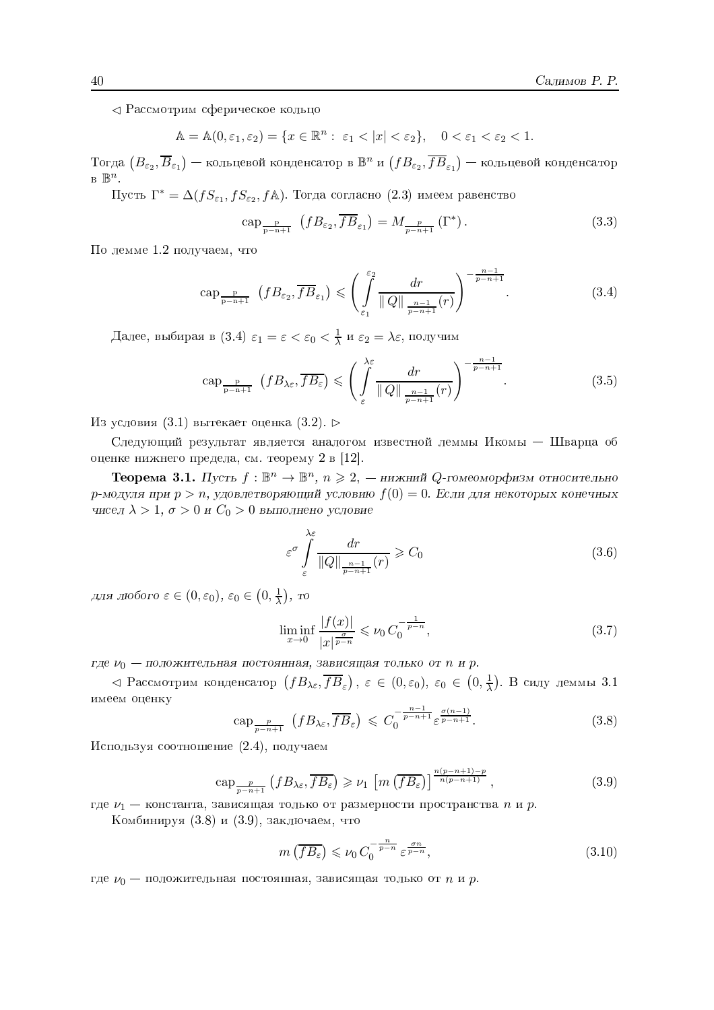⊲ Рассмотрим сферическое кольцо

$$
\mathbb{A} = \mathbb{A}(0, \varepsilon_1, \varepsilon_2) = \{ x \in \mathbb{R}^n : \ \varepsilon_1 < |x| < \varepsilon_2 \}, \quad 0 < \varepsilon_1 < \varepsilon_2 < 1.
$$

Тогда  $(B_{\varepsilon_2}, \overline{B}_{\varepsilon_1})$  — кольцевой конденсатор в  $\mathbb{B}^n$  и  $(fB_{\varepsilon_2}, \overline{fB}_{\varepsilon_1})$  — кольцевой конденсатор  $B \mathbb{B}^n$ .

Пусть  $\Gamma^* = \Delta(fS_{\varepsilon_1}, fS_{\varepsilon_2}, f\mathbb{A})$ . Тогда согласно (2.3) имеем равенство

$$
\operatorname{cap}_{\frac{\mathbf{p}}{\mathbf{p}-\mathbf{n}+1}}\left(fB_{\varepsilon_{2}},\overline{fB}_{\varepsilon_{1}}\right)=M_{\frac{\mathbf{p}}{\mathbf{p}-\mathbf{n}+1}}\left(\Gamma^{*}\right). \tag{3.3}
$$

По лемме 1.2 получаем, что

$$
\operatorname{cap}_{\frac{\mathbf{p}}{\mathbf{p}-\mathbf{n}+1}}\left(fB_{\varepsilon_{2}},\overline{fB}_{\varepsilon_{1}}\right) \leqslant \left(\int_{\varepsilon_{1}}^{\varepsilon_{2}} \frac{dr}{\|Q\|_{\frac{n-1}{\mathbf{p}-\mathbf{n}+1}}(r)}\right)^{-\frac{n-1}{\mathbf{p}-\mathbf{n}+1}}.\tag{3.4}
$$

Далее, выбирая в (3.4)  $\varepsilon_1 = \varepsilon < \varepsilon_0 < \frac{1}{\lambda}$  и  $\varepsilon_2 = \lambda \varepsilon$ , получим

$$
\operatorname{cap}_{\frac{\mathbf{p}}{\mathbf{p}-\mathbf{n}+1}}\left(fB_{\lambda\varepsilon},\overline{fB_{\varepsilon}}\right) \leqslant \left(\int_{\varepsilon}^{\lambda\varepsilon} \frac{dr}{\|Q\|_{\frac{n-1}{\mathbf{p}-\mathbf{n}+1}}(r)}\right)^{-\frac{n-1}{\mathbf{p}-\mathbf{n}+1}}.\tag{3.5}
$$

Из условия (3.1) вытекает оценка (3.2).  $\triangleright$ 

Следующий результат является аналогом известной леммы Икомы - Шварца об оценке нижнего предела, см. теорему 2 в [12].

**Теорема 3.1.** Пусть  $f: \mathbb{B}^n \to \mathbb{B}^n$ ,  $n \geq 2$ , — нижний Q-гомеоморфизм относительно  $p$ -модуля при  $p > n$ , удовлетворяющий условию  $f(0) = 0$ . Если для некоторых конечных чисел  $\lambda > 1$ ,  $\sigma > 0$  и  $C_0 > 0$  выполнено условие

$$
\varepsilon^{\sigma} \int_{\varepsilon}^{\lambda \varepsilon} \frac{dr}{\|Q\|_{\frac{n-1}{p-n+1}}(r)} \geqslant C_0 \tag{3.6}
$$

для любого  $\varepsilon \in (0, \varepsilon_0)$ ,  $\varepsilon_0 \in (0, \frac{1}{\lambda})$ , то

$$
\liminf_{x \to 0} \frac{|f(x)|}{|x|^{\frac{\sigma}{p-n}}} \leq \nu_0 C_0^{-\frac{1}{p-n}},\tag{3.7}
$$

где  $\nu_0$  — положительная постоянная, зависящая только от n и p.

⊲ Рассмотрим конденсатор  $(fB_{\lambda\varepsilon},\overline{fB}_{\varepsilon})$ ,  $\varepsilon \in (0,\varepsilon_0)$ ,  $\varepsilon_0 \in (0,\frac{1}{\lambda})$ . В силу леммы 3.1 имеем оценку

$$
\operatorname{cap}_{\frac{p}{p-n+1}}\left(fB_{\lambda\varepsilon},\overline{fB}_{\varepsilon}\right)\leqslant C_{0}^{-\frac{n-1}{p-n+1}}\varepsilon^{\frac{\sigma(n-1)}{p-n+1}}.\tag{3.8}
$$

Используя соотношение (2.4), получаем

$$
\operatorname{cap}_{\frac{p}{p-n+1}}\left(fB_{\lambda\varepsilon},\overline{fB_{\varepsilon}}\right) \geqslant \nu_1\left[m\left(\overline{fB_{\varepsilon}}\right)\right]^{\frac{n(p-n+1)-p}{n(p-n+1)}},\tag{3.9}
$$

где  $\nu_1$  — константа, зависящая только от размерности пространства *n* и *p*.

Комбинируя (3.8) и (3.9), заключаем, что

$$
m\left(\overline{fB_{\varepsilon}}\right) \leqslant \nu_0 C_0^{-\frac{n}{p-n}} \varepsilon^{\frac{\sigma n}{p-n}},\tag{3.10}
$$

где  $\nu_0$  — положительная постоянная, зависящая только от *n* и *p*.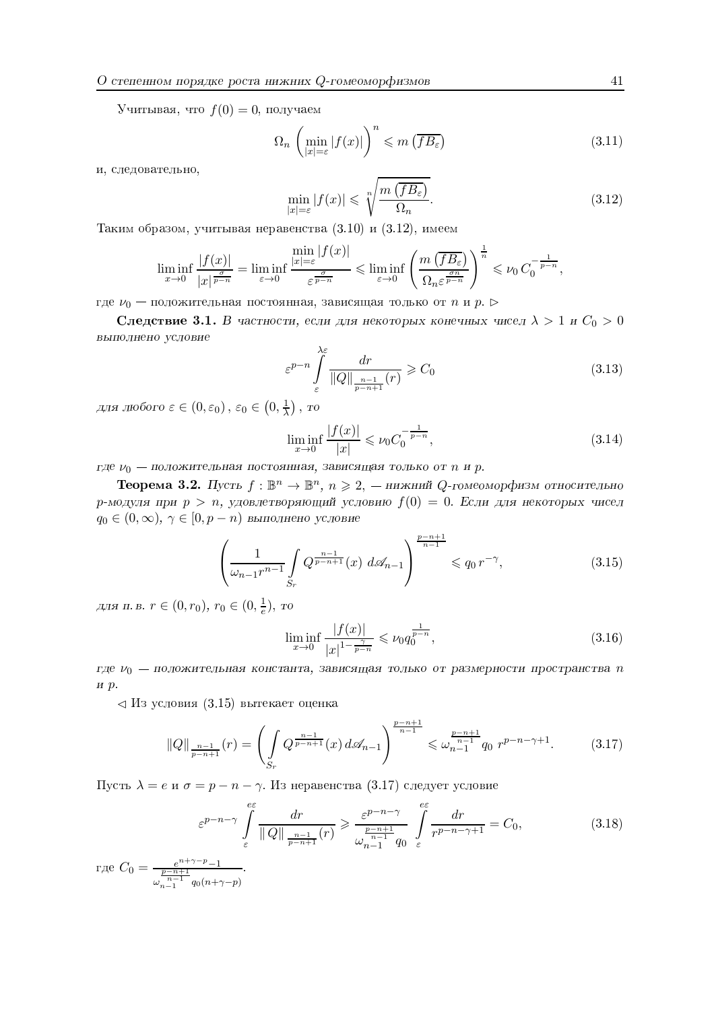Учитывая, что  $f(0) = 0$ , получаем

$$
\Omega_n \left( \min_{|x| = \varepsilon} |f(x)| \right)^n \leqslant m \left( \overline{fB_{\varepsilon}} \right) \tag{3.11}
$$

и, следовательно,

$$
\min_{|x|=\varepsilon} |f(x)| \leqslant \sqrt[n]{\frac{m\left(\overline{fB_{\varepsilon}}\right)}{\Omega_n}}.\tag{3.12}
$$

Таким образом, учитывая неравенства (3.10) и (3.12), имеем

$$
\liminf_{x \to 0} \frac{|f(x)|}{|x|^{\frac{\sigma}{p-n}}} = \liminf_{\varepsilon \to 0} \frac{\min_{|x| = \varepsilon} |f(x)|}{\varepsilon^{\frac{\sigma}{p-n}}} \leqslant \liminf_{\varepsilon \to 0} \left( \frac{m(\overline{fB_{\varepsilon}})}{\Omega_n \varepsilon^{\frac{\sigma n}{p-n}}} \right)^{\frac{1}{n}} \leqslant \nu_0 C_0^{-\frac{1}{p-n}},
$$

где  $\nu_0$  — положительная постоянная, зависящая только от n и p.  $\triangleright$ 

Следствие 3.1. В частности, если для некоторых конечных чисел  $\lambda > 1$  и  $C_0 > 0$ выполнено условие

$$
\varepsilon^{p-n} \int\limits_{\varepsilon}^{\lambda \varepsilon} \frac{dr}{\|Q\|_{\frac{n-1}{p-n+1}}(r)} \geqslant C_0 \tag{3.13}
$$

для любого  $\varepsilon \in (0, \varepsilon_0)$ ,  $\varepsilon_0 \in (0, \frac{1}{2})$ , то

$$
\liminf_{x \to 0} \frac{|f(x)|}{|x|} \leqslant \nu_0 C_0^{-\frac{1}{p-n}},\tag{3.14}
$$

где  $\nu_0$  — положительная постоянная, зависящая только от n и p.

**Теорема 3.2.** Пусть  $f: \mathbb{B}^n \to \mathbb{B}^n$ ,  $n \geq 2$ , — нижний Q-гомеоморфизм относительно р-модуля при  $p > n$ , удовлетворяющий условию  $f(0) = 0$ . Если для некоторых чисел  $q_0 \in (0,\infty)$ ,  $\gamma \in [0,p-n)$  выполнено условие

$$
\left(\frac{1}{\omega_{n-1}r^{n-1}} \int\limits_{S_r} Q^{\frac{n-1}{p-n+1}}(x) \, d\mathcal{A}_{n-1}\right)^{\frac{p-n+1}{n-1}} \leqslant q_0 \, r^{-\gamma},\tag{3.15}
$$

для п. в.  $r \in (0, r_0)$ ,  $r_0 \in (0, \frac{1}{e})$ , то

$$
\liminf_{x \to 0} \frac{|f(x)|}{|x|^{1 - \frac{\gamma}{p - n}}} \leqslant \nu_0 q_0^{\frac{1}{p - n}},\tag{3.16}
$$

где  $\nu_0$  — положительная константа, зависящая только от размерности пространства п  $H$   $p$ .

 $\triangleleft$  Из условия (3.15) вытекает оценка

$$
||Q||_{\frac{n-1}{p-n+1}}(r) = \left(\int\limits_{S_r} Q^{\frac{n-1}{p-n+1}}(x) d\mathcal{A}_{n-1}\right)^{\frac{p-n+1}{n-1}} \leq \omega_{n-1}^{\frac{p-n+1}{n-1}} q_0 r^{p-n-\gamma+1}.
$$
 (3.17)

Пусть  $\lambda = e$  и  $\sigma = p - n - \gamma$ . Из неравенства (3.17) следует условие

$$
\varepsilon^{p-n-\gamma} \int\limits_{\varepsilon}^{\varepsilon\varepsilon} \frac{dr}{\|Q\|_{\frac{n-1}{p-n+1}}(r)} \geqslant \frac{\varepsilon^{p-n-\gamma}}{\omega_{n-1}^{\frac{p-n+1}{n-1}}q_0} \int\limits_{\varepsilon}^{\varepsilon\varepsilon} \frac{dr}{r^{p-n-\gamma+1}} = C_0,
$$
\n(3.18)

где  $C_0 = \frac{e^{n+\gamma-p}-1}{\frac{p-n+1}{n-1}-q_0(n+\gamma-p)}$ .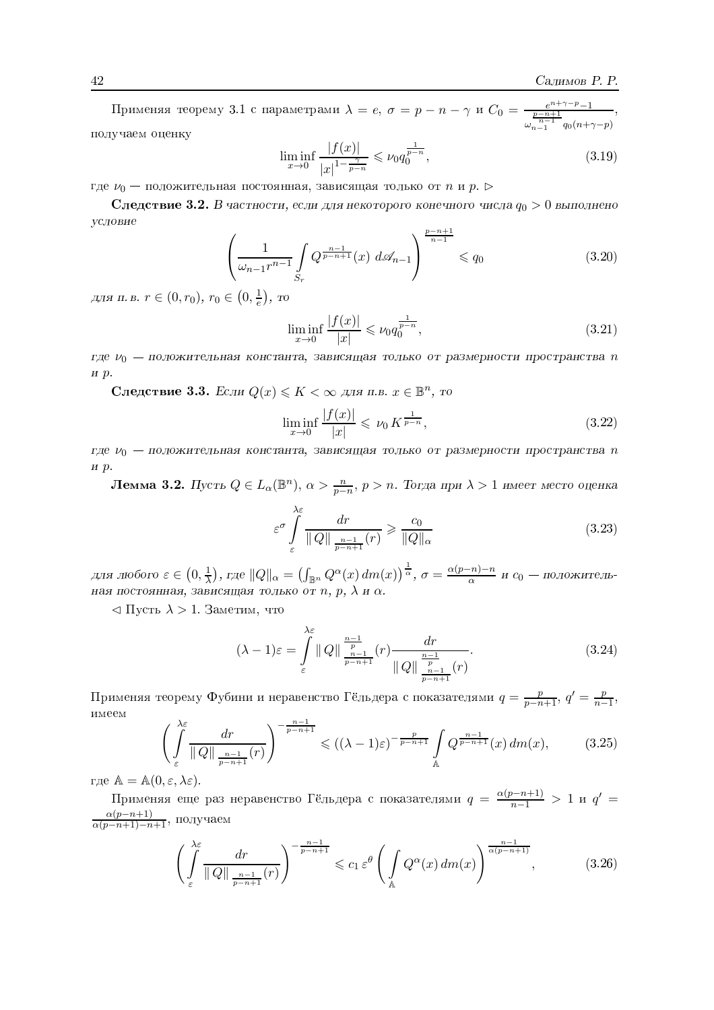Применяя теорему 3.1 с параметрами  $\lambda = e, \sigma = p - n - \gamma$  и  $C_0 = \frac{e^{n+\gamma-p}-1}{\frac{p-n+1}{n-1}a_0(n+\gamma-p)}$ получаем оценку

$$
\liminf_{x \to 0} \frac{|f(x)|}{|x|^{1 - \frac{\gamma}{p - n}}} \leqslant \nu_0 q_0^{\frac{1}{p - n}},\tag{3.19}
$$

где  $\nu_0$  — положительная постоянная, зависящая только от *n* и *p*.

Следствие 3.2. В частности, если для некоторого конечного числа  $q_0 > 0$  выполнено условие  $p-n+1$ 

$$
\left(\frac{1}{\omega_{n-1}r^{n-1}} \int\limits_{S_r} Q^{\frac{n-1}{p-n+1}}(x) \, d\mathcal{A}_{n-1}\right)^{\frac{r}{n-1}} \leqslant q_0 \tag{3.20}
$$

для п. в.  $r \in (0, r_0)$ ,  $r_0 \in (0, \frac{1}{e})$ , то

$$
\liminf_{x \to 0} \frac{|f(x)|}{|x|} \leqslant \nu_0 q_0^{\frac{1}{p-n}},\tag{3.21}
$$

где  $\nu_0$  — положительная константа, зависящая только от размерности пространства п  $H \, p.$ 

Следствие 3.3. Если  $Q(x) \leq K < \infty$  для п.в.  $x \in \mathbb{B}^n$ , то

$$
\liminf_{x \to 0} \frac{|f(x)|}{|x|} \leqslant \nu_0 K^{\frac{1}{p-n}},\tag{3.22}
$$

где  $\nu_0$  — положительная константа, зависящая только от размерности пространства п  $H$   $p$ .

**Лемма 3.2.** Пусть  $Q \in L_{\alpha}(\mathbb{B}^n)$ ,  $\alpha > \frac{n}{p-n}$ ,  $p > n$ . Тогда при  $\lambda > 1$  имеет место оценка

$$
\varepsilon^{\sigma} \int_{\varepsilon}^{\lambda \varepsilon} \frac{dr}{\|Q\|_{\frac{n-1}{p-n+1}}(r)} \ge \frac{c_0}{\|Q\|_{\alpha}}
$$
\n(3.23)

для любого  $\varepsilon \in (0, \frac{1}{\lambda})$ , где  $||Q||_{\alpha} = (\int_{\mathbb{B}^n} Q^{\alpha}(x) dm(x))^{\frac{1}{\alpha}}$ ,  $\sigma = \frac{\alpha(p-n)-n}{\alpha}$  и  $c_0$  — положительная постоянная, зависящая только от n, p,  $\lambda$  и  $\alpha$ .

 $\langle \text{I} \rangle$  Пусть  $\lambda > 1$ . Заметим, что

$$
(\lambda - 1)\varepsilon = \int_{\varepsilon}^{\lambda \varepsilon} ||Q|| \frac{\frac{n-1}{p}}{\frac{n-1}{p-n+1}}(r) \frac{dr}{||Q|| \frac{\frac{n-1}{p}}{\frac{n-1}{p-n+1}}(r)}.
$$
\n(3.24)

Применяя теорему Фубини и неравенство Гёльдера с показателями  $q = \frac{p}{p-n+1}$ ,  $q' = \frac{p}{n-1}$ , имеем

$$
\left(\int_{\varepsilon}^{\lambda\varepsilon} \frac{dr}{\|Q\|_{\frac{n-1}{p-n+1}}(r)}\right)^{-\frac{n-1}{p-n+1}} \leqslant \left((\lambda-1)\varepsilon\right)^{-\frac{p}{p-n+1}} \int_{\mathbb{A}} Q^{\frac{n-1}{p-n+1}}(x) \, dm(x),\tag{3.25}
$$

где  $\mathbb{A} = \mathbb{A}(0, \varepsilon, \lambda \varepsilon).$ 

Применяя еще раз неравенство Гёльдера с показателями  $q = \frac{\alpha(p-n+1)}{n-1} > 1$  и  $q' =$  $\frac{\alpha(p-n+1)}{\alpha(p-n+1)-n+1}$ , получаем

$$
\left(\int_{\varepsilon}^{\lambda\varepsilon} \frac{dr}{\|Q\|_{\frac{n-1}{p-n+1}}(r)}\right)^{-\frac{n-1}{p-n+1}} \leqslant c_1 \,\varepsilon^{\theta} \left(\int_{\mathbb{A}} Q^{\alpha}(x) \, dm(x)\right)^{\frac{n-1}{\alpha(p-n+1)}},\tag{3.26}
$$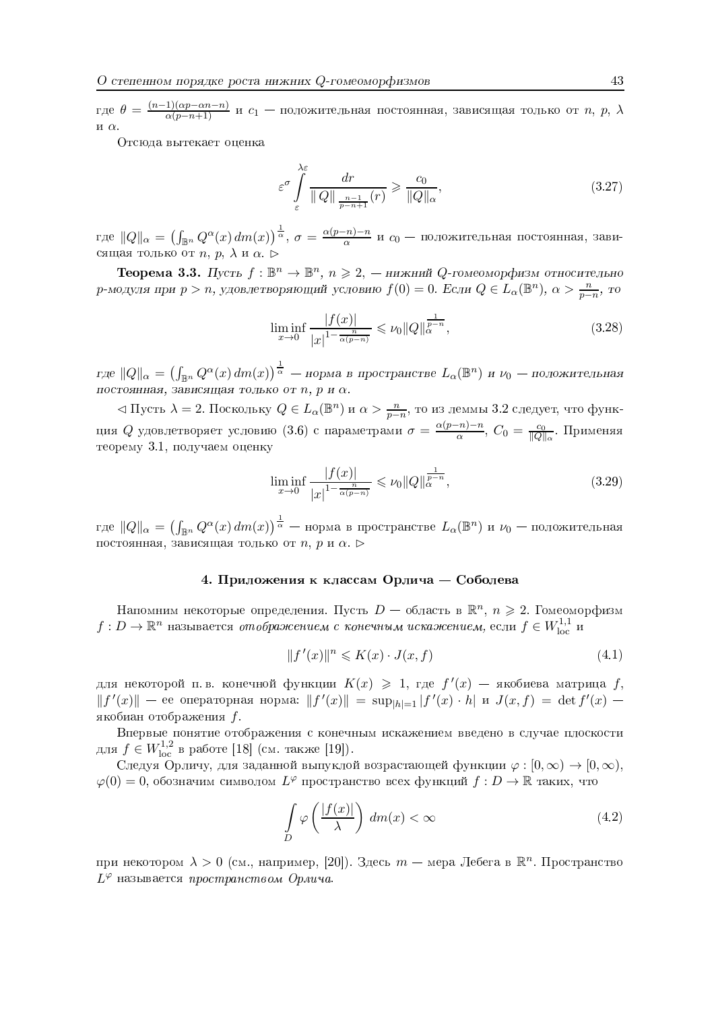где  $\theta = \frac{(n-1)(\alpha p - \alpha n - n)}{\alpha(p - n + 1)}$  и  $c_1$  — положительная постоянная, зависящая только от n, p,  $\lambda$ и $\alpha$ .

Отсюда вытекает опенка

$$
\varepsilon^{\sigma} \int_{\varepsilon}^{\lambda \varepsilon} \frac{dr}{\|Q\|_{\frac{n-1}{p-n+1}}(r)} \geqslant \frac{c_0}{\|Q\|_{\alpha}},\tag{3.27}
$$

где  $||Q||_{\alpha} = (\int_{\mathbb{B}^n} Q^{\alpha}(x) dm(x))^{\frac{1}{\alpha}}, \sigma = \frac{\alpha(p-n)-n}{\alpha}$  и  $c_0$  — положительная постоянная, зависящая только от *n*, *p*,  $\lambda$  и  $\alpha$ .

**Теорема 3.3.** Пусть  $f : \mathbb{B}^n \to \mathbb{B}^n$ ,  $n \geq 2$ , — нижний Q-гомеоморфизм относительно р-модуля при  $p > n$ , удовлетворяющий условию  $f(0) = 0$ . Если  $Q \in L_{\alpha}(\mathbb{B}^n)$ ,  $\alpha > \frac{n}{p-n}$ , то

$$
\liminf_{x \to 0} \frac{|f(x)|}{|x|^{1 - \frac{n}{\alpha(p - n)}}} \leqslant \nu_0 \|Q\|_{\alpha}^{\frac{1}{p - n}},\tag{3.28}
$$

где  $||Q||_{\alpha} = (\int_{\mathbb{B}^n} Q^{\alpha}(x) dm(x))^{\frac{1}{\alpha}}$  — норма в пространстве  $L_{\alpha}(\mathbb{B}^n)$  и  $\nu_0$  — положительная постоянная, зависящая только от  $n$ ,  $p$  и  $\alpha$ .

 $\triangleleft$  Пусть  $\lambda = 2$ . Поскольку  $Q \in L_{\alpha}(\mathbb{B}^n)$  и  $\alpha > \frac{n}{p-n}$ , то из леммы 3.2 следует, что функция Q удовлетворяет условию (3.6) с параметрами  $\sigma = \frac{\alpha(p-n)-n}{\alpha}$ ,  $C_0 = \frac{c_0}{\|Q\|_{\alpha}}$ . Применяя теорему 3.1. получаем оценку

$$
\liminf_{x \to 0} \frac{|f(x)|}{|x|^{1 - \frac{n}{\alpha(p - n)}}} \leqslant \nu_0 \|Q\|_{\alpha}^{\frac{1}{p - n}},\tag{3.29}
$$

где  $\|Q\|_\alpha=\left(\int_{\mathbb{B}^n}Q^\alpha(x)\,dm(x)\right)^{\frac{1}{\alpha}}$  — норма в пространстве  $L_\alpha(\mathbb{B}^n)$  и  $\nu_0$  — положительная постоянная, зависящая только от  $n, p$  и  $\alpha$ .  $\triangleright$ 

## 4. Приложения к классам Орлича — Соболева

Напомним некоторые определения. Пусть  $D$  – область в  $\mathbb{R}^n$ ,  $n \geq 2$ . Гомеоморфизм  $f: D \to \mathbb{R}^n$  называется отображением с конечным искажением, если  $f \in W^{1,1}_{loc}$  и

$$
||f'(x)||^n \leqslant K(x) \cdot J(x, f) \tag{4.1}
$$

для некоторой п. в. конечной функции  $K(x) \geq 1$ , где  $f'(x)$  — якобиева матрица f,  $||f'(x)||$  — ее операторная норма:  $||f'(x)|| = \sup_{||h||=1} |f'(x) \cdot h|$  и  $J(x, f) = \det f'(x)$  якобиан отображения f.

Впервые понятие отображения с конечным искажением введено в случае плоскости для  $f \in W_{loc}^{1,2}$  в работе [18] (см. также [19]).

Следуя Орличу, для заданной выпуклой возрастающей функции  $\varphi : [0, \infty) \to [0, \infty)$ ,  $\varphi(0) = 0$ , обозначим символом  $L^{\varphi}$  пространство всех функций  $f: D \to \mathbb{R}$  таких, что

$$
\int_{D} \varphi\left(\frac{|f(x)|}{\lambda}\right) dm(x) < \infty \tag{4.2}
$$

при некотором  $\lambda > 0$  (см., например, [20]). Здесь  $m$  — мера Лебега в  $\mathbb{R}^n$ . Пространство  $L^{\varphi}$  называется пространством Орлича.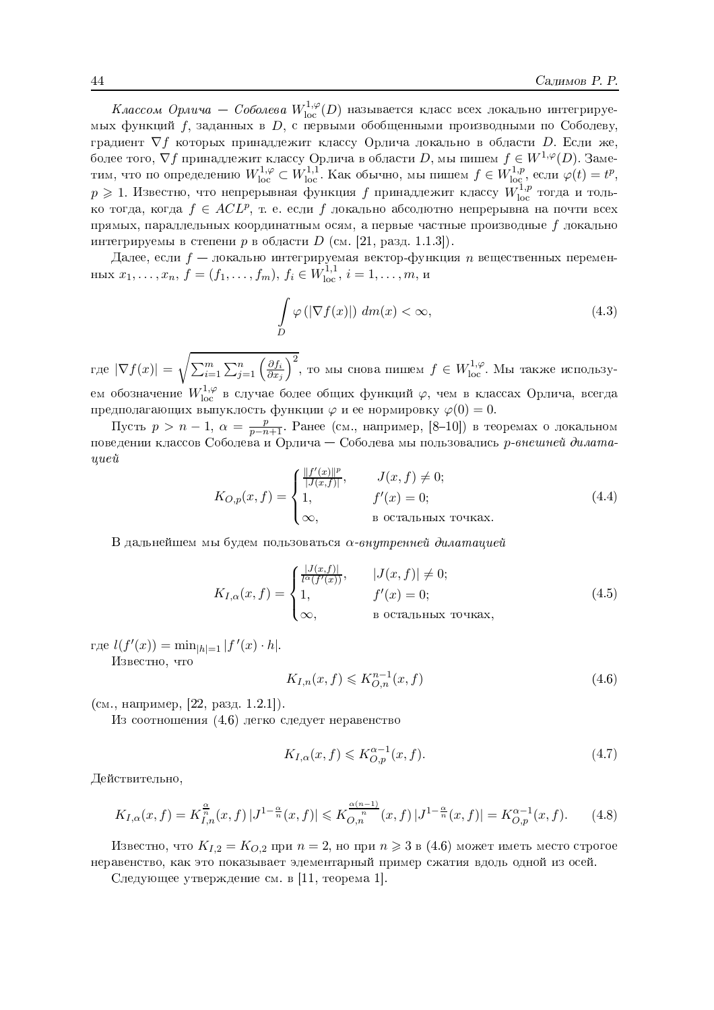Классом Орлича – Соболева  $W^{1,\varphi}_{\mathrm{loc}}(D)$  называется класс всех локально интегрируемых функций  $f$ , заданных в D, с первыми обобщенными производными по Соболеву, градиент  $\nabla f$  которых принадлежит классу Орлича локально в области D. Если же, более того,  $\nabla f$  принадлежит классу Орлича в области D, мы пишем  $f \in W^{1,\varphi}(D)$ . Заметим, что по определению  $W^{1,\varphi}_{loc} \subset W^{1,1}_{loc}$ . Как обычно, мы пишем  $f \in W^{1,p}_{loc}$ , если  $\varphi(t) = t^p$ ,  $p \geq 1$ . Известно, что непрерывн ко тогда, когда  $f \in ACL^p$ , т. е. если f локально абсолютно непрерывна на почти всех прямых, параллельных координатным осям, а первые частные производные  $f$  локально интегрируемы в степени р в области  $D$  (см. [21, разд. 1.1.3]).

Далее, если  $f$  — локально интегрируемая вектор-функция *n* вещественных перемен-HbIx  $x_1, ..., x_n$ ,  $f = (f_1, ..., f_m)$ ,  $f_i \in W_{loc}^{1,1}$ ,  $i = 1, ..., m$ ,  $u$ 

$$
\int_{D} \varphi\left(|\nabla f(x)|\right) \, dm(x) < \infty,\tag{4.3}
$$

где  $|\nabla f(x)| = \sqrt{\sum_{i=1}^m \sum_{j=1}^n \left(\frac{\partial f_i}{\partial x_j}\right)^2}$ , то мы снова пишем  $f \in W^{1,\varphi}_{loc}$ . Мы также используем обозначение  $W^{1,\varphi}_{\text{loc}}$  в случае более общих функций  $\varphi$ , чем в классах Орлича, всегда предполагающих выпуклость функции  $\varphi$  и ее нормировку  $\varphi(0) = 0$ .

Пусть  $p > n - 1$ ,  $\alpha = \frac{p}{p - n + 1}$ . Ранее (см., например, [8-10]) в теоремах о локальном поведении классов Соболева и Орлича — Соболева мы пользовались р-внешней дилата $uue\mathring{u}$ 

$$
K_{O,p}(x,f) = \begin{cases} \frac{\|f'(x)\|^p}{|J(x,f)|}, & J(x,f) \neq 0; \\ 1, & f'(x) = 0; \\ \infty, & \text{B octanshbix to the right.} \end{cases}
$$
(4.4)

В дальнейшем мы будем пользоваться  $\alpha$ -внутренней дилатацией

$$
K_{I,\alpha}(x,f) = \begin{cases} \frac{|J(x,f)|}{l^{\alpha}(f'(x))}, & |J(x,f)| \neq 0; \\ 1, & f'(x) = 0; \\ \infty, & \text{B octaJbHBX TOYRAX}, \end{cases}
$$
(4.5)

где  $l(f'(x)) = \min_{|h|=1} |f'(x) \cdot h|$ .

Известно, что

$$
K_{I,n}(x,f) \leqslant K_{O,n}^{n-1}(x,f) \tag{4.6}
$$

 $(c_M, \text{Hampunep}, [22, \text{раз}, 1.2.1]).$ 

Из соотношения (4.6) легко следует неравенство

$$
K_{I,\alpha}(x,f) \leqslant K_{O,p}^{\alpha-1}(x,f). \tag{4.7}
$$

Действительно,

$$
K_{I,\alpha}(x,f) = K_{I,n}^{\frac{\alpha}{n}}(x,f) \, |J^{1-\frac{\alpha}{n}}(x,f)| \leqslant K_{O,n}^{\frac{\alpha(n-1)}{n}}(x,f) \, |J^{1-\frac{\alpha}{n}}(x,f)| = K_{O,p}^{\alpha-1}(x,f). \tag{4.8}
$$

Известно, что  $K_{1,2} = K_{0,2}$  при  $n = 2$ , но при  $n \ge 3$  в (4.6) может иметь место строгое неравенство, как это показывает элементарный пример сжатия вдоль одной из осей.

Следующее утверждение см. в [11, теорема 1].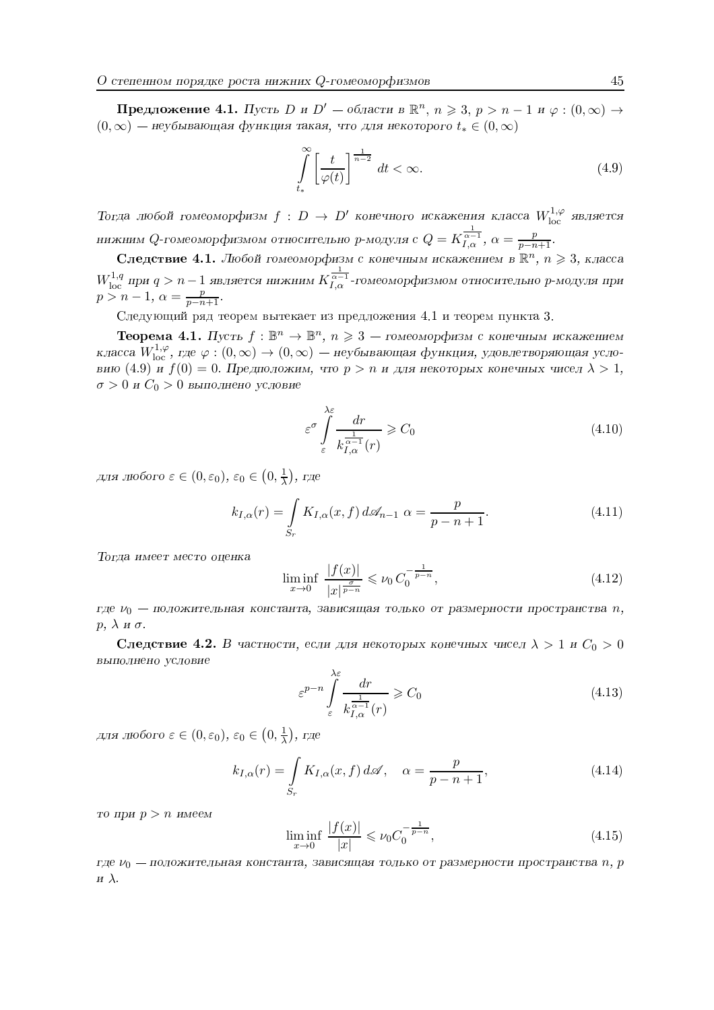**Предложение 4.1.** Пусть D и D' – области в  $\mathbb{R}^n$ ,  $n \ge 3$ ,  $p > n-1$  и  $\varphi$  :  $(0, \infty)$  →  $(0,\infty)$  — неубывающая функция такая, что для некоторого  $t_* \in (0,\infty)$ 

$$
\int_{t_*}^{\infty} \left[ \frac{t}{\varphi(t)} \right]^{\frac{1}{n-2}} dt < \infty.
$$
\n(4.9)

Тогда любой гомеоморфизм  $f: D \to D'$  конечного искажения класса  $W^{1,\varphi}_{\mathrm{loc}}$  является нижним Q-гомеоморфизмом относительно p-модуля  $c Q = K^{\frac{1}{\alpha-1}}_{I,\alpha}$ ,  $\alpha = \frac{p}{p-n+1}$ .

Следствие 4.1. Любой гомеоморфизм с конечным искажением в  $\mathbb{R}^n$ ,  $n \geq 3$ , класса  $W^{1,q}_{\text{loc}}$  при  $q > n-1$  является нижним  $K^{\frac{1}{\alpha-1}}_{I,\alpha}$ -гомеоморфизмом относительно р-модуля при  $p > n - 1, \ \alpha = \frac{p}{p - n + 1}.$ 

Следующий ряд теорем вытекает из предложения 4.1 и теорем пункта 3.

**Теорема 4.1.** Пусть  $f : \mathbb{B}^n \to \mathbb{B}^n$ ,  $n \geq 3$  — гомеоморфизм с конечным искажением класса  $W^{1,\varphi}_{\text{loc}}$ , где  $\varphi:(0,\infty)\to(0,\infty)$  — неубывающая функция, удовлетворяющая условию (4.9) и  $f(0) = 0$ . Предположим, что  $p > n$  и для некоторых конечных чисел  $\lambda > 1$ ,  $\sigma > 0$  и  $C_0 > 0$  выполнено условие

$$
\varepsilon^{\sigma} \int_{\varepsilon}^{\lambda \varepsilon} \frac{dr}{k_{I,\alpha}^{\frac{1}{\alpha-1}}(r)} \geqslant C_0 \tag{4.10}
$$

для любого  $\varepsilon \in (0, \varepsilon_0)$ ,  $\varepsilon_0 \in (0, \frac{1}{\lambda})$ , где

$$
k_{I,\alpha}(r) = \int\limits_{S_r} K_{I,\alpha}(x,f) d\mathcal{A}_{n-1} \alpha = \frac{p}{p-n+1}.
$$
 (4.11)

Тогда имеет место оценка

$$
\liminf_{x \to 0} \frac{|f(x)|}{|x|^{\frac{\sigma}{p-n}}} \leqslant \nu_0 C_0^{-\frac{1}{p-n}},\tag{4.12}
$$

где  $\nu_0$  — положительная константа, зависящая только от размерности пространства n,  $p, \lambda \le \sigma.$ 

**Следствие 4.2.** В частности, если для некоторых конечных чисел  $\lambda > 1$  и  $C_0 > 0$ выполнено условие

$$
\varepsilon^{p-n} \int\limits_{\varepsilon}^{\lambda \varepsilon} \frac{dr}{k_{I,\alpha}^{\frac{1}{\alpha-1}}(r)} \geqslant C_0 \tag{4.13}
$$

для любого  $\varepsilon \in (0, \varepsilon_0)$ ,  $\varepsilon_0 \in (0, \frac{1}{\lambda})$ , где

$$
k_{I,\alpha}(r) = \int\limits_{S_r} K_{I,\alpha}(x,f) \, d\mathscr{A}, \quad \alpha = \frac{p}{p-n+1},\tag{4.14}
$$

то при  $p > n$  имеем

$$
\liminf_{x \to 0} \frac{|f(x)|}{|x|} \leqslant \nu_0 C_0^{-\frac{1}{p-n}},\tag{4.15}
$$

где  $\nu_0$  — положительная константа, зависящая только от размерности пространства n, р и $\lambda$ .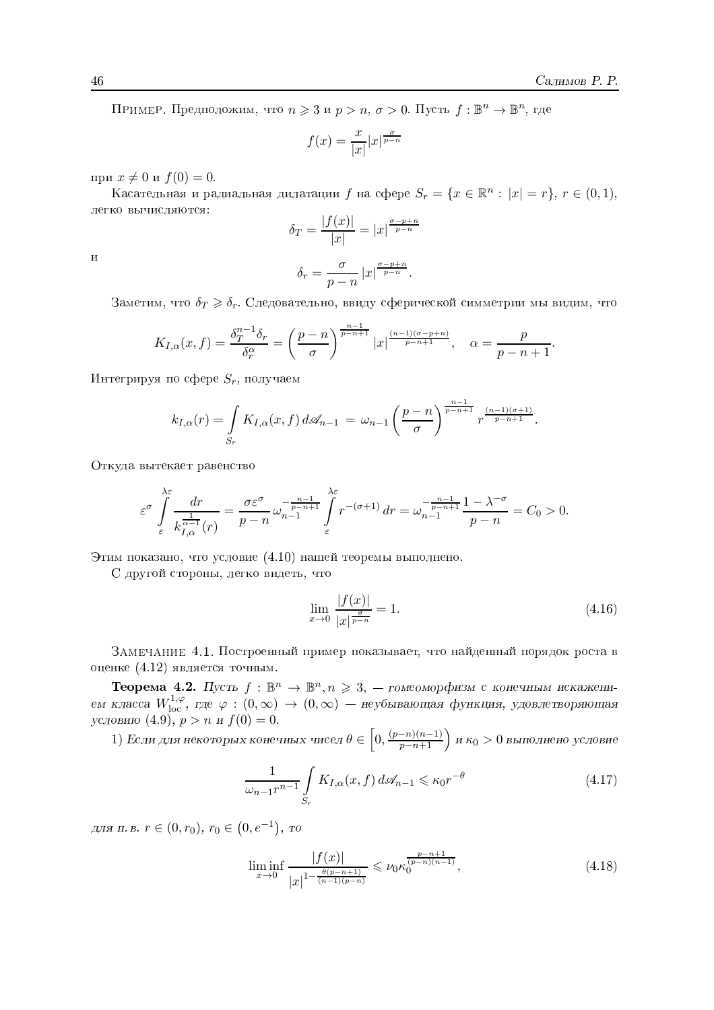ПРИМЕР. Предположим, что  $n \geq 3$  и  $p > n$ ,  $\sigma > 0$ . Пусть  $f : \mathbb{B}^n \to \mathbb{B}^n$ , где

$$
f(x) = \frac{x}{|x|} |x|^{\frac{\sigma}{p-n}}
$$

при  $x \neq 0$  и  $f(0) = 0$ .

Касательная и радиальная дилатации  $f$  на сфере  $S_r = \{x \in \mathbb{R}^n : |x| = r\}, r \in (0,1),$ легко вычисляются:  $\frac{1}{2}$   $\frac{1}{2}$   $\frac{1}{2}$ 

$$
\delta_T = \frac{|f(x)|}{|x|} = |x|^{\frac{\sigma - p + n}{p - n}}
$$

 $\mathbf H$ 

$$
\delta_r = \frac{\sigma}{p - n} \left| x \right|^{\frac{\sigma - p + n}{p - n}}.
$$

Заметим, что  $\delta_T \geq \delta_r$ . Следовательно, ввиду сферической симметрии мы видим, что

$$
K_{I,\alpha}(x,f) = \frac{\delta_T^{n-1}\delta_r}{\delta_r^{\alpha}} = \left(\frac{p-n}{\sigma}\right)^{\frac{n-1}{p-n+1}} |x|^{\frac{(n-1)(\sigma-p+n)}{p-n+1}}, \quad \alpha = \frac{p}{p-n+1}.
$$

Интегрируя по сфере  $S_r$ , получаем

$$
k_{I,\alpha}(r) = \int\limits_{S_r} K_{I,\alpha}(x,f) \, d\mathcal{A}_{n-1} \, = \, \omega_{n-1} \left(\frac{p-n}{\sigma}\right)^{\frac{n-1}{p-n+1}} r^{\frac{(n-1)(\sigma+1)}{p-n+1}}.
$$

Откуда вытекает равенство

$$
\varepsilon^{\sigma} \int_{\varepsilon}^{\lambda \varepsilon} \frac{dr}{k_{I,\alpha}^{\frac{1}{\alpha-1}}(r)} = \frac{\sigma \varepsilon^{\sigma}}{p-n} \omega_{n-1}^{-\frac{n-1}{p-n+1}} \int_{\varepsilon}^{\lambda \varepsilon} r^{-(\sigma+1)} dr = \omega_{n-1}^{-\frac{n-1}{p-n+1}} \frac{1-\lambda^{-\sigma}}{p-n} = C_0 > 0.
$$

Этим показано, что условие (4.10) нашей теоремы выполнено.

С другой стороны, легко видеть, что

$$
\lim_{x \to 0} \frac{|f(x)|}{|x|^{\frac{\sigma}{p-n}}} = 1.
$$
\n(4.16)

ЗАМЕЧАНИЕ 4.1. Построенный пример показывает, что найденный порядок роста в оценке (4.12) является точным.

**Теорема 4.2.** Пусть  $f : \mathbb{B}^n \to \mathbb{B}^n, n \geq 3$ , — гомеоморфизм с конечным искажением класса  $W_{\text{loc}}^{1,\varphi}$ , где  $\varphi$  :  $(0,\infty) \to (0,\infty)$  — неубывающая функция, удовлетворяющая условию (4.9),  $p > n$  и  $f(0) = 0$ .

1) Если для некоторых конечных чисел  $\theta \in \left[0, \frac{(p-n)(n-1)}{p-n+1}\right)$  и  $\kappa_0 > 0$  выполнено условие

$$
\frac{1}{\omega_{n-1}r^{n-1}} \int\limits_{S_r} K_{I,\alpha}(x,f) \, d\mathcal{A}_{n-1} \leqslant \kappa_0 r^{-\theta} \tag{4.17}
$$

для п. в.  $r \in (0, r_0)$ ,  $r_0 \in (0, e^{-1})$ , то

$$
\liminf_{x \to 0} \frac{|f(x)|}{|x|^{1 - \frac{\theta(p - n + 1)}{(n - 1)(p - n)}}} \le \nu_0 \kappa_0^{\frac{p - n + 1}{(p - n)(n - 1)}},\tag{4.18}
$$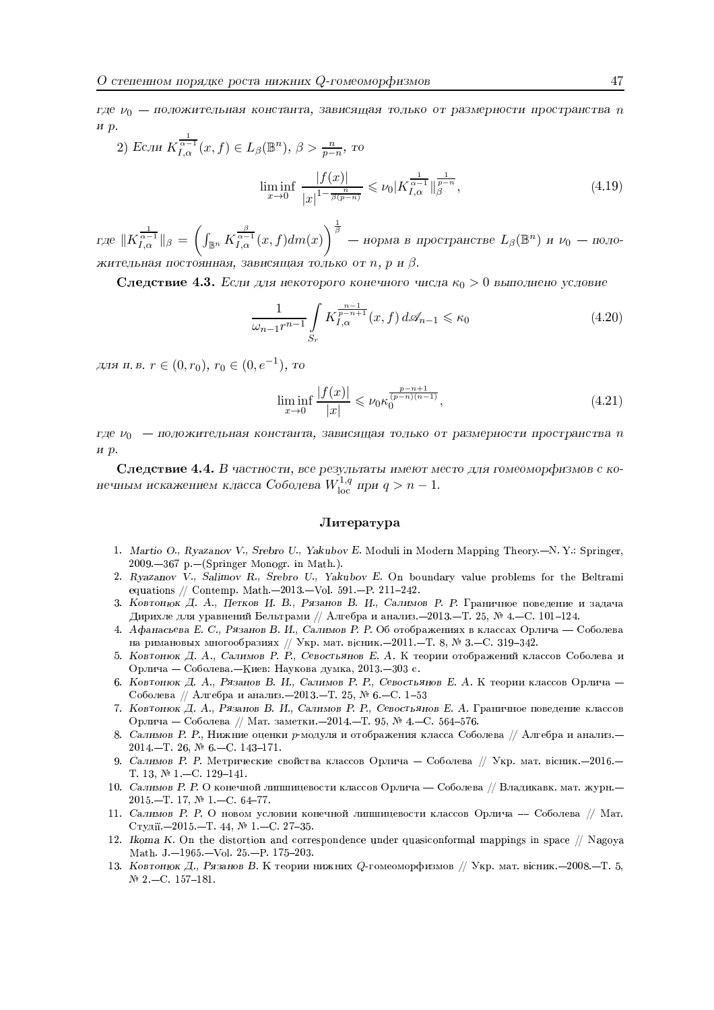где  $\nu_0$  — положительная константа, зависящая только от размерности пространства п ир.

2) 
$$
E_{CJH} K_{I,\alpha}^{\frac{1}{\alpha-1}}(x,f) \in L_{\beta}(\mathbb{B}^n), \ \beta > \frac{n}{p-n}, \ \text{to}
$$
  

$$
\liminf_{x \to 0} \frac{|f(x)|}{|x|^{1-\frac{n}{\beta(p-n)}}} \leqslant \nu_0 |K_{I,\alpha}^{\frac{1}{\alpha-1}}|_{\beta}^{\frac{1}{p-n}}, \tag{4.19}
$$

где  $\|K_{I,\alpha}^{\frac{1}{\alpha-1}}\|_{\beta} = \left(\int_{\mathbb{B}^n} K_{I,\alpha}^{\frac{\beta}{\alpha-1}}(x,f)dm(x)\right)^{\frac{1}{\beta}}$  — норма в пространстве  $L_{\beta}(\mathbb{B}^n)$  и  $\nu_0$  — положительная постоянная, зависящая только от n, p и  $\beta$ .

Следствие 4.3. Если для некоторого конечного числа  $\kappa_0 > 0$  выполнено условие

$$
\frac{1}{\omega_{n-1}r^{n-1}} \int\limits_{S_r} K^{\frac{n-1}{p-n+1}}_{I,\alpha}(x,f) d\mathcal{A}_{n-1} \leqslant \kappa_0
$$
\n(4.20)

для п. в.  $r \in (0, r_0)$ ,  $r_0 \in (0, e^{-1})$ , то

$$
\liminf_{x \to 0} \frac{|f(x)|}{|x|} \leqslant \nu_0 \kappa_0^{\frac{p-n+1}{(p-n)(n-1)}},\tag{4.21}
$$

где  $\nu_0$  — положительная константа, зависящая только от размерности пространства п  $H, p.$ 

Следствие 4.4. В частности, все результаты имеют место для гомеоморфизмов с конечным искажением класса Соболева  $W_{\text{loc}}^{1,q}$ при  $q > n - 1$ .

## Литература

- 1. Martio O., Ryazanov V., Srebro U., Yakubov E. Moduli in Modern Mapping Theory.-N.Y.: Springer,  $2009 - 367$  p.  $-(Springer Monogr. in Math.).$
- 2. Ryazanov V., Salimov R., Srebro U., Yakubov E. On boundary value problems for the Beltrami equations // Contemp. Math.-2013.-Vol. 591.-P. 211-242.
- 3. Ковтонюк Д. А., Петков И. В., Рязанов В. И., Салимов Р. Р. Граничное поведение и задача Дирихле для уравнений Бельтрами // Алгебра и анализ. - 2013. - Т. 25, № 4. - С. 101-124.
- 4. Афанасьева Е. С., Рязанов В. И., Салимов Р. Р. Об отображениях в классах Орлича Соболева на римановых многообразиях // Укр. мат. вісник.-2011.-Т. 8, № 3.-С. 319-342.
- 5. Ковтонюк Д. А., Салимов Р. Р., Севостьянов Е. А. К теории отображений классов Соболева и Орлича — Соболева – Киев: Наукова думка, 2013. – 303 с.
- 6. Ковтонюк Д. А., Рязанов В. И., Салимов Р. Р., Севостьянов Е. А. К теории классов Орлича -Соболева // Алгебра и анализ. -2013. - Т. 25, № 6. - С. 1-53
- 7. Ковтонюк Д. А., Рязанов В. И., Салимов Р. Р., Севостьянов Е. А. Граничное поведение классов Орлича – Соболева // Мат. заметки. - 2014. - Т. 95, № 4. - С. 564-576.
- 8. Салимов Р. Р., Нижние оценки р-модуля и отображения класса Соболева // Алгебра и анализ.-2014.-T. 26,  $\mathbb{N}^2$  6.-C. 143-171.
- 9. Салимов Р. Р. Метрические свойства классов Орлича Соболева // Укр. мат. вісник. 2016. -T. 13,  $\mathbb{N}$  1.-C. 129-141.
- 10. Салимов Р. Р. О конечной липшицевости классов Орлича -- Соболева // Владикавк. мат. журн.- $2015 - T$ , 17,  $\mathbb{N}$  1 - C, 64-77.
- 11. Салимов Р. Р. О новом условии конечной липшицевости классов Орлича Соболева // Мат. Студії.-2015.-Т. 44, № 1.-С. 27-35.
- 12. Ikoma K. On the distortion and correspondence under quasiconformal mappings in space  $//$  Nagoya Math. J.-1965.-Vol. 25.-P. 175-203.
- 13. Ковтонюк Д., Рязанов В. К теории нижних Q-гомеоморфизмов // Укр. мат. вісник.-2008.-Т. 5,  $N<sup>2</sup>$  -C. 157-181.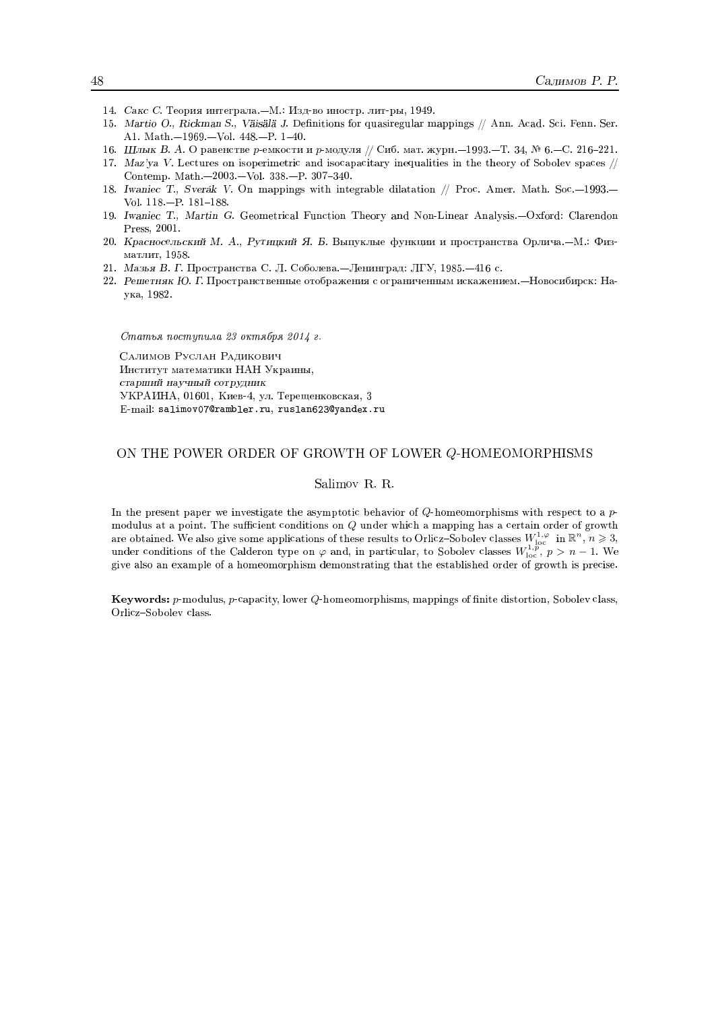- 14. Сакс С. Теория интеграла. М.: Изд-во иностр. лит-ры, 1949.
- 15. Martio O., Rickman S., Väisälä J. Definitions for quasiregular mappings // Ann. Acad. Sci. Fenn. Ser. A1. Math.-1969.-Vol. 448.-P. 1-40.
- 16. Шлык В. А. О равенстве р-емкости и р-модуля // Сиб. мат. журн. 1993. Т. 34, № 6. С. 216-221.
- 17. Maz'ya V. Lectures on isoperimetric and isocapacitary inequalities in the theory of Sobolev spaces // Contemp. Math.-2003.-Vol. 338.-P. 307-340.
- 18. Iwaniec T., Sverák V. On mappings with integrable dilatation // Proc. Amer. Math. Soc.-1993.-Vol.  $118 - P. 181 - 188$ .
- 19. Iwaniec T., Martin G. Geometrical Function Theory and Non-Linear Analysis.--Oxford: Clarendon Press, 2001.
- 20. Красносельский М. А., Рутицкий Я. Б. Выпуклые функции и пространства Орлича.-М.: Физматлит, 1958.
- 21. Мазья В. Г. Пространства С. Л. Соболева. Ленинград: ЛГУ, 1985. 416 с.
- 22. Решетняк Ю. Г. Пространственные отображения с ограниченным искажением. Новосибирск: Наука, 1982.

Статья поступила 23 октября 2014 г.

САЛИМОВ РУСЛАН РАДИКОВИЧ Институт математики НАН Украины, старший научный сотрудник УКРАИНА, 01601, Киев-4, ул. Терещенковская, 3 E-mail: salimov07@rambler.ru, ruslan623@yandex.ru

#### ON THE POWER ORDER OF GROWTH OF LOWER Q-HOMEOMORPHISMS

#### Salimov R. R.

In the present paper we investigate the asymptotic behavior of  $Q$ -homeomorphisms with respect to a pmodulus at a point. The sufficient conditions on Q under which a mapping has a certain order of growth are obtained. We also give some applications of these results to Orlicz-Sobolev classes  $W_{loc}^{1,\varphi}$  in  $\mathbb{R}^n$ ,  $n \ge 3$ , under conditions of the Calderon type on  $\varphi$  and, in particular, to Sobolev classes  $W_{loc}^{1,\varphi$ give also an example of a homeomorphism demonstrating that the established order of growth is precise.

Keywords: p-modulus, p-capacity, lower Q-homeomorphisms, mappings of finite distortion, Sobolev class, Orlicz-Sobolev class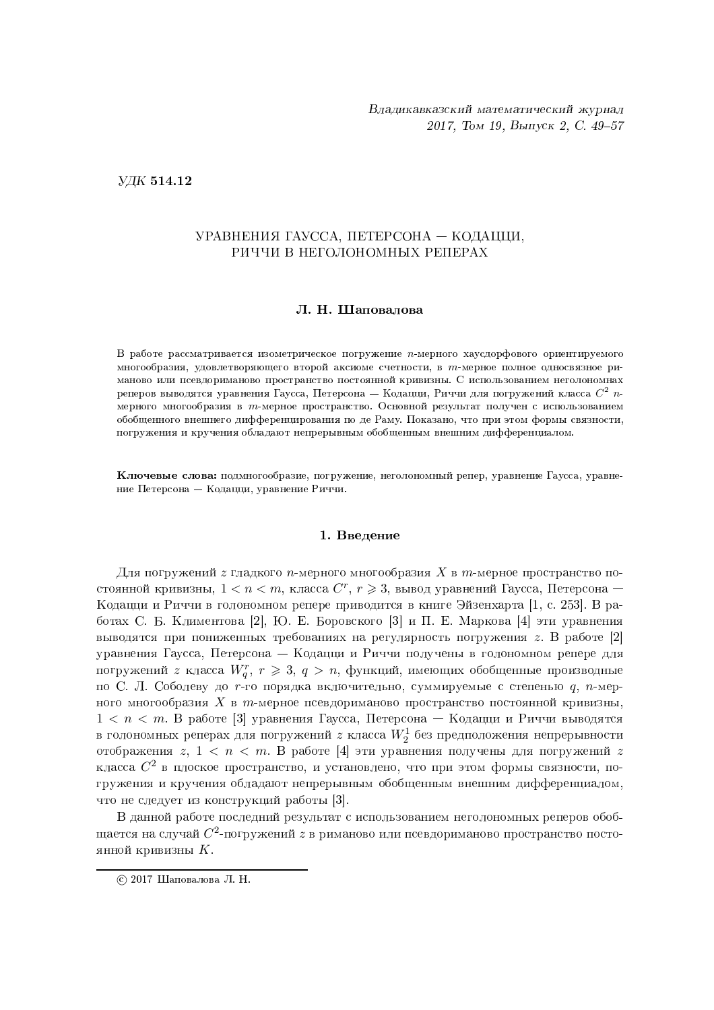;<>=@?BA D A J

# УРАВНЕНИЯ ГАУССА, ПЕТЕРСОНА — КОДАЦЦИ, РИЧЧИ В НЕГОЛОНОМНЫХ РЕПЕРАХ

## Л. Н. Шаповалова

В работе рассматривается изометрическое погружение  $n$ -мерного хаусдорфового ориентируемого многообразия, удовлетворяющего второй аксиоме счетности, в  $m$ -мерное полное односвязное риманово или псевлориманово пространство постоянной кривизны. С использованием неголономнах реперов выводятся уравнения Гаусса, Петерсона — Кодацци, Риччи для погружений класса  $C^{2}$  nмерного многообразия в т-мерное пространство. Основной результат получен с использованием обобшенного внешнего дифференцирования по де Раму. Показано, что при этом формы связности. погружения и кручения обладают непрерывным обобщенным внешним дифференциалом.

**Ключевые слова:** подмногообразие, погружение, неголономный репер, уравнение Гаусса, уравнение Петерсона — Кодацци, уравнение Риччи.

## 1. Введение

Для погружений  $z$  гладкого  $n$ -мерного многообразия  $X$  в  $m$ -мерное пространство постоянной кривизны,  $1 < n < m,$  класса  $C^r,$   $r \geqslant 3,$  вывод уравнений Гаусса, Петерсона — Кодацци и Риччи в голономном репере приводится в книге Эйзенхарта [1, с. 253]. В работах С. Б. Климентова [2], Ю. Е. Боровского [3] и П. Е. Маркова [4] эти уравнения выводятся при пониженных требованиях на регулярность погружения  $z.$  В работе  $[2]$  $\Box$  Time  $V$  is the  $\Box$ погружений  $z$  класса  $W^r_q, \, r\geqslant 3, \, q\,$   $\, > \, n, \,$  функций, имеющих обобщенные производные по С. Л. Соболеву до  $r$ -го порядка включительно, суммируемые с степенью  $q,~n$ -мерного многообразия  $X$  в  $m$ -мерное псевдориманово пространство постоянной кривизны,  $1 < n < m$ . В работе [3] уравнения Гаусса, Петерсона — Кодацци и Риччи выводятся в голономных реперах для погружений  $z$  класса  $W_2^1$  без предположения непрерывности отображения  $z, \ 1 \, < \, n \, < \, m$ . В работе  $[4]$  эти уравнения получены для погружений  $z$ класса  $C^2$  в плоское пространство, и установлено, что при этом формы связности, по- $\zeta$  and  $\zeta$  affects the smithtening  $\zeta$  affects that  $\zeta$  is a factor  $\zeta$  is a factor of  $\zeta$ что не следvет из констрvкций работы [3].

В данной работе последний результат с использованием неголономных реперов обобщается на случай  $C^2$ -погружений  $z$  в риманово или псевдориманово пространство постоянной кривизны  $K$ .

 $\odot$  2017 Шаповалова Л. Н.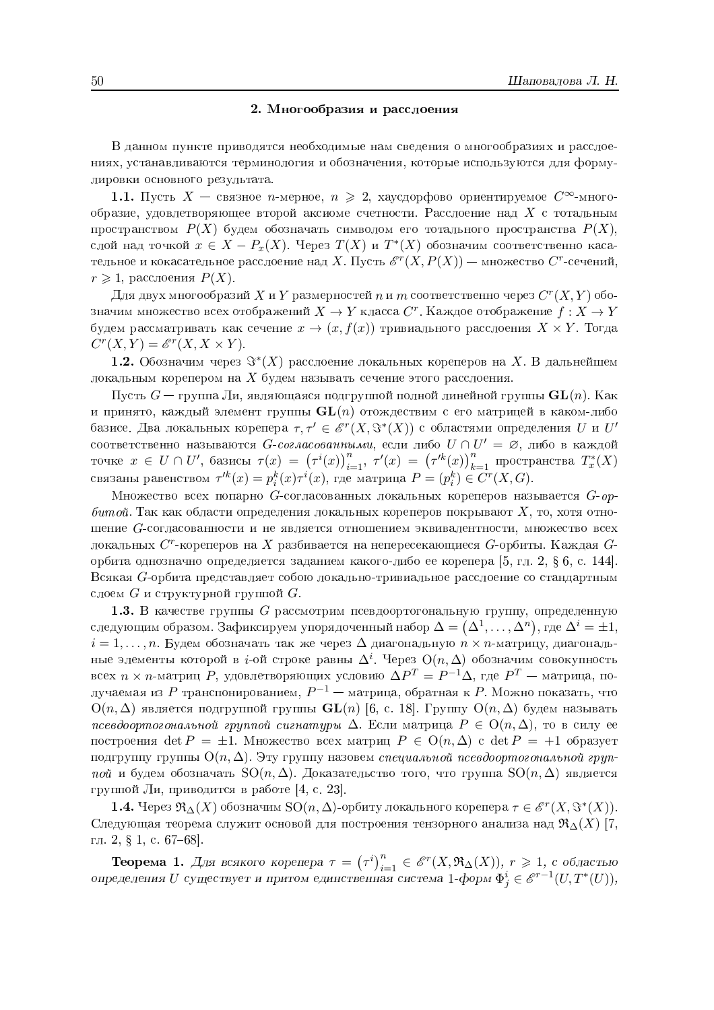## 2. Многообразия и расслоения

В данном пункте приводятся необходимые нам сведения о многообразиях и расслоениях, устанавливаются терминология и обозначения, которые используются для формулировки основного результата.

1.1. Пусть  $X$  — связное *n*-мерное,  $n \ge 2$ , хаусдорфово ориентируемое  $C^{\infty}$ -многообразие, удовлетворяющее второй аксиоме счетности. Расслоение над  $X$  с тотальным пространством  $P(X)$  будем обозначать символом его тотального пространства  $P(X)$ , слой над точкой  $x \in X - P_x(X)$ . Через  $T(X)$  и  $T^*(X)$  обозначим соответственно касательное и кокасательное расслоение над X. Пусть  $\mathscr{E}^r(X, P(X))$  — множество  $C^r$ -сечений,  $r \geqslant 1$ , расслоения  $P(X)$ .

Для двух многообразий X и Y размерностей n и m соответственно через  $C^r(X,Y)$  обозначим множество всех отображений  $X \to Y$  класса  $C^r$ . Каждое отображение  $f: X \to Y$ будем рассматривать как сечение  $x \to (x, f(x))$  тривиального расслоения  $X \times Y$ . Тогда  $C^r(X,Y) = \mathcal{E}^r(X,X \times Y).$ 

**1.2.** Обозначим через  $\Im^*(X)$  расслоение локальных кореперов на X. В дальнейшем локальным корепером на X будем называть сечение этого расслоения.

Пусть  $G$  — группа Ли, являющаяся подгруппой полной линейной группы  $\mathbf{GL}(n)$ . Как и принято, каждый элемент группы  $GL(n)$  отождествим с его матрицей в каком-либо базисе. Два локальных корепера  $\tau, \tau' \in \mathscr{E}^r(X, \Im^*(X))$  с областями определения  $U$  и  $U'$ соответственно называются  $G$ -*согласованными*, если либо  $U \cap U' = \emptyset$ , либо в каждой точке  $x \in U \cap U'$ , базисы  $\tau(x) = (\tau^i(x))_{i=1}^n$ ,  $\tau'(x) = (\tau'^k(x))_{k=1}^n$  пространства  $T_x^*(X)$  связаны равенством  $\tau'^k(x) = p_i^k(x)\tau^i(x)$ , где

Множество всех попарно G-согласованных локальных кореперов называется  $G$ -opбитой. Так как области определения локальных кореперов покрывают  $X$ , то, хотя отношение G-согласованности и не является отношением эквивалентности, множество всех локальных  $C^r$ -кореперов на X разбивается на непересекающиеся  $G$ -орбиты. Каждая  $G$ орбита однозначно определяется заданием какого-либо ее корепера [5, гл. 2,  $\S$  6, с. 144]. Всякая G-орбита представляет собою локально-тривиальное расслоение со стандартным слоем  $G$  и структурной группой  $G$ .

1.3. В качестве группы G рассмотрим псевдоортогональную группу, определенную следующим образом. Зафиксируем упорядоченный набор  $\Delta = (\Delta^1, \dots, \Delta^n)$ , где  $\Delta^i = \pm 1$ ,  $i=1,\ldots,n$ . Будем обозначать так же через  $\Delta$  диагональную  $n \times n$ -матрицу, диагональные элементы которой в *i*-ой строке равны  $\Delta^i$ . Через  $O(n, \Delta)$  обозначим совокупность всех  $n \times n$ -матриц P, удовлетворяющих условию  $\Delta P^{T} = P^{-1} \Delta$ , где  $P^{T}$  — матрица, получаемая из P транспонированием,  $P^{-1}$  — матрица, обратная к P. Можно показать, что  $O(n,\Delta)$  является подгруппой группы  $GL(n)$  [6, с. 18]. Группу  $O(n,\Delta)$  будем называть псевдоортогональной группой сигнатуры  $\Delta$ . Если матрица  $P \in O(n, \Delta)$ , то в силу ее построения det  $P = \pm 1$ . Множество всех матриц  $P \in O(n, \Delta)$  с det  $P = +1$  образует подгруппу группы  $O(n, \Delta)$ . Эту группу назовем специальной псевдоортогональной группой и будем обозначать  $SO(n, \Delta)$ . Доказательство того, что группа  $SO(n, \Delta)$  является группой Ли, приводится в работе [4, с. 23].

**1.4.** Через  $\Re_{\Delta}(X)$  обозначим  $\text{SO}(n, \Delta)$ -орбиту локального корепера  $\tau \in \mathscr{E}^r(X, \Im^*(X))$ . Следующая теорема служит основой для построения тензорного анализа над  $\Re_{\Delta}(X)$  [7, гл. 2, § 1, с. 67-68.

**Теорема 1.** Для всякого корепера  $\tau = (\tau^i)_{i=1}^n \in \mathscr{E}^r(X, \mathfrak{R}_\Delta(X)), r \geq 1$ , с областью определения *U* существует и притом единственная система 1-форм  $\Phi^i_j \in \mathscr{E}^{r-1}(U, T^*(U)),$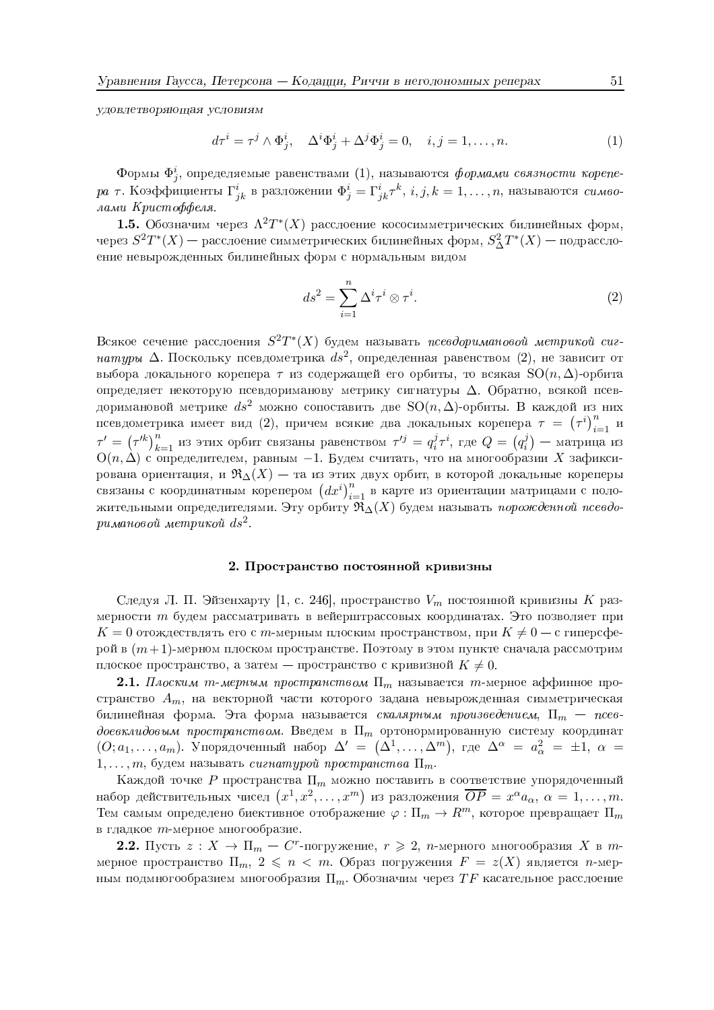удовлетворяющая условиям

$$
d\tau^{i} = \tau^{j} \wedge \Phi_{j}^{i}, \quad \Delta^{i} \Phi_{j}^{i} + \Delta^{j} \Phi_{j}^{i} = 0, \quad i, j = 1, \dots, n.
$$
 (1)

Формы  $\Phi_i^i$ , определяемые равенствами  $(1)$ , называются формами связности корепера  $\tau$ . Коэффициенты  $\Gamma^i_{jk}$  в разложении  $\Phi^i_j = \Gamma^i_{jk} \tau^k$ ,  $i, j, k = 1, \ldots, n$ , называются символами Кристоффеля.

**1.5.** Обозначим через  $\Lambda^2T^*(X)$  расслоение кососимметрических билинейных форм, через  $S^2T^*(X)$  — расслоение симметрических билинейных форм,  $S^2_\Delta T^*(X)$  — подрасслоение невырожденных билинейных форм с нормальным видом

$$
ds^2 = \sum_{i=1}^n \Delta^i \tau^i \otimes \tau^i.
$$
 (2)

Всякое сечение расслоения  $S^2T^*(X)$  будем называть псевдоримановой метрикой сигнатуры  $\Delta$ . Поскольку псевдометрика  $ds^2$ , определенная равенством (2), не зависит от выбора локального корепера  $\tau$  из содержащей его орбиты, то всякая  $SO(n,\Delta)$ -орбита определяет некоторую псевдориманову метрику сигнатуры  $\Delta$ . Обратно, всякой псевдоримановой метрике  $ds^2$  можно сопоставить две  $SO(n, \Delta)$ -орбиты. В каждой из них псевдометрика имеет вид (2), причем всякие два локальных корепера  $\tau = (\tau^i)_{i=1}^n$  и  $\tau' = (\tau'^k)_{k=1}^n$  из этих орбит связаны равенством  $\tau'^j = q_i^j \tau^i$ , где  $Q = (q_i^j)$  — матрица из  $O(n,\Delta)$  с определителем, равным -1. Будем считать, что на многообразии X зафиксирована ориентация, и  $\Re$ <sup> $\Delta$ </sup> $(X)$  – та из этих двух орбит, в которой локальные кореперы связаны с координатным корепером  $(dx^i)_{i=1}^n$  в карте из ориентации матрицами с поло-<br>жительными определителями. Эту орбиту  $\Re_{\Delta}(X)$  будем называть порожденной псевдоримановой метрикой  $ds^2$ .

## 2. Пространство постоянной кривизны

Следуя Л. П. Эйзенхарту [1, с. 246], пространство  $V_m$  постоянной кривизны K размерности т будем рассматривать в вейерштрассовых координатах. Это позволяет при  $K=0$  отождествлять его с m-мерным плоским пространством, при  $K\neq 0$  – с гиперсферой в  $(m+1)$ -мерном плоском пространстве. Поэтому в этом пункте сначала рассмотрим плоское пространство, а затем — пространство с кривизной  $K \neq 0$ .

**2.1.** Плоским т-мерным пространством  $\Pi_m$  называется т-мерное аффинное пространство  $A_m$ , на векторной части которого задана невырожденная симметрическая билинейная форма. Эта форма называется скалярным произведением,  $\Pi_m$  – псевдоевклидовым пространством. Введем в  $\Pi_m$  ортонормированную систему координат  $(O; a_1, \ldots, a_m)$ . Упорядоченный набор  $\Delta' = (\Delta^1, \ldots, \Delta^m)$ , где  $\Delta^{\alpha} = a_{\alpha}^2 = \pm 1$ ,  $\alpha =$  $1, \ldots, m$ , будем называть сигнатурой пространства  $\Pi_m$ .

Каждой точке P пространства  $\Pi_m$  можно поставить в соответствие упорядоченный набор действительных чисел  $(x^1, x^2, \ldots, x^m)$  из разложения  $\overline{OP} = x^{\alpha} a_{\alpha}, \alpha = 1, \ldots, m$ . Тем самым определено биективное отображение  $\varphi : \Pi_m \to R^m$ , которое превращает  $\Pi_m$ в гладкое т-мерное многообразие.

2.2. Пусть  $z: X \to \Pi_m - C^r$ -погружение,  $r \geq 2$ , *n*-мерного многообразия X в *m*мерное пространство  $\Pi_m$ ,  $2 \leq n < m$ . Образ погружения  $F = z(X)$  является *n*-мерным подмногообразием многообразия  $\Pi_m$ . Обозначим через  $TF$  касательное расслоение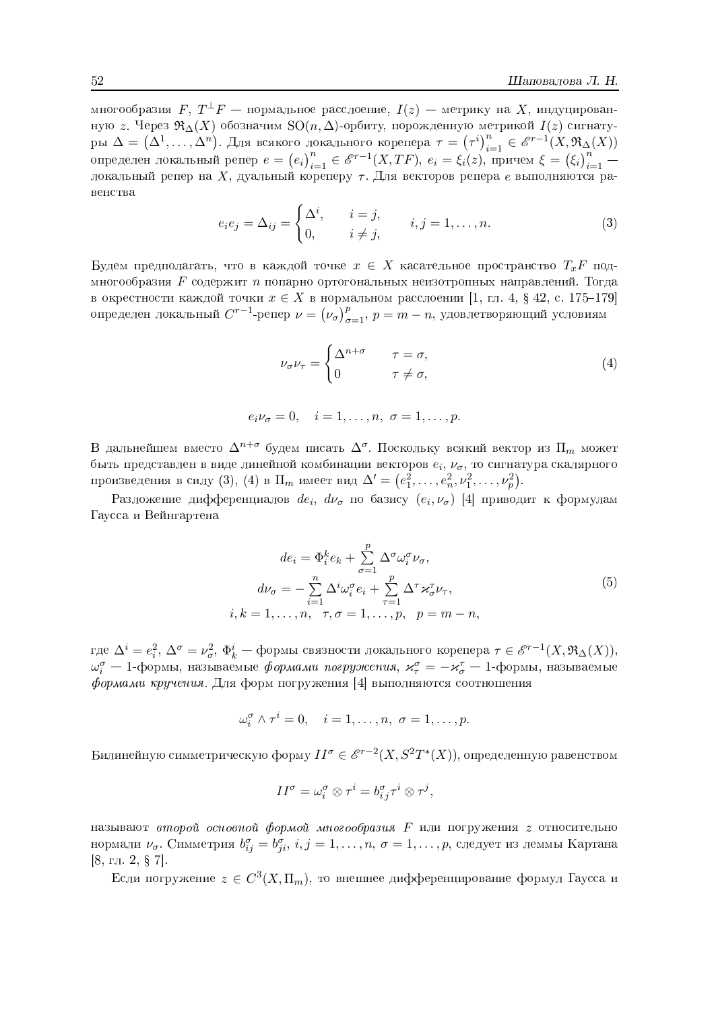многообразия  $F, T^{\perp}F$  — нормальное расслоение,  $I(z)$  — метрику на X, индуцированную z. Через  $\Re_{\Delta}(X)$  обозначим SO $(n, \Delta)$ -орбиту, порожденную метрикой  $I(z)$  сигнатуры  $\Delta = (\Delta^1, ..., \Delta^n)$ . Для всякого локального корепера  $\tau = (\tau^i)_{i=1}^n \in \mathcal{E}^{r-1}(X, \mathfrak{R}_{\Delta}(X))$ <br>определен локальный репер  $e = (e_i)_{i=1}^n \in \mathcal{E}^{r-1}(X, TF)$ ,  $e_i = \xi_i(z)$ , причем  $\xi = (\xi_i)_{i=1}^n$  – локальный репер на X, дуа венства

$$
e_i e_j = \Delta_{ij} = \begin{cases} \Delta^i, & i = j, \\ 0, & i \neq j, \end{cases} \quad i, j = 1, \dots, n. \tag{3}
$$

Будем предполагать, что в каждой точке  $x \in X$  касательное пространство  $T_x F$  подмногообразия  $F$  содержит  $n$  попарно ортогональных неизотропных направлений. Тогда в окрестности каждой точки  $x \in X$  в нормальном расслоении [1, гл. 4, § 42, с. 175–179] определен локальный  $C^{r-1}$ -репер  $\nu = (\nu_{\sigma})_{\sigma=1}^p$ ,  $p = m-n$ , удовлетворяющий условиям

$$
\nu_{\sigma}\nu_{\tau} = \begin{cases} \Delta^{n+\sigma} & \tau = \sigma, \\ 0 & \tau \neq \sigma, \end{cases}
$$
 (4)

$$
e_i \nu_\sigma = 0, \quad i = 1, \dots, n, \ \sigma = 1, \dots, p.
$$

В дальнейшем вместо  $\Delta^{n+\sigma}$  будем писать  $\Delta^{\sigma}$ . Поскольку всякий вектор из  $\Pi_m$  может быть представлен в виде линейной комбинации векторов  $e_i$ ,  $\nu_{\sigma}$ , то сигнатура скалярного произведения в силу (3), (4) в П<sub>т</sub> имеет вид  $\Delta' = (e_1^2, \ldots, e_n^2, \nu_1^2, \ldots, \nu_p^2)$ .

Разложение дифференциалов  $de_i$ ,  $d\nu_\sigma$  по базису  $(e_i, \nu_\sigma)$  [4] приводит к формулам Гаусса и Вейнгартена

$$
de_i = \Phi_i^k e_k + \sum_{\sigma=1}^p \Delta^{\sigma} \omega_i^{\sigma} \nu_{\sigma},
$$
  
\n
$$
d\nu_{\sigma} = -\sum_{i=1}^n \Delta^i \omega_i^{\sigma} e_i + \sum_{\tau=1}^p \Delta^{\tau} \varkappa_{\sigma}^{\tau} \nu_{\tau},
$$
  
\n
$$
k = 1, \dots, n, \quad \tau, \sigma = 1, \dots, p, \quad p = m - n,
$$
\n
$$
(5)
$$

где  $\Delta^i=e_i^2, \, \Delta^\sigma=\nu_\sigma^2, \, \Phi_k^i$  — формы связности локального корепера $\tau\in{\mathscr E}^{r-1}(X,{\mathfrak R}_{\Delta}(X)),$  $\omega_i^{\sigma}$  — 1-формы, называемые *формами погружения*,  $\varkappa_{\tau}^{\sigma} = -\varkappa_{\sigma}^{\tau}$  — 1-формы, называемые формами кручения. Для форм погружения [4] выполняются соотношения

 $i,$ 

$$
\omega_i^{\sigma} \wedge \tau^i = 0, \quad i = 1, \dots, n, \ \sigma = 1, \dots, p.
$$

Билинейную симметрическую форму  $II^{\sigma} \in \mathcal{E}^{r-2}(X, S^2T^*(X))$ , определенную равенством

$$
II^{\sigma} = \omega_i^{\sigma} \otimes \tau^i = b_{i\,j}^{\sigma} \tau^i \otimes \tau^j,
$$

называют второй основной формой многообразия  $F$  или погружения  $z$  относительно нормали  $\nu_{\sigma}$ . Симметрия  $b_{ii}^{\sigma} = b_{ii}^{\sigma}$ ,  $i, j = 1, \ldots, n, \sigma = 1, \ldots, p$ , следует из леммы Картана [8, гл. 2,  $\S$  7].

Если погружение  $z \in C^3(X,\Pi_m)$ , то внешнее дифференцирование формул Гаусса и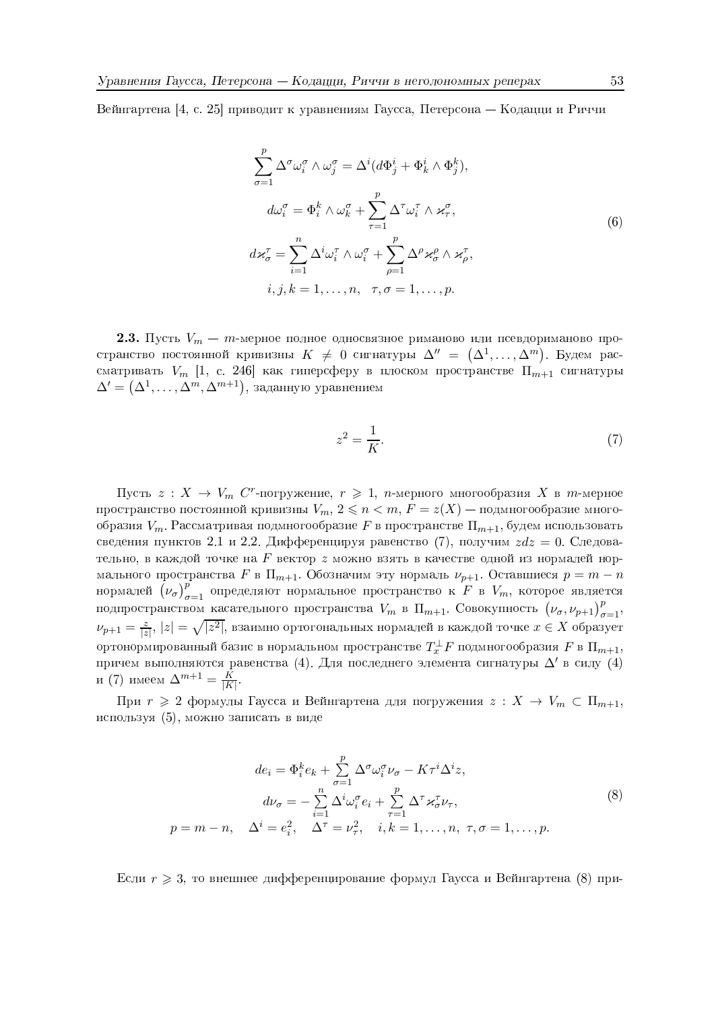Вейнгартена [4, с. 25] приводит к уравнениям Гаусса, Петерсона — Кодацци и Риччи

$$
\sum_{\sigma=1}^{p} \Delta^{\sigma} \omega_i^{\sigma} \wedge \omega_j^{\sigma} = \Delta^i (d\Phi_j^i + \Phi_k^i \wedge \Phi_j^k),
$$
  
\n
$$
d\omega_i^{\sigma} = \Phi_i^k \wedge \omega_k^{\sigma} + \sum_{\tau=1}^{p} \Delta^{\tau} \omega_i^{\tau} \wedge \varkappa_\tau^{\sigma},
$$
  
\n
$$
d\varkappa_{\sigma}^{\tau} = \sum_{i=1}^{n} \Delta^i \omega_i^{\tau} \wedge \omega_i^{\sigma} + \sum_{\rho=1}^{p} \Delta^{\rho} \varkappa_{\sigma}^{\rho} \wedge \varkappa_{\rho}^{\tau},
$$
  
\n
$$
i, j, k = 1, \dots, n, \quad \tau, \sigma = 1, \dots, p.
$$
 (6)

**2.3.** Пусть  $V_m - m$ -мерное полное односвязное риманово или псевдориманово пространство постоянной кривизны  $K \neq 0$  сигнатуры  $\Delta'' = (\Delta^1, \dots, \Delta^m)$ . Будем рассматривать  $V_m$  [1, с. 246] как гиперсферу в плоском пространстве  $\Pi_{m+1}$  сигнатуры  $\Delta' = (\Delta^1, \ldots, \Delta^m, \Delta^{m+1})$ , заданную уравнением

$$
z^2 = \frac{1}{K}.\tag{7}
$$

Пусть  $z: X \to V_m$  С<sup>т</sup>-погружение,  $r \geq 1$ , *п*-мерного многообразия X в *т*-мерное пространство постоянной кривизны  $V_m$ ,  $2 \le n < m$ ,  $F = z(X)$  — подмногообразие многообразия  $V_m$ . Рассматривая подмногообразие F в пространстве  $\Pi_{m+1}$ , будем использовать сведения пунктов 2.1 и 2.2. Дифференцируя равенство (7), получим  $zdz = 0$ . Следовательно, в каждой точке на  $F$  вектор  $z$  можно взять в качестве одной из нормалей нормального пространства $F$ в $\Pi_{m+1}.$ Обозначим эту нормаль  $\nu_{p+1}.$ Оставшиеся  $p=m-n$ нормалей  $(\nu_{\sigma})_{\sigma=1}^p$  определяют нормальное пространство к F в  $V_m$ , которое является подпространством касательного пространства  $V_m$  в  $\Pi_{m+1}$ . Совокупность  $(\nu_{\sigma}, \nu_{p+1})_{\sigma=1}^p$ ,  $\nu_{p+1} = \frac{z}{|z|}$ ,  $|z| = \sqrt{|z^2|}$ , взаимно ортогональных нормалей в каждой точке  $x \in X$  образует ортонормированный базис в нормальном пространстве  $T_x^{\perp}F$  подмногообразия F в  $\Pi_{m+1}$ , причем выполняются равенства (4). Для последнего элемента сигнатуры  $\Delta'$  в силу (4) и (7) имеем  $\Delta^{m+1} = \frac{K}{|K|}$ 

При  $r \geq 2$  формулы Гаусса и Вейнгартена для погружения  $z: X \to V_m \subset \Pi_{m+1}$ , используя (5), можно записать в виде

$$
de_i = \Phi_i^k e_k + \sum_{\sigma=1}^p \Delta^{\sigma} \omega_i^{\sigma} \nu_{\sigma} - K\tau^i \Delta^i z,
$$
  

$$
d\nu_{\sigma} = -\sum_{i=1}^n \Delta^i \omega_i^{\sigma} e_i + \sum_{\tau=1}^p \Delta^{\tau} \varkappa_{\sigma}^{\tau} \nu_{\tau},
$$
  

$$
p = m - n, \quad \Delta^i = e_i^2, \quad \Delta^{\tau} = \nu_{\tau}^2, \quad i, k = 1, \dots, n, \quad \tau, \sigma = 1, \dots, p.
$$
  

$$
(8)
$$

Если  $r \geq 3$ , то внешнее дифференцирование формул Гаусса и Вейнгартена (8) при-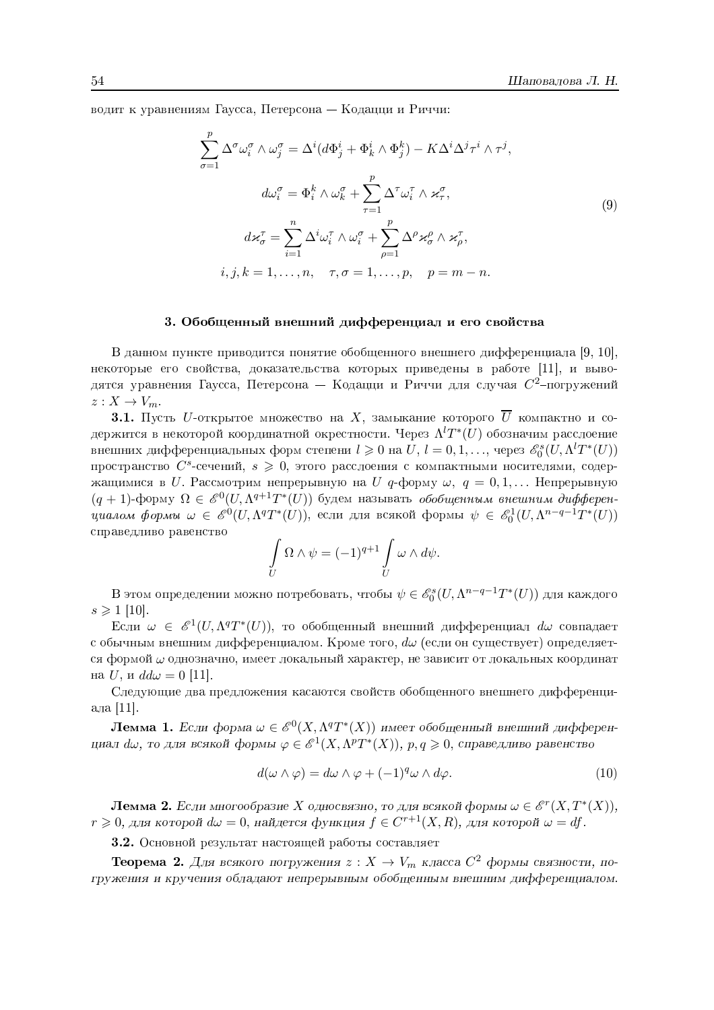водит к уравнениям Гаусса, Петерсона — Кодацци и Риччи:

$$
\sum_{\sigma=1}^{p} \Delta^{\sigma} \omega_{i}^{\sigma} \wedge \omega_{j}^{\sigma} = \Delta^{i} (d\Phi_{j}^{i} + \Phi_{k}^{i} \wedge \Phi_{j}^{k}) - K \Delta^{i} \Delta^{j} \tau^{i} \wedge \tau^{j},
$$

$$
d\omega_{i}^{\sigma} = \Phi_{i}^{k} \wedge \omega_{k}^{\sigma} + \sum_{\tau=1}^{p} \Delta^{\tau} \omega_{i}^{\tau} \wedge \varkappa_{\tau}^{\sigma},
$$

$$
d\pi_{\sigma}^{\tau} = \sum_{i=1}^{n} \Delta^{i} \omega_{i}^{\tau} \wedge \omega_{i}^{\sigma} + \sum_{\rho=1}^{p} \Delta^{\rho} \varkappa_{\sigma}^{\rho} \wedge \varkappa_{\rho}^{\tau},
$$

$$
i, j, k = 1, \dots, n, \quad \tau, \sigma = 1, \dots, p, \quad p = m - n.
$$

$$
(9)
$$

## 3. Обобщенный внешний дифференциал и его свойства

В данном пункте приводится понятие обобщенного внешнего дифференциала [9, 10], некоторые его свойства, доказательства которых приведены в работе [11], и выводятся уравнения Гаусса, Петерсона — Кодацци и Риччи для случая  $C^2$ -погружений  $z:X\to V_m$ .

**3.1.** Пусть *U*-открытое множество на X, замыкание которого  $\overline{U}$  компактно и содержится в некоторой координатной окрестности. Через  $\Lambda^l T^*(U)$  обозначим расслоение внешних дифференциальных форм степени  $l \geq 0$  на  $U, l = 0, 1, \ldots$ , через  $\mathcal{E}_{0}^{s}(U, \Lambda^{l}T^{*}(U))$ пространство  $C^s$ -сечений,  $s \geq 0$ , этого расслоения с компактными носителями, содержащимися в U. Рассмотрим непрерывную на U q-форму  $\omega, q = 0, 1, \dots$  Непрерывную  $(q+1)$ -форму  $\Omega \in \mathscr{E}^0(U, \Lambda^{q+1}T^*(U))$  будем называть обобщенным внешним дифферен*циалом формы*  $\omega \in \mathscr{E}^0(U, \Lambda^q T^*(U))$ *, если для всякой формы*  $\psi \in \mathscr{E}_0^1(U, \Lambda^{n-q-1} T^*(U))$ справедливо равенство

$$
\int\limits_U \Omega \wedge \psi = (-1)^{q+1} \int\limits_U \omega \wedge d\psi.
$$

B этом определении можно потребовать, чтобы $\psi \in \mathscr{E}^{s}_0(U, \Lambda^{n-q-1}T^*(U))$ для каждого  $s \geq 1$  [10].

Если  $\omega \in \mathcal{E}^1(U, \Lambda^q T^*(U))$ , то обобщенный внешний дифференциал  $d\omega$  совпадает с обычным внешним дифференциалом. Кроме того,  $d\omega$  (если он существует) определяется формой  $\omega$  однозначно, имеет локальный характер, не зависит от локальных координат на *U*, и  $dd\omega = 0$  [11].

Следующие два предложения касаются свойств обобщенного внешнего дифференциала  $[11]$ .

**Лемма 1.** Если форма  $\omega \in \mathcal{E}^0(X, \Lambda^q T^*(X))$  имеет обобщенный внешний дифференциал d $\omega$ , то для всякой формы  $\varphi \in \mathscr{E}^1(X, \Lambda^p T^*(X)), p, q \geq 0$ , справедливо равенство

$$
d(\omega \wedge \varphi) = d\omega \wedge \varphi + (-1)^q \omega \wedge d\varphi. \tag{10}
$$

**Лемма 2.** Если многообразие X односвязно, то для всякой формы  $\omega \in \mathcal{E}^r(X,T^*(X)),$  $r \geq 0$ , для которой  $d\omega = 0$ , найдется функция  $f \in C^{r+1}(X,R)$ , для которой  $\omega = df$ .

3.2. Основной результат настоящей работы составляет

**Теорема 2.** Для всякого погружения  $z: X \to V_m$  класса  $C^2$  формы связности, погружения и кручения обладают непрерывным обобщенным внешним дифференциалом.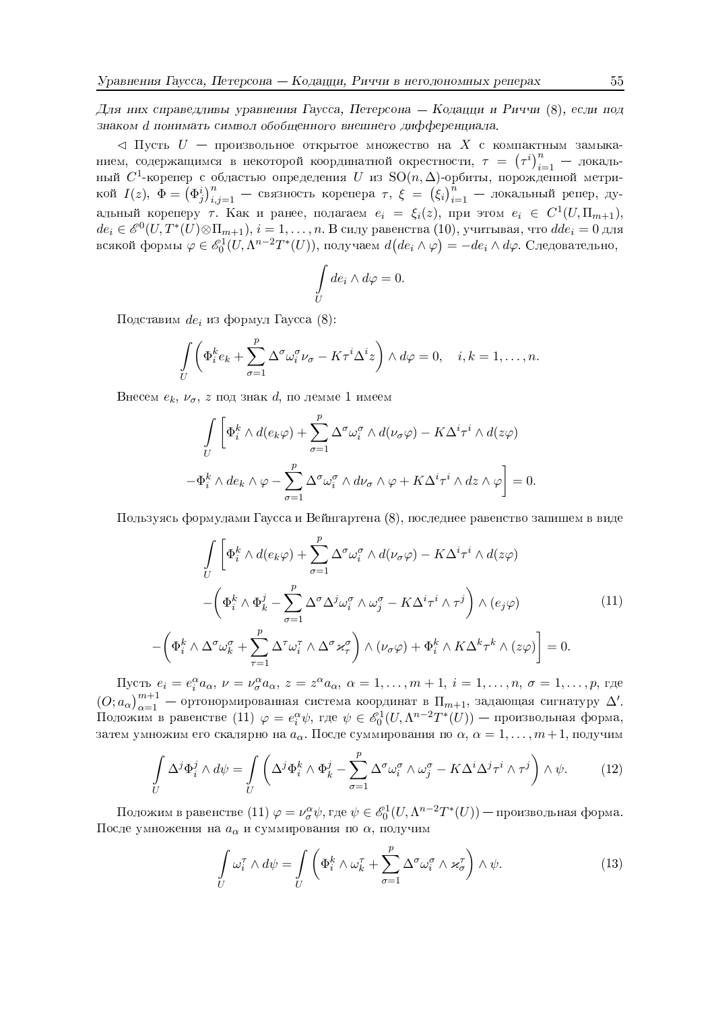Для них справедливы уравнения Гаусса, Петерсона — Кодацци и Риччи (8), если под знаком d понимать символ обобщенного внешнего дифференциала.

 $\lhd$  Пусть  $U$  — произвольное открытое множество на X с компактным замыканием, содержащимся в некоторой координатной окрестности,  $\tau = (\tau^i)_{i=1}^n$  - локальный  $C^1$ -корепер с областью определения U из SO(n,  $\Delta$ )-орбиты, порожденной метри-<br>кой  $I(z)$ ,  $\Phi = (\Phi_j^i)_{i,j=1}^n$  — связность корепера  $\tau$ ,  $\xi = (\xi_i)_{i=1}^n$  — локальный репер, дуальный кореперу т. Как и ранее, полагаем  $e_i = \xi_i(z)$ , при этом  $e_i \in C^1(U, \Pi_{m+1})$ ,  $de_i \in \mathscr{E}^0(U, T^*(U) \otimes \Pi_{m+1}), i = 1, \ldots, n$ . В силу равенства (10), учитывая, что  $dde_i = 0$  для всякой формы  $\varphi \in \mathscr{E}_0^1(U, \Lambda^{n-2}T^*(U))$ , получаем  $d(de_i \wedge \varphi) = -de_i \wedge d\varphi$ . Следовательно,

$$
\int\limits_{U} de_i \wedge d\varphi = 0.
$$

Подставим  $de_i$  из формул Гаусса (8):

$$
\int\limits_U \left( \Phi_i^k e_k + \sum_{\sigma=1}^p \Delta^\sigma \omega_i^\sigma \nu_\sigma - K\tau^i \Delta^i z \right) \wedge d\varphi = 0, \quad i, k = 1, \dots, n.
$$

Внесем  $e_k$ ,  $\nu_{\sigma}$ ,  $z$  под знак  $d$ , по лемме 1 имеем

$$
\int_{U} \left[ \Phi_i^k \wedge d(e_k \varphi) + \sum_{\sigma=1}^p \Delta^{\sigma} \omega_i^{\sigma} \wedge d(\nu_{\sigma} \varphi) - K \Delta^i \tau^i \wedge d(z \varphi) \right]
$$

$$
-\Phi_i^k \wedge de_k \wedge \varphi - \sum_{\sigma=1}^p \Delta^{\sigma} \omega_i^{\sigma} \wedge d\nu_{\sigma} \wedge \varphi + K \Delta^i \tau^i \wedge dz \wedge \varphi \right] = 0.
$$

Пользуясь формулами Гаусса и Вейнгартена (8), последнее равенство запишем в виде

$$
\int_{U} \left[ \Phi_{i}^{k} \wedge d(e_{k}\varphi) + \sum_{\sigma=1}^{p} \Delta^{\sigma} \omega_{i}^{\sigma} \wedge d(\nu_{\sigma}\varphi) - K\Delta^{i}\tau^{i} \wedge d(z\varphi) \right. \\
\left. - \left( \Phi_{i}^{k} \wedge \Phi_{k}^{j} - \sum_{\sigma=1}^{p} \Delta^{\sigma} \Delta^{j} \omega_{i}^{\sigma} \wedge \omega_{j}^{\sigma} - K\Delta^{i}\tau^{i} \wedge \tau^{j} \right) \wedge (e_{j}\varphi) \right]
$$
\n
$$
\left( \Phi_{i}^{k} \wedge \Delta^{\sigma} \omega_{k}^{\sigma} + \sum_{\tau=1}^{p} \Delta^{\tau} \omega_{i}^{\tau} \wedge \Delta^{\sigma} \varkappa_{\tau}^{\sigma} \right) \wedge (\nu_{\sigma}\varphi) + \Phi_{i}^{k} \wedge K\Delta^{k}\tau^{k} \wedge (z\varphi) \right] = 0.
$$
\n(11)

Пусть  $e_i = e_i^{\alpha} a_{\alpha}, \nu = \nu_{\sigma}^{\alpha} a_{\alpha}, z = z^{\alpha} a_{\alpha}, \alpha = 1, \ldots, m + 1, i = 1, \ldots, n, \sigma = 1, \ldots, p$ , где  $(0; a_{\alpha})_{\alpha=1}^{m+1}$  — ортонормированная система координат в  $\Pi_{m+1}$ , задающая сигнатуру  $\Delta'$ .<br>Положим в равенстве (11)  $\varphi = e_i^{\alpha} \psi$ , где  $\psi \in \mathscr{E}_0^1(U, \Lambda^{n-2}T^*(U))$  — произвольная форма, затем умножим его скалярно на  $a_{\alpha}$ . После суммирования по  $\alpha, \alpha = 1, \ldots, m+1$ , получим

$$
\int_{U} \Delta^{j} \Phi_{i}^{j} \wedge d\psi = \int_{U} \left( \Delta^{j} \Phi_{i}^{k} \wedge \Phi_{k}^{j} - \sum_{\sigma=1}^{p} \Delta^{\sigma} \omega_{i}^{\sigma} \wedge \omega_{j}^{\sigma} - K \Delta^{i} \Delta^{j} \tau^{i} \wedge \tau^{j} \right) \wedge \psi.
$$
 (12)

Положим в равенстве (11)  $\varphi = \nu_{\sigma}^{\alpha} \psi$ , где  $\psi \in \mathscr{E}_0^1(U, \Lambda^{n-2} T^*(U))$  — произвольная форма. После умножения на  $a_\alpha$ и суммирования по  $\alpha,$ получим

$$
\int_{U} \omega_i^{\tau} \wedge d\psi = \int_{U} \left( \Phi_i^k \wedge \omega_k^{\tau} + \sum_{\sigma=1}^p \Delta^{\sigma} \omega_i^{\sigma} \wedge \varkappa_{\sigma}^{\tau} \right) \wedge \psi.
$$
\n(13)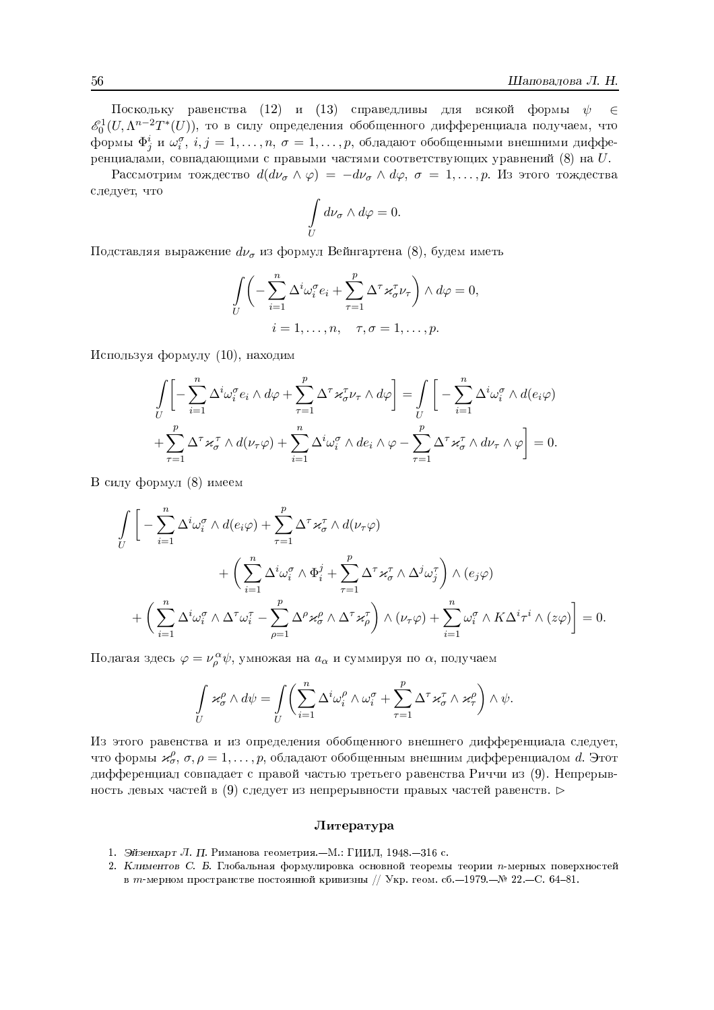Поскольку равенства (12) и (13) справедливы для всякой формы  $\psi$  $\in$  $\mathcal{E}_{0}^{1}(U,\Lambda^{n-2}T^{*}(U)),$  то в силу определения обобщенного дифференциала получаем, что формы  $\Phi_i^i$  и  $\omega_i^{\sigma}$ ,  $i, j = 1, \ldots, n, \sigma = 1, \ldots, p$ , обладают обобщенными внешними дифференциалами, совпадающими с правыми частями соответствующих уравнений (8) на  $U$ .

Рассмотрим тождество  $d(d\nu_{\sigma} \wedge \varphi) = -d\nu_{\sigma} \wedge d\varphi$ ,  $\sigma = 1, \ldots, p$ . Из этого тождества следует, что

$$
\int\limits_U d\nu_\sigma \wedge d\varphi = 0.
$$

Подставляя выражение  $d\nu_{\sigma}$  из формул Вейнгартена (8), будем иметь

$$
\int_{U} \left( -\sum_{i=1}^{n} \Delta^{i} \omega_{i}^{\sigma} e_{i} + \sum_{\tau=1}^{p} \Delta^{\tau} \varkappa_{\sigma}^{\tau} \nu_{\tau} \right) \wedge d\varphi = 0,
$$
  

$$
i = 1, \dots, n, \quad \tau, \sigma = 1, \dots, p.
$$

Используя формулу (10), находим

$$
\int_{U} \left[ -\sum_{i=1}^{n} \Delta^{i} \omega_{i}^{\sigma} e_{i} \wedge d\varphi + \sum_{\tau=1}^{p} \Delta^{\tau} \varkappa_{\sigma}^{\tau} \nu_{\tau} \wedge d\varphi \right] = \int_{U} \left[ -\sum_{i=1}^{n} \Delta^{i} \omega_{i}^{\sigma} \wedge d(e_{i}\varphi) \right.
$$

$$
+ \sum_{\tau=1}^{p} \Delta^{\tau} \varkappa_{\sigma}^{\tau} \wedge d(\nu_{\tau}\varphi) + \sum_{i=1}^{n} \Delta^{i} \omega_{i}^{\sigma} \wedge de_{i} \wedge \varphi - \sum_{\tau=1}^{p} \Delta^{\tau} \varkappa_{\sigma}^{\tau} \wedge d\nu_{\tau} \wedge \varphi \right] = 0.
$$

В силу формул (8) имеем

$$
\int_{U} \left[ -\sum_{i=1}^{n} \Delta^{i} \omega_{i}^{\sigma} \wedge d(e_{i}\varphi) + \sum_{\tau=1}^{p} \Delta^{\tau} \varkappa_{\sigma}^{\tau} \wedge d(\nu_{\tau}\varphi) \right. \\
\left. + \left( \sum_{i=1}^{n} \Delta^{i} \omega_{i}^{\sigma} \wedge \Phi_{i}^{j} + \sum_{\tau=1}^{p} \Delta^{\tau} \varkappa_{\sigma}^{\tau} \wedge \Delta^{j} \omega_{j}^{\tau} \right) \wedge (e_{j}\varphi) \right. \\
\left. + \left( \sum_{i=1}^{n} \Delta^{i} \omega_{i}^{\sigma} \wedge \Delta^{\tau} \omega_{i}^{\tau} - \sum_{\rho=1}^{p} \Delta^{\rho} \varkappa_{\sigma}^{\rho} \wedge \Delta^{\tau} \varkappa_{\rho}^{\tau} \right) \wedge (\nu_{\tau}\varphi) + \sum_{i=1}^{n} \omega_{i}^{\sigma} \wedge K\Delta^{i} \tau^{i} \wedge (z\varphi) \right] = 0.
$$

Полагая здесь  $\varphi = \nu_{\rho}^{\alpha} \psi$ , умножая на  $a_{\alpha}$  и суммируя по  $\alpha$ , получаем

$$
\int\limits_U\varkappa^\rho_\sigma\wedge d\psi=\int\limits_U\biggl(\sum\limits_{i=1}^n\Delta^i\omega^\rho_i\wedge\omega^\sigma_i+\sum\limits_{\tau=1}^p\Delta^\tau\varkappa^\tau_\sigma\wedge\varkappa^\rho_\tau\biggr)\wedge\psi.
$$

Из этого равенства и из определения обобщенного внешнего дифференциала следует, что формы  $\varkappa_{\sigma}^{\rho}, \sigma, \rho = 1, \ldots, p$ , обладают обобщенным внешним дифференциалом d. Этот дифференциал совпадает с правой частью третьего равенства Риччи из (9). Непрерывность левых частей в (9) следует из непрерывности правых частей равенств.  $\triangleright$ 

#### Литература

- 1. Эйзенхарт Л. П. Риманова геометрия. М.: ГИИЛ, 1948. 316 с.
- 2. Климентов С. Б. Глобальная формулировка основной теоремы теории п-мерных поверхностей в *т*и-мерном пространстве постоянной кривизны // Укр. геом. сб. −1979. – № 22. – С. 64-81.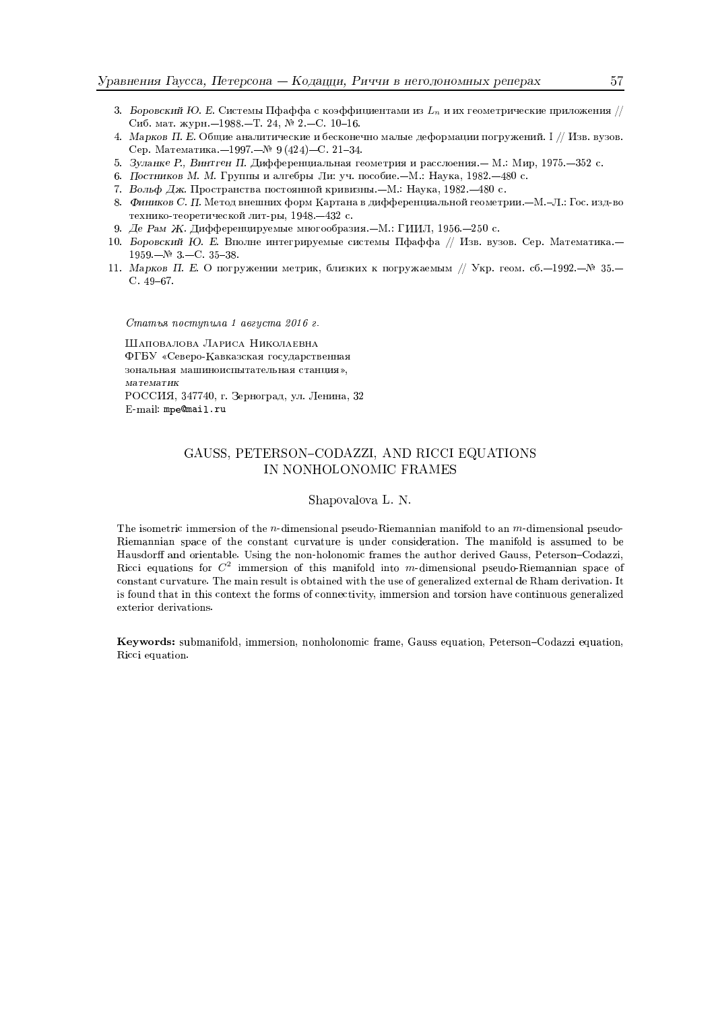- 3. Боровский Ю. Е. Системы Пфаффа с коэффициентами из  $L_n$  и их геометрические приложения // Сиб. мат. журн. -1988. - Т. 24, № 2. - С. 10-16.
- 4. Марков П. Е. Общие аналитические и бесконечно малые деформации погружений. I // Изв. вузов. Сер. Математика.-1997.-№ 9 (424)-С. 21-34.
- 5. Зуланке Р., Винтген П. Дифференциальная геометрия и расслоения. М.: Мир, 1975. 352 с.
- 6. Постников М. М. Группы и алгебры Ли: уч. пособие.-М.: Наука, 1982.-480 с.
- 7. Вольф Дж. Пространства постоянной кривизны. М.: Наука, 1982. 480 с.
- 8. Фиников С. П. Метод внешних форм Картана в дифференциальной геометрии. М.-Л.: Гос. изд-во технико-теоретической лит-ры, 1948. - 432 с.
- 9. Де Рам Ж. Дифференцируемые многообразия. М.: ГИИЛ, 1956. 250 с.
- 10. Боровский Ю. Е. Вполне интегрируемые системы Пфаффа // Изв. вузов. Сер. Математика.- $1959 - N$ <sup>2</sup> 3 - C. 35-38.
- 11. Марков П. Е. О погружении метрик, близких к погружаемым // Укр. геом. сб. 1992. № 35. - $C.49-67.$

Статья поступила 1 августа 2016 г. ШАПОВАЛОВА ЛАРИСА НИКОЛАЕВНА ФГБУ «Северо-Кавказская государственная зональная машиноиспытательная станция», математик РОССИЯ, 347740, г. Зерноград, ул. Ленина, 32 E-mail: mpe@mail.ru

## GAUSS, PETERSON-CODAZZI, AND RICCI EQUATIONS IN NONHOLONOMIC FRAMES

#### Shapovalova L. N.

The isometric immersion of the *n*-dimensional pseudo-Riemannian manifold to an *m*-dimensional pseudo-Riemannian space of the constant curvature is under consideration. The manifold is assumed to be Hausdorff and orientable. Using the non-holonomic frames the author derived Gauss, Peterson-Codazzi, Ricci equations for  $C^2$  immersion of this manifold into m-dimensional pseudo-Riemannian space of constant curvature. The main result is obtained with the use of generalized external de Rham derivation. It is found that in this context the forms of connectivity, immersion and torsion have continuous generalized exterior derivations.

Keywords: submanifold, immersion, nonholonomic frame, Gauss equation, Peterson-Codazzi equation, Ricci equation.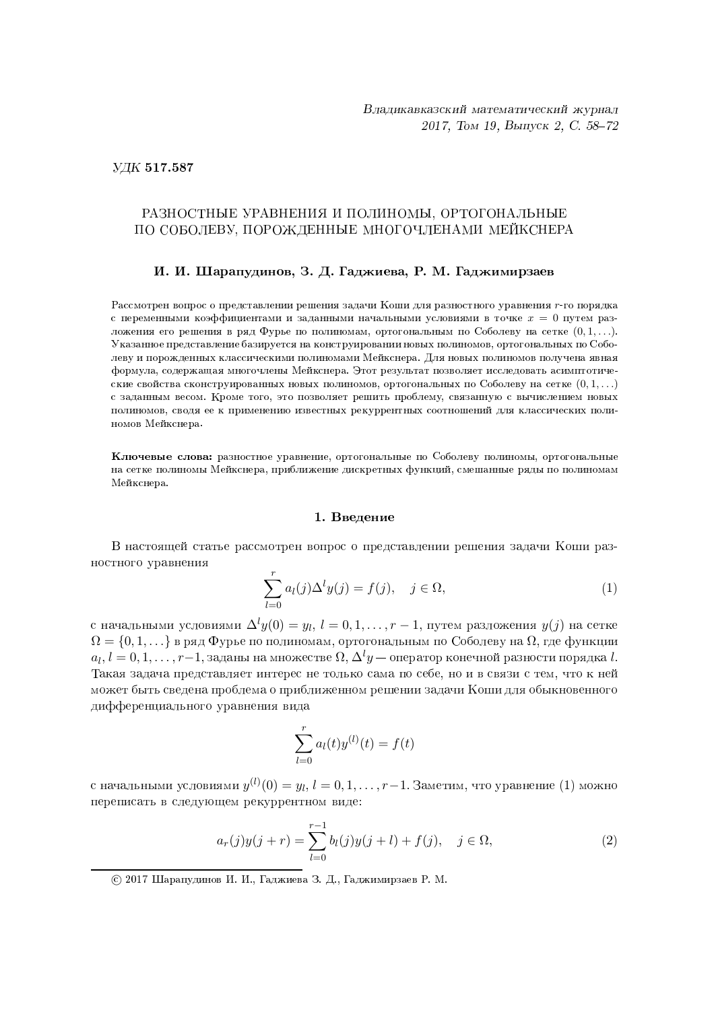УДК 517.587

## РАЗНОСТНЫЕ УРАВНЕНИЯ И ПОЛИНОМЫ, ОРТОГОНАЛЬНЫЕ по соболеву, порожденные многочленами меикснера

## $\Pi$ . И. Шарапудинов, З. Д. Гаджиева, Р. М. Гаджимирзаев

Рассмотрен вопрос о представлении решения задачи Коши для разностного уравнения 1-го порядка с переменными коэффициентами и заданными начальными условиями в точке  $x = 0$  путем разложения его решения в ряд Фурье по полиномам, ортогональным по Соболеву на сетке  $(0, 1, \ldots).$ Указанное представление базируется на конструировании новых полиномов, ортогональных по Соболеву и порожденных классическими полиномами Мейкснера. Для новых полиномов получена явная формула, содержащая многочлены Мейкснера. Этот результат позволяет исследовать асимптотические свойства сконструированных новых полиномов, ортогональных по Соболеву на сетке  $(0,1,\ldots)$ с заданным весом. Кроме того, это позволяет решить проблему, связанную с вычислением новых полиномов, сводя ее к применению известных рекуррентных соотношений для классических полиномов Мейкснера.

**Ключевые слова:** разностное уравнение, ортогональные по Соболеву полиномы, ортогональные на сетке полиномы Мейкснера, приближение дискретных функций, смешанные ряды по полиномам Мейкснера.

#### 1. Введение

В настоящей статье рассмотрен вопрос о представлении решения задачи Коши разностного уравнения

$$
\sum_{l=0}^{r} a_l(j) \Delta^l y(j) = f(j), \quad j \in \Omega,
$$
\n(1)

с начальными условиями  $\Delta^ly(0)=y_l,\,l=0,1,\ldots,r-1,$  путем разложения  $y(j)$  на сетке  $\Omega = \{0,1,\ldots\}$  в ряд Фурье по полиномам, ортогональным по Соболеву на  $\Omega,$  где функции  $a_l, l = 0, 1, \ldots, r{-}1,$  заданы на множестве  $\Omega, \Delta^l y$  — оператор конечной разности порядка  $l.$ Такая задача представляет интерес не только сама по себе, но и в связи с тем, что к ней может быть сведена проблема о приближенном решении задачи Коши для обыкновенного дифференциального уравнения вида

$$
\sum_{l=0}^{r} a_l(t) y^{(l)}(t) = f(t)
$$

с начальными условиями  $y^{(l)}(0) = y_l, \, l = 0, 1, \ldots, r-1$ . Заметим, что уравнение  $(1)$  можно переписать в следующем рекуррентном виде:

$$
a_r(j)y(j+r) = \sum_{l=0}^{r-1} b_l(j)y(j+l) + f(j), \quad j \in \Omega,
$$
\n(2)

<sup>© 2017</sup> Шарапудинов И. И., Гаджиева З. Д., Гаджимирзаев Р. М.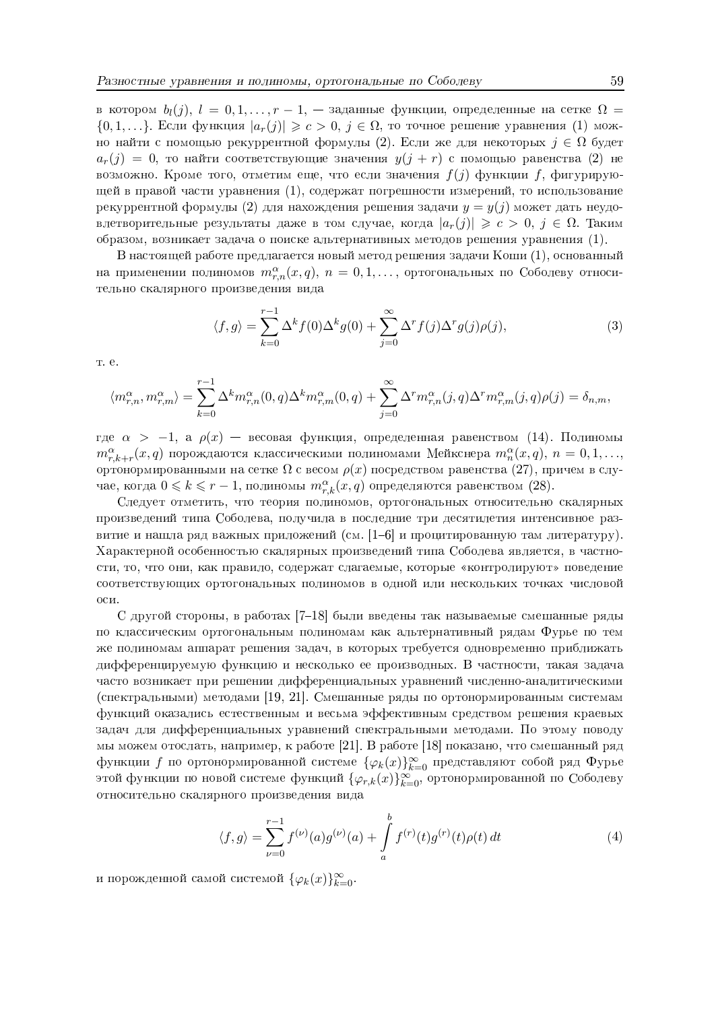в котором  $b_l(j)$ ,  $l = 0, 1, \ldots, r-1$ , — заданные функции, определенные на сетке  $\Omega =$  $\{0,1,\ldots\}$ . Если функция  $|a_r(j)| \geqslant c > 0$ ,  $j \in \Omega$ , то точное решение уравнения (1) можно найти с помощью рекуррентной формулы (2). Если же для некоторых  $j \in \Omega$  будет  $a_r(j) = 0$ , то найти соответствующие значения  $y(j + r)$  с помощью равенства (2) не возможно. Кроме того, отметим еще, что если значения  $f(j)$  функции f, фигурирующей в правой части уравнения (1), содержат погрешности измерений, то использование рекуррентной формулы (2) для нахождения решения задачи  $y = y(j)$  может дать неудовлетворительные результаты даже в том случае, когда  $|a_r(j)| \geqslant c > 0, j \in \Omega$ . Таким образом, возникает задача о поиске альтернативных методов решения уравнения (1).

В настоящей работе предлагается новый метод решения задачи Коши  $(1)$ , основанный на применении полиномов  $m_{r,n}^{\alpha}(x,q), n = 0,1,...,$  ортогональных по Соболеву относительно скалярного произведения вида

$$
\langle f, g \rangle = \sum_{k=0}^{r-1} \Delta^k f(0) \Delta^k g(0) + \sum_{j=0}^{\infty} \Delta^r f(j) \Delta^r g(j) \rho(j), \tag{3}
$$

т. е.

$$
\langle m_{r,n}^{\alpha}, m_{r,m}^{\alpha} \rangle = \sum_{k=0}^{r-1} \Delta^k m_{r,n}^{\alpha}(0, q) \Delta^k m_{r,m}^{\alpha}(0, q) + \sum_{j=0}^{\infty} \Delta^r m_{r,n}^{\alpha}(j, q) \Delta^r m_{r,m}^{\alpha}(j, q) \rho(j) = \delta_{n,m},
$$

где  $\alpha$  > -1, а  $\rho(x)$  - весовая функция, определенная равенством (14). Полиномы  $m_{r,k+r}^{\alpha}(x,q)$  порождаются классическими полиномами Мейкснера  $m_{n}^{\alpha}(x,q)$ ,  $n=0,1,\ldots$ ортонормированными на сетке  $\Omega$  с весом  $\rho(x)$  посредством равенства (27), причем в случае, когда  $0 \leq k \leq r-1$ , полиномы  $m_{r,k}^{\alpha}(x,q)$  определяются равенством (28).

Следует отметить, что теория полиномов, ортогональных относительно скалярных произведений типа Соболева, получила в последние три десятилетия интенсивное развитие и нашла ряд важных приложений (см.  $[1-6]$  и процитированную там литературу). Характерной особенностью скалярных произведений типа Соболева является, в частности, то, что они, как правило, содержат слагаемые, которые «контролируют» поведение соответствующих ортогональных полиномов в одной или нескольких точках числовой  $ocn$ 

С другой стороны, в работах [7-18] были введены так называемые смешанные ряды по классическим ортогональным полиномам как альтернативный рядам Фурье по тем же полиномам аппарат решения задач, в которых требуется одновременно приближать дифференцируемую функцию и несколько ее производных. В частности, такая задача часто возникает при решении дифференциальных уравнений численно-аналитическими (спектральными) методами [19, 21]. Смешанные ряды по ортонормированным системам функций оказались естественным и весьма эффективным средством решения краевых задач для дифференциальных уравнений спектральными методами. По этому поводу мы можем отослать, например, к работе [21]. В работе [18] показано, что смешанный ряд функции  $f$  по ортонормированной системе  $\{\varphi_k(x)\}_{k=0}^{\infty}$  представляют собой ряд Фурье этой функции по новой системе функций  $\{\varphi_{r,k}(x)\}_{k=0}^{\infty}$ , ортонормированной по Соболеву относительно скалярного произведения вида

$$
\langle f, g \rangle = \sum_{\nu=0}^{r-1} f^{(\nu)}(a) g^{(\nu)}(a) + \int_{a}^{b} f^{(r)}(t) g^{(r)}(t) \rho(t) dt \tag{4}
$$

и порожденной самой системой  $\{\varphi_k(x)\}_{k=0}^{\infty}$ .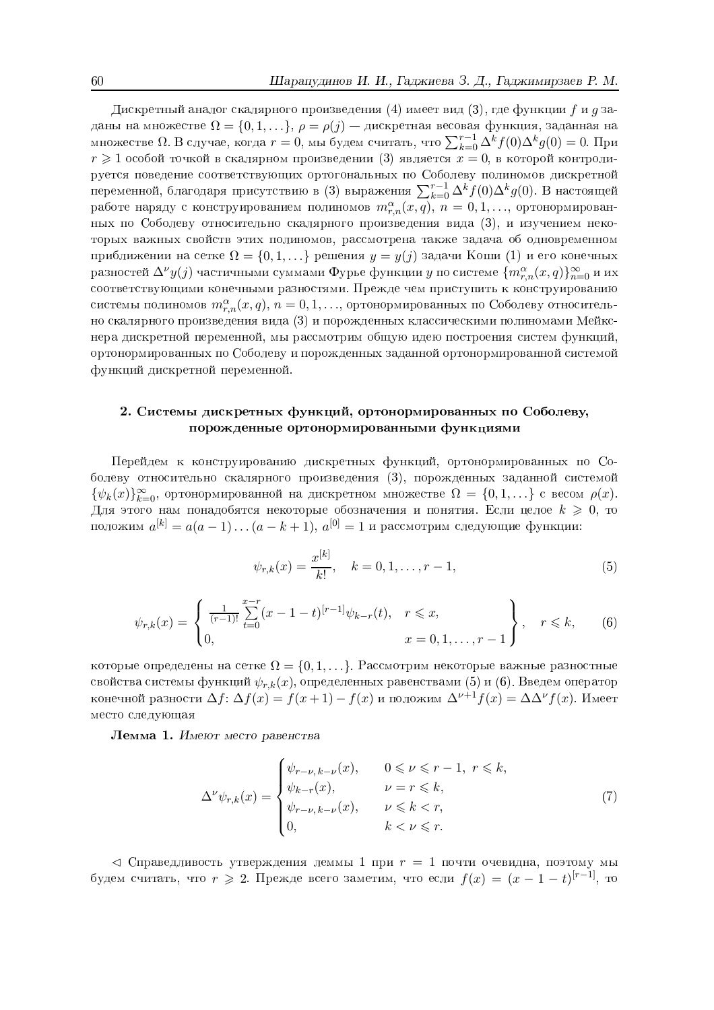Дискретный аналог скалярного произведения (4) имеет вид (3), где функции  $f$  и  $g$  заданы на множестве  $\Omega = \{0, 1, ...\}$ ,  $\rho = \rho(j)$  — дискретная весовая функция, заданная на множестве  $\Omega$ . В случае, когда  $r = 0$ , мы будем считать, что  $\sum_{k=0}^{r-1} \Delta^k f(0) \Delta^k g(0) = 0$ . При  $r \geq 1$  особой точкой в скалярном произведении (3) является  $x = 0$ , в которой контролируется поведение соответствующих ортогональных по Соболеву полиномов дискретной переменной, благодаря присутствию в (3) выражения  $\sum_{k=0}^{r-1} \Delta^k f(0) \Delta^k g(0)$ . В настоящей работе наряду с конструированием полиномов  $m_{r,n}^{\alpha}(x,q)$ ,  $n = 0,1,...$ , ортонормированных по Соболеву относительно скалярного произведения вида (3), и изучением некоторых важных свойств этих полиномов, рассмотрена также задача об одновременном приближении на сетке  $\Omega = \{0, 1, \ldots\}$  решения  $y = y(j)$  задачи Коши (1) и его конечных разностей  $\Delta^{\nu}y(j)$  частичными суммами Фурье функции у по системе  $\{m_{r,n}^{\alpha}(x,q)\}_{n=0}^{\infty}$  и их соответствующими конечными разностями. Прежде чем приступить к конструированию системы полиномов  $m_{r,n}^{\alpha}(x,q)$ ,  $n = 0,1,...$ , ортонормированных по Соболеву относительно скалярного произведения вида (3) и порожденных классическими полиномами Мейкснера дискретной переменной, мы рассмотрим общую идею построения систем функций, ортонормированных по Соболеву и порожденных заданной ортонормированной системой функций дискретной переменной.

# 2. Системы дискретных функций, ортонормированных по Соболеву, порожденные ортонормированными функциями

Перейдем к конструированию дискретных функций, ортонормированных по Соболеву относительно скалярного произведения (3), порожденных заданной системой  $\{\psi_k(x)\}_{k=0}^{\infty}$ , ортонормированной на дискретном множестве  $\Omega = \{0, 1, ...\}$  с весом  $\rho(x)$ . Для этого нам понадобятся некоторые обозначения и понятия. Если целое  $k \geqslant 0$ , то положим  $a^{[k]} = a(a-1)...(a-k+1), a^{[0]} = 1$  и рассмотрим следующие функции:

$$
\psi_{r,k}(x) = \frac{x^{[k]}}{k!}, \quad k = 0, 1, \dots, r - 1,\tag{5}
$$

$$
\psi_{r,k}(x) = \begin{cases} \frac{1}{(r-1)!} \sum_{t=0}^{x-r} (x-1-t)^{[r-1]} \psi_{k-r}(t), & r \leq x, \\ 0, & x = 0, 1, \dots, r-1 \end{cases}, \quad r \leq k,
$$
 (6)

которые определены на сетке  $\Omega = \{0, 1, ...\}$ . Рассмотрим некоторые важные разностные свойства системы функций  $\psi_{r,k}(x)$ , определенных равенствами (5) и (6). Введем оператор конечной разности  $\Delta f: \Delta f(x) = f(x+1) - f(x)$  и положим  $\Delta^{\nu+1} f(x) = \Delta \Delta^{\nu} f(x)$ . Имеет место следующая

Лемма 1. Имеют место равенства

$$
\Delta^{\nu}\psi_{r,k}(x) = \begin{cases} \psi_{r-\nu,k-\nu}(x), & 0 \leq \nu \leq r-1, \ r \leq k, \\ \psi_{k-r}(x), & \nu = r \leq k, \\ \psi_{r-\nu,k-\nu}(x), & \nu \leq k < r, \\ 0, & k < \nu \leq r. \end{cases} \tag{7}
$$

 $\triangleleft$  Справедливость утверждения леммы 1 при  $r = 1$  почти очевидна, поэтому мы будем считать, что  $r \geq 2$ . Прежде всего заметим, что если  $f(x) = (x - 1 - t)^{[r-1]}$ , то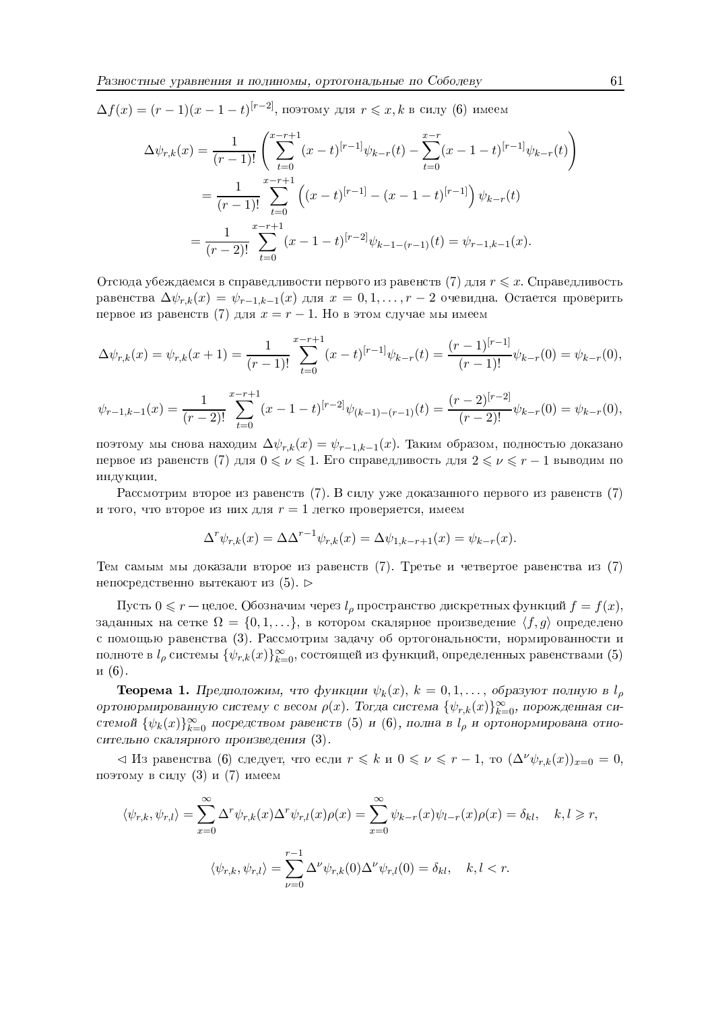$\Delta f(x) = (r-1)(x-1-t)^{[r-2]}$ , поэтому для  $r \leq x, k$  в силу (6) имеем

$$
\Delta \psi_{r,k}(x) = \frac{1}{(r-1)!} \left( \sum_{t=0}^{x-r+1} (x-t)^{[r-1]} \psi_{k-r}(t) - \sum_{t=0}^{x-r} (x-1-t)^{[r-1]} \psi_{k-r}(t) \right)
$$
  
= 
$$
\frac{1}{(r-1)!} \sum_{t=0}^{x-r+1} \left( (x-t)^{[r-1]} - (x-1-t)^{[r-1]} \right) \psi_{k-r}(t)
$$
  
= 
$$
\frac{1}{(r-2)!} \sum_{t=0}^{x-r+1} (x-1-t)^{[r-2]} \psi_{k-1-(r-1)}(t) = \psi_{r-1,k-1}(x).
$$

Отсюда убеждаемся в справедливости первого из равенств (7) для  $r \leq x$ . Справедливость равенства  $\Delta \psi_{r,k}(x) = \psi_{r-1,k-1}(x)$  для  $x = 0,1,\ldots,r-2$  очевидна. Остается проверить первое из равенств (7) для  $x = r - 1$ . Но в этом случае мы имеем

$$
\Delta \psi_{r,k}(x) = \psi_{r,k}(x+1) = \frac{1}{(r-1)!} \sum_{t=0}^{x-r+1} (x-t)^{[r-1]} \psi_{k-r}(t) = \frac{(r-1)^{[r-1]}}{(r-1)!} \psi_{k-r}(0) = \psi_{k-r}(0),
$$

$$
\psi_{r-1,k-1}(x) = \frac{1}{(r-2)!} \sum_{t=0}^{x-r+1} (x-1-t)^{[r-2]} \psi_{(k-1)-(r-1)}(t) = \frac{(r-2)^{[r-2]}}{(r-2)!} \psi_{k-r}(0) = \psi_{k-r}(0),
$$

поэтому мы снова находим  $\Delta \psi_{r,k}(x) = \psi_{r-1,k-1}(x)$ . Таким образом, полностью доказано первое из равенств (7) для  $0 \leq \nu \leq 1$ . Его справедливость для  $2 \leq \nu \leq r-1$  выводим по индукции.

Рассмотрим второе из равенств (7). В силу уже доказанного первого из равенств (7) и того, что второе из них для  $r=1$  легко проверяется, имеем

$$
\Delta^r \psi_{r,k}(x) = \Delta \Delta^{r-1} \psi_{r,k}(x) = \Delta \psi_{1,k-r+1}(x) = \psi_{k-r}(x).
$$

Тем самым мы доказали второе из равенств (7). Третье и четвертое равенства из (7) непосредственно вытекают из  $(5)$ .

Пусть  $0 \leq r$  — целое. Обозначим через  $l_\rho$  пространство дискретных функций  $f = f(x)$ , заданных на сетке  $\Omega = \{0, 1, ...\}$ , в котором скалярное произведение  $\langle f, g \rangle$  определено с помощью равенства (3). Рассмотрим задачу об ортогональности, нормированности и полноте в  $l_{\rho}$  системы  $\{\psi_{r,k}(x)\}_{k=0}^{\infty}$ , состоящей из функций, определенных равенствами (5)  $\mathbf{u}(6)$ .

**Теорема 1.** Предположим, что функции  $\psi_k(x)$ ,  $k = 0, 1, \ldots$ , образуют полную в  $l_\rho$ ортонормированную систему с весом  $\rho(x)$ . Тогда система  $\{\psi_{r,k}(x)\}_{k=0}^{\infty}$ , порожденная системой  $\{\psi_k(x)\}_{k=0}^{\infty}$  посредством равенств (5) и (6), полна в  $l_\rho$  и ортонормирована относительно скалярного произведения (3).

 $\langle A \rangle$ Из равенства (6) следует, что если  $r \leq k$  и  $0 \leq \nu \leq r-1$ , то  $(\Delta^{\nu}\psi_{r,k}(x))_{x=0} = 0$ , поэтому в силу (3) и (7) имеем

$$
\langle \psi_{r,k}, \psi_{r,l} \rangle = \sum_{x=0}^{\infty} \Delta^r \psi_{r,k}(x) \Delta^r \psi_{r,l}(x) \rho(x) = \sum_{x=0}^{\infty} \psi_{k-r}(x) \psi_{l-r}(x) \rho(x) = \delta_{kl}, \quad k, l \ge r,
$$
  

$$
\langle \psi_{r,k}, \psi_{r,l} \rangle = \sum_{\nu=0}^{r-1} \Delta^{\nu} \psi_{r,k}(0) \Delta^{\nu} \psi_{r,l}(0) = \delta_{kl}, \quad k, l < r.
$$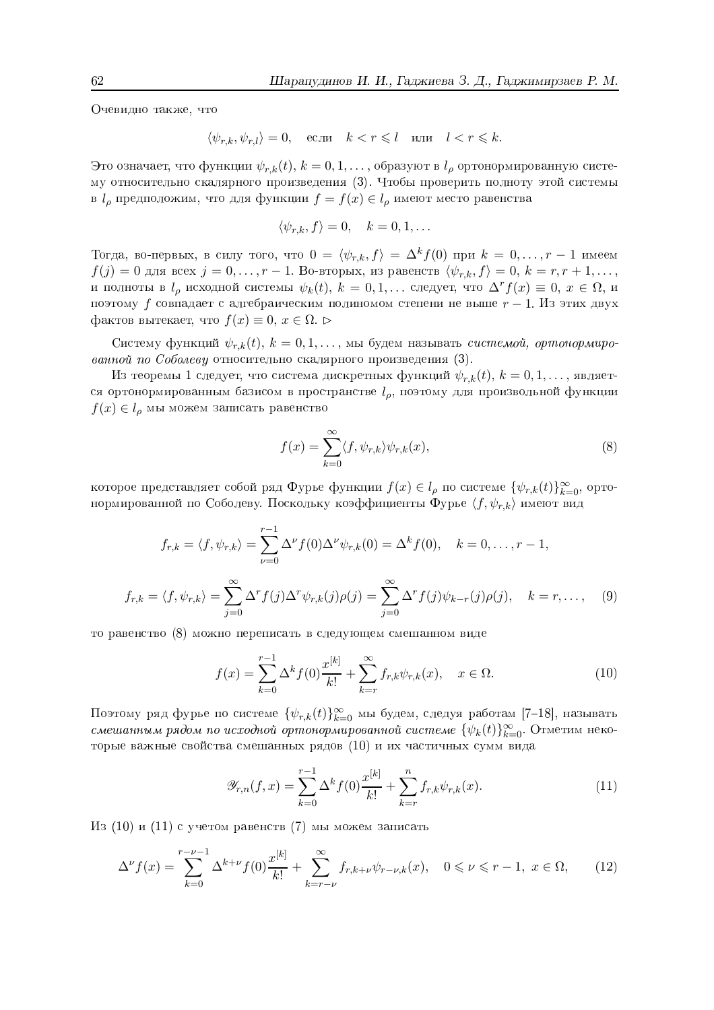Очевидно также, что

$$
\langle \psi_{r,k}, \psi_{r,l} \rangle = 0, \quad \text{ecm} \quad k < r \leq l \quad \text{with} \quad l < r \leq k.
$$

Это означает, что функции  $\psi_{r,k}(t)$ ,  $k = 0, 1, ...,$  образуют в  $l_\rho$  ортонормированную систему относительно скалярного произведения (3). Чтобы проверить полноту этой системы в  $l_\rho$  предположим, что для функции  $f = f(x) \in l_\rho$  имеют место равенства

$$
\langle \psi_{r,k}, f \rangle = 0, \quad k = 0, 1, \dots
$$

Тогда, во-первых, в силу того, что  $0 = \langle \psi_{r,k}, f \rangle = \Delta^k f(0)$  при  $k = 0, \ldots, r-1$  имеем  $f(j) = 0$  для всех  $j = 0, ..., r - 1$ . Во-вторых, из равенств  $\langle \psi_{r,k}, f \rangle = 0, k = r, r + 1, ...,$ и полноты в  $l_{\rho}$  исходной системы  $\psi_k(t)$ ,  $k = 0, 1, ...$  следует, что  $\Delta^r f(x) \equiv 0, x \in \Omega$ , и поэтому  $f$  совпадает с алгебраическим полиномом степени не выше  $r-1$ . Из этих двух фактов вытекает, что  $f(x) \equiv 0, x \in \Omega$ .

Систему функций  $\psi_{r,k}(t)$ ,  $k = 0, 1, \ldots$ , мы будем называть *системой, ортонормиро*ванной по Соболеву относительно скалярного произведения  $(3)$ .

Из теоремы 1 следует, что система дискретных функций  $\psi_{r,k}(t)$ ,  $k = 0, 1, ...,$  является ортонормированным базисом в пространстве  $l_{\rho}$ , поэтому для произвольной функции  $f(x) \in l_\rho$  мы можем записать равенство

$$
f(x) = \sum_{k=0}^{\infty} \langle f, \psi_{r,k} \rangle \psi_{r,k}(x), \qquad (8)
$$

которое представляет собой ряд Фурье функции  $f(x) \in l_\rho$  по системе  $\{\psi_{r,k}(t)\}_{k=0}^\infty$ , ортонормированной по Соболеву. Поскольку коэффициенты Фурье  $\langle f, \psi_{r,k} \rangle$  имеют вид

$$
f_{r,k} = \langle f, \psi_{r,k} \rangle = \sum_{\nu=0}^{r-1} \Delta^{\nu} f(0) \Delta^{\nu} \psi_{r,k}(0) = \Delta^k f(0), \quad k = 0, \dots, r-1,
$$
  

$$
f_{r,k} = \langle f, \psi_{r,k} \rangle = \sum_{j=0}^{\infty} \Delta^r f(j) \Delta^r \psi_{r,k}(j) \rho(j) = \sum_{j=0}^{\infty} \Delta^r f(j) \psi_{k-r}(j) \rho(j), \quad k = r, \dots,
$$
 (9)

то равенство (8) можно переписать в следующем смешанном виде

$$
f(x) = \sum_{k=0}^{r-1} \Delta^k f(0) \frac{x^{[k]}}{k!} + \sum_{k=r}^{\infty} f_{r,k} \psi_{r,k}(x), \quad x \in \Omega.
$$
 (10)

Поэтому ряд фурье по системе  $\{\psi_{r,k}(t)\}_{k=0}^{\infty}$  мы будем, следуя работам [7-18], называть смешанным рядом по исходной ортонормированной системе  $\{\psi_k(t)\}_{k=0}^{\infty}$ . Отметим некоторые важные свойства смешанных рядов (10) и их частичных сумм вида

$$
\mathscr{Y}_{r,n}(f,x) = \sum_{k=0}^{r-1} \Delta^k f(0) \frac{x^{[k]}}{k!} + \sum_{k=r}^{n} f_{r,k} \psi_{r,k}(x).
$$
\n(11)

Из (10) и (11) с учетом равенств (7) мы можем записать

$$
\Delta^{\nu} f(x) = \sum_{k=0}^{r-\nu-1} \Delta^{k+\nu} f(0) \frac{x^{[k]}}{k!} + \sum_{k=r-\nu}^{\infty} f_{r,k+\nu} \psi_{r-\nu,k}(x), \quad 0 \le \nu \le r-1, \ x \in \Omega,
$$
 (12)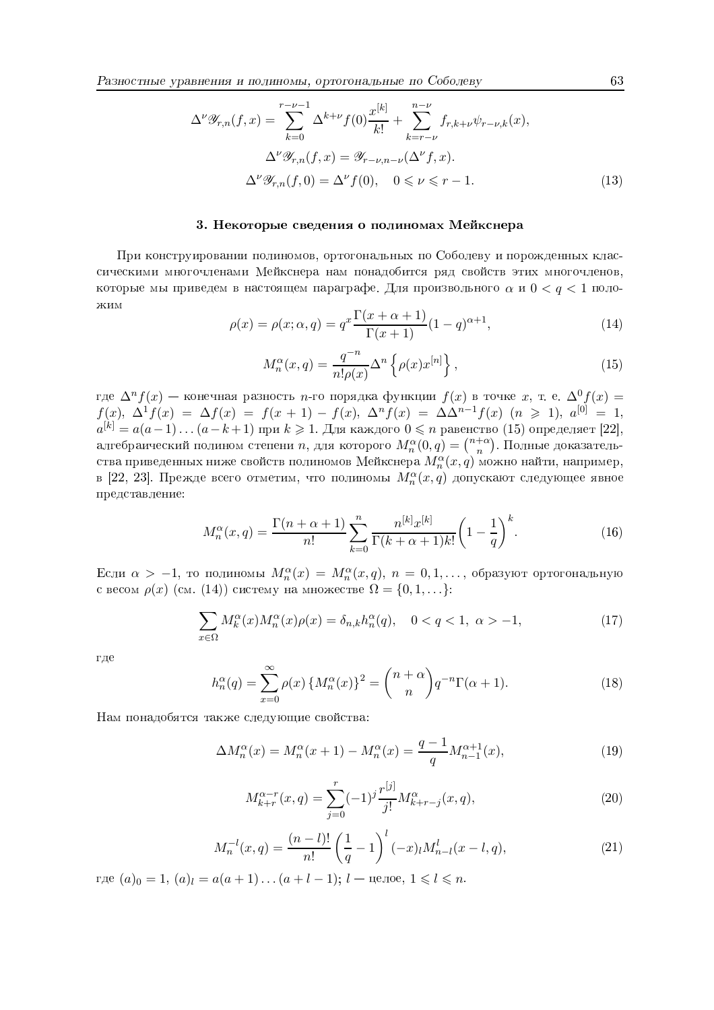$$
\Delta^{\nu}\mathcal{Y}_{r,n}(f,x) = \sum_{k=0}^{r-\nu-1} \Delta^{k+\nu} f(0) \frac{x^{[k]}}{k!} + \sum_{k=r-\nu}^{n-\nu} f_{r,k+\nu}\psi_{r-\nu,k}(x),
$$
  

$$
\Delta^{\nu}\mathcal{Y}_{r,n}(f,x) = \mathcal{Y}_{r-\nu,n-\nu}(\Delta^{\nu}f,x).
$$
  

$$
\Delta^{\nu}\mathcal{Y}_{r,n}(f,0) = \Delta^{\nu} f(0), \quad 0 \le \nu \le r-1.
$$
 (13)

## 3. Некоторые сведения о полиномах Мейкснера

При конструировании полиномов, ортогональных по Соболеву и порожденных классическими многочленами Мейкснера нам понадобится ряд свойств этих многочленов, которые мы приведем в настоящем параграфе. Для произвольного  $\alpha$  и  $0 < q < 1$  поло-ЖИМ

$$
\rho(x) = \rho(x; \alpha, q) = q^x \frac{\Gamma(x + \alpha + 1)}{\Gamma(x + 1)} (1 - q)^{\alpha + 1},\tag{14}
$$

$$
M_n^{\alpha}(x, q) = \frac{q^{-n}}{n! \rho(x)} \Delta^n \left\{ \rho(x) x^{[n]} \right\},\tag{15}
$$

где  $\Delta^n f(x)$  — конечная разность *n*-го порядка функции  $f(x)$  в точке *x*, т. е.  $\Delta^0 f(x) = f(x)$ ,  $\Delta^1 f(x) = \Delta f(x) = f(x + 1) - f(x)$ ,  $\Delta^n f(x) = \Delta \Delta^{n-1} f(x)$  (*n* ≥ 1),  $a^{[0]} = 1$ ,  $a^{[k]} = a(a-1)...(a-k+1)$  при  $k \ge 1$ . Для каждого  $0 \le n$ алгебраический полином степени *n*, для которого  $M_n^{\alpha}(0, q) = {n + \alpha \choose n}$ . Полные доказательства приведенных ниже свойств полиномов Мейкснера  $M_n^{\alpha}(x,q)$  можно найти, например, в [22, 23]. Прежде всего отметим, что полиномы  $M_n^{\alpha}(x,q)$  допускают следующее явное представление:

$$
M_n^{\alpha}(x,q) = \frac{\Gamma(n+\alpha+1)}{n!} \sum_{k=0}^n \frac{n^{[k]}x^{[k]}}{\Gamma(k+\alpha+1)k!} \left(1 - \frac{1}{q}\right)^k.
$$
 (16)

Если  $\alpha > -1$ , то полиномы  $M_n^{\alpha}(x) = M_n^{\alpha}(x,q)$ ,  $n = 0,1,...$ , образуют ортогональную с весом  $\rho(x)$  (см. (14)) систему на множестве  $\Omega = \{0, 1, \ldots\}$ :

$$
\sum_{x \in \Omega} M_k^{\alpha}(x) M_n^{\alpha}(x) \rho(x) = \delta_{n,k} h_n^{\alpha}(q), \quad 0 < q < 1, \ \alpha > -1,\tag{17}
$$

где

$$
h_n^{\alpha}(q) = \sum_{x=0}^{\infty} \rho(x) \left\{ M_n^{\alpha}(x) \right\}^2 = {n+\alpha \choose n} q^{-n} \Gamma(\alpha+1). \tag{18}
$$

Нам понадобятся также следующие свойства:

$$
\Delta M_n^{\alpha}(x) = M_n^{\alpha}(x+1) - M_n^{\alpha}(x) = \frac{q-1}{q} M_{n-1}^{\alpha+1}(x),\tag{19}
$$

$$
M_{k+r}^{\alpha-r}(x,q) = \sum_{j=0}^{r} (-1)^j \frac{r^{[j]}}{j!} M_{k+r-j}^{\alpha}(x,q),
$$
\n(20)

$$
M_n^{-l}(x,q) = \frac{(n-l)!}{n!} \left(\frac{1}{q} - 1\right)^l (-x)_l M_{n-l}^l(x-l,q),\tag{21}
$$

где  $(a)_0 = 1, (a)_l = a(a+1)...(a+l-1); l$  — целое,  $1 \leq l \leq n$ .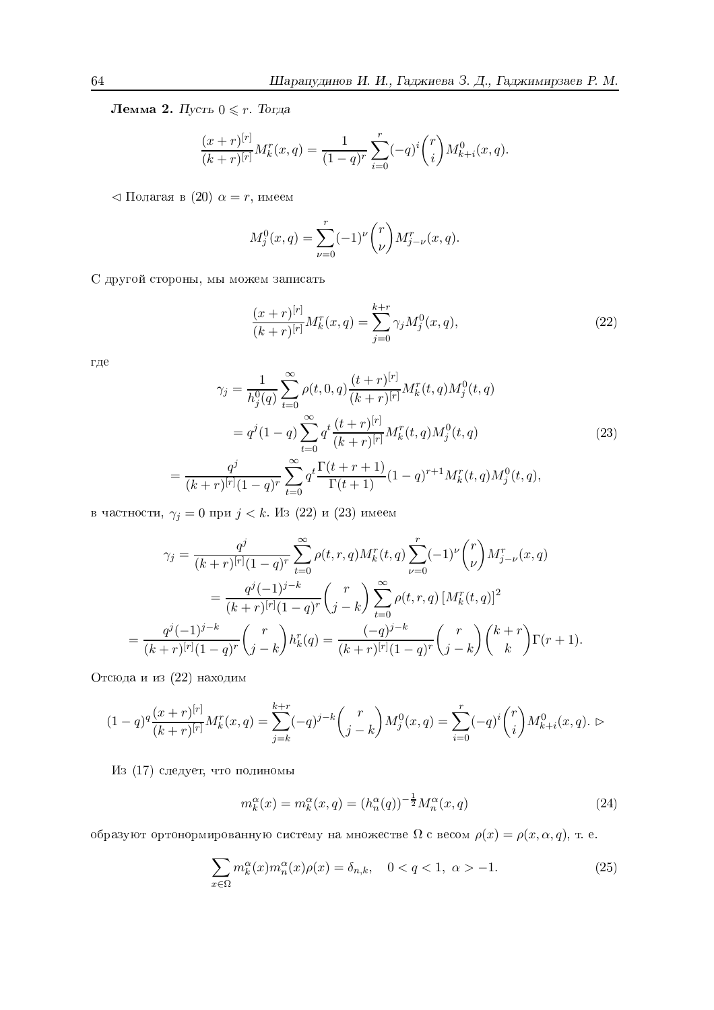Лемма 2. Пусть  $0\leqslant r$  . Тогда

$$
\frac{(x+r)^{[r]}}{(k+r)^{[r]}} M_k^r(x,q) = \frac{1}{(1-q)^r} \sum_{i=0}^r (-q)^i \binom{r}{i} M_{k+i}^0(x,q).
$$

 $\lhd$  Полагая в  $(20)$   $\alpha = r$ , имеем

$$
M_j^0(x, q) = \sum_{\nu=0}^r (-1)^{\nu} {r \choose \nu} M_{j-\nu}^r(x, q).
$$

 $\rm C$  другой стороны, мы можем записать

$$
\frac{(x+r)^{[r]}}{(k+r)^{[r]}}M_k^r(x,q) = \sum_{j=0}^{k+r} \gamma_j M_j^0(x,q),\tag{22}
$$

 $r$ де

$$
\gamma_j = \frac{1}{h_j^0(q)} \sum_{t=0}^{\infty} \rho(t, 0, q) \frac{(t+r)^{[r]}}{(k+r)^{[r]}} M_k^r(t, q) M_j^0(t, q)
$$
  

$$
= q^j (1-q) \sum_{t=0}^{\infty} q^t \frac{(t+r)^{[r]}}{(k+r)^{[r]}} M_k^r(t, q) M_j^0(t, q)
$$
(23)  

$$
\frac{q^j}{(k+r)^{[r]}(1-q)^r} \sum_{t=0}^{\infty} q^t \frac{\Gamma(t+r+1)}{\Gamma(t+1)} (1-q)^{r+1} M_k^r(t, q) M_j^0(t, q),
$$

в частности,  $\gamma_j = 0$  при  $j < k$ . Из  $(22)$  и  $(23)$  имеем

$$
\gamma_j = \frac{q^j}{(k+r)^{[r]}(1-q)^r} \sum_{t=0}^{\infty} \rho(t, r, q) M_k^r(t, q) \sum_{\nu=0}^r (-1)^{\nu} \binom{r}{\nu} M_{j-\nu}^r(x, q)
$$
  

$$
= \frac{q^j(-1)^{j-k}}{(k+r)^{[r]}(1-q)^r} \binom{r}{j-k} \sum_{t=0}^{\infty} \rho(t, r, q) [M_k^r(t, q)]^2
$$
  

$$
= \frac{q^j(-1)^{j-k}}{(k+r)^{[r]}(1-q)^r} \binom{r}{j-k} h_k^r(q) = \frac{(-q)^{j-k}}{(k+r)^{[r]}(1-q)^r} \binom{r}{j-k} \binom{k+r}{k} \Gamma(r+1).
$$

тсюла и из (22) нахолим

=

$$
(1-q)^q \frac{(x+r)^{[r]}}{(k+r)^{[r]}} M_k^r(x,q) = \sum_{j=k}^{k+r} (-q)^{j-k} {r \choose j-k} M_j^0(x,q) = \sum_{i=0}^r (-q)^i {r \choose i} M_{k+i}^0(x,q). \triangleright
$$

Из (17) следует, что полиномы

$$
m_k^{\alpha}(x) = m_k^{\alpha}(x, q) = (h_n^{\alpha}(q))^{-\frac{1}{2}} M_n^{\alpha}(x, q)
$$
\n(24)

образуют ортонормированную систему на множестве  $\Omega$  с весом  $\rho(x) = \rho(x, \alpha, q),$  т. е.

$$
\sum_{x \in \Omega} m_k^{\alpha}(x) m_n^{\alpha}(x) \rho(x) = \delta_{n,k}, \quad 0 < q < 1, \ \alpha > -1. \tag{25}
$$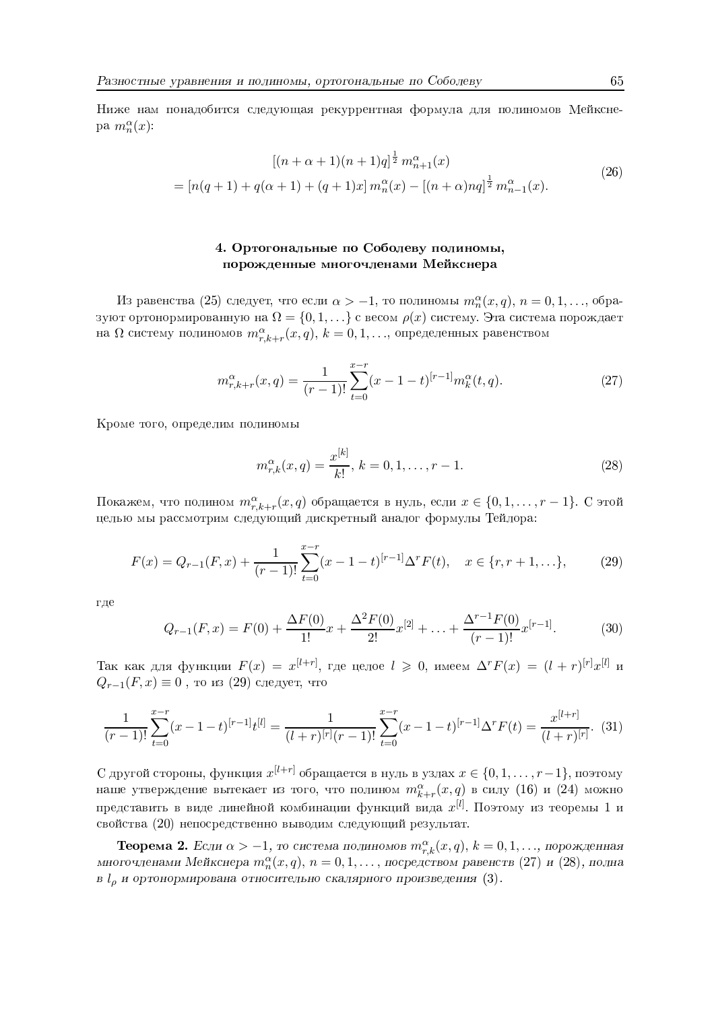Ниже нам понадобится следующая рекуррентная формула для полиномов Мейкснеpa  $m_n^{\alpha}(x)$ :

$$
[(n+\alpha+1)(n+1)q]^{\frac{1}{2}} m_{n+1}^{\alpha}(x)
$$
  
=  $[n(q+1) + q(\alpha+1) + (q+1)x] m_n^{\alpha}(x) - [(n+\alpha)nq]^{\frac{1}{2}} m_{n-1}^{\alpha}(x).$  (26)

# 4. Ортогональные по Соболеву полиномы, порожденные многочленами Мейкснера

Из равенства (25) следует, что если  $\alpha > -1$ , то полиномы  $m_n^{\alpha}(x, q)$ ,  $n = 0, 1, ...,$  образуют ортонормированную на  $\Omega = \{0, 1, ...\}$  с весом  $\rho(x)$  систему. Эта система порождает на  $\Omega$  систему полиномов  $m_{r,k+r}^{\alpha}(x,q), k = 0,1,...$ , определенных равенством

$$
m_{r,k+r}^{\alpha}(x,q) = \frac{1}{(r-1)!} \sum_{t=0}^{x-r} (x-1-t)^{[r-1]} m_k^{\alpha}(t,q).
$$
 (27)

Кроме того, определим полиномы

$$
m_{r,k}^{\alpha}(x,q) = \frac{x^{[k]}}{k!}, \ k = 0, 1, \dots, r - 1.
$$
 (28)

Покажем, что полином  $m_{r,k+r}^{\alpha}(x,q)$  обращается в нуль, если  $x \in \{0,1,\ldots,r-1\}$ . С этой целью мы рассмотрим следующий дискретный аналог формулы Тейлора:

$$
F(x) = Q_{r-1}(F, x) + \frac{1}{(r-1)!} \sum_{t=0}^{x-r} (x - 1 - t)^{[r-1]} \Delta^r F(t), \quad x \in \{r, r+1, \ldots\},\tag{29}
$$

где

$$
Q_{r-1}(F,x) = F(0) + \frac{\Delta F(0)}{1!}x + \frac{\Delta^2 F(0)}{2!}x^{[2]} + \dots + \frac{\Delta^{r-1} F(0)}{(r-1)!}x^{[r-1]}.
$$
 (30)

Так как для функции  $F(x) = x^{[l+r]}$ , где целое  $l \geq 0$ , имеем  $\Delta^r F(x) = (l+r)^{[r]} x^{[l]}$  и  $Q_{r-1}(F,x) \equiv 0$ , то из (29) следует, что

$$
\frac{1}{(r-1)!} \sum_{t=0}^{x-r} (x-1-t)^{[r-1]} t^{[l]} = \frac{1}{(l+r)^{[r]}(r-1)!} \sum_{t=0}^{x-r} (x-1-t)^{[r-1]} \Delta^r F(t) = \frac{x^{[l+r]}}{(l+r)^{[r]}}. (31)
$$

С другой стороны, функция  $x^{[l+r]}$  обращается в нуль в узлах  $x \in \{0, 1, \ldots, r-1\}$ , поэтому наше утверждение вытекает из того, что полином  $m_{k+r}^{\alpha}(x,q)$  в силу (16) и (24) можно представить в виде линейной комбинации функций вида  $x^{[l]}$ . Поэтому из теоремы 1 и свойства (20) непосредственно выводим следующий результат.

**Теорема 2.** Если  $\alpha > -1$ , то система полиномов  $m_{r,k}^{\alpha}(x,q)$ ,  $k = 0,1,...$ , порожденная многочленами Мейкснера  $m_n^{\alpha}(x,q), n = 0,1,...,$  посредством равенств (27) и (28), полна в  $l_{\rho}$  и ортонормирована относительно скалярного произведения (3).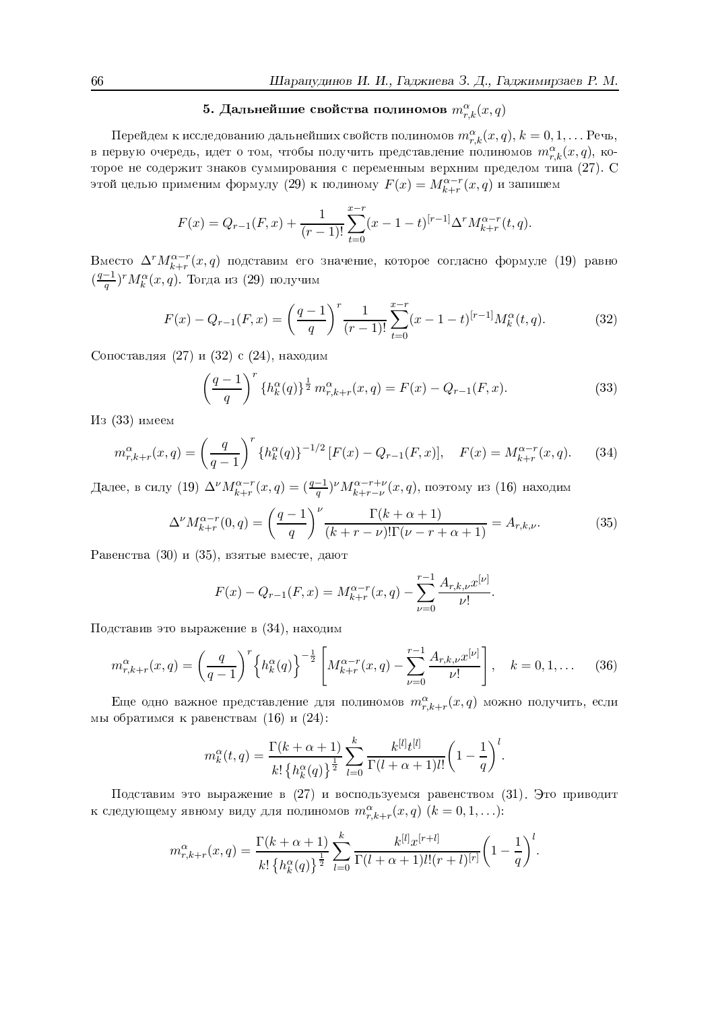# 5. Дальнейшие свойства полиномов  $m_{r,k}^{\alpha}(x,q)$

Перейдем к исследованию дальнейших свойств полиномов $m_{r,k}^{\alpha}(x,q),$   $k=0,1,\ldots$  Речь, в первую очередь, идет о том, чтобы получить представление полиномов  $m_{r,k}^{\alpha}(x,q)$ , которое не содержит знаков суммирования с переменным верхним пределом типа (27). С этой целью применим формулу (29) к полиному  $F(x) = M_{k+r}^{\alpha-r}(x, q)$  и запишем

$$
F(x) = Q_{r-1}(F,x) + \frac{1}{(r-1)!} \sum_{t=0}^{x-r} (x-1-t)^{[r-1]} \Delta^r M_{k+r}^{\alpha-r}(t,q).
$$

Вместо  $\Delta^r M_{k+r}^{\alpha-r}(x,q)$  подставим его значение, которое согласно формуле (19) равно  $(\frac{q-1}{q})^rM_k^{\alpha}(x,q)$ . Тогда из (29) получим

$$
F(x) - Q_{r-1}(F, x) = \left(\frac{q-1}{q}\right)^r \frac{1}{(r-1)!} \sum_{t=0}^{x-r} (x-1-t)^{[r-1]} M_k^{\alpha}(t, q).
$$
 (32)

Сопоставляя (27) и (32) с (24), находим

$$
\left(\frac{q-1}{q}\right)^r \{h_k^{\alpha}(q)\}^{\frac{1}{2}} m_{r,k+r}^{\alpha}(x,q) = F(x) - Q_{r-1}(F,x). \tag{33}
$$

Из (33) имеем

$$
m_{r,k+r}^{\alpha}(x,q) = \left(\frac{q}{q-1}\right)^r \left\{h_k^{\alpha}(q)\right\}^{-1/2} \left[F(x) - Q_{r-1}(F,x)\right], \quad F(x) = M_{k+r}^{\alpha-r}(x,q). \tag{34}
$$

Далее, в силу (19) $\Delta^{\nu}M_{k+r}^{\alpha-r}(x,q)=(\frac{q-1}{q})^{\nu}M_{k+r-\nu}^{\alpha-r+\nu}(x,q),$ поэтому из (16) находим

$$
\Delta^{\nu} M_{k+r}^{\alpha-r}(0,q) = \left(\frac{q-1}{q}\right)^{\nu} \frac{\Gamma(k+\alpha+1)}{(k+r-\nu)!\Gamma(\nu-r+\alpha+1)} = A_{r,k,\nu}.
$$
\n(35)

Равенства (30) и (35), взятые вместе, дают

$$
F(x) - Q_{r-1}(F, x) = M_{k+r}^{\alpha-r}(x, q) - \sum_{\nu=0}^{r-1} \frac{A_{r,k,\nu} x^{[\nu]}}{\nu!}.
$$

Подставив это выражение в (34), находим

$$
m_{r,k+r}^{\alpha}(x,q) = \left(\frac{q}{q-1}\right)^r \left\{ h_k^{\alpha}(q) \right\}^{-\frac{1}{2}} \left[ M_{k+r}^{\alpha-r}(x,q) - \sum_{\nu=0}^{r-1} \frac{A_{r,k,\nu} x^{[\nu]}}{\nu!} \right], \quad k = 0, 1, \dots \tag{36}
$$

Еще одно важное представление для полиномов  $m_{r,k+r}^{\alpha}(x,q)$  можно получить, если мы обратимся к равенствам (16) и (24):

$$
m_k^{\alpha}(t,q) = \frac{\Gamma(k+\alpha+1)}{k! \left\{h_k^{\alpha}(q)\right\}^{\frac{1}{2}}} \sum_{l=0}^k \frac{k^{[l]}t^{[l]}}{\Gamma(l+\alpha+1)l!} \left(1 - \frac{1}{q}\right)^l.
$$

Подставим это выражение в (27) и воспользуемся равенством (31). Это приводит к следующему явному виду для полиномов  $m_{r,k+r}^{\alpha}(x,q)$   $(k = 0,1,...)$ :

$$
m_{r,k+r}^{\alpha}(x,q) = \frac{\Gamma(k+\alpha+1)}{k! \left\{h_k^{\alpha}(q)\right\}^{\frac{1}{2}}} \sum_{l=0}^{k} \frac{k^{[l]}x^{[r+l]}}{\Gamma(l+\alpha+1)l!(r+l)^{[r]}} \left(1-\frac{1}{q}\right)^{l}.
$$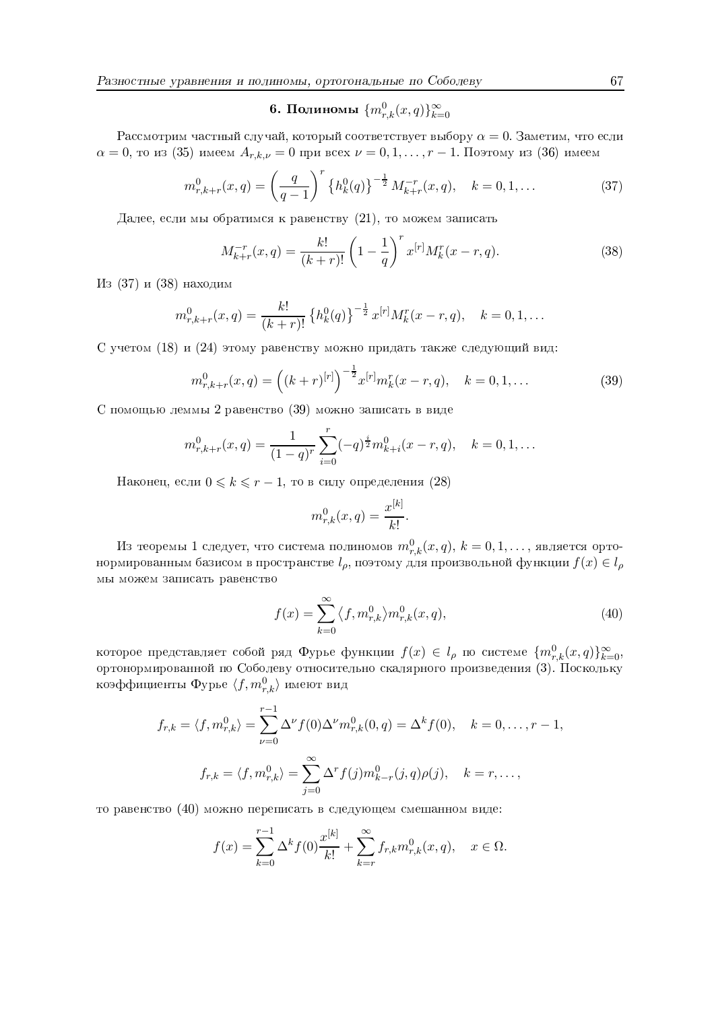# 6. Полиномы  $\{m_{r,k}^0(x,q)\}_{k=0}^\infty$

Рассмотрим частный случай, который соответствует выбору  $\alpha = 0$ . Заметим, что если  $\alpha = 0$ , то из (35) имеем  $A_{r,k,\nu} = 0$  при всех  $\nu = 0, 1, ..., r-1$ . Поэтому из (36) имеем

$$
m_{r,k+r}^0(x,q) = \left(\frac{q}{q-1}\right)^r \left\{h_k^0(q)\right\}^{-\frac{1}{2}} M_{k+r}^{-r}(x,q), \quad k = 0, 1, \dots \tag{37}
$$

Далее, если мы обратимся к равенству  $(21)$ , то можем записать

$$
M_{k+r}^{-r}(x,q) = \frac{k!}{(k+r)!} \left(1 - \frac{1}{q}\right)^r x^{[r]} M_k^r(x-r,q).
$$
 (38)

Из (37) и (38) находим

$$
m_{r,k+r}^0(x,q) = \frac{k!}{(k+r)!} \left\{ h_k^0(q) \right\}^{-\frac{1}{2}} x^{[r]} M_k^r(x-r,q), \quad k = 0, 1, \ldots
$$

С учетом (18) и (24) этому равенству можно придать также следующий вид:

$$
m_{r,k+r}^0(x,q) = \left( (k+r)^{[r]} \right)^{-\frac{1}{2}} x^{[r]} m_k^r(x-r,q), \quad k = 0, 1, \dots
$$
 (39)

С помощью леммы 2 равенство (39) можно записать в виде

$$
m_{r,k+r}^0(x,q) = \frac{1}{(1-q)^r} \sum_{i=0}^r (-q)^{\frac{i}{2}} m_{k+i}^0(x-r,q), \quad k = 0, 1, \dots
$$

Наконец, если  $0 \leq k \leq r-1$ , то в силу определения (28)

$$
m_{r,k}^0(x,q) = \frac{x^{[k]}}{k!}.
$$

Из теоремы 1 следует, что система полиномов  $m_{r,k}^0(x,q)$ ,  $k = 0,1,...$ , является ортонормированным базисом в пространстве  $l_{\rho}$ , поэтому для произвольной функции  $f(x) \in l_{\rho}$ мы можем записать равенство

$$
f(x) = \sum_{k=0}^{\infty} \langle f, m_{r,k}^0 \rangle m_{r,k}^0(x, q), \qquad (40)
$$

которое представляет собой ряд Фурье функции  $f(x) \in l_\rho$  по системе  $\{m_{r,k}^0(x,q)\}_{k=0}^\infty$ ортонормированной по Соболеву относительно скалярного произведения (3). Поскольку коэффициенты Фурье $\langle f, m_{r,k}^0 \rangle$ имеют вид

$$
f_{r,k} = \langle f, m_{r,k}^0 \rangle = \sum_{\nu=0}^{r-1} \Delta^{\nu} f(0) \Delta^{\nu} m_{r,k}^0(0, q) = \Delta^k f(0), \quad k = 0, \dots, r-1
$$

$$
f_{r,k} = \langle f, m_{r,k}^0 \rangle = \sum_{j=0}^{\infty} \Delta^r f(j) m_{k-r}^0(j, q) \rho(j), \quad k = r, \dots,
$$

то равенство (40) можно переписать в следующем смешанном виде:

$$
f(x) = \sum_{k=0}^{r-1} \Delta^k f(0) \frac{x^{[k]}}{k!} + \sum_{k=r}^{\infty} f_{r,k} m_{r,k}^0(x, q), \quad x \in \Omega.
$$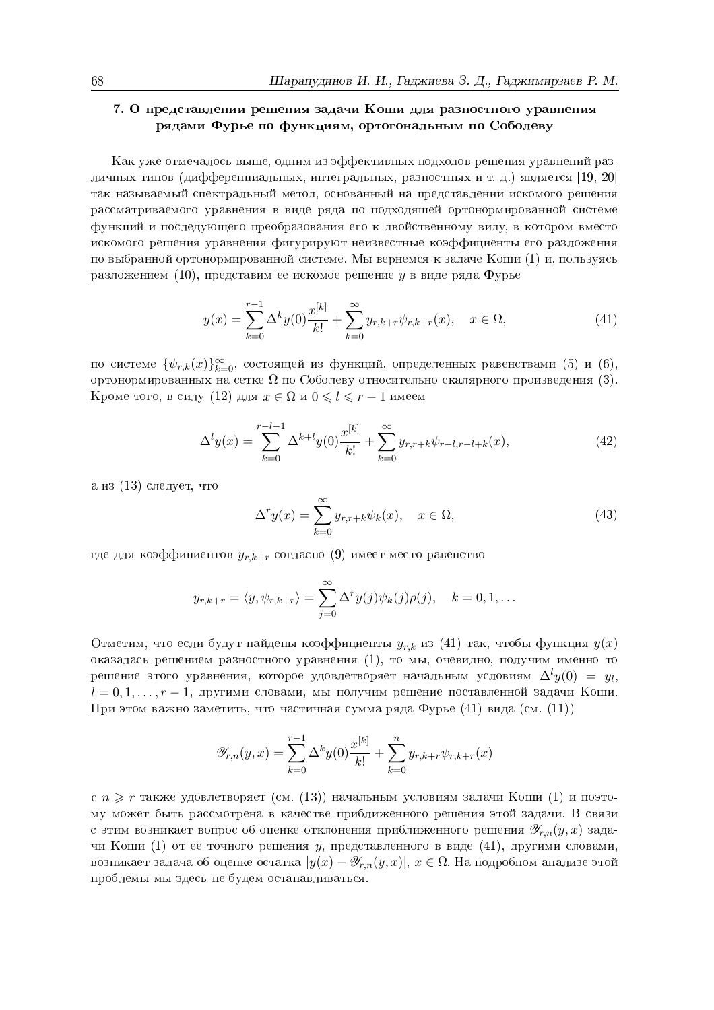# 7. О представлении решения задачи Коши для разностного уравнения рядами Фурье по функциям, ортогональным по Соболеву

Как уже отмечалось выше, одним из эффективных подходов решения уравнений различных типов (дифференциальных, интегральных, разностных и т. д.) является [19, 20] так называемый спектральный метод, основанный на представлении искомого решения рассматриваемого уравнения в виде ряда по подходящей ортонормированной системе функций и последующего преобразования его к двойственному виду, в котором вместо искомого решения уравнения фигурируют неизвестные коэффициенты его разложения по выбранной ортонормированной системе. Мы вернемся к задаче Коши (1) и, пользуясь разложением  $(10)$ , представим ее искомое решение у в виде ряда Фурье

$$
y(x) = \sum_{k=0}^{r-1} \Delta^k y(0) \frac{x^{[k]}}{k!} + \sum_{k=0}^{\infty} y_{r,k+r} \psi_{r,k+r}(x), \quad x \in \Omega,
$$
 (41)

по системе  $\{\psi_{r,k}(x)\}_{k=0}^{\infty}$ , состоящей из функций, определенных равенствами (5) и (6), ортонормированных на сетке  $\Omega$  по Соболеву относительно скалярного произведения (3). Кроме того, в силу (12) для  $x \in \Omega$  и  $0 \leq l \leq r-1$  имеем

$$
\Delta^l y(x) = \sum_{k=0}^{r-l-1} \Delta^{k+l} y(0) \frac{x^{[k]}}{k!} + \sum_{k=0}^{\infty} y_{r,r+k} \psi_{r-l,r-l+k}(x), \tag{42}
$$

а из (13) следует, что

$$
\Delta^r y(x) = \sum_{k=0}^{\infty} y_{r,r+k} \psi_k(x), \quad x \in \Omega,
$$
\n(43)

где для коэффициентов  $y_{r,k+r}$  согласно (9) имеет место равенство

$$
y_{r,k+r} = \langle y, \psi_{r,k+r} \rangle = \sum_{j=0}^{\infty} \Delta^r y(j) \psi_k(j) \rho(j), \quad k = 0, 1, \dots
$$

Отметим, что если будут найдены коэффициенты  $y_{r,k}$  из (41) так, чтобы функция  $y(x)$ оказалась решением разностного уравнения (1), то мы, очевидно, получим именно то решение этого уравнения, которое удовлетворяет начальным условиям  $\Delta^l y(0) = y_l$ ,  $l = 0, 1, \ldots, r - 1$ , другими словами, мы получим решение поставленной задачи Коши. При этом важно заметить, что частичная сумма ряда Фурье (41) вида (см. (11))

$$
\mathscr{Y}_{r,n}(y,x) = \sum_{k=0}^{r-1} \Delta^k y(0) \frac{x^{[k]}}{k!} + \sum_{k=0}^{n} y_{r,k+r} \psi_{r,k+r}(x)
$$

с  $n \geq r$  также удовлетворяет (см. (13)) начальным условиям задачи Коши (1) и поэтому может быть рассмотрена в качестве приближенного решения этой задачи. В связи с этим возникает вопрос об оценке отклонения приближенного решения  $\mathscr{Y}_{r,n}(y,x)$  задачи Коши (1) от ее точного решения у, представленного в виде (41), другими словами, возникает задача об оценке остатка  $|y(x) - \mathscr{Y}_{r,n}(y,x)|, x \in \Omega$ . На подробном анализе этой проблемы мы здесь не будем останавливаться.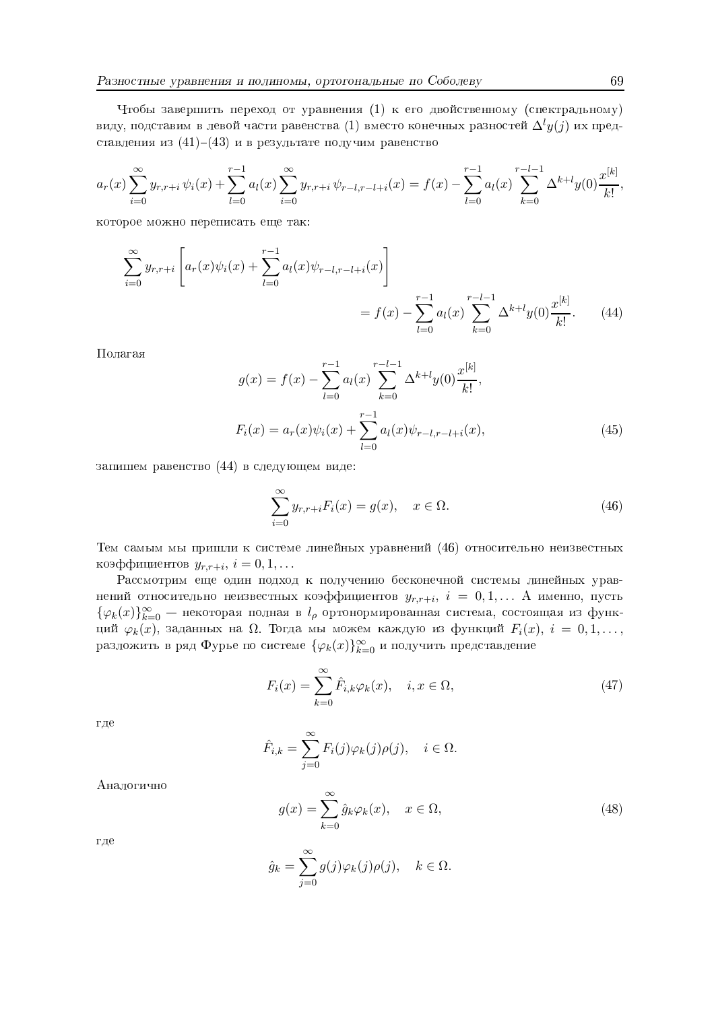Чтобы завершить переход от уравнения (1) к его двойственному (спектральному) виду, подставим в левой части равенства (1) вместо конечных разностей  $\Delta^l y(j)$  их представления из (41)-(43) и в результате получим равенство

$$
a_r(x) \sum_{i=0}^{\infty} y_{r,r+i} \psi_i(x) + \sum_{l=0}^{r-1} a_l(x) \sum_{i=0}^{\infty} y_{r,r+i} \psi_{r-l,r-l+i}(x) = f(x) - \sum_{l=0}^{r-1} a_l(x) \sum_{k=0}^{r-l-1} \Delta^{k+l} y(0) \frac{x^{[k]}}{k!},
$$

которое можно переписать еще так:

$$
\sum_{i=0}^{\infty} y_{r,r+i} \left[ a_r(x) \psi_i(x) + \sum_{l=0}^{r-1} a_l(x) \psi_{r-l,r-l+i}(x) \right]
$$
  
=  $f(x) - \sum_{l=0}^{r-1} a_l(x) \sum_{k=0}^{r-l-1} \Delta^{k+l} y(0) \frac{x^{[k]}}{k!}.$  (44)

Полагая

$$
g(x) = f(x) - \sum_{l=0}^{r-1} a_l(x) \sum_{k=0}^{r-l-1} \Delta^{k+l} y(0) \frac{x^{[k]}}{k!},
$$
  

$$
F_i(x) = a_r(x)\psi_i(x) + \sum_{l=0}^{r-1} a_l(x)\psi_{r-l,r-l+i}(x),
$$
 (45)

запишем равенство (44) в следующем виде:

$$
\sum_{i=0}^{\infty} y_{r,r+i} F_i(x) = g(x), \quad x \in \Omega.
$$
 (46)

Тем самым мы пришли к системе линейных уравнений (46) относительно неизвестных коэффициентов  $y_{r,r+i}$ ,  $i = 0, 1, \ldots$ 

Рассмотрим еще один подход к получению бесконечной системы линейных уравнений относительно неизвестных коэффициентов  $y_{r,r+i}$ ,  $i = 0,1,... A$  именно, пусть  $\{\varphi_k(x)\}_{k=0}^{\infty}$  — некоторая полная в  $l_\rho$  ортонормированная система, состоящая из функций  $\varphi_k(x)$ , заданных на  $\Omega$ . Тогда мы можем каждую из функций  $F_i(x)$ ,  $i = 0, 1, \ldots$ , разложить в ряд Фурье по системе  $\{\varphi_k(x)\}_{k=0}^{\infty}$  и получить представление

$$
F_i(x) = \sum_{k=0}^{\infty} \hat{F}_{i,k} \varphi_k(x), \quad i, x \in \Omega,
$$
\n(47)

где

$$
\hat{F}_{i,k} = \sum_{j=0}^{\infty} F_i(j)\varphi_k(j)\rho(j), \quad i \in \Omega.
$$

Аналогично

$$
g(x) = \sum_{k=0}^{\infty} \hat{g}_k \varphi_k(x), \quad x \in \Omega,
$$
\n(48)

где

$$
\hat{g}_k = \sum_{j=0}^{\infty} g(j)\varphi_k(j)\rho(j), \quad k \in \Omega
$$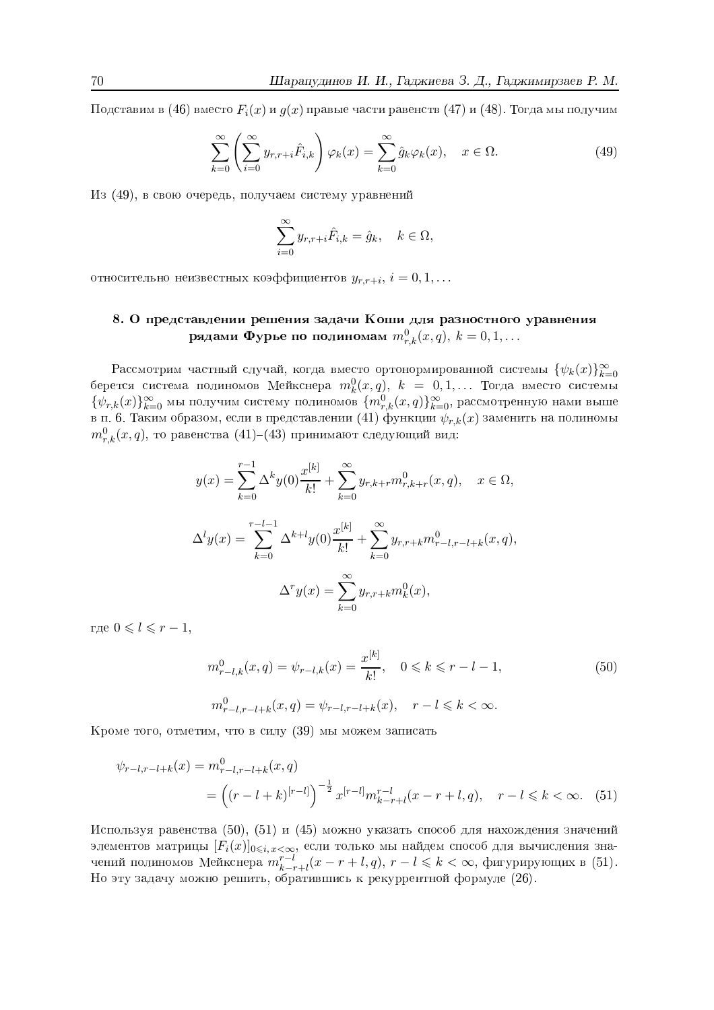Подставим в (46) вместо  $F_i(x)$  и  $g(x)$  правые части равенств (47) и (48). Тогда мы получим

$$
\sum_{k=0}^{\infty} \left( \sum_{i=0}^{\infty} y_{r,r+i} \hat{F}_{i,k} \right) \varphi_k(x) = \sum_{k=0}^{\infty} \hat{g}_k \varphi_k(x), \quad x \in \Omega.
$$
 (49)

Из (49), в свою очередь, получаем систему уравнений

$$
\sum_{i=0}^{\infty} y_{r,r+i} \hat{F}_{i,k} = \hat{g}_k, \quad k \in \Omega,
$$

относительно неизвестных коэффициентов  $y_{r,r+i}$ ,  $i = 0, 1, ...$ 

# 8. О представлении решения задачи Коши для разностного уравнения рядами Фурье по полиномам  $m_{r,k}^0(x,q), k = 0,1,...$

Рассмотрим частный случай, когда вместо ортонормированной системы  $\{\psi_k(x)\}_{k=0}^{\infty}$ берется система полиномов Мейкснера  $m_k^0(x,q)$ ,  $k = 0,1,...$  Тогда вместо системы  $\{\psi_{r,k}(x)\}_{k=0}^{\infty}$ мы получим систему полиномов  $\{m_{r,k}^{(r)}(x,q)\}_{k=0}^{\infty}$ , рассмотренную нами выше в п. 6. Таким образом, если в представлении (41) функции  $\psi_{r,k}(x)$  заменить на полиномы  $m_{r,k}^{0}(x,q)$ , то равенства (41)–(43) принимают следующий вид:

$$
y(x) = \sum_{k=0}^{r-1} \Delta^k y(0) \frac{x^{[k]}}{k!} + \sum_{k=0}^{\infty} y_{r,k+r} m_{r,k+r}^0(x, q), \quad x \in \Omega,
$$
  

$$
\Delta^l y(x) = \sum_{k=0}^{r-l-1} \Delta^{k+l} y(0) \frac{x^{[k]}}{k!} + \sum_{k=0}^{\infty} y_{r,r+k} m_{r-l,r-l+k}^0(x, q),
$$
  

$$
\Delta^r y(x) = \sum_{k=0}^{\infty} y_{r,r+k} m_k^0(x),
$$

где  $0 \leq l \leq r-1$ ,

$$
m_{r-l,k}^0(x,q) = \psi_{r-l,k}(x) = \frac{x^{[k]}}{k!}, \quad 0 \le k \le r-l-1,
$$
  
\n
$$
m_{r-l,r-l+k}^0(x,q) = \psi_{r-l,r-l+k}(x), \quad r-l \le k < \infty.
$$
  
\n(50)

Кроме того, отметим, что в силу (39) мы можем записать

$$
\psi_{r-l,r-l+k}(x) = m_{r-l,r-l+k}^0(x,q)
$$
  
=  $\left( (r-l+k)^{[r-l]} \right)^{-\frac{1}{2}} x^{[r-l]} m_{k-r+l}^{r-l}(x-r+l,q), \quad r-l \leq k < \infty.$  (51)

Используя равенства (50), (51) и (45) можно указать способ для нахождения значений элементов матрицы  $[F_i(x)]_{0\leqslant i, x<\infty}$ , если только мы найдем способ для вычисления значений полиномов Мейкснера  $m^{r-l}_{k-r+l}(x-r+l,q), r-l \leqslant k < \infty$ , фигурирующих в (51). Но эту задачу можно решить, обратившись к рекуррентной формуле (26).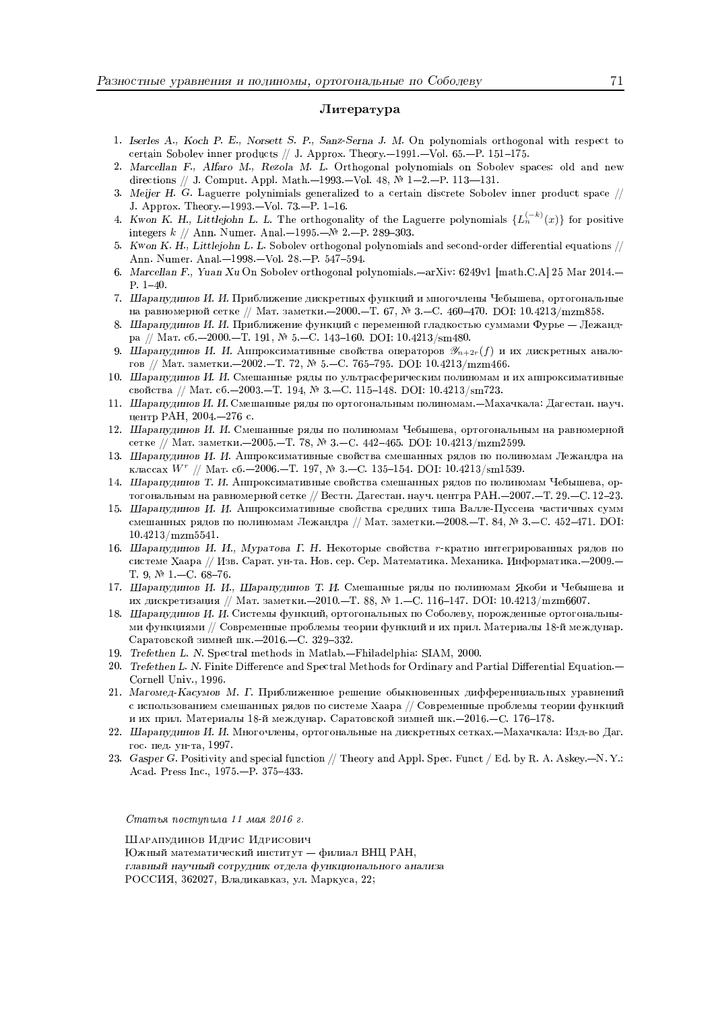#### Литература

- 1. Iserles A., Koch P. E., Norsett S. P., Sanz-Serna J. M. On polynomials orthogonal with respect to certain Sobolev inner products // J. Approx. Theory.  $-1991 - Vol. 65 - P. 151 - 175$ .
- 2. Marcellan F., Alfaro M., Rezola M. L. Orthogonal polynomials on Sobolev spaces: old and new directions // J. Comput. Appl. Math. -1993. - Vol. 48,  $\mathbb{N}$  1-2. - P. 113--131.
- 3. Meijer H. G. Laguerre polynimials generalized to a certain discrete Sobolev inner product space // J. Approx. Theory. -1993. - Vol. 73. - P. 1-16.
- 4. Kwon K. H., Littlejohn L. L. The orthogonality of the Laguerre polynomials  $\{L_n^{(-k)}(x)\}\$ for positive integers  $k \text{ // Ann. Numer. Anal.} -1995 - N 2 - P. 289 - 303.$
- 5. Kwon K. H., Littlejohn L. L. Sobolev orthogonal polynomials and second-order differential equations // Ann. Numer. Anal.-1998.-Vol. 28.-P. 547-594.
- 6. Marcellan F., Yuan Xu On Sobolev orthogonal polynomials.—arXiv: 6249v1 [math.C.A] 25 Mar 2014.—  $P. 1-40.$
- 7. Шарапудинов И. И. Приближение дискретных функций и многочлены Чебышева, ортогональные на равномерной сетке // Мат. заметки.-2000.-Т. 67, № 3.-С. 460-470. DOI: 10.4213/mzm858.
- 8. Шарапудинов И. И. Приближение функций с переменной гладкостью суммами Фурье Лежандра // Мат. сб.-2000.-Т. 191, № 5.-С. 143-160. DOI: 10.4213/sm480.
- 9. Шарапудинов И. И. Аппроксимативные свойства операторов  $\mathscr{Y}_{n+2r}(f)$  и их дискретных аналогов // Мат. заметки.-2002.-Т. 72, № 5.-С. 765-795. DOI: 10.4213/mzm466.
- 10. Шарапулинов И. И. Смешанные ряды по ультрасферическим полиномам и их аппроксимативные свойства // Мат. сб.-2003.-Т. 194, № 3.-С. 115-148. DOI: 10.4213/sm723.
- 11. Шарапудинов И. И. Смешанные ряды по ортогональным полиномам. Махачкала: Дагестан. науч. центр РАН, 2004. - 276 с.
- 12. Шарапудинов И. И. Смешанные ряды по полиномам Чебышева, ортогональным на равномерной сетке // Мат. заметки.-2005.-Т. 78, № 3.-С. 442-465. DOI: 10.4213/mzm2599.
- 13. Шарапудинов И. И. Аппроксимативные свойства смешанных рядов по полиномам Лежандра на классах  $W^r$  // Мат. сб.-2006.-Т. 197, № 3.-С. 135-154. DOI: 10.4213/sm1539.
- 14. Шарапудинов Т. И. Аппроксимативные свойства смешанных рядов по полиномам Чебышева, ортогональным на равномерной сетке // Вестн. Дагестан. науч. центра РАН. - 2007. - Т. 29. - С. 12-23.
- 15. Шарапудинов И. И. Аппроксимативные свойства средних типа Валле-Пуссена частичных сумм смешанных рядов по полиномам Лежандра // Мат. заметки. -2008. - Т. 84, № 3. - С. 452-471. DOI:  $10.4213/mz m5541.$
- 16. Шарапудинов И. И., Муратова Г. Н. Некоторые свойства г-кратно интегрированных рядов по системе Хаара // Изв. Сарат. ун-та. Нов. сер. Сер. Математика. Механика. Информатика. - 2009. -T. 9,  $N = 1 - C$ . 68-76.
- 17. Шарапудинов И. И., Шарапудинов Т. И. Смешанные ряды по полиномам Якоби и Чебышева и их дискретизация // Мат. заметки.-2010.-Т. 88, № 1.-С. 116-147. DOI: 10.4213/mzm6607.
- 18. Шарапудинов И. И. Системы функций, ортогональных по Соболеву, порожденные ортогональными функциями // Современные проблемы теории функций и их прил. Материалы 18-й междунар. Саратовской зимней шк. - 2016. - С. 329-332.
- 19. Trefethen L. N. Spectral methods in Matlab.-Fhiladelphia: SIAM, 2000.
- 20. Trefethen L. N. Finite Difference and Spectral Methods for Ordinary and Partial Differential Equation.— Cornell Univ., 1996.
- 21. Магомед-Касумов М. Г. Приближенное решение обыкновенных дифференциальных уравнений с использованием смешанных рядов по системе Хаара // Современные проблемы теории функций и их прил. Материалы 18-й междунар. Саратовской зимней шк. - 2016. - С. 176-178.
- 22. Шарапудинов И. И. Многочлены, ортогональные на дискретных сетках. Махачкала: Изд-во Даг. гос. пед. ун-та, 1997.
- 23. Gasper G. Positivity and special function // Theory and Appl. Spec. Funct / Ed. by R. A. Askey.--N.Y.: Acad. Press Inc., 1975.-P. 375-433.

Статья поступила 11 мая 2016 г.

Шарапудинов Идрис Идрисович Южный математический институт - филиал ВНЦ РАН, главный научный сотрудник отдела функционального анализа РОССИЯ, 362027, Владикавказ, ул. Маркуса, 22;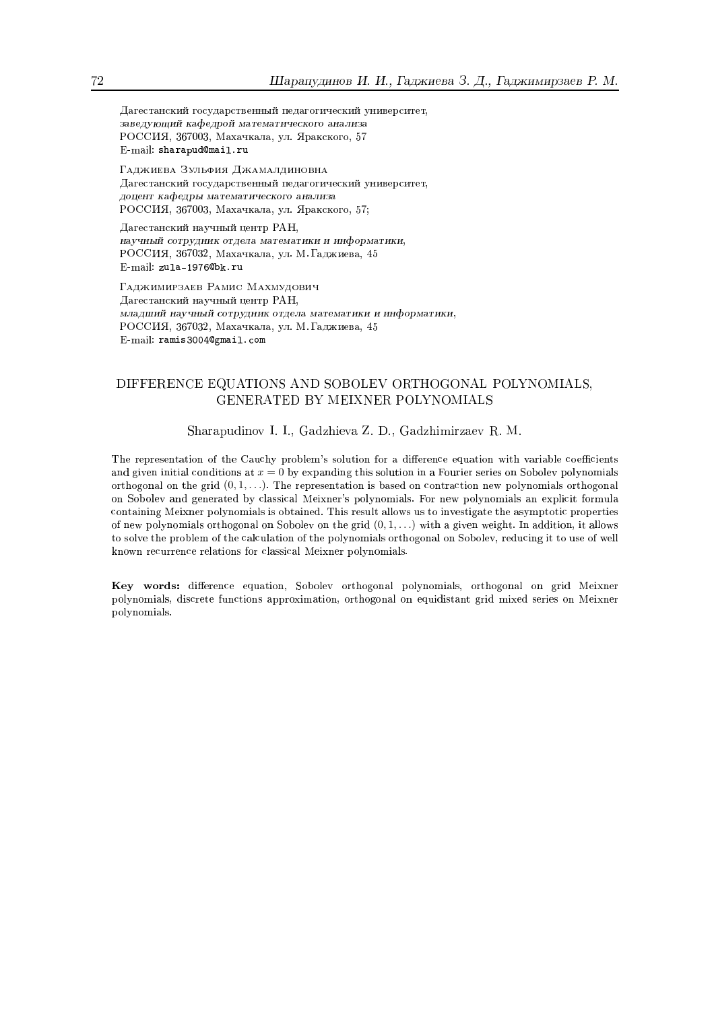Дагестанский государственный педагогический университет, заведующий кафедрой математического анализа РОССИЯ, 367003, Махачкала, ул. Яракского, 57 E-mail: sharapud@mail.ru

Гаджиева Зульфия Джамалдиновна Дагестанский государственный педагогический университет. доцент кафедры математического анализа РОССИЯ, 367003, Махачкала, ул. Яракского, 57;

Дагестанский научный центр РАН, научный сотрудник отдела математики и информатики, РОССИЯ, 367032, Махачкала, ул. М. Гаджиева, 45 E-mail: zula-1976@bk.ru

ГАДЖИМИРЗАЕВ РАМИС МАХМУДОВИЧ Дагестанский научный центр РАН, млалший научный сотрудник отдела математики и информатики. РОССИЯ, 367032, Махачкала, ул. М. Гаджиева, 45 E-mail: ramis3004@gmail.com

# DIFFERENCE EQUATIONS AND SOBOLEV ORTHOGONAL POLYNOMIALS, GENERATED BY MEIXNER POLYNOMIALS

## Sharapudinov I. I., Gadzhieva Z. D., Gadzhimirzaev R. M.

The representation of the Cauchy problem's solution for a difference equation with variable coefficients and given initial conditions at  $x = 0$  by expanding this solution in a Fourier series on Sobolev polynomials orthogonal on the grid  $(0,1,\ldots)$ . The representation is based on contraction new polynomials orthogonal on Sobolev and generated by classical Meixner's polynomials. For new polynomials an explicit formula containing Meixner polynomials is obtained. This result allows us to investigate the asymptotic properties of new polynomials orthogonal on Sobolev on the grid  $(0,1,\ldots)$  with a given weight. In addition, it allows to solve the problem of the calculation of the polynomials orthogonal on Sobolev, reducing it to use of well known recurrence relations for classical Meixner polynomials.

Key words: difference equation. Soboley orthogonal polynomials, orthogonal on grid Meixner polynomials, discrete functions approximation, orthogonal on equidistant grid mixed series on Meixner polynomials.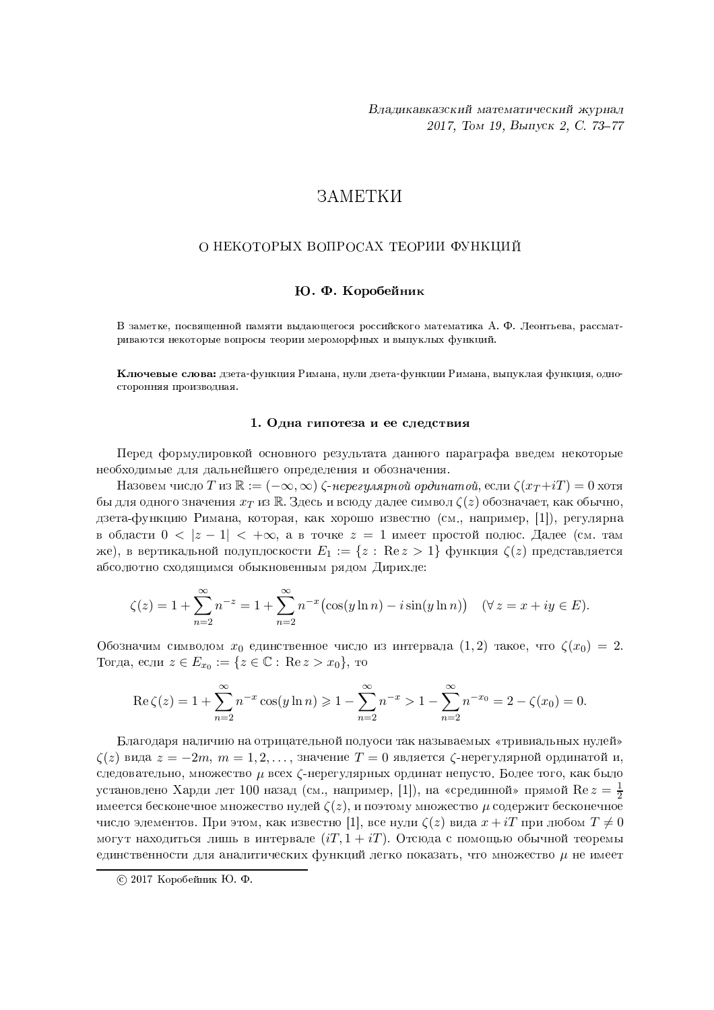# **ЗАМЕТКИ**

## О НЕКОТОРЫХ ВОПРОСАХ ТЕОРИИ ФУНКЦИЙ

### Ю. Ф. Коробейник

В заметке, посвященной памяти выдающегося российского математика А. Ф. Леонтьева, рассматриваются некоторые вопросы теории мероморфных и выпуклых функций.

Ключевые слова: дзета-функция Римана, нули дзета-функции Римана, выпуклая функция, односторонняя производная.

#### 1. Одна гипотеза и ее следствия

Перед формулировкой основного результата данного параграфа введем некоторые необходимые для дальнейшего определения и обозначения.

Назовем число T из  $\mathbb{R} := (-\infty, \infty)$   $\zeta$ -нерегулярной ординатой, если  $\zeta(x_T + iT) = 0$  хотя бы для одного значения  $x_T$  из  $\mathbb R$ . Здесь и всюду далее символ  $\zeta(z)$  обозначает, как обычно, дзета-функцию Римана, которая, как хорошо известно (см., например, [1]), регулярна в области  $0 < |z - 1| < +\infty$ , а в точке  $z = 1$  имеет простой полюс. Далее (см. там же), в вертикальной полуплоскости  $E_1 := \{z : \text{Re } z > 1\}$  функция  $\zeta(z)$  представляется абсолютно сходящимся обыкновенным рядом Дирихле:

$$
\zeta(z) = 1 + \sum_{n=2}^{\infty} n^{-z} = 1 + \sum_{n=2}^{\infty} n^{-x} (\cos(y \ln n) - i \sin(y \ln n)) \quad (\forall z = x + iy \in E).
$$

Обозначим символом  $x_0$  единственное число из интервала  $(1,2)$  такое, что  $\zeta(x_0) = 2$ . Тогда, если  $z \in E_{x_0} := \{ z \in \mathbb{C} : \text{Re } z > x_0 \},\$ то

$$
\operatorname{Re}\zeta(z) = 1 + \sum_{n=2}^{\infty} n^{-x} \cos(y \ln n) \ge 1 - \sum_{n=2}^{\infty} n^{-x} > 1 - \sum_{n=2}^{\infty} n^{-x_0} = 2 - \zeta(x_0) = 0.
$$

Благодаря наличию на отрицательной полуоси так называемых «тривиальных нулей»  $\zeta(z)$  вида  $z=-2m$ ,  $m=1,2,\ldots$ , значение  $T=0$  является  $\zeta$ -нерегулярной ординатой и, следовательно, множество  $\mu$  всех  $\zeta$ -нерегулярных ординат непусто. Более того, как было установлено Харди лет 100 назад (см., например, [1]), на «срединной» прямой  $\text{Re } z = \frac{1}{2}$ имеется бесконечное множество нулей  $\zeta(z)$ , и поэтому множество  $\mu$  содержит бесконечное число элементов. При этом, как известно [1], все нули  $\zeta(z)$  вида  $x+iT$  при любом  $T\neq 0$ могут находиться лишь в интервале  $(iT, 1 + iT)$ . Отсюда с помощью обычной теоремы единственности для аналитических функций легко показать, что множество  $\mu$  не имеет

 $\odot$  2017 Коробейник Ю. Ф.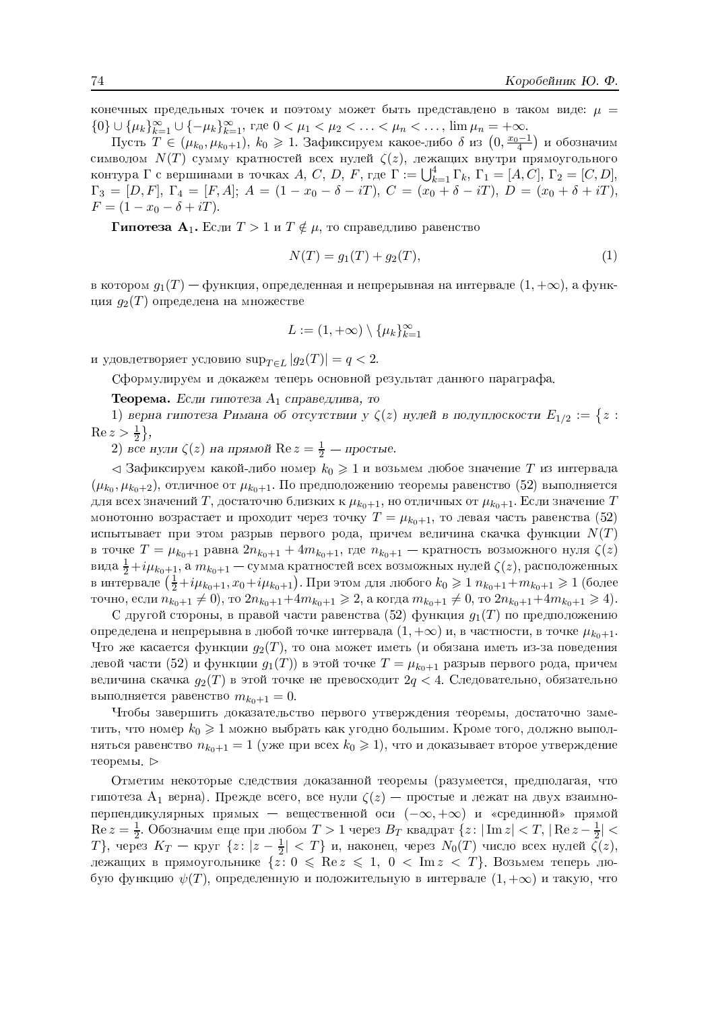конечных предельных точек и поэтому может быть представлено в таком виде:  $\mu$  =  $\{0\} \cup {\{\mu_k\}}_{k=1}^{\infty} \cup {\{-\mu_k\}}_{k=1}^{\infty}, \Gamma$ 

∪ { $\mu_k$ } $_{k=1}^{\infty}$ ∪ { $-\mu_k$ } $_{k=1}^{\infty}$ , где  $0 < \mu_1 < \mu_2 < \ldots < \mu_n < \ldots$ ,  $\lim \mu_n = +\infty$ .<br>Пусть  $T \in (\mu_{k_0}, \mu_{k_0+1}), k_0 \geqslant 1$ . Зафиксируем какое-либо δ из  $\left(0, \frac{x_0-1}{4}\right)$  и обозначим символом  $N(T)$  сумму кратностей всех нулей  $\zeta(z)$ , лежащих внутри прямоугольного контура  $\Gamma$  с вершинами в точках  $A, C, D, F$ , где  $\Gamma := \bigcup_{k=1}^4 \Gamma_k$ ,  $\Gamma_1 = [A, C],$   $\Gamma_2 = [C, D],$  $\Gamma_3 = [D, F], \ \Gamma_4 = [F, A]; \ A = (1 - x_0 - \delta - iT), \ C = (x_0 + \delta - iT), \ D = (x_0 + \delta + iT),$  $F = (1 - x_0 - \delta + iT)$ 

 $\Gamma$ ипотеза  $\,{\bf A}_1. \,$ Если  $T>1$  и  $T\notin \mu,$  то справедливо равенство

$$
N(T) = g_1(T) + g_2(T),
$$
\n(1)

в котором  $g_1(T)$  — функция, определенная и непрерывная на интервале  $(1, +\infty)$ , а функция  $g_2(T)$  определена на множестве

$$
L := (1, +\infty) \setminus \{\mu_k\}_{k=1}^{\infty}
$$

и удовлетворяет условию  $\sup_{T \in L} |g_2(T)| = q < 2$ .

Сформулируем и докажем теперь основной результат данного параграфа.

 ${\bf Teopema.}$   $E$ сли гипотеза  $A_1$  справедлива, то

1) верна гипотеза Римана об отсутствии у  $\zeta(z)$  нулей в полуплоскости  $E_{1/2} := \{z :$  $\operatorname{Re} z > \frac{1}{2}$  $\frac{1}{2}\},$ 

2) все нули  $\zeta(z)$  на прямой  $\text{Re } z = \frac{1}{2}$  $\frac{1}{2}$  — простые.

 $\lhd$  Зафиксируем какой-либо номер  $k_0\geqslant 1$  и возьмем любое значение  $T$  из интервала  $(\mu_{k_0}, \mu_{k_0+2}),$  отличное от  $\mu_{k_0+1}.$  По предположению теоремы равенство  $(52)$  выполняется для всех значений  $T$ , достаточно близких к  $\mu_{k_0+1}$ , но отличных от  $\mu_{k_0+1}$ . Если значение  $T$ монотонно возрастает и проходит через точку  $T=\mu_{k_0+1},$  то левая часть равенства  $(52)$ испытывает при этом разрыв первого рода, причем величина скачка функции  $N(T)$ в точке  $T=\mu_{k_0+1}$  равна  $2n_{k_0+1}+4m_{k_0+1},$  где  $n_{k_0+1}$  — кратность возможного нуля  $\zeta(z)$ вида  $\frac{1}{2}+i\mu_{k_0+1},$  а  $m_{k_0+1}-$  сумма кратностей всех возможных нулей  $\zeta(z),$  расположенных в интервале  $(\frac{1}{2}+i\mu_{k_0+1},x_0+i\mu_{k_0+1})$ . При этом для любого  $k_0\geqslant 1$   $n_{k_0+1}+m_{k_0+1}\geqslant 1$  (более точно, если  $n_{k_0+1} \neq 0$ ), то  $2n_{k_0+1}+4m_{k_0+1} \geq 2$ , а когда  $m_{k_0+1} \neq 0$ , то  $2n_{k_0+1}+4m_{k_0+1} \geq 4$ ).

 другой стороны, в правой части равенства  $(52)$  функция  $g_1(T)$  по предположению определена и непрерывна в любой точке интервала  $(1, +\infty)$  и, в частности, в точке  $\mu_{k_0+1}.$ то же касается функции  $g_2(T),$  то она может иметь (и обязана иметь из-за поведения левой части  $(52)$  и функции  $g_1(T))$  в этой точке  $T = \mu_{k_0 + 1}$  разрыв первого рода, причем величина скачка  $g_2(T)$  в этой точке не превосходит  $2q < 4$ . Следовательно, обязательно выполняется равенство  $m_{k_0+1} = 0$ .

<u>a matematika kwa matematika kwa matematika kwa matematika kwa matematika kwa matematika kwa matematika kwa m</u> тобы завершить локазательство первого утвержления теоремы, лостаточно заметить, что номер  $k_0\geqslant 1$  можно выбрать как угодно большим. Кроме того, должно выполняться равенство  $n_{k_0+1}=1$  (уже при всех  $k_0\geqslant 1),$  что и доказывает второе утверждение теоремы. ⊳

Отметим некоторые следствия доказанной теоремы (разумеется, предполагая, что гипотеза  $\rm A_{1}$  верна). Прежде всего, все нули  $\zeta(z)$  — простые и лежат на двух взаимно-— вещественной оси (−∞,+∞) и «срединной» прямой  $\mathrm{Re}\,z=\frac{1}{2}$ . Обозначим еще при любом  $T>1$  через  $B_T$  квадрат  $\{z\colon |\operatorname{Im} z|< T,\, |\operatorname{Re} z-\frac{1}{2} \}$  $\frac{1}{2}$  <  $T\},$  через  $K_T$  — круг  $\{z\colon |z-\frac{1}{2}\}$  $\frac{1}{2}|< T\}$  и, наконец, через  $N_0(T)$  число всех нулей  $\zeta(z),$ лежащих в прямоугольнике  $\{z\colon 0\,\leqslant\,{\rm Re}\,z\,\leqslant\,1,\,\,0\,<\,{\rm Im}\,z\,<\,T\}.$  Возьмем теперь любую функцию  $\psi(T),$  определенную и положительную в интервале  $(1,+\infty)$  и такую, что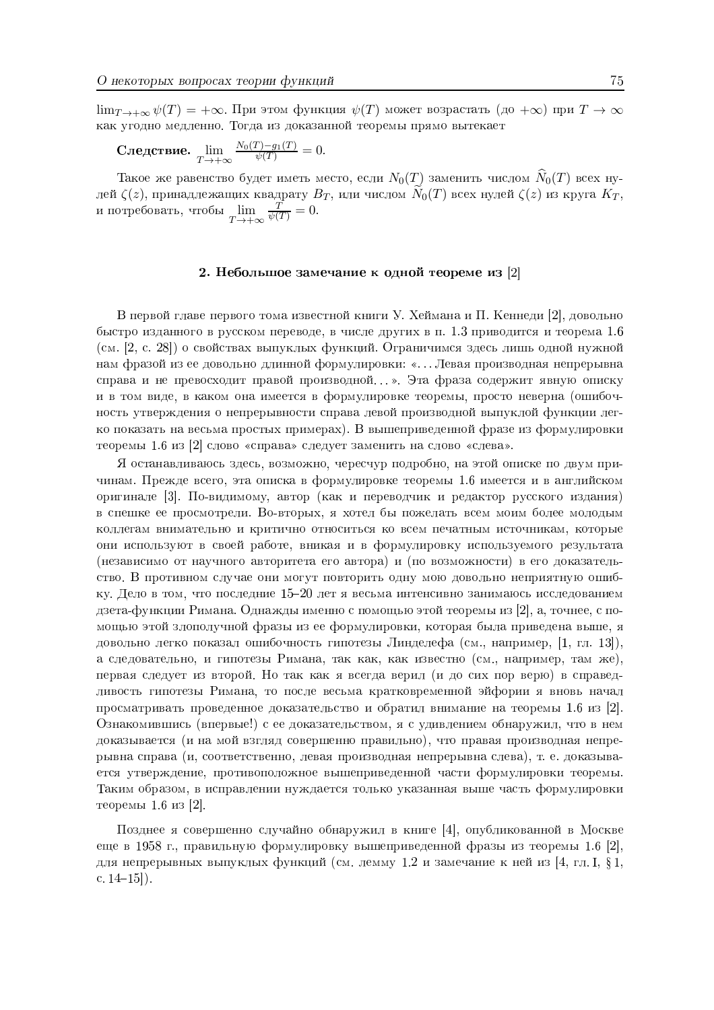$\lim_{T\to+\infty}\psi(T)=+\infty$ . При этом функция  $\psi(T)$  может возрастать (до  $+\infty$ ) при  $T\to\infty$ как угодно медленно. Тогда из доказанной теоремы прямо вытекает

$$
\textbf{C} \text{ледство.} \lim_{T \to +\infty} \frac{N_0(T) - g_1(T)}{\psi(T)} = 0.
$$

Такое же равенство будет иметь место, если  $N_0(T)$  заменить числом  $\widehat{N}_0(T)$  всех нулей  $\zeta(z)$ , принадлежащих квадрату  $B_T$ , или числом  $\widetilde{N}_0(T)$  всех нулей  $\zeta(z)$  из круга  $K_T$ , и потребовать, чтобы  $\lim_{T \to +\infty} \frac{T}{\psi(T)} = 0$ .

## 2. Небольшое замечание к одной теореме из [2]

В первой главе первого тома известной книги У. Хеймана и П. Кеннеди [2], довольно быстро изданного в русском переводе, в числе других в п. 1.3 приводится и теорема 1.6 (см. [2, с. 28]) о свойствах выпуклых функций. Ограничимся здесь лишь одной нужной нам фразой из ее довольно длинной формулировки: «...Левая производная непрерывна справа и не превосходит правой производной...». Эта фраза содержит явную описку и в том виде, в каком она имеется в формулировке теоремы, просто неверна (ошибочность утверждения о непрерывности справа левой производной выпуклой функции легко показать на весьма простых примерах). В вышеприведенной фразе из формулировки теоремы 1.6 из [2] слово «справа» следует заменить на слово «слева».

Я останавливаюсь здесь, возможно, чересчур подробно, на этой описке по двум причинам. Прежде всего, эта описка в формулировке теоремы 1.6 имеется и в английском оригинале [3]. По-видимому, автор (как и переводчик и редактор русского издания) в спешке ее просмотрели. Во-вторых, я хотел бы пожелать всем моим более молодым коллегам внимательно и критично относиться ко всем печатным источникам, которые они используют в своей работе, вникая и в формулировку используемого результата (независимо от научного авторитета его автора) и (по возможности) в его доказательство. В противном случае они могут повторить одну мою довольно неприятную ошибку. Дело в том, что последние 15-20 лет я весьма интенсивно занимаюсь исследованием дзета-функции Римана. Однажды именно с помощью этой теоремы из [2], а, точнее, с помощью этой злополучной фразы из ее формулировки, которая была приведена выше, я довольно легко показал ошибочность гипотезы Линделефа (см., например, [1, гл. 13]), а следовательно, и гипотезы Римана, так как, как известно (см., например, там же), первая следует из второй. Но так как я всегда верил (и до сих пор верю) в справедливость гипотезы Римана, то после весьма кратковременной эйфории я вновь начал просматривать проведенное доказательство и обратил внимание на теоремы 1.6 из [2]. Ознакомившись (впервые!) с ее доказательством, я с удивлением обнаружил, что в нем доказывается (и на мой взгляд совершенно правильно), что правая производная непрерывна справа (и, соответственно, левая производная непрерывна слева), т. е. доказывается утверждение, противоположное вышеприведенной части формулировки теоремы. Таким образом, в исправлении нуждается только указанная выше часть формулировки теоремы 1.6 из [2].

Позднее я совершенно случайно обнаружил в книге [4], опубликованной в Москве еще в 1958 г., правильную формулировку вышеприведенной фразы из теоремы 1.6 [2], для непрерывных выпуклых функций (см. лемму 1.2 и замечание к ней из [4, гл. I, § 1, c.  $14-15$ ).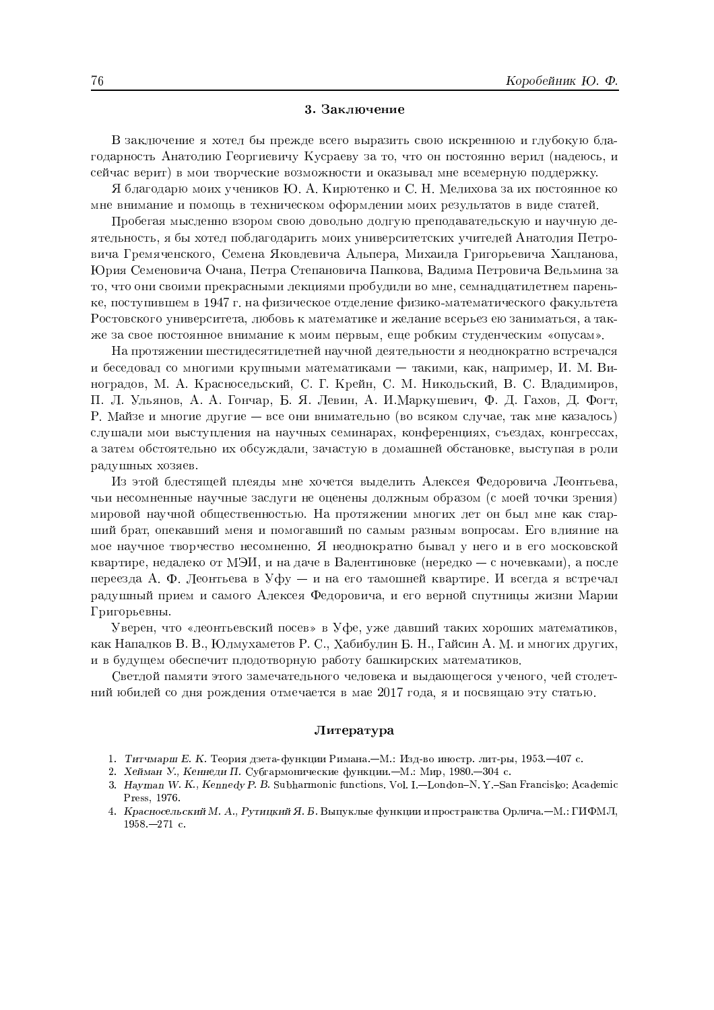#### 3. Заключение

В заключение я хотел бы прежде всего выразить свою искреннюю и глубокую благодарность Анатолию Георгиевичу Кусраеву за то, что он постоянно верил (надеюсь, и сейчас верит) в мои творческие возможности и оказывал мне всемерную поддержку.

Я благодарю моих учеников Ю. А. Кирютенко и С. Н. Мелихова за их постоянное ко мне внимание и помощь в техническом оформлении моих результатов в виде статей.

Пробегая мысленно взором свою довольно долгую преподавательскую и научную деятельность, я бы хотел поблагодарить моих университетских учителей Анатолия Петровича Гремяченского, Семена Яковлевича Альпера, Михаила Григорьевича Хапланова, Юрия Семеновича Очана, Петра Степановича Папкова, Вадима Петровича Вельмина за то, что они своими прекрасными лекциями пробудили во мне, семнадцатилетнем пареньке, поступившем в 1947 г. на физическое отделение физико-математического факультета Ростовского университета, любовь к математике и желание всерьез ею заниматься, а также за свое постоянное внимание к моим первым, еще робким студенческим «опусам».

На протяжении шестидесятилетней научной деятельности я неоднократно встречался и беседовал со многими крупными математиками - такими, как, например, И. М. Виноградов, М. А. Красносельский, С. Г. Крейн, С. М. Никольский, В. С. Владимиров, П. Л. Ульянов, А. А. Гончар, Б. Я. Левин, А. И.Маркушевич, Ф. Д. Гахов, Д. Фогт, Р. Майзе и многие другие — все они внимательно (во всяком случае, так мне казалось) слушали мои выступления на научных семинарах, конференциях, съездах, конгрессах, а затем обстоятельно их обсуждали, зачастую в домашней обстановке, выступая в роли радушных хозяев.

Из этой блестящей плеяды мне хочется выделить Алексея Федоровича Леонтьева. чьи несомненные научные заслуги не оценены должным образом (с моей точки зрения) мировой научной общественностью. На протяжении многих лет он был мне как старший брат, опекавший меня и помогавший по самым разным вопросам. Его влияние на мое научное творчество несомненно. Я неоднократно бывал у него и в его московской квартире, недалеко от МЭИ, и на даче в Валентиновке (нередко — с ночевками), а после переезда А. Ф. Леонтьева в Уфу - и на его тамошней квартире. И всегда я встречал радушный прием и самого Алексея Федоровича, и его верной спутницы жизни Марии Григорьевны.

Уверен, что «леонтьевский посев» в Уфе, уже давший таких хороших математиков, как Напалков В. В., Юлмухаметов Р. С., Хабибулин Б. Н., Гайсин А. М. и многих других, и в будущем обеспечит плодотворную работу башкирских математиков.

Светлой памяти этого замечательного человека и выдающегося ученого, чейстолетний юбилей со дня рождения отмечается в мае 2017 года, я и посвящаю эту статью.

#### Литература

- 1. Титчмарш Е. К. Теория дзета-функции Римана. М.: Изд-во иностр. лит-ры, 1953. 407 с.
- 2. Хейман У., Кеннеди П. Субгармонические функции.-М.: Мир, 1980.-304 с.
- 3. Hayman W. K., Kennedy P. B. Subharmonic functions. Vol. I.—London-N. Y.-San Francisko: Academic Press. 1976.
- 4. Красносельский М. А., Рутицкий Я. Б. Выпуклые функции и пространства Орлича. М.: ГИФМЛ,  $1958 - 271$  c.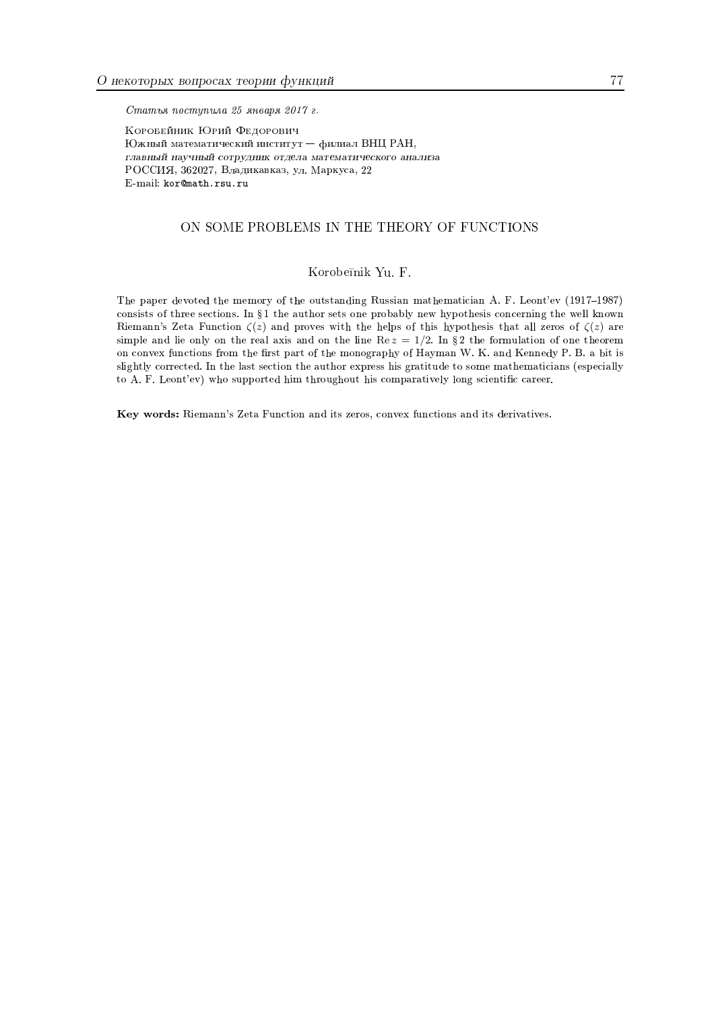Статья поступила 25 января 2017 г.

Коровейник Юрий Федорович Южный математический институт - филиал ВНЦ РАН, главный научный сотрудник отдела математического анализа РОССИЯ, 362027, Владикавказ, ул. Маркуса, 22  $\operatorname{E-mail:}\nolimits$ kor@math.rsu.ru

## ON SOME PROBLEMS IN THE THEORY OF FUNCTIONS

## Korobeĭnik Yu. F.

The paper devoted the memory of the outstanding Russian mathematician A. F. Leont'ev (1917-1987) consists of three sections. In § 1 the author sets one probably new hypothesis concerning the well known Riemann's Zeta Function  $\zeta(z)$  and proves with the helps of this hypothesis that all zeros of  $\zeta(z)$  are simple and lie only on the real axis and on the line  $\text{Re } z = 1/2$ . In §2 the formulation of one theorem on convex functions from the first part of the monography of Hayman W. K. and Kennedy P. B. a bit is slightly corrected. In the last section the author express his gratitude to some mathematicians (especially to A. F. Leont'ev) who supported him throughout his comparatively long scientific career.

Key words: Riemann's Zeta Function and its zeros, convex functions and its derivatives.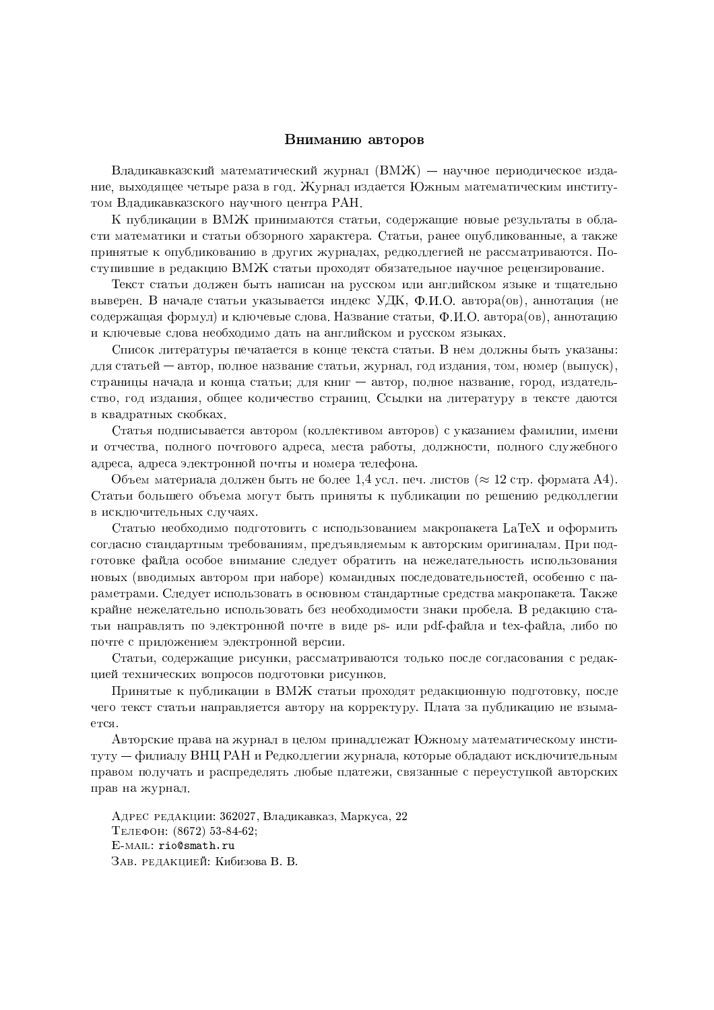## Вниманию авторов

Владикавказский математический журнал  $(BMX)$  — научное периодическое издание, выходящее четыре раза в год. Журнал издается Южным математическим институтом Владикавказского научного центра РАН.

К публикации в ВМЖ принимаются статьи, содержащие новые результаты в области математики и статьи обзорного характера. Статьи, ранее опубликованные, а также принятые к опубликованию в других журналах, редколлегией не рассматриваются. Поступившие в редакцию ВМЖ статьи проходят обязательное научное рецензирование.

Текст статьи должен быть написан на русском или английском языке и тщательно выверен. В начале статьи указывается индекс УДК, Ф.И.О. автора(ов), аннотация (не содержащая формул) и ключевые слова. Название статьи, Ф.И.О. автора(ов), аннотацию и ключевые слова необходимо дать на английском и русском языках.

Список литературы печатается в конце текста статьи. В нем должны быть указаны: для статьей — автор, полное название статьи, журнал, год издания, том, номер (выпуск), страницы начала и конца статьи; для книг - автор, полное название, город, издательство, год издания, общее количество страниц. Ссылки на литературу в тексте даются в квадратных скобках.

Статья подписывается автором (коллективом авторов) с указанием фамилии, имени и отчества, полного почтового адреса, места работы, должности, полного служебного адреса, адреса электронной почты и номера телефона.

Объем материала должен быть не более 1,4 усл. печ. листов ( $\approx 12$  стр. формата A4). Статьи большего объема могут быть приняты к публикации по решению редколлегии в исключительных случаях.

Статью необходимо подготовить с использованием макропакета LaTeX и оформить согласно стандартным требованиям, предъявляемым к авторским оригиналам. При подготовке файла особое внимание следует обратить на нежелательность использования новых (вводимых автором при наборе) командных последовательностей, особенно с параметрами. Следует использовать в основном стандартные средства макропакета. Также крайне нежелательно использовать без необходимости знаки пробела. В редакцию статьи направлять по электронной почте в виде ps- или pdf-файла и tex-файла, либо по почте с приложением электронной версии.

Статьи, содержащие рисунки, рассматриваются только после согласования с редакцией технических вопросов подготовки рисунков.

Принятые к публикации в ВМЖ статьи проходят редакционную подготовку, после чего текст статьи направляется автору на корректуру. Плата за публикацию не взымается.

Авторские права на журнал в целом принадлежат Южному математическому институту — филиалу ВНЦ РАН и Редколлегии журнала, которые обладают исключительным правом получать и распределять любые платежи, связанные с переуступкой авторских прав на журнал.

Адрес редакции: 362027, Владикавказ, Маркуса, 22 ТЕЛЕФОН: (8672) 53-84-62; E-MAIL: rio@smath.ru ЗАВ. РЕДАКЦИЕЙ: Кибизова В. В.